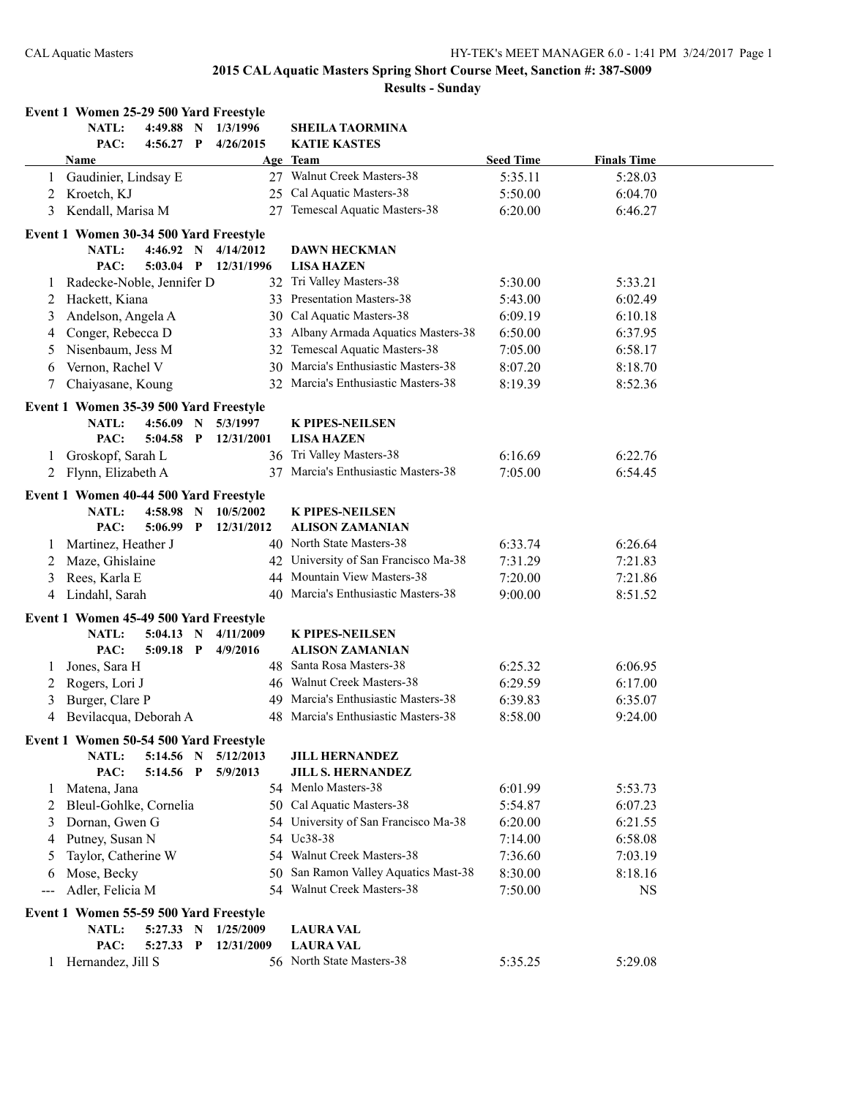| NATL:<br>$4:49.88$ N<br>1/3/1996<br><b>SHEILA TAORMINA</b><br>PAC:<br>$4:56.27$ P<br>4/26/2015<br><b>KATIE KASTES</b><br><b>Finals Time</b><br>Age Team<br><b>Seed Time</b><br>Name<br>27 Walnut Creek Masters-38<br>5:35.11<br>Gaudinier, Lindsay E<br>5:28.03<br>25 Cal Aquatic Masters-38<br>Kroetch, KJ<br>5:50.00<br>6:04.70<br>2<br>27 Temescal Aquatic Masters-38<br>Kendall, Marisa M<br>6:20.00<br>6:46.27<br>3<br>Event 1 Women 30-34 500 Yard Freestyle<br>NATL:<br>4:46.92 N<br>4/14/2012<br><b>DAWN HECKMAN</b><br>PAC:<br>$5:03.04$ P<br>12/31/1996<br><b>LISA HAZEN</b><br>32 Tri Valley Masters-38<br>Radecke-Noble, Jennifer D<br>5:30.00<br>5:33.21<br>$\perp$<br>33 Presentation Masters-38<br>Hackett, Kiana<br>5:43.00<br>6:02.49<br>2<br>30 Cal Aquatic Masters-38<br>Andelson, Angela A<br>6:09.19<br>6:10.18<br>3<br>Conger, Rebecca D<br>Albany Armada Aquatics Masters-38<br>6:50.00<br>6:37.95<br>33<br>4<br>Nisenbaum, Jess M<br>Temescal Aquatic Masters-38<br>7:05.00<br>6:58.17<br>32<br>5<br>Marcia's Enthusiastic Masters-38<br>Vernon, Rachel V<br>30<br>8:07.20<br>8:18.70<br>6<br>Chaiyasane, Koung<br>Marcia's Enthusiastic Masters-38<br>8:19.39<br>8:52.36<br>7<br>32<br>Event 1 Women 35-39 500 Yard Freestyle<br>NATL:<br>$4:56.09$ N<br>5/3/1997<br><b>K PIPES-NEILSEN</b><br>PAC:<br>12/31/2001<br><b>LISA HAZEN</b><br>$5:04.58$ P<br>36 Tri Valley Masters-38<br>6:16.69<br>Groskopf, Sarah L<br>6:22.76<br>1<br>37 Marcia's Enthusiastic Masters-38<br>7:05.00<br>Flynn, Elizabeth A<br>6:54.45<br>2<br>Event 1 Women 40-44 500 Yard Freestyle<br>NATL:<br>$4:58.98$ N<br>10/5/2002<br><b>K PIPES-NEILSEN</b><br>PAC:<br>$5:06.99$ P<br>12/31/2012<br><b>ALISON ZAMANIAN</b><br>40 North State Masters-38<br>6:33.74<br>6:26.64<br>Martinez, Heather J<br>$\perp$<br>42 University of San Francisco Ma-38<br>Maze, Ghislaine<br>7:31.29<br>7:21.83<br>2<br>Rees, Karla E<br>44 Mountain View Masters-38<br>7:20.00<br>7:21.86<br>3<br>Marcia's Enthusiastic Masters-38<br>9:00.00<br>Lindahl, Sarah<br>40<br>8:51.52<br>4<br>Event 1 Women 45-49 500 Yard Freestyle<br><b>NATL:</b><br>$5:04.13$ N<br>4/11/2009<br><b>K PIPES-NEILSEN</b><br>PAC:<br>$5:09.18$ P<br>4/9/2016<br><b>ALISON ZAMANIAN</b><br>48 Santa Rosa Masters-38<br>Jones, Sara H<br>6:25.32<br>6:06.95<br>1<br>46 Walnut Creek Masters-38<br>6:29.59<br>Rogers, Lori J<br>6:17.00<br>2<br>49 Marcia's Enthusiastic Masters-38<br>Burger, Clare P<br>6:39.83<br>6:35.07<br>3<br>48 Marcia's Enthusiastic Masters-38<br>4<br>Bevilacqua, Deborah A<br>8:58.00<br>9:24.00<br>Event 1 Women 50-54 500 Yard Freestyle<br>NATL:<br>$5:14.56$ N<br>5/12/2013<br><b>JILL HERNANDEZ</b><br>PAC:<br>5:14.56 P<br>5/9/2013<br><b>JILL S. HERNANDEZ</b><br>54 Menlo Masters-38<br>6:01.99<br>5:53.73<br>Matena, Jana<br>$\perp$<br>50 Cal Aquatic Masters-38<br>Bleul-Gohlke, Cornelia<br>5:54.87<br>6:07.23<br>2<br>54 University of San Francisco Ma-38<br>Dornan, Gwen G<br>6:20.00<br>6:21.55<br>3<br>54 Uc38-38<br>Putney, Susan N<br>7:14.00<br>6:58.08<br>4<br>Taylor, Catherine W<br>54 Walnut Creek Masters-38<br>7:36.60<br>7:03.19<br>5<br>San Ramon Valley Aquatics Mast-38<br>Mose, Becky<br>8:30.00<br>8:18.16<br>50.<br>6<br>54 Walnut Creek Masters-38<br>Adler, Felicia M<br>7:50.00<br><b>NS</b><br>$---$<br>Event 1 Women 55-59 500 Yard Freestyle<br>NATL:<br>5:27.33 N<br>1/25/2009<br><b>LAURA VAL</b> | Event 1 Women 25-29 500 Yard Freestyle |           |            |                  |  |  |
|-----------------------------------------------------------------------------------------------------------------------------------------------------------------------------------------------------------------------------------------------------------------------------------------------------------------------------------------------------------------------------------------------------------------------------------------------------------------------------------------------------------------------------------------------------------------------------------------------------------------------------------------------------------------------------------------------------------------------------------------------------------------------------------------------------------------------------------------------------------------------------------------------------------------------------------------------------------------------------------------------------------------------------------------------------------------------------------------------------------------------------------------------------------------------------------------------------------------------------------------------------------------------------------------------------------------------------------------------------------------------------------------------------------------------------------------------------------------------------------------------------------------------------------------------------------------------------------------------------------------------------------------------------------------------------------------------------------------------------------------------------------------------------------------------------------------------------------------------------------------------------------------------------------------------------------------------------------------------------------------------------------------------------------------------------------------------------------------------------------------------------------------------------------------------------------------------------------------------------------------------------------------------------------------------------------------------------------------------------------------------------------------------------------------------------------------------------------------------------------------------------------------------------------------------------------------------------------------------------------------------------------------------------------------------------------------------------------------------------------------------------------------------------------------------------------------------------------------------------------------------------------------------------------------------------------------------------------------------------------------------------------------------------------------------------------------------------------------------------------------------------------------------------------------------------------------------------------------------------------------------------------------------------------------------------------------------------------------------------------------------------------------------------------------------------------|----------------------------------------|-----------|------------|------------------|--|--|
|                                                                                                                                                                                                                                                                                                                                                                                                                                                                                                                                                                                                                                                                                                                                                                                                                                                                                                                                                                                                                                                                                                                                                                                                                                                                                                                                                                                                                                                                                                                                                                                                                                                                                                                                                                                                                                                                                                                                                                                                                                                                                                                                                                                                                                                                                                                                                                                                                                                                                                                                                                                                                                                                                                                                                                                                                                                                                                                                                                                                                                                                                                                                                                                                                                                                                                                                                                                                                                   |                                        |           |            |                  |  |  |
|                                                                                                                                                                                                                                                                                                                                                                                                                                                                                                                                                                                                                                                                                                                                                                                                                                                                                                                                                                                                                                                                                                                                                                                                                                                                                                                                                                                                                                                                                                                                                                                                                                                                                                                                                                                                                                                                                                                                                                                                                                                                                                                                                                                                                                                                                                                                                                                                                                                                                                                                                                                                                                                                                                                                                                                                                                                                                                                                                                                                                                                                                                                                                                                                                                                                                                                                                                                                                                   |                                        |           |            |                  |  |  |
|                                                                                                                                                                                                                                                                                                                                                                                                                                                                                                                                                                                                                                                                                                                                                                                                                                                                                                                                                                                                                                                                                                                                                                                                                                                                                                                                                                                                                                                                                                                                                                                                                                                                                                                                                                                                                                                                                                                                                                                                                                                                                                                                                                                                                                                                                                                                                                                                                                                                                                                                                                                                                                                                                                                                                                                                                                                                                                                                                                                                                                                                                                                                                                                                                                                                                                                                                                                                                                   |                                        |           |            |                  |  |  |
|                                                                                                                                                                                                                                                                                                                                                                                                                                                                                                                                                                                                                                                                                                                                                                                                                                                                                                                                                                                                                                                                                                                                                                                                                                                                                                                                                                                                                                                                                                                                                                                                                                                                                                                                                                                                                                                                                                                                                                                                                                                                                                                                                                                                                                                                                                                                                                                                                                                                                                                                                                                                                                                                                                                                                                                                                                                                                                                                                                                                                                                                                                                                                                                                                                                                                                                                                                                                                                   |                                        |           |            |                  |  |  |
|                                                                                                                                                                                                                                                                                                                                                                                                                                                                                                                                                                                                                                                                                                                                                                                                                                                                                                                                                                                                                                                                                                                                                                                                                                                                                                                                                                                                                                                                                                                                                                                                                                                                                                                                                                                                                                                                                                                                                                                                                                                                                                                                                                                                                                                                                                                                                                                                                                                                                                                                                                                                                                                                                                                                                                                                                                                                                                                                                                                                                                                                                                                                                                                                                                                                                                                                                                                                                                   |                                        |           |            |                  |  |  |
|                                                                                                                                                                                                                                                                                                                                                                                                                                                                                                                                                                                                                                                                                                                                                                                                                                                                                                                                                                                                                                                                                                                                                                                                                                                                                                                                                                                                                                                                                                                                                                                                                                                                                                                                                                                                                                                                                                                                                                                                                                                                                                                                                                                                                                                                                                                                                                                                                                                                                                                                                                                                                                                                                                                                                                                                                                                                                                                                                                                                                                                                                                                                                                                                                                                                                                                                                                                                                                   |                                        |           |            |                  |  |  |
|                                                                                                                                                                                                                                                                                                                                                                                                                                                                                                                                                                                                                                                                                                                                                                                                                                                                                                                                                                                                                                                                                                                                                                                                                                                                                                                                                                                                                                                                                                                                                                                                                                                                                                                                                                                                                                                                                                                                                                                                                                                                                                                                                                                                                                                                                                                                                                                                                                                                                                                                                                                                                                                                                                                                                                                                                                                                                                                                                                                                                                                                                                                                                                                                                                                                                                                                                                                                                                   |                                        |           |            |                  |  |  |
|                                                                                                                                                                                                                                                                                                                                                                                                                                                                                                                                                                                                                                                                                                                                                                                                                                                                                                                                                                                                                                                                                                                                                                                                                                                                                                                                                                                                                                                                                                                                                                                                                                                                                                                                                                                                                                                                                                                                                                                                                                                                                                                                                                                                                                                                                                                                                                                                                                                                                                                                                                                                                                                                                                                                                                                                                                                                                                                                                                                                                                                                                                                                                                                                                                                                                                                                                                                                                                   |                                        |           |            |                  |  |  |
|                                                                                                                                                                                                                                                                                                                                                                                                                                                                                                                                                                                                                                                                                                                                                                                                                                                                                                                                                                                                                                                                                                                                                                                                                                                                                                                                                                                                                                                                                                                                                                                                                                                                                                                                                                                                                                                                                                                                                                                                                                                                                                                                                                                                                                                                                                                                                                                                                                                                                                                                                                                                                                                                                                                                                                                                                                                                                                                                                                                                                                                                                                                                                                                                                                                                                                                                                                                                                                   |                                        |           |            |                  |  |  |
|                                                                                                                                                                                                                                                                                                                                                                                                                                                                                                                                                                                                                                                                                                                                                                                                                                                                                                                                                                                                                                                                                                                                                                                                                                                                                                                                                                                                                                                                                                                                                                                                                                                                                                                                                                                                                                                                                                                                                                                                                                                                                                                                                                                                                                                                                                                                                                                                                                                                                                                                                                                                                                                                                                                                                                                                                                                                                                                                                                                                                                                                                                                                                                                                                                                                                                                                                                                                                                   |                                        |           |            |                  |  |  |
|                                                                                                                                                                                                                                                                                                                                                                                                                                                                                                                                                                                                                                                                                                                                                                                                                                                                                                                                                                                                                                                                                                                                                                                                                                                                                                                                                                                                                                                                                                                                                                                                                                                                                                                                                                                                                                                                                                                                                                                                                                                                                                                                                                                                                                                                                                                                                                                                                                                                                                                                                                                                                                                                                                                                                                                                                                                                                                                                                                                                                                                                                                                                                                                                                                                                                                                                                                                                                                   |                                        |           |            |                  |  |  |
|                                                                                                                                                                                                                                                                                                                                                                                                                                                                                                                                                                                                                                                                                                                                                                                                                                                                                                                                                                                                                                                                                                                                                                                                                                                                                                                                                                                                                                                                                                                                                                                                                                                                                                                                                                                                                                                                                                                                                                                                                                                                                                                                                                                                                                                                                                                                                                                                                                                                                                                                                                                                                                                                                                                                                                                                                                                                                                                                                                                                                                                                                                                                                                                                                                                                                                                                                                                                                                   |                                        |           |            |                  |  |  |
|                                                                                                                                                                                                                                                                                                                                                                                                                                                                                                                                                                                                                                                                                                                                                                                                                                                                                                                                                                                                                                                                                                                                                                                                                                                                                                                                                                                                                                                                                                                                                                                                                                                                                                                                                                                                                                                                                                                                                                                                                                                                                                                                                                                                                                                                                                                                                                                                                                                                                                                                                                                                                                                                                                                                                                                                                                                                                                                                                                                                                                                                                                                                                                                                                                                                                                                                                                                                                                   |                                        |           |            |                  |  |  |
|                                                                                                                                                                                                                                                                                                                                                                                                                                                                                                                                                                                                                                                                                                                                                                                                                                                                                                                                                                                                                                                                                                                                                                                                                                                                                                                                                                                                                                                                                                                                                                                                                                                                                                                                                                                                                                                                                                                                                                                                                                                                                                                                                                                                                                                                                                                                                                                                                                                                                                                                                                                                                                                                                                                                                                                                                                                                                                                                                                                                                                                                                                                                                                                                                                                                                                                                                                                                                                   |                                        |           |            |                  |  |  |
|                                                                                                                                                                                                                                                                                                                                                                                                                                                                                                                                                                                                                                                                                                                                                                                                                                                                                                                                                                                                                                                                                                                                                                                                                                                                                                                                                                                                                                                                                                                                                                                                                                                                                                                                                                                                                                                                                                                                                                                                                                                                                                                                                                                                                                                                                                                                                                                                                                                                                                                                                                                                                                                                                                                                                                                                                                                                                                                                                                                                                                                                                                                                                                                                                                                                                                                                                                                                                                   |                                        |           |            |                  |  |  |
|                                                                                                                                                                                                                                                                                                                                                                                                                                                                                                                                                                                                                                                                                                                                                                                                                                                                                                                                                                                                                                                                                                                                                                                                                                                                                                                                                                                                                                                                                                                                                                                                                                                                                                                                                                                                                                                                                                                                                                                                                                                                                                                                                                                                                                                                                                                                                                                                                                                                                                                                                                                                                                                                                                                                                                                                                                                                                                                                                                                                                                                                                                                                                                                                                                                                                                                                                                                                                                   |                                        |           |            |                  |  |  |
|                                                                                                                                                                                                                                                                                                                                                                                                                                                                                                                                                                                                                                                                                                                                                                                                                                                                                                                                                                                                                                                                                                                                                                                                                                                                                                                                                                                                                                                                                                                                                                                                                                                                                                                                                                                                                                                                                                                                                                                                                                                                                                                                                                                                                                                                                                                                                                                                                                                                                                                                                                                                                                                                                                                                                                                                                                                                                                                                                                                                                                                                                                                                                                                                                                                                                                                                                                                                                                   |                                        |           |            |                  |  |  |
|                                                                                                                                                                                                                                                                                                                                                                                                                                                                                                                                                                                                                                                                                                                                                                                                                                                                                                                                                                                                                                                                                                                                                                                                                                                                                                                                                                                                                                                                                                                                                                                                                                                                                                                                                                                                                                                                                                                                                                                                                                                                                                                                                                                                                                                                                                                                                                                                                                                                                                                                                                                                                                                                                                                                                                                                                                                                                                                                                                                                                                                                                                                                                                                                                                                                                                                                                                                                                                   |                                        |           |            |                  |  |  |
|                                                                                                                                                                                                                                                                                                                                                                                                                                                                                                                                                                                                                                                                                                                                                                                                                                                                                                                                                                                                                                                                                                                                                                                                                                                                                                                                                                                                                                                                                                                                                                                                                                                                                                                                                                                                                                                                                                                                                                                                                                                                                                                                                                                                                                                                                                                                                                                                                                                                                                                                                                                                                                                                                                                                                                                                                                                                                                                                                                                                                                                                                                                                                                                                                                                                                                                                                                                                                                   |                                        |           |            |                  |  |  |
|                                                                                                                                                                                                                                                                                                                                                                                                                                                                                                                                                                                                                                                                                                                                                                                                                                                                                                                                                                                                                                                                                                                                                                                                                                                                                                                                                                                                                                                                                                                                                                                                                                                                                                                                                                                                                                                                                                                                                                                                                                                                                                                                                                                                                                                                                                                                                                                                                                                                                                                                                                                                                                                                                                                                                                                                                                                                                                                                                                                                                                                                                                                                                                                                                                                                                                                                                                                                                                   |                                        |           |            |                  |  |  |
|                                                                                                                                                                                                                                                                                                                                                                                                                                                                                                                                                                                                                                                                                                                                                                                                                                                                                                                                                                                                                                                                                                                                                                                                                                                                                                                                                                                                                                                                                                                                                                                                                                                                                                                                                                                                                                                                                                                                                                                                                                                                                                                                                                                                                                                                                                                                                                                                                                                                                                                                                                                                                                                                                                                                                                                                                                                                                                                                                                                                                                                                                                                                                                                                                                                                                                                                                                                                                                   |                                        |           |            |                  |  |  |
|                                                                                                                                                                                                                                                                                                                                                                                                                                                                                                                                                                                                                                                                                                                                                                                                                                                                                                                                                                                                                                                                                                                                                                                                                                                                                                                                                                                                                                                                                                                                                                                                                                                                                                                                                                                                                                                                                                                                                                                                                                                                                                                                                                                                                                                                                                                                                                                                                                                                                                                                                                                                                                                                                                                                                                                                                                                                                                                                                                                                                                                                                                                                                                                                                                                                                                                                                                                                                                   |                                        |           |            |                  |  |  |
|                                                                                                                                                                                                                                                                                                                                                                                                                                                                                                                                                                                                                                                                                                                                                                                                                                                                                                                                                                                                                                                                                                                                                                                                                                                                                                                                                                                                                                                                                                                                                                                                                                                                                                                                                                                                                                                                                                                                                                                                                                                                                                                                                                                                                                                                                                                                                                                                                                                                                                                                                                                                                                                                                                                                                                                                                                                                                                                                                                                                                                                                                                                                                                                                                                                                                                                                                                                                                                   |                                        |           |            |                  |  |  |
|                                                                                                                                                                                                                                                                                                                                                                                                                                                                                                                                                                                                                                                                                                                                                                                                                                                                                                                                                                                                                                                                                                                                                                                                                                                                                                                                                                                                                                                                                                                                                                                                                                                                                                                                                                                                                                                                                                                                                                                                                                                                                                                                                                                                                                                                                                                                                                                                                                                                                                                                                                                                                                                                                                                                                                                                                                                                                                                                                                                                                                                                                                                                                                                                                                                                                                                                                                                                                                   |                                        |           |            |                  |  |  |
|                                                                                                                                                                                                                                                                                                                                                                                                                                                                                                                                                                                                                                                                                                                                                                                                                                                                                                                                                                                                                                                                                                                                                                                                                                                                                                                                                                                                                                                                                                                                                                                                                                                                                                                                                                                                                                                                                                                                                                                                                                                                                                                                                                                                                                                                                                                                                                                                                                                                                                                                                                                                                                                                                                                                                                                                                                                                                                                                                                                                                                                                                                                                                                                                                                                                                                                                                                                                                                   |                                        |           |            |                  |  |  |
|                                                                                                                                                                                                                                                                                                                                                                                                                                                                                                                                                                                                                                                                                                                                                                                                                                                                                                                                                                                                                                                                                                                                                                                                                                                                                                                                                                                                                                                                                                                                                                                                                                                                                                                                                                                                                                                                                                                                                                                                                                                                                                                                                                                                                                                                                                                                                                                                                                                                                                                                                                                                                                                                                                                                                                                                                                                                                                                                                                                                                                                                                                                                                                                                                                                                                                                                                                                                                                   |                                        |           |            |                  |  |  |
|                                                                                                                                                                                                                                                                                                                                                                                                                                                                                                                                                                                                                                                                                                                                                                                                                                                                                                                                                                                                                                                                                                                                                                                                                                                                                                                                                                                                                                                                                                                                                                                                                                                                                                                                                                                                                                                                                                                                                                                                                                                                                                                                                                                                                                                                                                                                                                                                                                                                                                                                                                                                                                                                                                                                                                                                                                                                                                                                                                                                                                                                                                                                                                                                                                                                                                                                                                                                                                   |                                        |           |            |                  |  |  |
|                                                                                                                                                                                                                                                                                                                                                                                                                                                                                                                                                                                                                                                                                                                                                                                                                                                                                                                                                                                                                                                                                                                                                                                                                                                                                                                                                                                                                                                                                                                                                                                                                                                                                                                                                                                                                                                                                                                                                                                                                                                                                                                                                                                                                                                                                                                                                                                                                                                                                                                                                                                                                                                                                                                                                                                                                                                                                                                                                                                                                                                                                                                                                                                                                                                                                                                                                                                                                                   |                                        |           |            |                  |  |  |
|                                                                                                                                                                                                                                                                                                                                                                                                                                                                                                                                                                                                                                                                                                                                                                                                                                                                                                                                                                                                                                                                                                                                                                                                                                                                                                                                                                                                                                                                                                                                                                                                                                                                                                                                                                                                                                                                                                                                                                                                                                                                                                                                                                                                                                                                                                                                                                                                                                                                                                                                                                                                                                                                                                                                                                                                                                                                                                                                                                                                                                                                                                                                                                                                                                                                                                                                                                                                                                   |                                        |           |            |                  |  |  |
|                                                                                                                                                                                                                                                                                                                                                                                                                                                                                                                                                                                                                                                                                                                                                                                                                                                                                                                                                                                                                                                                                                                                                                                                                                                                                                                                                                                                                                                                                                                                                                                                                                                                                                                                                                                                                                                                                                                                                                                                                                                                                                                                                                                                                                                                                                                                                                                                                                                                                                                                                                                                                                                                                                                                                                                                                                                                                                                                                                                                                                                                                                                                                                                                                                                                                                                                                                                                                                   |                                        |           |            |                  |  |  |
|                                                                                                                                                                                                                                                                                                                                                                                                                                                                                                                                                                                                                                                                                                                                                                                                                                                                                                                                                                                                                                                                                                                                                                                                                                                                                                                                                                                                                                                                                                                                                                                                                                                                                                                                                                                                                                                                                                                                                                                                                                                                                                                                                                                                                                                                                                                                                                                                                                                                                                                                                                                                                                                                                                                                                                                                                                                                                                                                                                                                                                                                                                                                                                                                                                                                                                                                                                                                                                   |                                        |           |            |                  |  |  |
|                                                                                                                                                                                                                                                                                                                                                                                                                                                                                                                                                                                                                                                                                                                                                                                                                                                                                                                                                                                                                                                                                                                                                                                                                                                                                                                                                                                                                                                                                                                                                                                                                                                                                                                                                                                                                                                                                                                                                                                                                                                                                                                                                                                                                                                                                                                                                                                                                                                                                                                                                                                                                                                                                                                                                                                                                                                                                                                                                                                                                                                                                                                                                                                                                                                                                                                                                                                                                                   |                                        |           |            |                  |  |  |
|                                                                                                                                                                                                                                                                                                                                                                                                                                                                                                                                                                                                                                                                                                                                                                                                                                                                                                                                                                                                                                                                                                                                                                                                                                                                                                                                                                                                                                                                                                                                                                                                                                                                                                                                                                                                                                                                                                                                                                                                                                                                                                                                                                                                                                                                                                                                                                                                                                                                                                                                                                                                                                                                                                                                                                                                                                                                                                                                                                                                                                                                                                                                                                                                                                                                                                                                                                                                                                   |                                        |           |            |                  |  |  |
|                                                                                                                                                                                                                                                                                                                                                                                                                                                                                                                                                                                                                                                                                                                                                                                                                                                                                                                                                                                                                                                                                                                                                                                                                                                                                                                                                                                                                                                                                                                                                                                                                                                                                                                                                                                                                                                                                                                                                                                                                                                                                                                                                                                                                                                                                                                                                                                                                                                                                                                                                                                                                                                                                                                                                                                                                                                                                                                                                                                                                                                                                                                                                                                                                                                                                                                                                                                                                                   |                                        |           |            |                  |  |  |
|                                                                                                                                                                                                                                                                                                                                                                                                                                                                                                                                                                                                                                                                                                                                                                                                                                                                                                                                                                                                                                                                                                                                                                                                                                                                                                                                                                                                                                                                                                                                                                                                                                                                                                                                                                                                                                                                                                                                                                                                                                                                                                                                                                                                                                                                                                                                                                                                                                                                                                                                                                                                                                                                                                                                                                                                                                                                                                                                                                                                                                                                                                                                                                                                                                                                                                                                                                                                                                   |                                        |           |            |                  |  |  |
|                                                                                                                                                                                                                                                                                                                                                                                                                                                                                                                                                                                                                                                                                                                                                                                                                                                                                                                                                                                                                                                                                                                                                                                                                                                                                                                                                                                                                                                                                                                                                                                                                                                                                                                                                                                                                                                                                                                                                                                                                                                                                                                                                                                                                                                                                                                                                                                                                                                                                                                                                                                                                                                                                                                                                                                                                                                                                                                                                                                                                                                                                                                                                                                                                                                                                                                                                                                                                                   |                                        |           |            |                  |  |  |
|                                                                                                                                                                                                                                                                                                                                                                                                                                                                                                                                                                                                                                                                                                                                                                                                                                                                                                                                                                                                                                                                                                                                                                                                                                                                                                                                                                                                                                                                                                                                                                                                                                                                                                                                                                                                                                                                                                                                                                                                                                                                                                                                                                                                                                                                                                                                                                                                                                                                                                                                                                                                                                                                                                                                                                                                                                                                                                                                                                                                                                                                                                                                                                                                                                                                                                                                                                                                                                   |                                        |           |            |                  |  |  |
|                                                                                                                                                                                                                                                                                                                                                                                                                                                                                                                                                                                                                                                                                                                                                                                                                                                                                                                                                                                                                                                                                                                                                                                                                                                                                                                                                                                                                                                                                                                                                                                                                                                                                                                                                                                                                                                                                                                                                                                                                                                                                                                                                                                                                                                                                                                                                                                                                                                                                                                                                                                                                                                                                                                                                                                                                                                                                                                                                                                                                                                                                                                                                                                                                                                                                                                                                                                                                                   |                                        |           |            |                  |  |  |
|                                                                                                                                                                                                                                                                                                                                                                                                                                                                                                                                                                                                                                                                                                                                                                                                                                                                                                                                                                                                                                                                                                                                                                                                                                                                                                                                                                                                                                                                                                                                                                                                                                                                                                                                                                                                                                                                                                                                                                                                                                                                                                                                                                                                                                                                                                                                                                                                                                                                                                                                                                                                                                                                                                                                                                                                                                                                                                                                                                                                                                                                                                                                                                                                                                                                                                                                                                                                                                   |                                        |           |            |                  |  |  |
|                                                                                                                                                                                                                                                                                                                                                                                                                                                                                                                                                                                                                                                                                                                                                                                                                                                                                                                                                                                                                                                                                                                                                                                                                                                                                                                                                                                                                                                                                                                                                                                                                                                                                                                                                                                                                                                                                                                                                                                                                                                                                                                                                                                                                                                                                                                                                                                                                                                                                                                                                                                                                                                                                                                                                                                                                                                                                                                                                                                                                                                                                                                                                                                                                                                                                                                                                                                                                                   |                                        |           |            |                  |  |  |
|                                                                                                                                                                                                                                                                                                                                                                                                                                                                                                                                                                                                                                                                                                                                                                                                                                                                                                                                                                                                                                                                                                                                                                                                                                                                                                                                                                                                                                                                                                                                                                                                                                                                                                                                                                                                                                                                                                                                                                                                                                                                                                                                                                                                                                                                                                                                                                                                                                                                                                                                                                                                                                                                                                                                                                                                                                                                                                                                                                                                                                                                                                                                                                                                                                                                                                                                                                                                                                   |                                        |           |            |                  |  |  |
|                                                                                                                                                                                                                                                                                                                                                                                                                                                                                                                                                                                                                                                                                                                                                                                                                                                                                                                                                                                                                                                                                                                                                                                                                                                                                                                                                                                                                                                                                                                                                                                                                                                                                                                                                                                                                                                                                                                                                                                                                                                                                                                                                                                                                                                                                                                                                                                                                                                                                                                                                                                                                                                                                                                                                                                                                                                                                                                                                                                                                                                                                                                                                                                                                                                                                                                                                                                                                                   |                                        |           |            |                  |  |  |
|                                                                                                                                                                                                                                                                                                                                                                                                                                                                                                                                                                                                                                                                                                                                                                                                                                                                                                                                                                                                                                                                                                                                                                                                                                                                                                                                                                                                                                                                                                                                                                                                                                                                                                                                                                                                                                                                                                                                                                                                                                                                                                                                                                                                                                                                                                                                                                                                                                                                                                                                                                                                                                                                                                                                                                                                                                                                                                                                                                                                                                                                                                                                                                                                                                                                                                                                                                                                                                   |                                        |           |            |                  |  |  |
|                                                                                                                                                                                                                                                                                                                                                                                                                                                                                                                                                                                                                                                                                                                                                                                                                                                                                                                                                                                                                                                                                                                                                                                                                                                                                                                                                                                                                                                                                                                                                                                                                                                                                                                                                                                                                                                                                                                                                                                                                                                                                                                                                                                                                                                                                                                                                                                                                                                                                                                                                                                                                                                                                                                                                                                                                                                                                                                                                                                                                                                                                                                                                                                                                                                                                                                                                                                                                                   |                                        |           |            |                  |  |  |
|                                                                                                                                                                                                                                                                                                                                                                                                                                                                                                                                                                                                                                                                                                                                                                                                                                                                                                                                                                                                                                                                                                                                                                                                                                                                                                                                                                                                                                                                                                                                                                                                                                                                                                                                                                                                                                                                                                                                                                                                                                                                                                                                                                                                                                                                                                                                                                                                                                                                                                                                                                                                                                                                                                                                                                                                                                                                                                                                                                                                                                                                                                                                                                                                                                                                                                                                                                                                                                   |                                        |           |            |                  |  |  |
|                                                                                                                                                                                                                                                                                                                                                                                                                                                                                                                                                                                                                                                                                                                                                                                                                                                                                                                                                                                                                                                                                                                                                                                                                                                                                                                                                                                                                                                                                                                                                                                                                                                                                                                                                                                                                                                                                                                                                                                                                                                                                                                                                                                                                                                                                                                                                                                                                                                                                                                                                                                                                                                                                                                                                                                                                                                                                                                                                                                                                                                                                                                                                                                                                                                                                                                                                                                                                                   |                                        |           |            |                  |  |  |
|                                                                                                                                                                                                                                                                                                                                                                                                                                                                                                                                                                                                                                                                                                                                                                                                                                                                                                                                                                                                                                                                                                                                                                                                                                                                                                                                                                                                                                                                                                                                                                                                                                                                                                                                                                                                                                                                                                                                                                                                                                                                                                                                                                                                                                                                                                                                                                                                                                                                                                                                                                                                                                                                                                                                                                                                                                                                                                                                                                                                                                                                                                                                                                                                                                                                                                                                                                                                                                   |                                        |           |            |                  |  |  |
|                                                                                                                                                                                                                                                                                                                                                                                                                                                                                                                                                                                                                                                                                                                                                                                                                                                                                                                                                                                                                                                                                                                                                                                                                                                                                                                                                                                                                                                                                                                                                                                                                                                                                                                                                                                                                                                                                                                                                                                                                                                                                                                                                                                                                                                                                                                                                                                                                                                                                                                                                                                                                                                                                                                                                                                                                                                                                                                                                                                                                                                                                                                                                                                                                                                                                                                                                                                                                                   | PAC:                                   | 5:27.33 P | 12/31/2009 | <b>LAURA VAL</b> |  |  |
| 56 North State Masters-38<br>Hernandez, Jill S<br>5:35.25<br>5:29.08<br>1                                                                                                                                                                                                                                                                                                                                                                                                                                                                                                                                                                                                                                                                                                                                                                                                                                                                                                                                                                                                                                                                                                                                                                                                                                                                                                                                                                                                                                                                                                                                                                                                                                                                                                                                                                                                                                                                                                                                                                                                                                                                                                                                                                                                                                                                                                                                                                                                                                                                                                                                                                                                                                                                                                                                                                                                                                                                                                                                                                                                                                                                                                                                                                                                                                                                                                                                                         |                                        |           |            |                  |  |  |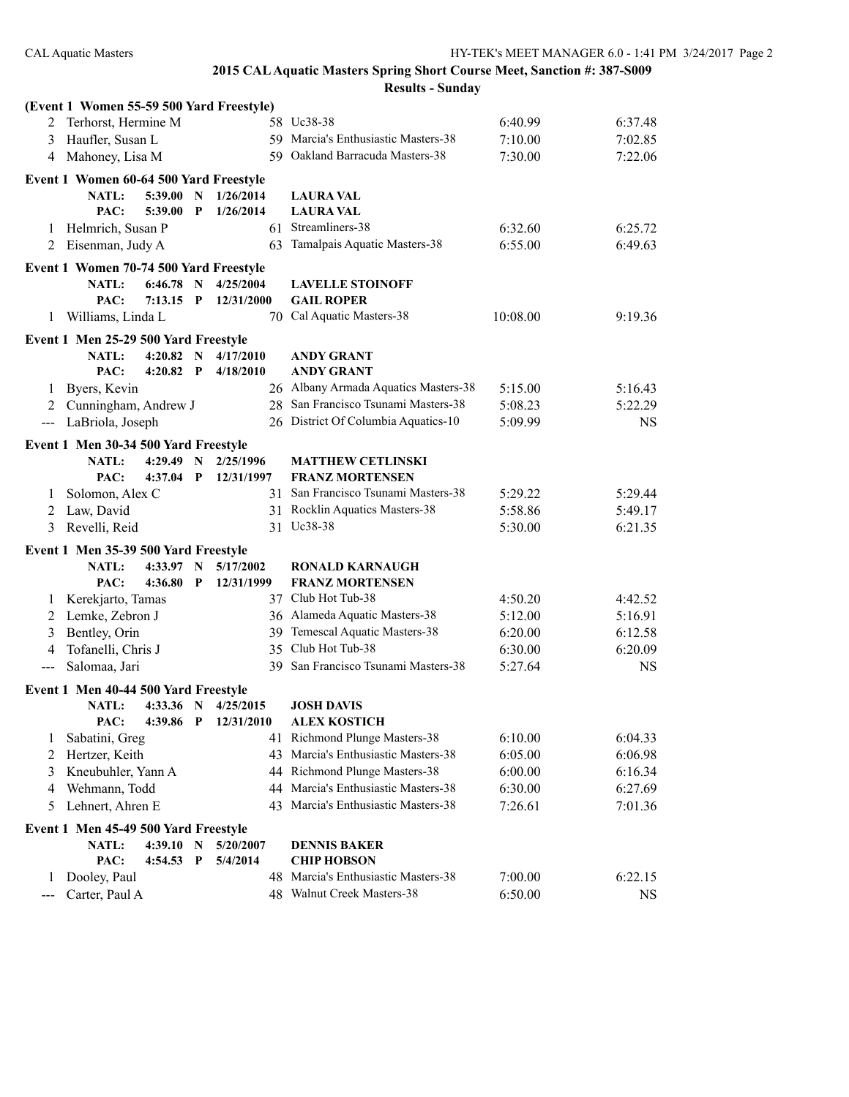#### **2015 CAL Aquatic Masters Spring Short Course Meet, Sanction #: 387-S009 Results - Sunday**

|                            | (Event 1 Women 55-59 500 Yard Freestyle) |             |             |                     |                                      |          |           |
|----------------------------|------------------------------------------|-------------|-------------|---------------------|--------------------------------------|----------|-----------|
|                            | Terhorst, Hermine M                      |             |             |                     | 58 Uc38-38                           | 6:40.99  | 6:37.48   |
| 3                          | Haufler, Susan L                         |             |             |                     | 59 Marcia's Enthusiastic Masters-38  | 7:10.00  | 7:02.85   |
|                            | 4 Mahoney, Lisa M                        |             |             |                     | 59 Oakland Barracuda Masters-38      | 7:30.00  | 7:22.06   |
|                            | Event 1 Women 60-64 500 Yard Freestyle   |             |             |                     |                                      |          |           |
|                            | NATL:                                    | 5:39.00     | N           | 1/26/2014           | <b>LAURA VAL</b>                     |          |           |
|                            | PAC:                                     | 5:39.00     | P           | 1/26/2014           | <b>LAURA VAL</b>                     |          |           |
| 1                          | Helmrich, Susan P                        |             |             |                     | 61 Streamliners-38                   | 6:32.60  | 6:25.72   |
| 2                          | Eisenman, Judy A                         |             |             |                     | 63 Tamalpais Aquatic Masters-38      | 6:55.00  | 6:49.63   |
|                            | Event 1 Women 70-74 500 Yard Freestyle   |             |             |                     |                                      |          |           |
|                            | <b>NATL:</b>                             | $6:46.78$ N |             | 4/25/2004           | <b>LAVELLE STOINOFF</b>              |          |           |
|                            | PAC:                                     | $7:13.15$ P |             | 12/31/2000          | <b>GAIL ROPER</b>                    |          |           |
| 1                          | Williams, Linda L                        |             |             |                     | 70 Cal Aquatic Masters-38            | 10:08.00 | 9:19.36   |
|                            | Event 1 Men 25-29 500 Yard Freestyle     |             |             |                     |                                      |          |           |
|                            | <b>NATL:</b>                             | 4:20.82 N   |             | 4/17/2010           | <b>ANDY GRANT</b>                    |          |           |
|                            | PAC:                                     | $4:20.82$ P |             | 4/18/2010           | <b>ANDY GRANT</b>                    |          |           |
| 1                          | Byers, Kevin                             |             |             |                     | 26 Albany Armada Aquatics Masters-38 | 5:15.00  | 5:16.43   |
| 2                          | Cunningham, Andrew J                     |             |             |                     | 28 San Francisco Tsunami Masters-38  | 5:08.23  | 5:22.29   |
|                            | --- LaBriola, Joseph                     |             |             |                     | 26 District Of Columbia Aquatics-10  | 5:09.99  | <b>NS</b> |
|                            | Event 1 Men 30-34 500 Yard Freestyle     |             |             |                     |                                      |          |           |
|                            | <b>NATL:</b>                             | 4:29.49     | N           | 2/25/1996           | <b>MATTHEW CETLINSKI</b>             |          |           |
|                            | PAC:                                     | 4:37.04     | P           | 12/31/1997          | <b>FRANZ MORTENSEN</b>               |          |           |
| 1                          | Solomon, Alex C                          |             |             |                     | 31 San Francisco Tsunami Masters-38  | 5:29.22  | 5:29.44   |
| 2                          | Law, David                               |             |             |                     | 31 Rocklin Aquatics Masters-38       | 5:58.86  | 5:49.17   |
| 3                          | Revelli, Reid                            |             |             |                     | 31 Uc38-38                           | 5:30.00  | 6:21.35   |
|                            | Event 1 Men 35-39 500 Yard Freestyle     |             |             |                     |                                      |          |           |
|                            | <b>NATL:</b>                             | $4:33.97$ N |             | 5/17/2002           | <b>RONALD KARNAUGH</b>               |          |           |
|                            | PAC:                                     | 4:36.80     | P           | 12/31/1999          | <b>FRANZ MORTENSEN</b>               |          |           |
| 1                          | Kerekjarto, Tamas                        |             |             |                     | 37 Club Hot Tub-38                   | 4:50.20  | 4:42.52   |
| 2                          | Lemke, Zebron J                          |             |             |                     | 36 Alameda Aquatic Masters-38        | 5:12.00  | 5:16.91   |
| 3                          | Bentley, Orin                            |             |             |                     | 39 Temescal Aquatic Masters-38       | 6:20.00  | 6:12.58   |
| 4                          | Tofanelli, Chris J                       |             |             |                     | 35 Club Hot Tub-38                   | 6:30.00  | 6:20.09   |
| $--$                       | Salomaa, Jari                            |             |             |                     | 39 San Francisco Tsunami Masters-38  | 5:27.64  | <b>NS</b> |
|                            | Event 1 Men 40-44 500 Yard Freestyle     |             |             |                     |                                      |          |           |
|                            | <b>NATL:</b>                             |             |             | 4:33.36 N 4/25/2015 | <b>JOSH DAVIS</b>                    |          |           |
|                            | PAC:                                     | 4:39.86 P   |             | 12/31/2010          | <b>ALEX KOSTICH</b>                  |          |           |
| 1                          | Sabatini, Greg                           |             |             |                     | 41 Richmond Plunge Masters-38        | 6:10.00  | 6:04.33   |
| 2                          | Hertzer, Keith                           |             |             |                     | 43 Marcia's Enthusiastic Masters-38  | 6:05.00  | 6:06.98   |
| 3                          | Kneubuhler, Yann A                       |             |             |                     | 44 Richmond Plunge Masters-38        | 6:00.00  | 6:16.34   |
| 4                          | Wehmann, Todd                            |             |             |                     | 44 Marcia's Enthusiastic Masters-38  | 6:30.00  | 6:27.69   |
| 5                          | Lehnert, Ahren E                         |             |             |                     | 43 Marcia's Enthusiastic Masters-38  | 7:26.61  | 7:01.36   |
|                            | Event 1 Men 45-49 500 Yard Freestyle     |             |             |                     |                                      |          |           |
|                            | <b>NATL:</b>                             | 4:39.10     | $\mathbf N$ | 5/20/2007           | <b>DENNIS BAKER</b>                  |          |           |
|                            | PAC:                                     | 4:54.53     | $\mathbf P$ | 5/4/2014            | <b>CHIP HOBSON</b>                   |          |           |
| 1                          | Dooley, Paul                             |             |             |                     | 48 Marcia's Enthusiastic Masters-38  | 7:00.00  | 6:22.15   |
| $\qquad \qquad - \qquad -$ | Carter, Paul A                           |             |             |                     | 48 Walnut Creek Masters-38           | 6:50.00  | <b>NS</b> |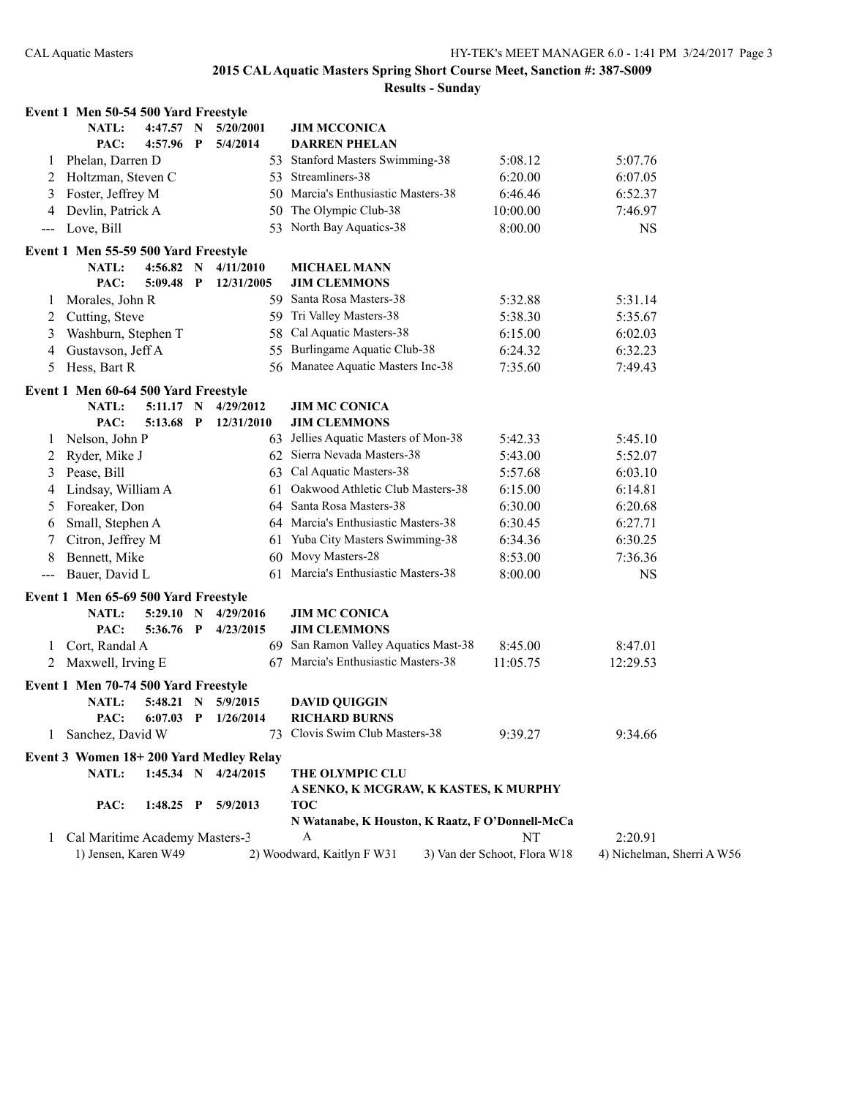|         | Event 1 Men 50-54 500 Yard Freestyle   |             |              |                     |                                                  |                              |                            |
|---------|----------------------------------------|-------------|--------------|---------------------|--------------------------------------------------|------------------------------|----------------------------|
|         | <b>NATL:</b>                           | 4:47.57 N   |              | 5/20/2001           | <b>JIM MCCONICA</b>                              |                              |                            |
|         | PAC:                                   | 4:57.96     | P            | 5/4/2014            | <b>DARREN PHELAN</b>                             |                              |                            |
| 1       | Phelan, Darren D                       |             |              | 53                  | <b>Stanford Masters Swimming-38</b>              | 5:08.12                      | 5:07.76                    |
| 2       | Holtzman, Steven C                     |             |              | 53                  | Streamliners-38                                  | 6:20.00                      | 6:07.05                    |
| 3       | Foster, Jeffrey M                      |             |              |                     | 50 Marcia's Enthusiastic Masters-38              | 6:46.46                      | 6:52.37                    |
| 4       | Devlin, Patrick A                      |             |              |                     | 50 The Olympic Club-38                           | 10:00.00                     | 7:46.97                    |
| ---     | Love, Bill                             |             |              |                     | 53 North Bay Aquatics-38                         | 8:00.00                      | <b>NS</b>                  |
|         | Event 1 Men 55-59 500 Yard Freestyle   |             |              |                     |                                                  |                              |                            |
|         | NATL:                                  | 4:56.82 N   |              | 4/11/2010           | <b>MICHAEL MANN</b>                              |                              |                            |
|         | PAC:                                   | 5:09.48     | $\mathbf{P}$ | 12/31/2005          | <b>JIM CLEMMONS</b>                              |                              |                            |
| $\perp$ | Morales, John R                        |             |              |                     | 59 Santa Rosa Masters-38                         | 5:32.88                      | 5:31.14                    |
| 2       | Cutting, Steve                         |             |              |                     | 59 Tri Valley Masters-38                         | 5:38.30                      | 5:35.67                    |
| 3       | Washburn, Stephen T                    |             |              | 58                  | Cal Aquatic Masters-38                           | 6:15.00                      | 6:02.03                    |
| 4       | Gustavson, Jeff A                      |             |              | 55                  | Burlingame Aquatic Club-38                       | 6:24.32                      | 6:32.23                    |
| 5       | Hess, Bart R                           |             |              |                     | 56 Manatee Aquatic Masters Inc-38                | 7:35.60                      | 7:49.43                    |
|         | Event 1 Men 60-64 500 Yard Freestyle   |             |              |                     |                                                  |                              |                            |
|         | <b>NATL:</b>                           | $5:11.17$ N |              | 4/29/2012           | <b>JIM MC CONICA</b>                             |                              |                            |
|         | PAC:                                   | 5:13.68 P   |              | 12/31/2010          | <b>JIM CLEMMONS</b>                              |                              |                            |
| 1       | Nelson, John P                         |             |              | 63                  | Jellies Aquatic Masters of Mon-38                | 5:42.33                      | 5:45.10                    |
| 2       | Ryder, Mike J                          |             |              |                     | 62 Sierra Nevada Masters-38                      | 5:43.00                      | 5:52.07                    |
| 3       | Pease, Bill                            |             |              | 63                  | Cal Aquatic Masters-38                           | 5:57.68                      | 6:03.10                    |
| 4       | Lindsay, William A                     |             |              | 61                  | Oakwood Athletic Club Masters-38                 | 6:15.00                      | 6:14.81                    |
| 5       | Foreaker, Don                          |             |              |                     | 64 Santa Rosa Masters-38                         | 6:30.00                      | 6:20.68                    |
| 6       | Small, Stephen A                       |             |              |                     | 64 Marcia's Enthusiastic Masters-38              | 6:30.45                      | 6:27.71                    |
| 7       | Citron, Jeffrey M                      |             |              | 61                  | Yuba City Masters Swimming-38                    | 6:34.36                      | 6:30.25                    |
| 8       | Bennett, Mike                          |             |              |                     | 60 Movy Masters-28                               | 8:53.00                      | 7:36.36                    |
| $---$   | Bauer, David L                         |             |              |                     | 61 Marcia's Enthusiastic Masters-38              | 8:00.00                      | <b>NS</b>                  |
|         | Event 1 Men 65-69 500 Yard Freestyle   |             |              |                     |                                                  |                              |                            |
|         | <b>NATL:</b>                           | 5:29.10 N   |              | 4/29/2016           | <b>JIM MC CONICA</b>                             |                              |                            |
|         | PAC:                                   | 5:36.76 P   |              | 4/23/2015           | <b>JIM CLEMMONS</b>                              |                              |                            |
| 1       | Cort, Randal A                         |             |              |                     | 69 San Ramon Valley Aquatics Mast-38             | 8:45.00                      | 8:47.01                    |
| 2       | Maxwell, Irving E                      |             |              | 67                  | Marcia's Enthusiastic Masters-38                 | 11:05.75                     | 12:29.53                   |
|         | Event 1 Men 70-74 500 Yard Freestyle   |             |              |                     |                                                  |                              |                            |
|         | <b>NATL:</b>                           | 5:48.21 N   |              | 5/9/2015            | <b>DAVID QUIGGIN</b>                             |                              |                            |
|         | PAC:                                   |             |              | 6:07.03 P 1/26/2014 | <b>RICHARD BURNS</b>                             |                              |                            |
|         | Sanchez, David W                       |             |              |                     | 73 Clovis Swim Club Masters-38                   | 9:39.27                      | 9:34.66                    |
|         | Event 3 Women 18+200 Yard Medley Relay |             |              |                     |                                                  |                              |                            |
|         | NATL:                                  | $1:45.34$ N |              | 4/24/2015           | THE OLYMPIC CLU                                  |                              |                            |
|         |                                        |             |              |                     | A SENKO, K MCGRAW, K KASTES, K MURPHY            |                              |                            |
|         | PAC:                                   | $1:48.25$ P |              | 5/9/2013            | <b>TOC</b>                                       |                              |                            |
|         |                                        |             |              |                     | N Watanabe, K Houston, K Raatz, F O'Donnell-McCa |                              |                            |
| 1       | Cal Maritime Academy Masters-3         |             |              |                     | A                                                | NT                           | 2:20.91                    |
|         | 1) Jensen, Karen W49                   |             |              |                     | 2) Woodward, Kaitlyn F W31                       | 3) Van der Schoot, Flora W18 | 4) Nichelman, Sherri A W56 |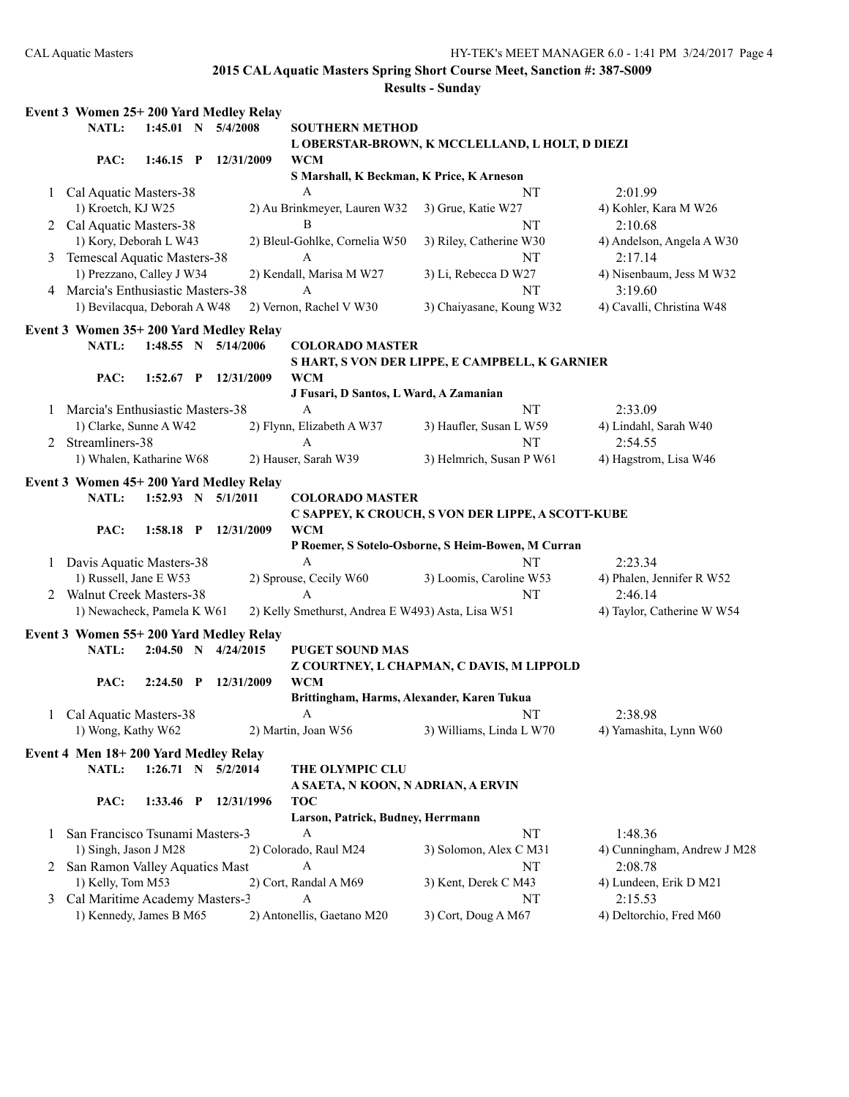| 1:45.01 N 5/4/2008<br><b>NATL:</b><br><b>SOUTHERN METHOD</b><br>L OBERSTAR-BROWN, K MCCLELLAND, L HOLT, D DIEZI<br>PAC:<br><b>WCM</b><br>$1:46.15$ P<br>12/31/2009<br>S Marshall, K Beckman, K Price, K Arneson<br>A<br>2:01.99<br>Cal Aquatic Masters-38<br>NT<br>1<br>1) Kroetch, KJ W25<br>2) Au Brinkmeyer, Lauren W32<br>3) Grue, Katie W27<br>4) Kohler, Kara M W26<br>2 Cal Aquatic Masters-38<br>NT<br>B<br>2:10.68<br>1) Kory, Deborah L W43<br>2) Bleul-Gohlke, Cornelia W50<br>3) Riley, Catherine W30<br>4) Andelson, Angela A W30<br>Temescal Aquatic Masters-38<br>$\mathbf{A}$<br>NT<br>2:17.14<br>1) Prezzano, Calley J W34<br>2) Kendall, Marisa M W27<br>3) Li, Rebecca D W27<br>4) Nisenbaum, Jess M W32<br>A<br>Marcia's Enthusiastic Masters-38<br>NT<br>3:19.60<br>4<br>1) Bevilacqua, Deborah A W48<br>2) Vernon, Rachel V W30<br>3) Chaiyasane, Koung W32<br>4) Cavalli, Christina W48<br>Event 3 Women 35+200 Yard Medley Relay<br>1:48.55 N 5/14/2006<br>NATL:<br><b>COLORADO MASTER</b><br>S HART, S VON DER LIPPE, E CAMPBELL, K GARNIER<br><b>WCM</b><br>PAC:<br>$1:52.67$ P<br>12/31/2009<br>J Fusari, D Santos, L Ward, A Zamanian<br>NT<br>Marcia's Enthusiastic Masters-38<br>A<br>2:33.09<br>1) Clarke, Sunne A W42<br>2) Flynn, Elizabeth A W37<br>3) Haufler, Susan L W59<br>4) Lindahl, Sarah W40<br>Streamliners-38<br>NT<br>2:54.55<br>A<br>2<br>2) Hauser, Sarah W39<br>3) Helmrich, Susan P W61<br>1) Whalen, Katharine W68<br>4) Hagstrom, Lisa W46<br>Event 3 Women 45+200 Yard Medley Relay<br>NATL:<br>$1:52.93$ N $5/1/2011$<br><b>COLORADO MASTER</b><br>C SAPPEY, K CROUCH, S VON DER LIPPE, A SCOTT-KUBE<br><b>WCM</b><br>PAC:<br>1:58.18 P 12/31/2009<br>P Roemer, S Sotelo-Osborne, S Heim-Bowen, M Curran<br>Davis Aquatic Masters-38<br>NT<br>2:23.34<br>A<br>1<br>2) Sprouse, Cecily W60<br>1) Russell, Jane E W53<br>3) Loomis, Caroline W53<br>4) Phalen, Jennifer R W52<br><b>Walnut Creek Masters-38</b><br>NT<br>A<br>2:46.14<br>2<br>1) Newacheck, Pamela K W61<br>2) Kelly Smethurst, Andrea E W493) Asta, Lisa W51<br>4) Taylor, Catherine W W54<br>Event 3 Women 55+200 Yard Medley Relay<br><b>NATL:</b><br>$2:04.50$ N $4/24/2015$<br><b>PUGET SOUND MAS</b><br>Z COURTNEY, L CHAPMAN, C DAVIS, M LIPPOLD<br>PAC:<br>$2:24.50$ P<br>12/31/2009<br><b>WCM</b><br>Brittingham, Harms, Alexander, Karen Tukua<br>Cal Aquatic Masters-38<br>A<br>NT<br>2:38.98<br>$\mathbf{1}$<br>1) Wong, Kathy W62<br>2) Martin, Joan W56<br>3) Williams, Linda L W70<br>4) Yamashita, Lynn W60<br>Event 4 Men 18+200 Yard Medley Relay<br>NATL:<br>$1:26.71$ N $5/2/2014$<br>THE OLYMPIC CLU<br>A SAETA, N KOON, N ADRIAN, A ERVIN<br><b>TOC</b><br>PAC:<br>12/31/1996<br>$1:33.46$ P<br>Larson, Patrick, Budney, Herrmann<br>A<br>San Francisco Tsunami Masters-3<br>NT<br>1:48.36<br>1<br>1) Singh, Jason J M28<br>2) Colorado, Raul M24<br>3) Solomon, Alex C M31<br>4) Cunningham, Andrew J M28<br>San Ramon Valley Aquatics Mast<br>NT<br>2:08.78<br>A<br>1) Kelly, Tom M53<br>2) Cort, Randal A M69<br>3) Kent, Derek C M43<br>4) Lundeen, Erik D M21<br>Cal Maritime Academy Masters-3<br>A<br>NT<br>2:15.53<br>3<br>1) Kennedy, James B M65<br>2) Antonellis, Gaetano M20 | Event 3 Women 25+200 Yard Medley Relay |  |  |                     |                         |
|-----------------------------------------------------------------------------------------------------------------------------------------------------------------------------------------------------------------------------------------------------------------------------------------------------------------------------------------------------------------------------------------------------------------------------------------------------------------------------------------------------------------------------------------------------------------------------------------------------------------------------------------------------------------------------------------------------------------------------------------------------------------------------------------------------------------------------------------------------------------------------------------------------------------------------------------------------------------------------------------------------------------------------------------------------------------------------------------------------------------------------------------------------------------------------------------------------------------------------------------------------------------------------------------------------------------------------------------------------------------------------------------------------------------------------------------------------------------------------------------------------------------------------------------------------------------------------------------------------------------------------------------------------------------------------------------------------------------------------------------------------------------------------------------------------------------------------------------------------------------------------------------------------------------------------------------------------------------------------------------------------------------------------------------------------------------------------------------------------------------------------------------------------------------------------------------------------------------------------------------------------------------------------------------------------------------------------------------------------------------------------------------------------------------------------------------------------------------------------------------------------------------------------------------------------------------------------------------------------------------------------------------------------------------------------------------------------------------------------------------------------------------------------------------------------------------------------------------------------------------------------------------------------------------------------------------------------------------------------------------------------------------------------------------------------------------------------------------------------------------------------------------------------------------------------------------------------------------------------------|----------------------------------------|--|--|---------------------|-------------------------|
|                                                                                                                                                                                                                                                                                                                                                                                                                                                                                                                                                                                                                                                                                                                                                                                                                                                                                                                                                                                                                                                                                                                                                                                                                                                                                                                                                                                                                                                                                                                                                                                                                                                                                                                                                                                                                                                                                                                                                                                                                                                                                                                                                                                                                                                                                                                                                                                                                                                                                                                                                                                                                                                                                                                                                                                                                                                                                                                                                                                                                                                                                                                                                                                                                                   |                                        |  |  |                     |                         |
|                                                                                                                                                                                                                                                                                                                                                                                                                                                                                                                                                                                                                                                                                                                                                                                                                                                                                                                                                                                                                                                                                                                                                                                                                                                                                                                                                                                                                                                                                                                                                                                                                                                                                                                                                                                                                                                                                                                                                                                                                                                                                                                                                                                                                                                                                                                                                                                                                                                                                                                                                                                                                                                                                                                                                                                                                                                                                                                                                                                                                                                                                                                                                                                                                                   |                                        |  |  |                     |                         |
|                                                                                                                                                                                                                                                                                                                                                                                                                                                                                                                                                                                                                                                                                                                                                                                                                                                                                                                                                                                                                                                                                                                                                                                                                                                                                                                                                                                                                                                                                                                                                                                                                                                                                                                                                                                                                                                                                                                                                                                                                                                                                                                                                                                                                                                                                                                                                                                                                                                                                                                                                                                                                                                                                                                                                                                                                                                                                                                                                                                                                                                                                                                                                                                                                                   |                                        |  |  |                     |                         |
|                                                                                                                                                                                                                                                                                                                                                                                                                                                                                                                                                                                                                                                                                                                                                                                                                                                                                                                                                                                                                                                                                                                                                                                                                                                                                                                                                                                                                                                                                                                                                                                                                                                                                                                                                                                                                                                                                                                                                                                                                                                                                                                                                                                                                                                                                                                                                                                                                                                                                                                                                                                                                                                                                                                                                                                                                                                                                                                                                                                                                                                                                                                                                                                                                                   |                                        |  |  |                     |                         |
|                                                                                                                                                                                                                                                                                                                                                                                                                                                                                                                                                                                                                                                                                                                                                                                                                                                                                                                                                                                                                                                                                                                                                                                                                                                                                                                                                                                                                                                                                                                                                                                                                                                                                                                                                                                                                                                                                                                                                                                                                                                                                                                                                                                                                                                                                                                                                                                                                                                                                                                                                                                                                                                                                                                                                                                                                                                                                                                                                                                                                                                                                                                                                                                                                                   |                                        |  |  |                     |                         |
|                                                                                                                                                                                                                                                                                                                                                                                                                                                                                                                                                                                                                                                                                                                                                                                                                                                                                                                                                                                                                                                                                                                                                                                                                                                                                                                                                                                                                                                                                                                                                                                                                                                                                                                                                                                                                                                                                                                                                                                                                                                                                                                                                                                                                                                                                                                                                                                                                                                                                                                                                                                                                                                                                                                                                                                                                                                                                                                                                                                                                                                                                                                                                                                                                                   |                                        |  |  |                     |                         |
|                                                                                                                                                                                                                                                                                                                                                                                                                                                                                                                                                                                                                                                                                                                                                                                                                                                                                                                                                                                                                                                                                                                                                                                                                                                                                                                                                                                                                                                                                                                                                                                                                                                                                                                                                                                                                                                                                                                                                                                                                                                                                                                                                                                                                                                                                                                                                                                                                                                                                                                                                                                                                                                                                                                                                                                                                                                                                                                                                                                                                                                                                                                                                                                                                                   |                                        |  |  |                     |                         |
|                                                                                                                                                                                                                                                                                                                                                                                                                                                                                                                                                                                                                                                                                                                                                                                                                                                                                                                                                                                                                                                                                                                                                                                                                                                                                                                                                                                                                                                                                                                                                                                                                                                                                                                                                                                                                                                                                                                                                                                                                                                                                                                                                                                                                                                                                                                                                                                                                                                                                                                                                                                                                                                                                                                                                                                                                                                                                                                                                                                                                                                                                                                                                                                                                                   |                                        |  |  |                     |                         |
|                                                                                                                                                                                                                                                                                                                                                                                                                                                                                                                                                                                                                                                                                                                                                                                                                                                                                                                                                                                                                                                                                                                                                                                                                                                                                                                                                                                                                                                                                                                                                                                                                                                                                                                                                                                                                                                                                                                                                                                                                                                                                                                                                                                                                                                                                                                                                                                                                                                                                                                                                                                                                                                                                                                                                                                                                                                                                                                                                                                                                                                                                                                                                                                                                                   |                                        |  |  |                     |                         |
|                                                                                                                                                                                                                                                                                                                                                                                                                                                                                                                                                                                                                                                                                                                                                                                                                                                                                                                                                                                                                                                                                                                                                                                                                                                                                                                                                                                                                                                                                                                                                                                                                                                                                                                                                                                                                                                                                                                                                                                                                                                                                                                                                                                                                                                                                                                                                                                                                                                                                                                                                                                                                                                                                                                                                                                                                                                                                                                                                                                                                                                                                                                                                                                                                                   |                                        |  |  |                     |                         |
|                                                                                                                                                                                                                                                                                                                                                                                                                                                                                                                                                                                                                                                                                                                                                                                                                                                                                                                                                                                                                                                                                                                                                                                                                                                                                                                                                                                                                                                                                                                                                                                                                                                                                                                                                                                                                                                                                                                                                                                                                                                                                                                                                                                                                                                                                                                                                                                                                                                                                                                                                                                                                                                                                                                                                                                                                                                                                                                                                                                                                                                                                                                                                                                                                                   |                                        |  |  |                     |                         |
|                                                                                                                                                                                                                                                                                                                                                                                                                                                                                                                                                                                                                                                                                                                                                                                                                                                                                                                                                                                                                                                                                                                                                                                                                                                                                                                                                                                                                                                                                                                                                                                                                                                                                                                                                                                                                                                                                                                                                                                                                                                                                                                                                                                                                                                                                                                                                                                                                                                                                                                                                                                                                                                                                                                                                                                                                                                                                                                                                                                                                                                                                                                                                                                                                                   |                                        |  |  |                     |                         |
|                                                                                                                                                                                                                                                                                                                                                                                                                                                                                                                                                                                                                                                                                                                                                                                                                                                                                                                                                                                                                                                                                                                                                                                                                                                                                                                                                                                                                                                                                                                                                                                                                                                                                                                                                                                                                                                                                                                                                                                                                                                                                                                                                                                                                                                                                                                                                                                                                                                                                                                                                                                                                                                                                                                                                                                                                                                                                                                                                                                                                                                                                                                                                                                                                                   |                                        |  |  |                     |                         |
|                                                                                                                                                                                                                                                                                                                                                                                                                                                                                                                                                                                                                                                                                                                                                                                                                                                                                                                                                                                                                                                                                                                                                                                                                                                                                                                                                                                                                                                                                                                                                                                                                                                                                                                                                                                                                                                                                                                                                                                                                                                                                                                                                                                                                                                                                                                                                                                                                                                                                                                                                                                                                                                                                                                                                                                                                                                                                                                                                                                                                                                                                                                                                                                                                                   |                                        |  |  |                     |                         |
|                                                                                                                                                                                                                                                                                                                                                                                                                                                                                                                                                                                                                                                                                                                                                                                                                                                                                                                                                                                                                                                                                                                                                                                                                                                                                                                                                                                                                                                                                                                                                                                                                                                                                                                                                                                                                                                                                                                                                                                                                                                                                                                                                                                                                                                                                                                                                                                                                                                                                                                                                                                                                                                                                                                                                                                                                                                                                                                                                                                                                                                                                                                                                                                                                                   |                                        |  |  |                     |                         |
|                                                                                                                                                                                                                                                                                                                                                                                                                                                                                                                                                                                                                                                                                                                                                                                                                                                                                                                                                                                                                                                                                                                                                                                                                                                                                                                                                                                                                                                                                                                                                                                                                                                                                                                                                                                                                                                                                                                                                                                                                                                                                                                                                                                                                                                                                                                                                                                                                                                                                                                                                                                                                                                                                                                                                                                                                                                                                                                                                                                                                                                                                                                                                                                                                                   |                                        |  |  |                     |                         |
|                                                                                                                                                                                                                                                                                                                                                                                                                                                                                                                                                                                                                                                                                                                                                                                                                                                                                                                                                                                                                                                                                                                                                                                                                                                                                                                                                                                                                                                                                                                                                                                                                                                                                                                                                                                                                                                                                                                                                                                                                                                                                                                                                                                                                                                                                                                                                                                                                                                                                                                                                                                                                                                                                                                                                                                                                                                                                                                                                                                                                                                                                                                                                                                                                                   |                                        |  |  |                     |                         |
|                                                                                                                                                                                                                                                                                                                                                                                                                                                                                                                                                                                                                                                                                                                                                                                                                                                                                                                                                                                                                                                                                                                                                                                                                                                                                                                                                                                                                                                                                                                                                                                                                                                                                                                                                                                                                                                                                                                                                                                                                                                                                                                                                                                                                                                                                                                                                                                                                                                                                                                                                                                                                                                                                                                                                                                                                                                                                                                                                                                                                                                                                                                                                                                                                                   |                                        |  |  |                     |                         |
|                                                                                                                                                                                                                                                                                                                                                                                                                                                                                                                                                                                                                                                                                                                                                                                                                                                                                                                                                                                                                                                                                                                                                                                                                                                                                                                                                                                                                                                                                                                                                                                                                                                                                                                                                                                                                                                                                                                                                                                                                                                                                                                                                                                                                                                                                                                                                                                                                                                                                                                                                                                                                                                                                                                                                                                                                                                                                                                                                                                                                                                                                                                                                                                                                                   |                                        |  |  |                     |                         |
|                                                                                                                                                                                                                                                                                                                                                                                                                                                                                                                                                                                                                                                                                                                                                                                                                                                                                                                                                                                                                                                                                                                                                                                                                                                                                                                                                                                                                                                                                                                                                                                                                                                                                                                                                                                                                                                                                                                                                                                                                                                                                                                                                                                                                                                                                                                                                                                                                                                                                                                                                                                                                                                                                                                                                                                                                                                                                                                                                                                                                                                                                                                                                                                                                                   |                                        |  |  |                     |                         |
|                                                                                                                                                                                                                                                                                                                                                                                                                                                                                                                                                                                                                                                                                                                                                                                                                                                                                                                                                                                                                                                                                                                                                                                                                                                                                                                                                                                                                                                                                                                                                                                                                                                                                                                                                                                                                                                                                                                                                                                                                                                                                                                                                                                                                                                                                                                                                                                                                                                                                                                                                                                                                                                                                                                                                                                                                                                                                                                                                                                                                                                                                                                                                                                                                                   |                                        |  |  |                     |                         |
|                                                                                                                                                                                                                                                                                                                                                                                                                                                                                                                                                                                                                                                                                                                                                                                                                                                                                                                                                                                                                                                                                                                                                                                                                                                                                                                                                                                                                                                                                                                                                                                                                                                                                                                                                                                                                                                                                                                                                                                                                                                                                                                                                                                                                                                                                                                                                                                                                                                                                                                                                                                                                                                                                                                                                                                                                                                                                                                                                                                                                                                                                                                                                                                                                                   |                                        |  |  |                     |                         |
|                                                                                                                                                                                                                                                                                                                                                                                                                                                                                                                                                                                                                                                                                                                                                                                                                                                                                                                                                                                                                                                                                                                                                                                                                                                                                                                                                                                                                                                                                                                                                                                                                                                                                                                                                                                                                                                                                                                                                                                                                                                                                                                                                                                                                                                                                                                                                                                                                                                                                                                                                                                                                                                                                                                                                                                                                                                                                                                                                                                                                                                                                                                                                                                                                                   |                                        |  |  |                     |                         |
|                                                                                                                                                                                                                                                                                                                                                                                                                                                                                                                                                                                                                                                                                                                                                                                                                                                                                                                                                                                                                                                                                                                                                                                                                                                                                                                                                                                                                                                                                                                                                                                                                                                                                                                                                                                                                                                                                                                                                                                                                                                                                                                                                                                                                                                                                                                                                                                                                                                                                                                                                                                                                                                                                                                                                                                                                                                                                                                                                                                                                                                                                                                                                                                                                                   |                                        |  |  |                     |                         |
|                                                                                                                                                                                                                                                                                                                                                                                                                                                                                                                                                                                                                                                                                                                                                                                                                                                                                                                                                                                                                                                                                                                                                                                                                                                                                                                                                                                                                                                                                                                                                                                                                                                                                                                                                                                                                                                                                                                                                                                                                                                                                                                                                                                                                                                                                                                                                                                                                                                                                                                                                                                                                                                                                                                                                                                                                                                                                                                                                                                                                                                                                                                                                                                                                                   |                                        |  |  |                     |                         |
|                                                                                                                                                                                                                                                                                                                                                                                                                                                                                                                                                                                                                                                                                                                                                                                                                                                                                                                                                                                                                                                                                                                                                                                                                                                                                                                                                                                                                                                                                                                                                                                                                                                                                                                                                                                                                                                                                                                                                                                                                                                                                                                                                                                                                                                                                                                                                                                                                                                                                                                                                                                                                                                                                                                                                                                                                                                                                                                                                                                                                                                                                                                                                                                                                                   |                                        |  |  |                     |                         |
|                                                                                                                                                                                                                                                                                                                                                                                                                                                                                                                                                                                                                                                                                                                                                                                                                                                                                                                                                                                                                                                                                                                                                                                                                                                                                                                                                                                                                                                                                                                                                                                                                                                                                                                                                                                                                                                                                                                                                                                                                                                                                                                                                                                                                                                                                                                                                                                                                                                                                                                                                                                                                                                                                                                                                                                                                                                                                                                                                                                                                                                                                                                                                                                                                                   |                                        |  |  |                     |                         |
|                                                                                                                                                                                                                                                                                                                                                                                                                                                                                                                                                                                                                                                                                                                                                                                                                                                                                                                                                                                                                                                                                                                                                                                                                                                                                                                                                                                                                                                                                                                                                                                                                                                                                                                                                                                                                                                                                                                                                                                                                                                                                                                                                                                                                                                                                                                                                                                                                                                                                                                                                                                                                                                                                                                                                                                                                                                                                                                                                                                                                                                                                                                                                                                                                                   |                                        |  |  |                     |                         |
|                                                                                                                                                                                                                                                                                                                                                                                                                                                                                                                                                                                                                                                                                                                                                                                                                                                                                                                                                                                                                                                                                                                                                                                                                                                                                                                                                                                                                                                                                                                                                                                                                                                                                                                                                                                                                                                                                                                                                                                                                                                                                                                                                                                                                                                                                                                                                                                                                                                                                                                                                                                                                                                                                                                                                                                                                                                                                                                                                                                                                                                                                                                                                                                                                                   |                                        |  |  |                     |                         |
|                                                                                                                                                                                                                                                                                                                                                                                                                                                                                                                                                                                                                                                                                                                                                                                                                                                                                                                                                                                                                                                                                                                                                                                                                                                                                                                                                                                                                                                                                                                                                                                                                                                                                                                                                                                                                                                                                                                                                                                                                                                                                                                                                                                                                                                                                                                                                                                                                                                                                                                                                                                                                                                                                                                                                                                                                                                                                                                                                                                                                                                                                                                                                                                                                                   |                                        |  |  |                     |                         |
|                                                                                                                                                                                                                                                                                                                                                                                                                                                                                                                                                                                                                                                                                                                                                                                                                                                                                                                                                                                                                                                                                                                                                                                                                                                                                                                                                                                                                                                                                                                                                                                                                                                                                                                                                                                                                                                                                                                                                                                                                                                                                                                                                                                                                                                                                                                                                                                                                                                                                                                                                                                                                                                                                                                                                                                                                                                                                                                                                                                                                                                                                                                                                                                                                                   |                                        |  |  |                     |                         |
|                                                                                                                                                                                                                                                                                                                                                                                                                                                                                                                                                                                                                                                                                                                                                                                                                                                                                                                                                                                                                                                                                                                                                                                                                                                                                                                                                                                                                                                                                                                                                                                                                                                                                                                                                                                                                                                                                                                                                                                                                                                                                                                                                                                                                                                                                                                                                                                                                                                                                                                                                                                                                                                                                                                                                                                                                                                                                                                                                                                                                                                                                                                                                                                                                                   |                                        |  |  |                     |                         |
|                                                                                                                                                                                                                                                                                                                                                                                                                                                                                                                                                                                                                                                                                                                                                                                                                                                                                                                                                                                                                                                                                                                                                                                                                                                                                                                                                                                                                                                                                                                                                                                                                                                                                                                                                                                                                                                                                                                                                                                                                                                                                                                                                                                                                                                                                                                                                                                                                                                                                                                                                                                                                                                                                                                                                                                                                                                                                                                                                                                                                                                                                                                                                                                                                                   |                                        |  |  |                     |                         |
|                                                                                                                                                                                                                                                                                                                                                                                                                                                                                                                                                                                                                                                                                                                                                                                                                                                                                                                                                                                                                                                                                                                                                                                                                                                                                                                                                                                                                                                                                                                                                                                                                                                                                                                                                                                                                                                                                                                                                                                                                                                                                                                                                                                                                                                                                                                                                                                                                                                                                                                                                                                                                                                                                                                                                                                                                                                                                                                                                                                                                                                                                                                                                                                                                                   |                                        |  |  |                     |                         |
|                                                                                                                                                                                                                                                                                                                                                                                                                                                                                                                                                                                                                                                                                                                                                                                                                                                                                                                                                                                                                                                                                                                                                                                                                                                                                                                                                                                                                                                                                                                                                                                                                                                                                                                                                                                                                                                                                                                                                                                                                                                                                                                                                                                                                                                                                                                                                                                                                                                                                                                                                                                                                                                                                                                                                                                                                                                                                                                                                                                                                                                                                                                                                                                                                                   |                                        |  |  |                     |                         |
|                                                                                                                                                                                                                                                                                                                                                                                                                                                                                                                                                                                                                                                                                                                                                                                                                                                                                                                                                                                                                                                                                                                                                                                                                                                                                                                                                                                                                                                                                                                                                                                                                                                                                                                                                                                                                                                                                                                                                                                                                                                                                                                                                                                                                                                                                                                                                                                                                                                                                                                                                                                                                                                                                                                                                                                                                                                                                                                                                                                                                                                                                                                                                                                                                                   |                                        |  |  |                     |                         |
|                                                                                                                                                                                                                                                                                                                                                                                                                                                                                                                                                                                                                                                                                                                                                                                                                                                                                                                                                                                                                                                                                                                                                                                                                                                                                                                                                                                                                                                                                                                                                                                                                                                                                                                                                                                                                                                                                                                                                                                                                                                                                                                                                                                                                                                                                                                                                                                                                                                                                                                                                                                                                                                                                                                                                                                                                                                                                                                                                                                                                                                                                                                                                                                                                                   |                                        |  |  |                     |                         |
|                                                                                                                                                                                                                                                                                                                                                                                                                                                                                                                                                                                                                                                                                                                                                                                                                                                                                                                                                                                                                                                                                                                                                                                                                                                                                                                                                                                                                                                                                                                                                                                                                                                                                                                                                                                                                                                                                                                                                                                                                                                                                                                                                                                                                                                                                                                                                                                                                                                                                                                                                                                                                                                                                                                                                                                                                                                                                                                                                                                                                                                                                                                                                                                                                                   |                                        |  |  |                     |                         |
|                                                                                                                                                                                                                                                                                                                                                                                                                                                                                                                                                                                                                                                                                                                                                                                                                                                                                                                                                                                                                                                                                                                                                                                                                                                                                                                                                                                                                                                                                                                                                                                                                                                                                                                                                                                                                                                                                                                                                                                                                                                                                                                                                                                                                                                                                                                                                                                                                                                                                                                                                                                                                                                                                                                                                                                                                                                                                                                                                                                                                                                                                                                                                                                                                                   |                                        |  |  |                     |                         |
|                                                                                                                                                                                                                                                                                                                                                                                                                                                                                                                                                                                                                                                                                                                                                                                                                                                                                                                                                                                                                                                                                                                                                                                                                                                                                                                                                                                                                                                                                                                                                                                                                                                                                                                                                                                                                                                                                                                                                                                                                                                                                                                                                                                                                                                                                                                                                                                                                                                                                                                                                                                                                                                                                                                                                                                                                                                                                                                                                                                                                                                                                                                                                                                                                                   |                                        |  |  |                     |                         |
|                                                                                                                                                                                                                                                                                                                                                                                                                                                                                                                                                                                                                                                                                                                                                                                                                                                                                                                                                                                                                                                                                                                                                                                                                                                                                                                                                                                                                                                                                                                                                                                                                                                                                                                                                                                                                                                                                                                                                                                                                                                                                                                                                                                                                                                                                                                                                                                                                                                                                                                                                                                                                                                                                                                                                                                                                                                                                                                                                                                                                                                                                                                                                                                                                                   |                                        |  |  |                     |                         |
|                                                                                                                                                                                                                                                                                                                                                                                                                                                                                                                                                                                                                                                                                                                                                                                                                                                                                                                                                                                                                                                                                                                                                                                                                                                                                                                                                                                                                                                                                                                                                                                                                                                                                                                                                                                                                                                                                                                                                                                                                                                                                                                                                                                                                                                                                                                                                                                                                                                                                                                                                                                                                                                                                                                                                                                                                                                                                                                                                                                                                                                                                                                                                                                                                                   |                                        |  |  |                     |                         |
|                                                                                                                                                                                                                                                                                                                                                                                                                                                                                                                                                                                                                                                                                                                                                                                                                                                                                                                                                                                                                                                                                                                                                                                                                                                                                                                                                                                                                                                                                                                                                                                                                                                                                                                                                                                                                                                                                                                                                                                                                                                                                                                                                                                                                                                                                                                                                                                                                                                                                                                                                                                                                                                                                                                                                                                                                                                                                                                                                                                                                                                                                                                                                                                                                                   |                                        |  |  |                     |                         |
|                                                                                                                                                                                                                                                                                                                                                                                                                                                                                                                                                                                                                                                                                                                                                                                                                                                                                                                                                                                                                                                                                                                                                                                                                                                                                                                                                                                                                                                                                                                                                                                                                                                                                                                                                                                                                                                                                                                                                                                                                                                                                                                                                                                                                                                                                                                                                                                                                                                                                                                                                                                                                                                                                                                                                                                                                                                                                                                                                                                                                                                                                                                                                                                                                                   |                                        |  |  |                     |                         |
|                                                                                                                                                                                                                                                                                                                                                                                                                                                                                                                                                                                                                                                                                                                                                                                                                                                                                                                                                                                                                                                                                                                                                                                                                                                                                                                                                                                                                                                                                                                                                                                                                                                                                                                                                                                                                                                                                                                                                                                                                                                                                                                                                                                                                                                                                                                                                                                                                                                                                                                                                                                                                                                                                                                                                                                                                                                                                                                                                                                                                                                                                                                                                                                                                                   |                                        |  |  |                     |                         |
|                                                                                                                                                                                                                                                                                                                                                                                                                                                                                                                                                                                                                                                                                                                                                                                                                                                                                                                                                                                                                                                                                                                                                                                                                                                                                                                                                                                                                                                                                                                                                                                                                                                                                                                                                                                                                                                                                                                                                                                                                                                                                                                                                                                                                                                                                                                                                                                                                                                                                                                                                                                                                                                                                                                                                                                                                                                                                                                                                                                                                                                                                                                                                                                                                                   |                                        |  |  |                     |                         |
|                                                                                                                                                                                                                                                                                                                                                                                                                                                                                                                                                                                                                                                                                                                                                                                                                                                                                                                                                                                                                                                                                                                                                                                                                                                                                                                                                                                                                                                                                                                                                                                                                                                                                                                                                                                                                                                                                                                                                                                                                                                                                                                                                                                                                                                                                                                                                                                                                                                                                                                                                                                                                                                                                                                                                                                                                                                                                                                                                                                                                                                                                                                                                                                                                                   |                                        |  |  |                     |                         |
|                                                                                                                                                                                                                                                                                                                                                                                                                                                                                                                                                                                                                                                                                                                                                                                                                                                                                                                                                                                                                                                                                                                                                                                                                                                                                                                                                                                                                                                                                                                                                                                                                                                                                                                                                                                                                                                                                                                                                                                                                                                                                                                                                                                                                                                                                                                                                                                                                                                                                                                                                                                                                                                                                                                                                                                                                                                                                                                                                                                                                                                                                                                                                                                                                                   |                                        |  |  |                     |                         |
|                                                                                                                                                                                                                                                                                                                                                                                                                                                                                                                                                                                                                                                                                                                                                                                                                                                                                                                                                                                                                                                                                                                                                                                                                                                                                                                                                                                                                                                                                                                                                                                                                                                                                                                                                                                                                                                                                                                                                                                                                                                                                                                                                                                                                                                                                                                                                                                                                                                                                                                                                                                                                                                                                                                                                                                                                                                                                                                                                                                                                                                                                                                                                                                                                                   |                                        |  |  | 3) Cort, Doug A M67 | 4) Deltorchio, Fred M60 |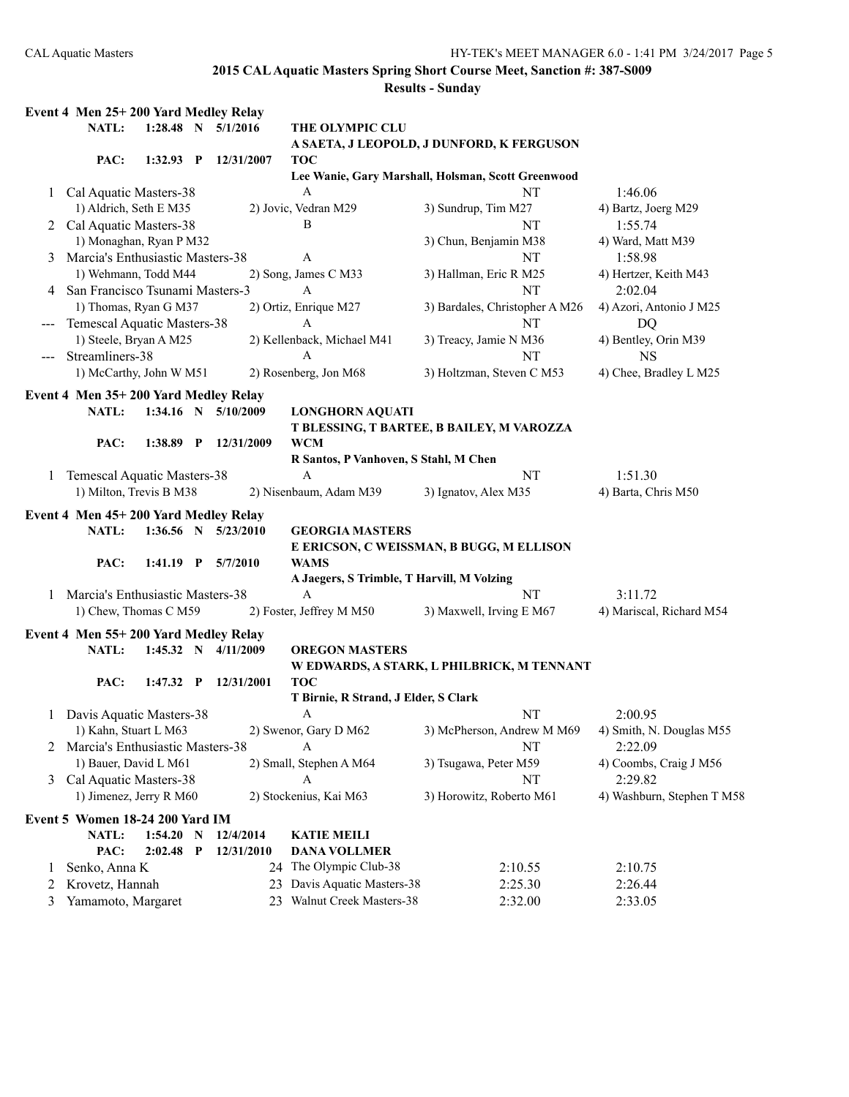**Results - Sunday Event 4 Men 25+ 200 Yard Medley Relay NATL: 1:28.48 N 5/1/2016 THE OLYMPIC CLU A SAETA, J LEOPOLD, J DUNFORD, K FERGUSON PAC: 1:32.93 P 12/31/2007 TOC Lee Wanie, Gary Marshall, Holsman, Scott Greenwood** 1 Cal Aquatic Masters-38 A NT 1:46.06 1) Aldrich, Seth E M35 2) Jovic, Vedran M29 3) Sundrup, Tim M27 4) Bartz, Joerg M29 2 Cal Aquatic Masters-38 B B NT 1:55.74 1) Monaghan, Ryan P M32 3) Chun, Benjamin M38 4) Ward, Matt M39 3 Marcia's Enthusiastic Masters-38 A NT 1:58.98 1) Wehmann, Todd M44 2) Song, James C M33 3) Hallman, Eric R M25 4) Hertzer, Keith M43 4 San Francisco Tsunami Masters-3 A NT 2:02.04 1) Thomas, Ryan G M37 2) Ortiz, Enrique M27 3) Bardales, Christopher A M26 4) Azori, Antonio J M25 --- Temescal Aquatic Masters-38 A NT DQ 1) Steele, Bryan A M25 2) Kellenback, Michael M41 3) Treacy, Jamie N M36 4) Bentley, Orin M39 --- Streamliners-38 A NT NS 1) McCarthy, John W M51 2) Rosenberg, Jon M68 3) Holtzman, Steven C M53 4) Chee, Bradley L M25 **Event 4 Men 35+ 200 Yard Medley Relay NATL: 1:34.16 N 5/10/2009 LONGHORN AQUATI T BLESSING, T BARTEE, B BAILEY, M VAROZZA PAC: 1:38.89 P 12/31/2009 WCM R Santos, P Vanhoven, S Stahl, M Chen** 1 Temescal Aquatic Masters-38 A NT 1:51.30 1) Milton, Trevis B M38 2) Nisenbaum, Adam M39 3) Ignatov, Alex M35 4) Barta, Chris M50 **Event 4 Men 45+ 200 Yard Medley Relay NATL: 1:36.56 N 5/23/2010 GEORGIA MASTERS E ERICSON, C WEISSMAN, B BUGG, M ELLISON PAC: 1:41.19 P 5/7/2010 WAMS A Jaegers, S Trimble, T Harvill, M Volzing** 1 Marcia's Enthusiastic Masters-38 A NT 3:11.72 1) Chew, Thomas C M59 2) Foster, Jeffrey M M50 3) Maxwell, Irving E M67 4) Mariscal, Richard M54 **Event 4 Men 55+ 200 Yard Medley Relay NATL: 1:45.32 N 4/11/2009 OREGON MASTERS W EDWARDS, A STARK, L PHILBRICK, M TENNANT PAC: 1:47.32 P 12/31/2001 TOC T Birnie, R Strand, J Elder, S Clark** 1 Davis Aquatic Masters-38 A NT 2:00.95 1) Kahn, Stuart L M63 2) Swenor, Gary D M62 3) McPherson, Andrew M M69 4) Smith, N. Douglas M55 2 Marcia's Enthusiastic Masters-38 A NT 2:22.09 1) Bauer, David L M61 2) Small, Stephen A M64 3) Tsugawa, Peter M59 4) Coombs, Craig J M56 3 Cal Aquatic Masters-38 A NT 2:29.82 1) Jimenez, Jerry R M60 2) Stockenius, Kai M63 3) Horowitz, Roberto M61 4) Washburn, Stephen T M58 **Event 5 Women 18-24 200 Yard IM NATL: 1:54.20 N 12/4/2014 KATIE MEILI PAC: 2:02.48 P 12/31/2010 DANA VOLLMER** 1 Senko, Anna K 24 The Olympic Club-38 2:10.55 2:10.75 2 Krovetz, Hannah 23 Davis Aquatic Masters-38 2:25.30 2:26.44 3 Yamamoto, Margaret 23 Walnut Creek Masters-38 2:32.00 2:33.05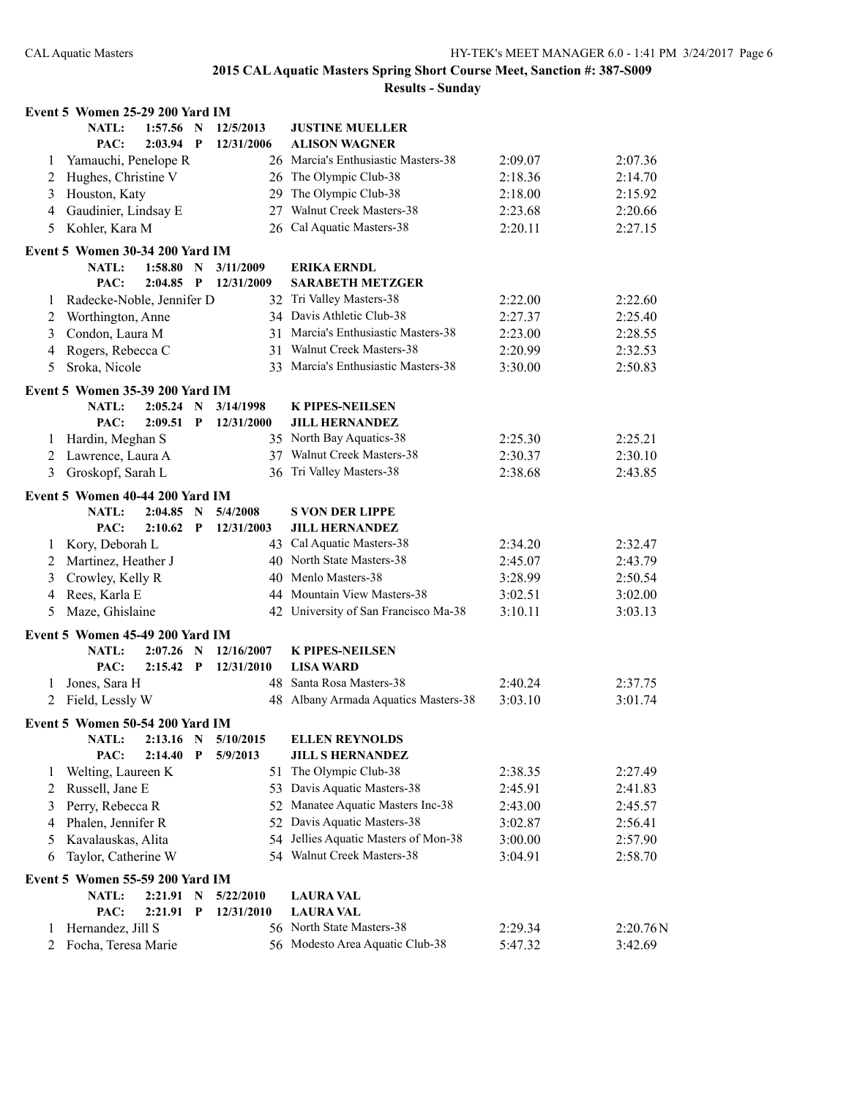|              | Event 5 Women 25-29 200 Yard IM          |             |              |            |                                               |         |                     |
|--------------|------------------------------------------|-------------|--------------|------------|-----------------------------------------------|---------|---------------------|
|              | <b>NATL:</b>                             | $1:57.56$ N |              | 12/5/2013  | <b>JUSTINE MUELLER</b>                        |         |                     |
|              | PAC:                                     | $2:03.94$ P |              | 12/31/2006 | <b>ALISON WAGNER</b>                          |         |                     |
| 1            | Yamauchi, Penelope R                     |             |              | 26         | Marcia's Enthusiastic Masters-38              | 2:09.07 | 2:07.36             |
| 2            | Hughes, Christine V                      |             |              | 26         | The Olympic Club-38                           | 2:18.36 | 2:14.70             |
| 3            | Houston, Katy                            |             |              | 29         | The Olympic Club-38                           | 2:18.00 | 2:15.92             |
| 4            | Gaudinier, Lindsay E                     |             |              | 27         | Walnut Creek Masters-38                       | 2:23.68 | 2:20.66             |
| 5            | Kohler, Kara M                           |             |              |            | 26 Cal Aquatic Masters-38                     | 2:20.11 | 2:27.15             |
|              | Event 5 Women 30-34 200 Yard IM          |             |              |            |                                               |         |                     |
|              | NATL:                                    | 1:58.80     | $\mathbf N$  | 3/11/2009  | <b>ERIKA ERNDL</b>                            |         |                     |
|              | PAC:                                     | $2:04.85$ P |              | 12/31/2009 | <b>SARABETH METZGER</b>                       |         |                     |
| $\mathbf{I}$ | Radecke-Noble, Jennifer D                |             |              |            | 32 Tri Valley Masters-38                      | 2:22.00 | 2:22.60             |
| 2            | Worthington, Anne                        |             |              |            | 34 Davis Athletic Club-38                     | 2:27.37 | 2:25.40             |
| 3            | Condon, Laura M                          |             |              | 31         | Marcia's Enthusiastic Masters-38              | 2:23.00 | 2:28.55             |
| 4            | Rogers, Rebecca C                        |             |              | 31         | Walnut Creek Masters-38                       | 2:20.99 | 2:32.53             |
| 5            | Sroka, Nicole                            |             |              | 33         | Marcia's Enthusiastic Masters-38              | 3:30.00 | 2:50.83             |
|              | Event 5 Women 35-39 200 Yard IM          |             |              |            |                                               |         |                     |
|              | <b>NATL:</b>                             | $2:05.24$ N |              | 3/14/1998  | <b>K PIPES-NEILSEN</b>                        |         |                     |
|              | PAC:                                     | 2:09.51     | $\mathbf{P}$ | 12/31/2000 | <b>JILL HERNANDEZ</b>                         |         |                     |
| 1            | Hardin, Meghan S                         |             |              |            | 35 North Bay Aquatics-38                      | 2:25.30 | 2:25.21             |
| 2            | Lawrence, Laura A                        |             |              |            | 37 Walnut Creek Masters-38                    | 2:30.37 | 2:30.10             |
| 3            | Groskopf, Sarah L                        |             |              | 36         | Tri Valley Masters-38                         | 2:38.68 | 2:43.85             |
|              | Event 5 Women 40-44 200 Yard IM          |             |              |            |                                               |         |                     |
|              | <b>NATL:</b>                             | $2:04.85$ N |              | 5/4/2008   | <b>S VON DER LIPPE</b>                        |         |                     |
|              | PAC:                                     | 2:10.62     | $\mathbf P$  | 12/31/2003 | <b>JILL HERNANDEZ</b>                         |         |                     |
| 1            | Kory, Deborah L                          |             |              |            | 43 Cal Aquatic Masters-38                     | 2:34.20 | 2:32.47             |
| 2            | Martinez, Heather J                      |             |              |            | 40 North State Masters-38                     | 2:45.07 | 2:43.79             |
| 3            | Crowley, Kelly R                         |             |              | 40         | Menlo Masters-38                              | 3:28.99 | 2:50.54             |
| 4            | Rees, Karla E                            |             |              | 44         | Mountain View Masters-38                      | 3:02.51 | 3:02.00             |
| 5            | Maze, Ghislaine                          |             |              | 42         | University of San Francisco Ma-38             | 3:10.11 | 3:03.13             |
|              | Event 5 Women 45-49 200 Yard IM          |             |              |            |                                               |         |                     |
|              | NATL:                                    | $2:07.26$ N |              | 12/16/2007 | <b>K PIPES-NEILSEN</b>                        |         |                     |
|              | PAC:                                     | $2:15.42$ P |              | 12/31/2010 | <b>LISA WARD</b>                              |         |                     |
| 1            | Jones, Sara H                            |             |              | 48         | Santa Rosa Masters-38                         | 2:40.24 | 2:37.75             |
| 2            | Field, Lessly W                          |             |              | 48.        | Albany Armada Aquatics Masters-38             | 3:03.10 | 3:01.74             |
|              | Event 5 Women 50-54 200 Yard IM          |             |              |            |                                               |         |                     |
|              | <b>NATL:</b>                             | 2:13.16     | $\mathbf N$  | 5/10/2015  | <b>ELLEN REYNOLDS</b>                         |         |                     |
|              | PAC:                                     | 2:14.40     | $\mathbf{P}$ | 5/9/2013   | <b>JILL S HERNANDEZ</b>                       |         |                     |
| $\perp$      | Welting, Laureen K                       |             |              | 51         | The Olympic Club-38                           | 2:38.35 | 2:27.49             |
| 2            | Russell, Jane E                          |             |              |            | 53 Davis Aquatic Masters-38                   | 2:45.91 | 2:41.83             |
| 3            | Perry, Rebecca R                         |             |              | 52         | Manatee Aquatic Masters Inc-38                | 2:43.00 | 2:45.57             |
| 4            | Phalen, Jennifer R                       |             |              | 52         | Davis Aquatic Masters-38                      | 3:02.87 | 2:56.41             |
| 5            | Kavalauskas, Alita                       |             |              | 54         | Jellies Aquatic Masters of Mon-38             | 3:00.00 | 2:57.90             |
| 6            | Taylor, Catherine W                      |             |              |            | 54 Walnut Creek Masters-38                    | 3:04.91 | 2:58.70             |
|              |                                          |             |              |            |                                               |         |                     |
|              | Event 5 Women 55-59 200 Yard IM          |             |              |            |                                               |         |                     |
|              | NATL:                                    | 2:21.91     | $\mathbf N$  | 5/22/2010  | <b>LAURA VAL</b>                              |         |                     |
|              | PAC:                                     | 2:21.91     | $\mathbf{P}$ | 12/31/2010 | <b>LAURA VAL</b><br>56 North State Masters-38 |         |                     |
| 1<br>2       | Hernandez, Jill S<br>Focha, Teresa Marie |             |              |            | 56 Modesto Area Aquatic Club-38               | 2:29.34 | 2:20.76N<br>3:42.69 |
|              |                                          |             |              |            |                                               | 5:47.32 |                     |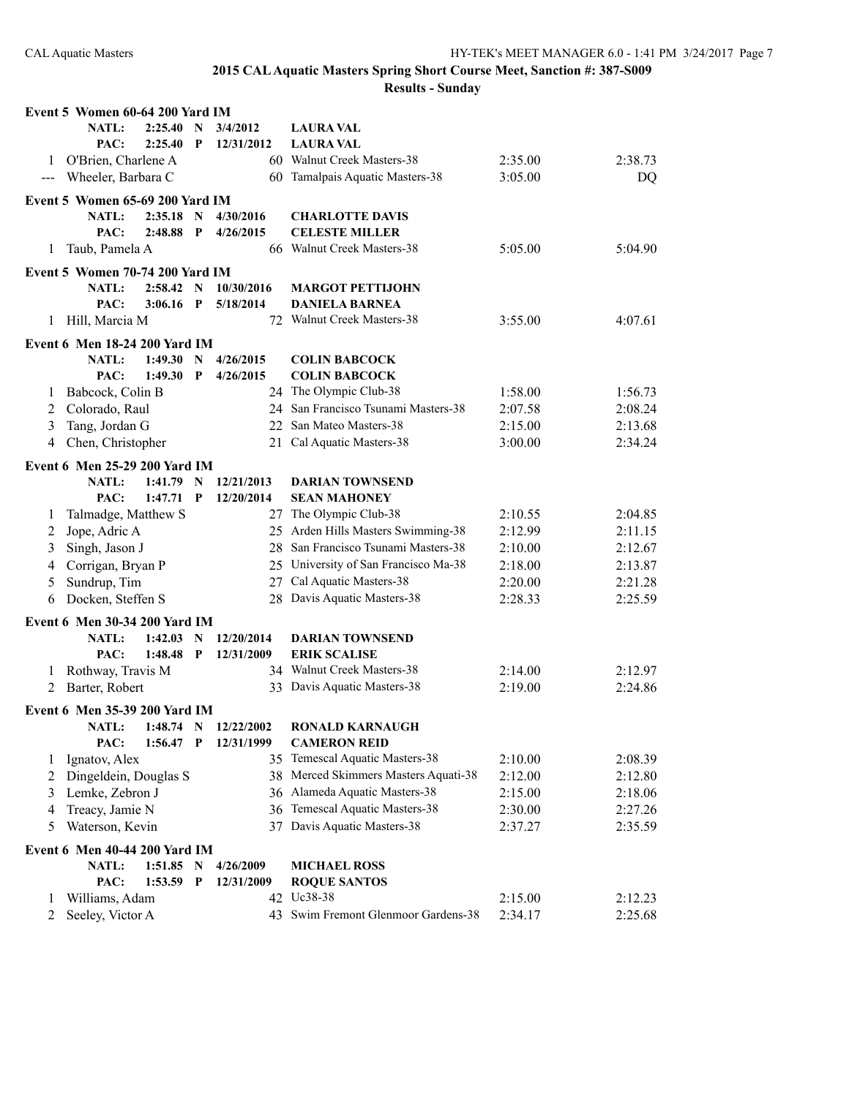|                                                                                                                                                                                                                                                                                                                                                                                              | Event 5 Women 60-64 200 Yard IM                      |             |             |                        |                                              |         |         |
|----------------------------------------------------------------------------------------------------------------------------------------------------------------------------------------------------------------------------------------------------------------------------------------------------------------------------------------------------------------------------------------------|------------------------------------------------------|-------------|-------------|------------------------|----------------------------------------------|---------|---------|
|                                                                                                                                                                                                                                                                                                                                                                                              | <b>NATL:</b>                                         | 2:25.40     | N           | 3/4/2012               | <b>LAURA VAL</b>                             |         |         |
|                                                                                                                                                                                                                                                                                                                                                                                              | PAC:                                                 | 2:25.40     | P           | 12/31/2012             | <b>LAURA VAL</b>                             |         |         |
| 1                                                                                                                                                                                                                                                                                                                                                                                            | O'Brien, Charlene A                                  |             |             |                        | 60 Walnut Creek Masters-38                   | 2:35.00 | 2:38.73 |
| $\frac{1}{2} \frac{1}{2} \frac{1}{2} \frac{1}{2} \frac{1}{2} \frac{1}{2} \frac{1}{2} \frac{1}{2} \frac{1}{2} \frac{1}{2} \frac{1}{2} \frac{1}{2} \frac{1}{2} \frac{1}{2} \frac{1}{2} \frac{1}{2} \frac{1}{2} \frac{1}{2} \frac{1}{2} \frac{1}{2} \frac{1}{2} \frac{1}{2} \frac{1}{2} \frac{1}{2} \frac{1}{2} \frac{1}{2} \frac{1}{2} \frac{1}{2} \frac{1}{2} \frac{1}{2} \frac{1}{2} \frac{$ | Wheeler, Barbara C                                   |             |             |                        | 60 Tamalpais Aquatic Masters-38              | 3:05.00 | DQ      |
|                                                                                                                                                                                                                                                                                                                                                                                              | Event 5 Women 65-69 200 Yard IM                      |             |             |                        |                                              |         |         |
|                                                                                                                                                                                                                                                                                                                                                                                              | <b>NATL:</b>                                         | 2:35.18     | $\mathbf N$ | 4/30/2016              | <b>CHARLOTTE DAVIS</b>                       |         |         |
|                                                                                                                                                                                                                                                                                                                                                                                              | PAC:                                                 | 2:48.88     | $\mathbf P$ | 4/26/2015              | <b>CELESTE MILLER</b>                        |         |         |
| 1                                                                                                                                                                                                                                                                                                                                                                                            | Taub, Pamela A                                       |             |             |                        | 66 Walnut Creek Masters-38                   | 5:05.00 | 5:04.90 |
|                                                                                                                                                                                                                                                                                                                                                                                              | Event 5 Women 70-74 200 Yard IM                      |             |             |                        |                                              |         |         |
|                                                                                                                                                                                                                                                                                                                                                                                              | <b>NATL:</b>                                         | 2:58.42 N   |             | 10/30/2016             | <b>MARGOT PETTIJOHN</b>                      |         |         |
|                                                                                                                                                                                                                                                                                                                                                                                              | PAC:                                                 | 3:06.16     | $\mathbf P$ | 5/18/2014              | <b>DANIELA BARNEA</b>                        |         |         |
| 1                                                                                                                                                                                                                                                                                                                                                                                            | Hill, Marcia M                                       |             |             |                        | 72 Walnut Creek Masters-38                   | 3:55.00 | 4:07.61 |
|                                                                                                                                                                                                                                                                                                                                                                                              |                                                      |             |             |                        |                                              |         |         |
|                                                                                                                                                                                                                                                                                                                                                                                              | <b>Event 6 Men 18-24 200 Yard IM</b><br><b>NATL:</b> | 1:49.30     | N           |                        |                                              |         |         |
|                                                                                                                                                                                                                                                                                                                                                                                              | PAC:                                                 | 1:49.30     | P           | 4/26/2015<br>4/26/2015 | <b>COLIN BABCOCK</b><br><b>COLIN BABCOCK</b> |         |         |
| 1                                                                                                                                                                                                                                                                                                                                                                                            | Babcock, Colin B                                     |             |             |                        | 24 The Olympic Club-38                       | 1:58.00 | 1:56.73 |
|                                                                                                                                                                                                                                                                                                                                                                                              |                                                      |             |             |                        | 24 San Francisco Tsunami Masters-38          | 2:07.58 |         |
| 2                                                                                                                                                                                                                                                                                                                                                                                            | Colorado, Raul                                       |             |             |                        |                                              |         | 2:08.24 |
| 3                                                                                                                                                                                                                                                                                                                                                                                            | Tang, Jordan G                                       |             |             | 22                     | San Mateo Masters-38                         | 2:15.00 | 2:13.68 |
| 4                                                                                                                                                                                                                                                                                                                                                                                            | Chen, Christopher                                    |             |             | 21                     | Cal Aquatic Masters-38                       | 3:00.00 | 2:34.24 |
|                                                                                                                                                                                                                                                                                                                                                                                              | Event 6 Men 25-29 200 Yard IM                        |             |             |                        |                                              |         |         |
|                                                                                                                                                                                                                                                                                                                                                                                              | <b>NATL:</b>                                         | 1:41.79     | N           | 12/21/2013             | <b>DARIAN TOWNSEND</b>                       |         |         |
|                                                                                                                                                                                                                                                                                                                                                                                              | PAC:                                                 | 1:47.71     | $\mathbf P$ | 12/20/2014             | <b>SEAN MAHONEY</b>                          |         |         |
| 1                                                                                                                                                                                                                                                                                                                                                                                            | Talmadge, Matthew S                                  |             |             |                        | 27 The Olympic Club-38                       | 2:10.55 | 2:04.85 |
| 2                                                                                                                                                                                                                                                                                                                                                                                            | Jope, Adric A                                        |             |             |                        | 25 Arden Hills Masters Swimming-38           | 2:12.99 | 2:11.15 |
| 3                                                                                                                                                                                                                                                                                                                                                                                            | Singh, Jason J                                       |             |             |                        | 28 San Francisco Tsunami Masters-38          | 2:10.00 | 2:12.67 |
| 4                                                                                                                                                                                                                                                                                                                                                                                            | Corrigan, Bryan P                                    |             |             |                        | 25 University of San Francisco Ma-38         | 2:18.00 | 2:13.87 |
| 5                                                                                                                                                                                                                                                                                                                                                                                            | Sundrup, Tim                                         |             |             | 27                     | Cal Aquatic Masters-38                       | 2:20.00 | 2:21.28 |
| 6                                                                                                                                                                                                                                                                                                                                                                                            | Docken, Steffen S                                    |             |             | 28                     | Davis Aquatic Masters-38                     | 2:28.33 | 2:25.59 |
|                                                                                                                                                                                                                                                                                                                                                                                              | Event 6 Men 30-34 200 Yard IM                        |             |             |                        |                                              |         |         |
|                                                                                                                                                                                                                                                                                                                                                                                              | <b>NATL:</b>                                         | $1:42.03$ N |             | 12/20/2014             | <b>DARIAN TOWNSEND</b>                       |         |         |
|                                                                                                                                                                                                                                                                                                                                                                                              | PAC:                                                 | 1:48.48     | $\mathbf P$ | 12/31/2009             | <b>ERIK SCALISE</b>                          |         |         |
| 1                                                                                                                                                                                                                                                                                                                                                                                            | Rothway, Travis M                                    |             |             |                        | 34 Walnut Creek Masters-38                   | 2:14.00 | 2:12.97 |
| 2                                                                                                                                                                                                                                                                                                                                                                                            | Barter, Robert                                       |             |             |                        | 33 Davis Aquatic Masters-38                  | 2:19.00 | 2:24.86 |
|                                                                                                                                                                                                                                                                                                                                                                                              |                                                      |             |             |                        |                                              |         |         |
|                                                                                                                                                                                                                                                                                                                                                                                              | <b>Event 6 Men 35-39 200 Yard IM</b>                 |             |             |                        |                                              |         |         |
|                                                                                                                                                                                                                                                                                                                                                                                              | NATL:                                                | 1:48.74     | N           | 12/22/2002             | <b>RONALD KARNAUGH</b>                       |         |         |
|                                                                                                                                                                                                                                                                                                                                                                                              | PAC:                                                 | 1:56.47     | P           | 12/31/1999             | <b>CAMERON REID</b>                          |         |         |
| 1                                                                                                                                                                                                                                                                                                                                                                                            | Ignatov, Alex                                        |             |             |                        | 35 Temescal Aquatic Masters-38               | 2:10.00 | 2:08.39 |
| 2                                                                                                                                                                                                                                                                                                                                                                                            | Dingeldein, Douglas S                                |             |             |                        | 38 Merced Skimmers Masters Aquati-38         | 2:12.00 | 2:12.80 |
| 3                                                                                                                                                                                                                                                                                                                                                                                            | Lemke, Zebron J                                      |             |             |                        | 36 Alameda Aquatic Masters-38                | 2:15.00 | 2:18.06 |
| 4                                                                                                                                                                                                                                                                                                                                                                                            | Treacy, Jamie N                                      |             |             |                        | 36 Temescal Aquatic Masters-38               | 2:30.00 | 2:27.26 |
| 5                                                                                                                                                                                                                                                                                                                                                                                            | Waterson, Kevin                                      |             |             |                        | 37 Davis Aquatic Masters-38                  | 2:37.27 | 2:35.59 |
|                                                                                                                                                                                                                                                                                                                                                                                              | Event 6 Men 40-44 200 Yard IM                        |             |             |                        |                                              |         |         |
|                                                                                                                                                                                                                                                                                                                                                                                              | <b>NATL:</b>                                         | 1:51.85     | $\mathbf N$ | 4/26/2009              | <b>MICHAEL ROSS</b>                          |         |         |
|                                                                                                                                                                                                                                                                                                                                                                                              | PAC:                                                 | 1:53.59     | P           | 12/31/2009             | <b>ROQUE SANTOS</b>                          |         |         |
| 1                                                                                                                                                                                                                                                                                                                                                                                            | Williams, Adam                                       |             |             |                        | 42 Uc38-38                                   | 2:15.00 | 2:12.23 |
| 2                                                                                                                                                                                                                                                                                                                                                                                            | Seeley, Victor A                                     |             |             |                        | 43 Swim Fremont Glenmoor Gardens-38          | 2:34.17 | 2:25.68 |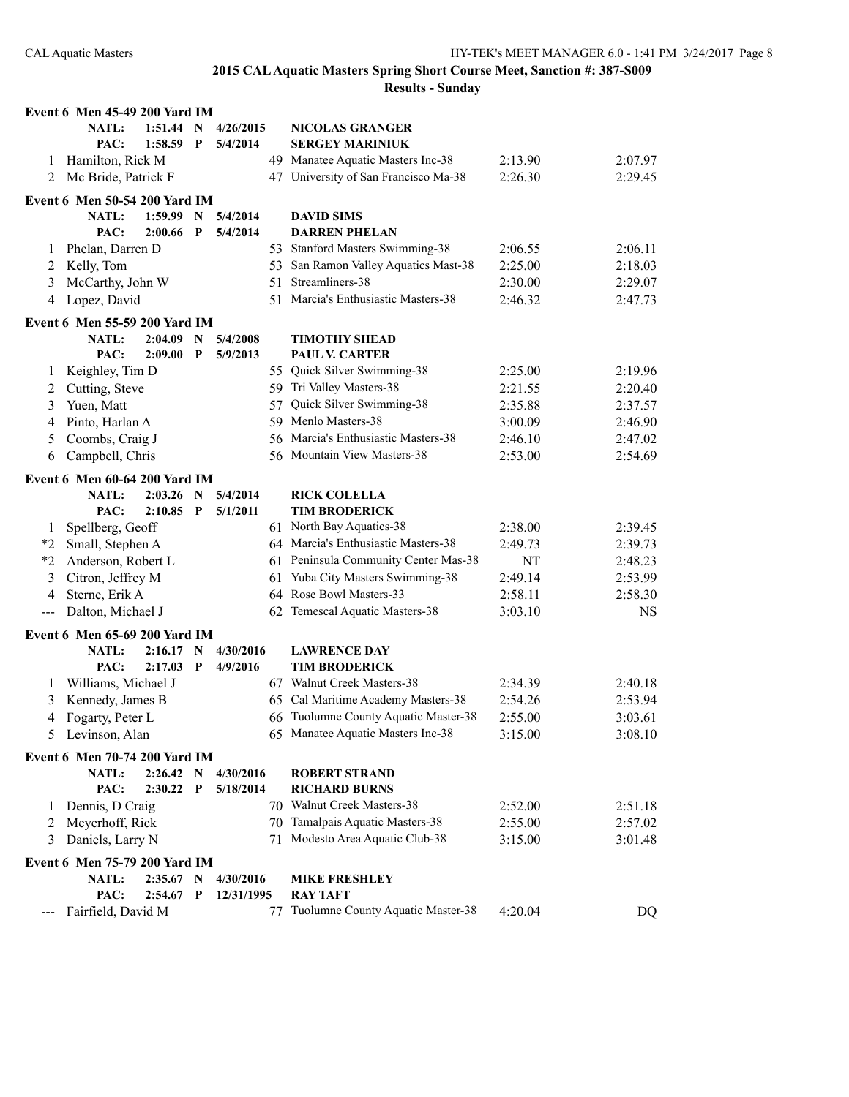|              | <b>Event 6 Men 45-49 200 Yard IM</b> |             |              |            |    |                                      |           |           |
|--------------|--------------------------------------|-------------|--------------|------------|----|--------------------------------------|-----------|-----------|
|              | <b>NATL:</b>                         | 1:51.44     | N            | 4/26/2015  |    | <b>NICOLAS GRANGER</b>               |           |           |
|              | PAC:                                 | 1:58.59     | P            | 5/4/2014   |    | <b>SERGEY MARINIUK</b>               |           |           |
| 1            | Hamilton, Rick M                     |             |              |            |    | 49 Manatee Aquatic Masters Inc-38    | 2:13.90   | 2:07.97   |
| 2            | Mc Bride, Patrick F                  |             |              |            |    | 47 University of San Francisco Ma-38 | 2:26.30   | 2:29.45   |
|              | <b>Event 6 Men 50-54 200 Yard IM</b> |             |              |            |    |                                      |           |           |
|              | NATL:                                | 1:59.99     | N            | 5/4/2014   |    | <b>DAVID SIMS</b>                    |           |           |
|              | PAC:                                 | 2:00.66     | P            | 5/4/2014   |    | <b>DARREN PHELAN</b>                 |           |           |
| 1            | Phelan, Darren D                     |             |              |            |    | 53 Stanford Masters Swimming-38      | 2:06.55   | 2:06.11   |
| 2            | Kelly, Tom                           |             |              |            |    | 53 San Ramon Valley Aquatics Mast-38 | 2:25.00   | 2:18.03   |
| 3            | McCarthy, John W                     |             |              |            |    | 51 Streamliners-38                   | 2:30.00   | 2:29.07   |
| 4            | Lopez, David                         |             |              |            |    | 51 Marcia's Enthusiastic Masters-38  | 2:46.32   | 2:47.73   |
|              | Event 6 Men 55-59 200 Yard IM        |             |              |            |    |                                      |           |           |
|              | NATL:                                | 2:04.09     | N            | 5/4/2008   |    | <b>TIMOTHY SHEAD</b>                 |           |           |
|              | PAC:                                 | 2:09.00     | P            | 5/9/2013   |    | <b>PAUL V. CARTER</b>                |           |           |
| 1            | Keighley, Tim D                      |             |              |            |    | 55 Quick Silver Swimming-38          | 2:25.00   | 2:19.96   |
| 2            | Cutting, Steve                       |             |              |            |    | 59 Tri Valley Masters-38             | 2:21.55   | 2:20.40   |
| 3            | Yuen, Matt                           |             |              |            | 57 | Quick Silver Swimming-38             | 2:35.88   | 2:37.57   |
| 4            | Pinto, Harlan A                      |             |              |            |    | 59 Menlo Masters-38                  | 3:00.09   | 2:46.90   |
| 5            | Coombs, Craig J                      |             |              |            | 56 | Marcia's Enthusiastic Masters-38     | 2:46.10   | 2:47.02   |
| 6            | Campbell, Chris                      |             |              |            |    | 56 Mountain View Masters-38          | 2:53.00   | 2:54.69   |
|              | Event 6 Men 60-64 200 Yard IM        |             |              |            |    |                                      |           |           |
|              | <b>NATL:</b>                         | 2:03.26     | N            | 5/4/2014   |    | <b>RICK COLELLA</b>                  |           |           |
|              | PAC:                                 | 2:10.85     | P            | 5/1/2011   |    | <b>TIM BRODERICK</b>                 |           |           |
| 1            | Spellberg, Geoff                     |             |              |            |    | 61 North Bay Aquatics-38             | 2:38.00   | 2:39.45   |
| $*_{2}$      | Small, Stephen A                     |             |              |            |    | 64 Marcia's Enthusiastic Masters-38  | 2:49.73   | 2:39.73   |
| $*2$         | Anderson, Robert L                   |             |              |            |    | 61 Peninsula Community Center Mas-38 | <b>NT</b> | 2:48.23   |
| 3            | Citron, Jeffrey M                    |             |              |            | 61 | Yuba City Masters Swimming-38        | 2:49.14   | 2:53.99   |
| 4            | Sterne, Erik A                       |             |              |            |    | 64 Rose Bowl Masters-33              | 2:58.11   | 2:58.30   |
| $---$        | Dalton, Michael J                    |             |              |            |    | 62 Temescal Aquatic Masters-38       | 3:03.10   | <b>NS</b> |
|              | <b>Event 6 Men 65-69 200 Yard IM</b> |             |              |            |    |                                      |           |           |
|              | <b>NATL:</b>                         | 2:16.17     | N            | 4/30/2016  |    | <b>LAWRENCE DAY</b>                  |           |           |
|              | PAC:                                 | 2:17.03     | P            | 4/9/2016   |    | <b>TIM BRODERICK</b>                 |           |           |
| 1            | Williams, Michael J                  |             |              |            |    | 67 Walnut Creek Masters-38           | 2:34.39   | 2:40.18   |
| 3            | Kennedy, James B                     |             |              |            |    | 65 Cal Maritime Academy Masters-38   | 2:54.26   | 2:53.94   |
| 4            | Fogarty, Peter L                     |             |              |            |    | 66 Tuolumne County Aquatic Master-38 | 2:55.00   | 3:03.61   |
| 5.           | Levinson, Alan                       |             |              |            |    | 65 Manatee Aquatic Masters Inc-38    | 3:15.00   | 3:08.10   |
|              | Event 6 Men 70-74 200 Yard IM        |             |              |            |    |                                      |           |           |
|              | <b>NATL:</b>                         | 2:26.42 N   |              | 4/30/2016  |    | <b>ROBERT STRAND</b>                 |           |           |
|              | PAC:                                 | 2:30.22     | $\mathbf{P}$ | 5/18/2014  |    | <b>RICHARD BURNS</b>                 |           |           |
| $\mathbf{I}$ | Dennis, D Craig                      |             |              |            |    | 70 Walnut Creek Masters-38           | 2:52.00   | 2:51.18   |
| 2            | Meyerhoff, Rick                      |             |              |            |    | 70 Tamalpais Aquatic Masters-38      | 2:55.00   | 2:57.02   |
| 3            | Daniels, Larry N                     |             |              |            |    | 71 Modesto Area Aquatic Club-38      | 3:15.00   | 3:01.48   |
|              | Event 6 Men 75-79 200 Yard IM        |             |              |            |    |                                      |           |           |
|              | NATL:                                | 2:35.67     | N            | 4/30/2016  |    | <b>MIKE FRESHLEY</b>                 |           |           |
|              | PAC:                                 | $2:54.67$ P |              | 12/31/1995 |    | <b>RAY TAFT</b>                      |           |           |
|              | Fairfield, David M                   |             |              |            | 77 | Tuolumne County Aquatic Master-38    | 4:20.04   | DQ        |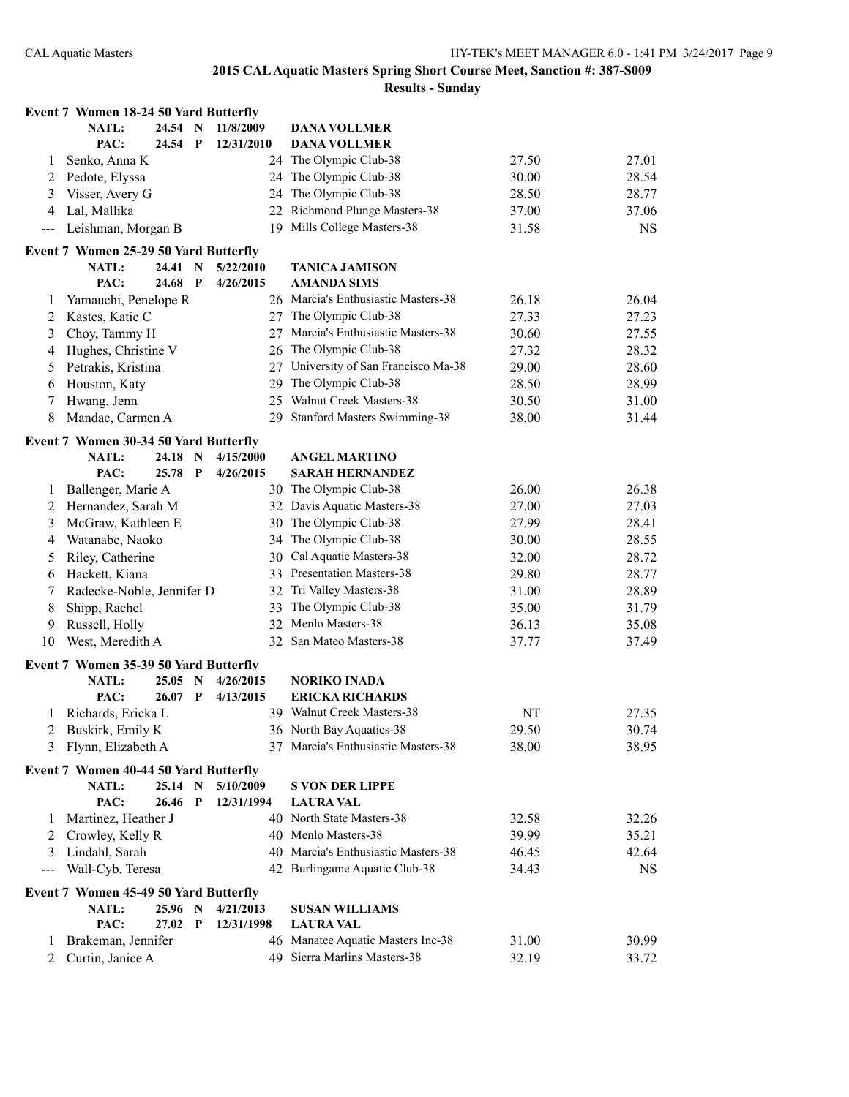|               | <b>Event 7 Women 18-24 50 Yard Butterfly</b>   |         |              |            |                                      |       |           |
|---------------|------------------------------------------------|---------|--------------|------------|--------------------------------------|-------|-----------|
|               | <b>NATL:</b>                                   | 24.54 N |              | 11/8/2009  | <b>DANA VOLLMER</b>                  |       |           |
|               | PAC:                                           | 24.54 P |              | 12/31/2010 | <b>DANA VOLLMER</b>                  |       |           |
| 1             | Senko, Anna K                                  |         |              |            | 24 The Olympic Club-38               | 27.50 | 27.01     |
| 2             | Pedote, Elyssa                                 |         |              |            | 24 The Olympic Club-38               | 30.00 | 28.54     |
| 3             | Visser, Avery G                                |         |              |            | 24 The Olympic Club-38               | 28.50 | 28.77     |
| 4             | Lal, Mallika                                   |         |              |            | 22 Richmond Plunge Masters-38        | 37.00 | 37.06     |
| $\sim$ $\sim$ | Leishman, Morgan B                             |         |              |            | 19 Mills College Masters-38          | 31.58 | <b>NS</b> |
|               | Event 7 Women 25-29 50 Yard Butterfly          |         |              |            |                                      |       |           |
|               | NATL:                                          | 24.41 N |              | 5/22/2010  | <b>TANICA JAMISON</b>                |       |           |
|               | PAC:                                           | 24.68 P |              | 4/26/2015  | <b>AMANDA SIMS</b>                   |       |           |
| 1             | Yamauchi, Penelope R                           |         |              |            | 26 Marcia's Enthusiastic Masters-38  | 26.18 | 26.04     |
| 2             | Kastes, Katie C                                |         |              |            | 27 The Olympic Club-38               | 27.33 | 27.23     |
| 3             | Choy, Tammy H                                  |         |              |            | 27 Marcia's Enthusiastic Masters-38  | 30.60 | 27.55     |
| 4             | Hughes, Christine V                            |         |              |            | 26 The Olympic Club-38               | 27.32 | 28.32     |
| 5             | Petrakis, Kristina                             |         |              |            | 27 University of San Francisco Ma-38 | 29.00 | 28.60     |
| 6             | Houston, Katy                                  |         |              | 29         | The Olympic Club-38                  | 28.50 | 28.99     |
|               |                                                |         |              |            | 25 Walnut Creek Masters-38           | 30.50 |           |
| 7             | Hwang, Jenn                                    |         |              |            |                                      |       | 31.00     |
| 8             | Mandac, Carmen A                               |         |              |            | 29 Stanford Masters Swimming-38      | 38.00 | 31.44     |
|               | Event 7 Women 30-34 50 Yard Butterfly          |         |              |            |                                      |       |           |
|               | <b>NATL:</b>                                   | 24.18   | N            | 4/15/2000  | <b>ANGEL MARTINO</b>                 |       |           |
|               | PAC:                                           | 25.78   | $\mathbf P$  | 4/26/2015  | <b>SARAH HERNANDEZ</b>               |       |           |
| 1             | Ballenger, Marie A                             |         |              |            | 30 The Olympic Club-38               | 26.00 | 26.38     |
| 2             | Hernandez, Sarah M                             |         |              |            | 32 Davis Aquatic Masters-38          | 27.00 | 27.03     |
| 3             | McGraw, Kathleen E                             |         |              |            | 30 The Olympic Club-38               | 27.99 | 28.41     |
| 4             | Watanabe, Naoko                                |         |              |            | 34 The Olympic Club-38               | 30.00 | 28.55     |
| 5             | Riley, Catherine                               |         |              |            | 30 Cal Aquatic Masters-38            | 32.00 | 28.72     |
| 6             | Hackett, Kiana                                 |         |              |            | 33 Presentation Masters-38           | 29.80 | 28.77     |
| 7             | Radecke-Noble, Jennifer D                      |         |              |            | 32 Tri Valley Masters-38             | 31.00 | 28.89     |
| 8             | Shipp, Rachel                                  |         |              | 33         | The Olympic Club-38                  | 35.00 | 31.79     |
| 9             | Russell, Holly                                 |         |              |            | 32 Menlo Masters-38                  | 36.13 | 35.08     |
| 10            | West, Meredith A                               |         |              |            | 32 San Mateo Masters-38              | 37.77 | 37.49     |
|               |                                                |         |              |            |                                      |       |           |
|               | Event 7 Women 35-39 50 Yard Butterfly<br>NATL: | 25.05   | $\mathbf N$  | 4/26/2015  | <b>NORIKO INADA</b>                  |       |           |
|               | PAC:                                           | 26.07   | $\mathbf P$  | 4/13/2015  | <b>ERICKA RICHARDS</b>               |       |           |
|               | Richards, Ericka L                             |         |              |            | 39 Walnut Creek Masters-38           | NT    | 27.35     |
|               | 2 Buskirk, Emily K                             |         |              |            | 36 North Bay Aquatics-38             | 29.50 | 30.74     |
|               |                                                |         |              |            | 37 Marcia's Enthusiastic Masters-38  |       |           |
| 3             | Flynn, Elizabeth A                             |         |              |            |                                      | 38.00 | 38.95     |
|               | Event 7 Women 40-44 50 Yard Butterfly          |         |              |            |                                      |       |           |
|               | <b>NATL:</b>                                   | 25.14 N |              | 5/10/2009  | <b>S VON DER LIPPE</b>               |       |           |
|               | PAC:                                           | 26.46   | $\mathbf{P}$ | 12/31/1994 | <b>LAURA VAL</b>                     |       |           |
| 1             | Martinez, Heather J                            |         |              |            | 40 North State Masters-38            | 32.58 | 32.26     |
| 2             | Crowley, Kelly R                               |         |              |            | 40 Menlo Masters-38                  | 39.99 | 35.21     |
| 3             | Lindahl, Sarah                                 |         |              |            | 40 Marcia's Enthusiastic Masters-38  | 46.45 | 42.64     |
| $--$          | Wall-Cyb, Teresa                               |         |              |            | 42 Burlingame Aquatic Club-38        | 34.43 | <b>NS</b> |
|               | Event 7 Women 45-49 50 Yard Butterfly          |         |              |            |                                      |       |           |
|               | <b>NATL:</b>                                   | 25.96 N |              | 4/21/2013  | <b>SUSAN WILLIAMS</b>                |       |           |
|               | PAC:                                           | 27.02   | $\mathbf P$  | 12/31/1998 | <b>LAURA VAL</b>                     |       |           |
| 1             | Brakeman, Jennifer                             |         |              |            | 46 Manatee Aquatic Masters Inc-38    | 31.00 | 30.99     |
| 2             | Curtin, Janice A                               |         |              |            | 49 Sierra Marlins Masters-38         | 32.19 | 33.72     |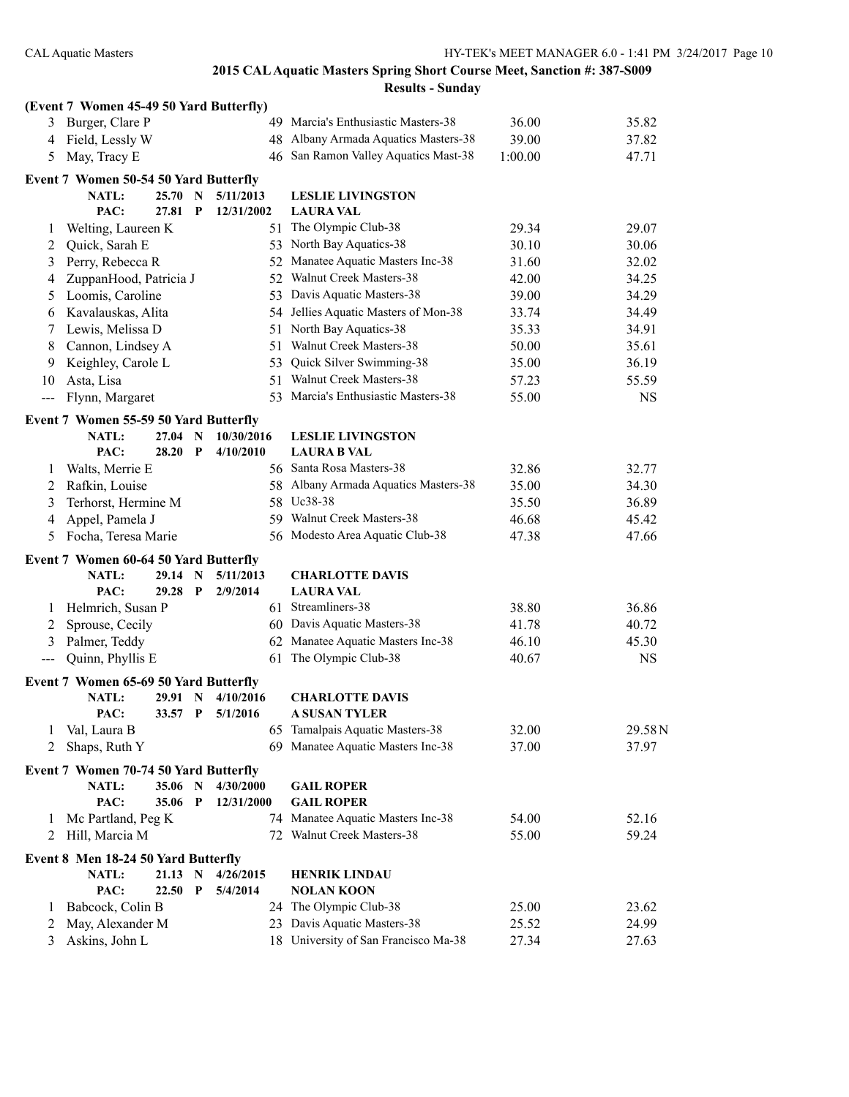|               | (Event 7 Women 45-49 50 Yard Butterfly) |         |              |            |     |                                                                  |         |           |
|---------------|-----------------------------------------|---------|--------------|------------|-----|------------------------------------------------------------------|---------|-----------|
| 3             | Burger, Clare P                         |         |              |            |     | 49 Marcia's Enthusiastic Masters-38                              | 36.00   | 35.82     |
| 4             | Field, Lessly W                         |         |              |            |     | 48 Albany Armada Aquatics Masters-38                             | 39.00   | 37.82     |
| 5             | May, Tracy E                            |         |              |            |     | 46 San Ramon Valley Aquatics Mast-38                             | 1:00.00 | 47.71     |
|               | Event 7 Women 50-54 50 Yard Butterfly   |         |              |            |     |                                                                  |         |           |
|               | <b>NATL:</b>                            | 25.70   | N            | 5/11/2013  |     | <b>LESLIE LIVINGSTON</b>                                         |         |           |
|               | PAC:                                    | 27.81   | P            | 12/31/2002 |     | <b>LAURA VAL</b>                                                 |         |           |
| 1             | Welting, Laureen K                      |         |              |            |     | 51 The Olympic Club-38                                           | 29.34   | 29.07     |
| 2             | Quick, Sarah E                          |         |              |            |     | 53 North Bay Aquatics-38                                         | 30.10   | 30.06     |
| 3             | Perry, Rebecca R                        |         |              |            |     | 52 Manatee Aquatic Masters Inc-38                                | 31.60   | 32.02     |
| 4             | ZuppanHood, Patricia J                  |         |              |            |     | 52 Walnut Creek Masters-38                                       | 42.00   | 34.25     |
| 5             | Loomis, Caroline                        |         |              |            |     | 53 Davis Aquatic Masters-38                                      | 39.00   | 34.29     |
| 6             | Kavalauskas, Alita                      |         |              |            |     | 54 Jellies Aquatic Masters of Mon-38                             | 33.74   | 34.49     |
| 7             | Lewis, Melissa D                        |         |              |            |     | 51 North Bay Aquatics-38                                         | 35.33   | 34.91     |
| 8             | Cannon, Lindsey A                       |         |              |            | 51  | Walnut Creek Masters-38                                          | 50.00   | 35.61     |
| 9             | Keighley, Carole L                      |         |              |            | 53. | Quick Silver Swimming-38                                         | 35.00   | 36.19     |
| 10            | Asta, Lisa                              |         |              |            |     | 51 Walnut Creek Masters-38                                       | 57.23   | 55.59     |
| $\frac{1}{2}$ | Flynn, Margaret                         |         |              |            |     | 53 Marcia's Enthusiastic Masters-38                              | 55.00   | <b>NS</b> |
|               | Event 7 Women 55-59 50 Yard Butterfly   |         |              |            |     |                                                                  |         |           |
|               | <b>NATL:</b>                            | 27.04 N |              | 10/30/2016 |     | <b>LESLIE LIVINGSTON</b>                                         |         |           |
|               | PAC:                                    | 28.20   | $\mathbf{P}$ | 4/10/2010  |     | <b>LAURA B VAL</b>                                               |         |           |
| 1             | Walts, Merrie E                         |         |              |            |     | 56 Santa Rosa Masters-38                                         | 32.86   | 32.77     |
| 2             | Rafkin, Louise                          |         |              |            |     | 58 Albany Armada Aquatics Masters-38                             | 35.00   | 34.30     |
| 3             | Terhorst, Hermine M                     |         |              |            |     | 58 Uc38-38                                                       | 35.50   | 36.89     |
| 4             | Appel, Pamela J                         |         |              |            |     | 59 Walnut Creek Masters-38                                       | 46.68   | 45.42     |
| 5             | Focha, Teresa Marie                     |         |              |            |     | 56 Modesto Area Aquatic Club-38                                  | 47.38   | 47.66     |
|               | Event 7 Women 60-64 50 Yard Butterfly   |         |              |            |     |                                                                  |         |           |
|               | <b>NATL:</b>                            | 29.14   | $\mathbf N$  | 5/11/2013  |     | <b>CHARLOTTE DAVIS</b>                                           |         |           |
|               | PAC:                                    | 29.28   | $\mathbf{P}$ | 2/9/2014   |     | <b>LAURA VAL</b>                                                 |         |           |
| 1             | Helmrich, Susan P                       |         |              |            |     | 61 Streamliners-38                                               | 38.80   | 36.86     |
| 2             | Sprouse, Cecily                         |         |              |            |     | 60 Davis Aquatic Masters-38                                      | 41.78   | 40.72     |
| 3             | Palmer, Teddy                           |         |              |            |     | 62 Manatee Aquatic Masters Inc-38                                | 46.10   | 45.30     |
| ---           | Quinn, Phyllis E                        |         |              |            | 61  | The Olympic Club-38                                              | 40.67   | <b>NS</b> |
|               | Event 7 Women 65-69 50 Yard Butterfly   |         |              |            |     |                                                                  |         |           |
|               | NATL:                                   | 29.91   | N            | 4/10/2016  |     | <b>CHARLOTTE DAVIS</b>                                           |         |           |
|               | PAC:                                    | 33.57   | $\mathbf{P}$ | 5/1/2016   |     | A SUSAN TYLER                                                    |         |           |
| 1             | Val, Laura B                            |         |              |            |     | 65 Tamalpais Aquatic Masters-38                                  | 32.00   | 29.58N    |
| 2             | Shaps, Ruth Y                           |         |              |            |     | 69 Manatee Aquatic Masters Inc-38                                | 37.00   | 37.97     |
|               | Event 7 Women 70-74 50 Yard Butterfly   |         |              |            |     |                                                                  |         |           |
|               | NATL:                                   | 35.06 N |              | 4/30/2000  |     | <b>GAIL ROPER</b>                                                |         |           |
|               | PAC:                                    | 35.06   | $\mathbf P$  | 12/31/2000 |     | <b>GAIL ROPER</b>                                                |         |           |
| 1             | Mc Partland, Peg K                      |         |              |            |     | 74 Manatee Aquatic Masters Inc-38                                | 54.00   | 52.16     |
| 2             | Hill, Marcia M                          |         |              |            |     | 72 Walnut Creek Masters-38                                       | 55.00   | 59.24     |
|               | Event 8 Men 18-24 50 Yard Butterfly     |         |              |            |     |                                                                  |         |           |
|               | <b>NATL:</b>                            | 21.13 N |              | 4/26/2015  |     | <b>HENRIK LINDAU</b>                                             |         |           |
|               | PAC:                                    | 22.50   | $\mathbf P$  | 5/4/2014   |     | <b>NOLAN KOON</b>                                                |         |           |
| 1             | Babcock, Colin B                        |         |              |            |     | 24 The Olympic Club-38                                           | 25.00   | 23.62     |
| 2<br>3        | May, Alexander M<br>Askins, John L      |         |              |            | 23  | Davis Aquatic Masters-38<br>18 University of San Francisco Ma-38 | 25.52   | 24.99     |
|               |                                         |         |              |            |     |                                                                  | 27.34   | 27.63     |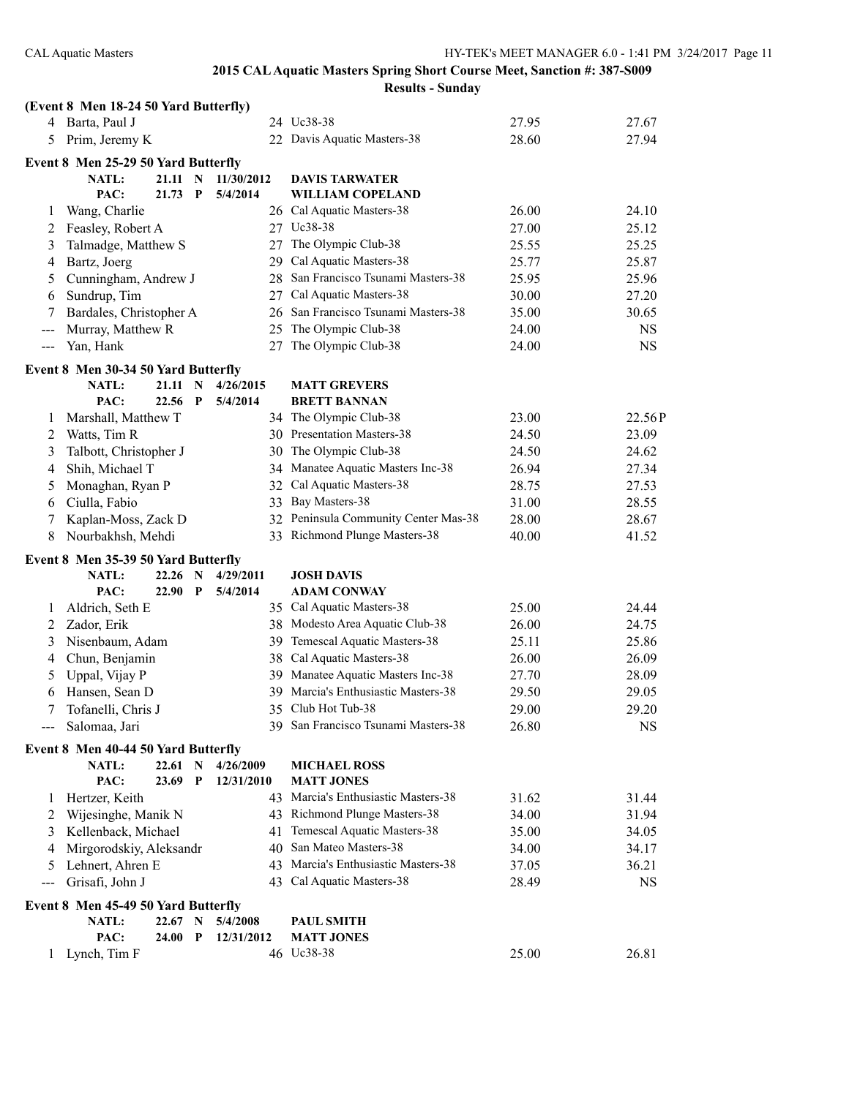|               | (Event 8 Men 18-24 50 Yard Butterfly) |           |             |            |    |                                     |       |             |
|---------------|---------------------------------------|-----------|-------------|------------|----|-------------------------------------|-------|-------------|
|               | 4 Barta, Paul J                       |           |             |            |    | 24 Uc38-38                          | 27.95 | 27.67       |
| 5             | Prim, Jeremy K                        |           |             |            |    | 22 Davis Aquatic Masters-38         | 28.60 | 27.94       |
|               | Event 8 Men 25-29 50 Yard Butterfly   |           |             |            |    |                                     |       |             |
|               | NATL:                                 | 21.11     | $\mathbf N$ | 11/30/2012 |    | <b>DAVIS TARWATER</b>               |       |             |
|               | PAC:                                  | $21.73$ P |             | 5/4/2014   |    | <b>WILLIAM COPELAND</b>             |       |             |
| 1             | Wang, Charlie                         |           |             |            |    | 26 Cal Aquatic Masters-38           | 26.00 | 24.10       |
| 2             | Feasley, Robert A                     |           |             |            |    | 27 Uc38-38                          | 27.00 | 25.12       |
| 3             | Talmadge, Matthew S                   |           |             |            | 27 | The Olympic Club-38                 | 25.55 | 25.25       |
| 4             | Bartz, Joerg                          |           |             |            |    | 29 Cal Aquatic Masters-38           | 25.77 | 25.87       |
| 5             | Cunningham, Andrew J                  |           |             |            | 28 | San Francisco Tsunami Masters-38    | 25.95 | 25.96       |
| 6             | Sundrup, Tim                          |           |             |            |    | 27 Cal Aquatic Masters-38           | 30.00 | 27.20       |
| 7             | Bardales, Christopher A               |           |             |            |    | 26 San Francisco Tsunami Masters-38 | 35.00 | 30.65       |
| $---$         | Murray, Matthew R                     |           |             |            | 25 | The Olympic Club-38                 | 24.00 | NS          |
| $\sim$ $\sim$ | Yan, Hank                             |           |             |            | 27 | The Olympic Club-38                 | 24.00 | <b>NS</b>   |
|               | Event 8 Men 30-34 50 Yard Butterfly   |           |             |            |    |                                     |       |             |
|               | <b>NATL:</b>                          | 21.11 N   |             | 4/26/2015  |    | <b>MATT GREVERS</b>                 |       |             |
|               | PAC:                                  | 22.56 P   |             | 5/4/2014   |    | <b>BRETT BANNAN</b>                 |       |             |
| $\perp$       | Marshall, Matthew T                   |           |             |            |    | 34 The Olympic Club-38              | 23.00 | 22.56P      |
| 2             | Watts, Tim R                          |           |             |            |    | 30 Presentation Masters-38          | 24.50 | 23.09       |
| 3             | Talbott, Christopher J                |           |             |            |    | 30 The Olympic Club-38              | 24.50 | 24.62       |
| 4             | Shih, Michael T                       |           |             |            |    | 34 Manatee Aquatic Masters Inc-38   | 26.94 | 27.34       |
| 5             | Monaghan, Ryan P                      |           |             |            |    | 32 Cal Aquatic Masters-38           | 28.75 | 27.53       |
| 6             | Ciulla, Fabio                         |           |             |            | 33 | Bay Masters-38                      | 31.00 | 28.55       |
| 7             | Kaplan-Moss, Zack D                   |           |             |            | 32 | Peninsula Community Center Mas-38   | 28.00 | 28.67       |
| 8             | Nourbakhsh, Mehdi                     |           |             |            |    | 33 Richmond Plunge Masters-38       | 40.00 | 41.52       |
|               | Event 8 Men 35-39 50 Yard Butterfly   |           |             |            |    |                                     |       |             |
|               | <b>NATL:</b>                          | 22.26     | N           | 4/29/2011  |    | <b>JOSH DAVIS</b>                   |       |             |
|               | PAC:                                  | 22.90 P   |             | 5/4/2014   |    | <b>ADAM CONWAY</b>                  |       |             |
| 1             | Aldrich, Seth E                       |           |             |            |    | 35 Cal Aquatic Masters-38           | 25.00 | 24.44       |
| 2             | Zador, Erik                           |           |             |            |    | 38 Modesto Area Aquatic Club-38     | 26.00 | 24.75       |
| 3             | Nisenbaum, Adam                       |           |             |            | 39 | Temescal Aquatic Masters-38         | 25.11 | 25.86       |
| 4             | Chun, Benjamin                        |           |             |            |    | 38 Cal Aquatic Masters-38           | 26.00 | 26.09       |
| 5             | Uppal, Vijay P                        |           |             |            |    | 39 Manatee Aquatic Masters Inc-38   | 27.70 | 28.09       |
| 6             | Hansen, Sean D                        |           |             |            |    | 39 Marcia's Enthusiastic Masters-38 | 29.50 | 29.05       |
| 7             | Tofanelli, Chris J                    |           |             |            |    | 35 Club Hot Tub-38                  | 29.00 | 29.20       |
|               | Salomaa, Jari                         |           |             |            |    | 39 San Francisco Tsunami Masters-38 | 26.80 | $_{\rm NS}$ |
|               | Event 8 Men 40-44 50 Yard Butterfly   |           |             |            |    |                                     |       |             |
|               | <b>NATL:</b>                          | 22.61     | N           | 4/26/2009  |    | <b>MICHAEL ROSS</b>                 |       |             |
|               | PAC:                                  | 23.69     | P           | 12/31/2010 |    | <b>MATT JONES</b>                   |       |             |
| $\mathbf{I}$  | Hertzer, Keith                        |           |             |            | 43 | Marcia's Enthusiastic Masters-38    | 31.62 | 31.44       |
| 2             | Wijesinghe, Manik N                   |           |             |            | 43 | Richmond Plunge Masters-38          | 34.00 | 31.94       |
| 3             | Kellenback, Michael                   |           |             |            | 41 | Temescal Aquatic Masters-38         | 35.00 | 34.05       |
| 4             | Mirgorodskiy, Aleksandr               |           |             |            | 40 | San Mateo Masters-38                | 34.00 | 34.17       |
| 5             | Lehnert, Ahren E                      |           |             |            | 43 | Marcia's Enthusiastic Masters-38    | 37.05 | 36.21       |
| $---$         | Grisafi, John J                       |           |             |            |    | 43 Cal Aquatic Masters-38           | 28.49 | <b>NS</b>   |
|               | Event 8 Men 45-49 50 Yard Butterfly   |           |             |            |    |                                     |       |             |
|               | <b>NATL:</b>                          | 22.67 N   |             | 5/4/2008   |    | <b>PAUL SMITH</b>                   |       |             |
|               | PAC:                                  | 24.00     | $\mathbf P$ | 12/31/2012 |    | <b>MATT JONES</b>                   |       |             |
|               | 1 Lynch, Tim F                        |           |             |            |    | 46 Uc38-38                          | 25.00 | 26.81       |
|               |                                       |           |             |            |    |                                     |       |             |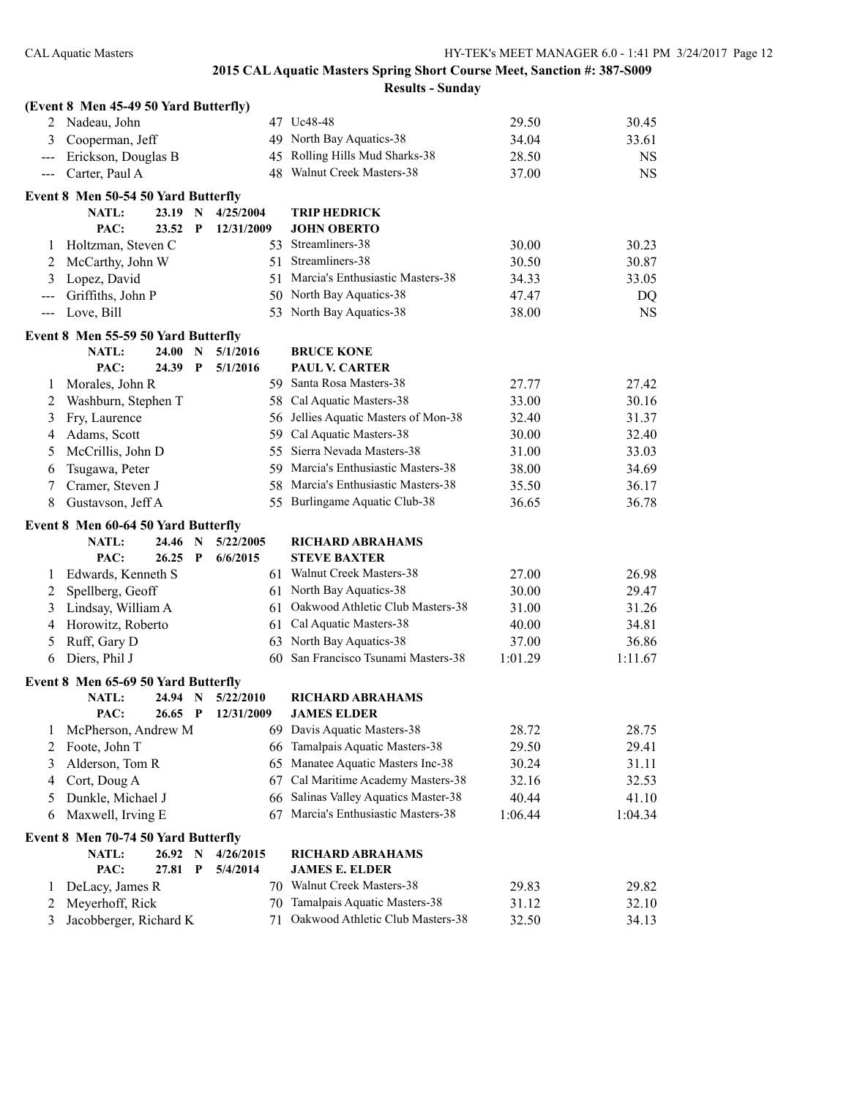|                     | (Event 8 Men 45-49 50 Yard Butterfly) |       |              |            |    |                                      |         |           |
|---------------------|---------------------------------------|-------|--------------|------------|----|--------------------------------------|---------|-----------|
| 2                   | Nadeau, John                          |       |              |            |    | 47 Uc48-48                           | 29.50   | 30.45     |
| 3                   | Cooperman, Jeff                       |       |              |            |    | 49 North Bay Aquatics-38             | 34.04   | 33.61     |
| $---$               | Erickson, Douglas B                   |       |              |            |    | 45 Rolling Hills Mud Sharks-38       | 28.50   | <b>NS</b> |
| $\qquad \qquad - -$ | Carter, Paul A                        |       |              |            |    | 48 Walnut Creek Masters-38           | 37.00   | <b>NS</b> |
|                     | Event 8 Men 50-54 50 Yard Butterfly   |       |              |            |    |                                      |         |           |
|                     | NATL:                                 | 23.19 | N            | 4/25/2004  |    | <b>TRIP HEDRICK</b>                  |         |           |
|                     | PAC:                                  | 23.52 | $\mathbf{P}$ | 12/31/2009 |    | <b>JOHN OBERTO</b>                   |         |           |
| $\perp$             | Holtzman, Steven C                    |       |              |            |    | 53 Streamliners-38                   | 30.00   | 30.23     |
| 2                   | McCarthy, John W                      |       |              |            |    | 51 Streamliners-38                   | 30.50   | 30.87     |
| 3                   | Lopez, David                          |       |              |            |    | 51 Marcia's Enthusiastic Masters-38  | 34.33   | 33.05     |
| $---$               | Griffiths, John P                     |       |              |            |    | 50 North Bay Aquatics-38             | 47.47   | DQ        |
| $\qquad \qquad - -$ | Love, Bill                            |       |              |            |    | 53 North Bay Aquatics-38             | 38.00   | <b>NS</b> |
|                     | Event 8 Men 55-59 50 Yard Butterfly   |       |              |            |    |                                      |         |           |
|                     | <b>NATL:</b>                          | 24.00 | N            | 5/1/2016   |    | <b>BRUCE KONE</b>                    |         |           |
|                     | PAC:                                  | 24.39 | $\mathbf{P}$ | 5/1/2016   |    | <b>PAUL V. CARTER</b>                |         |           |
| 1                   | Morales, John R                       |       |              |            |    | 59 Santa Rosa Masters-38             | 27.77   | 27.42     |
| 2                   | Washburn, Stephen T                   |       |              |            |    | 58 Cal Aquatic Masters-38            | 33.00   | 30.16     |
| 3                   | Fry, Laurence                         |       |              |            |    | 56 Jellies Aquatic Masters of Mon-38 | 32.40   | 31.37     |
| 4                   | Adams, Scott                          |       |              |            |    | 59 Cal Aquatic Masters-38            | 30.00   | 32.40     |
| 5                   | McCrillis, John D                     |       |              |            |    | 55 Sierra Nevada Masters-38          | 31.00   | 33.03     |
| 6                   | Tsugawa, Peter                        |       |              |            |    | 59 Marcia's Enthusiastic Masters-38  | 38.00   | 34.69     |
| 7                   | Cramer, Steven J                      |       |              |            |    | 58 Marcia's Enthusiastic Masters-38  | 35.50   | 36.17     |
| 8                   | Gustavson, Jeff A                     |       |              |            |    | 55 Burlingame Aquatic Club-38        | 36.65   | 36.78     |
|                     | Event 8 Men 60-64 50 Yard Butterfly   |       |              |            |    |                                      |         |           |
|                     | <b>NATL:</b>                          | 24.46 | N            | 5/22/2005  |    | <b>RICHARD ABRAHAMS</b>              |         |           |
|                     | PAC:                                  | 26.25 | $\mathbf{P}$ | 6/6/2015   |    | <b>STEVE BAXTER</b>                  |         |           |
| 1                   | Edwards, Kenneth S                    |       |              |            |    | 61 Walnut Creek Masters-38           | 27.00   | 26.98     |
| 2                   | Spellberg, Geoff                      |       |              |            |    | 61 North Bay Aquatics-38             | 30.00   | 29.47     |
| 3                   | Lindsay, William A                    |       |              |            |    | 61 Oakwood Athletic Club Masters-38  | 31.00   | 31.26     |
| 4                   | Horowitz, Roberto                     |       |              |            | 61 | Cal Aquatic Masters-38               | 40.00   | 34.81     |
| 5                   | Ruff, Gary D                          |       |              |            |    | 63 North Bay Aquatics-38             | 37.00   | 36.86     |
| 6                   | Diers, Phil J                         |       |              |            |    | 60 San Francisco Tsunami Masters-38  | 1:01.29 | 1:11.67   |
|                     | Event 8 Men 65-69 50 Yard Butterfly   |       |              |            |    |                                      |         |           |
|                     | NATL:                                 | 24.94 | N            | 5/22/2010  |    | <b>RICHARD ABRAHAMS</b>              |         |           |
|                     | PAC:                                  | 26.65 | $\mathbf{P}$ | 12/31/2009 |    | <b>JAMES ELDER</b>                   |         |           |
| 1                   | McPherson, Andrew M                   |       |              |            |    | 69 Davis Aquatic Masters-38          | 28.72   | 28.75     |
| 2                   | Foote, John T                         |       |              |            | 66 | Tamalpais Aquatic Masters-38         | 29.50   | 29.41     |
| 3                   | Alderson, Tom R                       |       |              |            | 65 | Manatee Aquatic Masters Inc-38       | 30.24   | 31.11     |
| 4                   | Cort, Doug A                          |       |              |            | 67 | Cal Maritime Academy Masters-38      | 32.16   | 32.53     |
| 5                   | Dunkle, Michael J                     |       |              |            | 66 | Salinas Valley Aquatics Master-38    | 40.44   | 41.10     |
| 6                   | Maxwell, Irving E                     |       |              |            | 67 | Marcia's Enthusiastic Masters-38     | 1:06.44 | 1:04.34   |
|                     | Event 8 Men 70-74 50 Yard Butterfly   |       |              |            |    |                                      |         |           |
|                     | <b>NATL:</b>                          | 26.92 | N            | 4/26/2015  |    | <b>RICHARD ABRAHAMS</b>              |         |           |
|                     | PAC:                                  | 27.81 | P            | 5/4/2014   |    | <b>JAMES E. ELDER</b>                |         |           |
| 1                   | DeLacy, James R                       |       |              |            |    | 70 Walnut Creek Masters-38           | 29.83   | 29.82     |
| 2                   | Meyerhoff, Rick                       |       |              |            | 70 | Tamalpais Aquatic Masters-38         | 31.12   | 32.10     |
| 3                   | Jacobberger, Richard K                |       |              |            | 71 | Oakwood Athletic Club Masters-38     | 32.50   | 34.13     |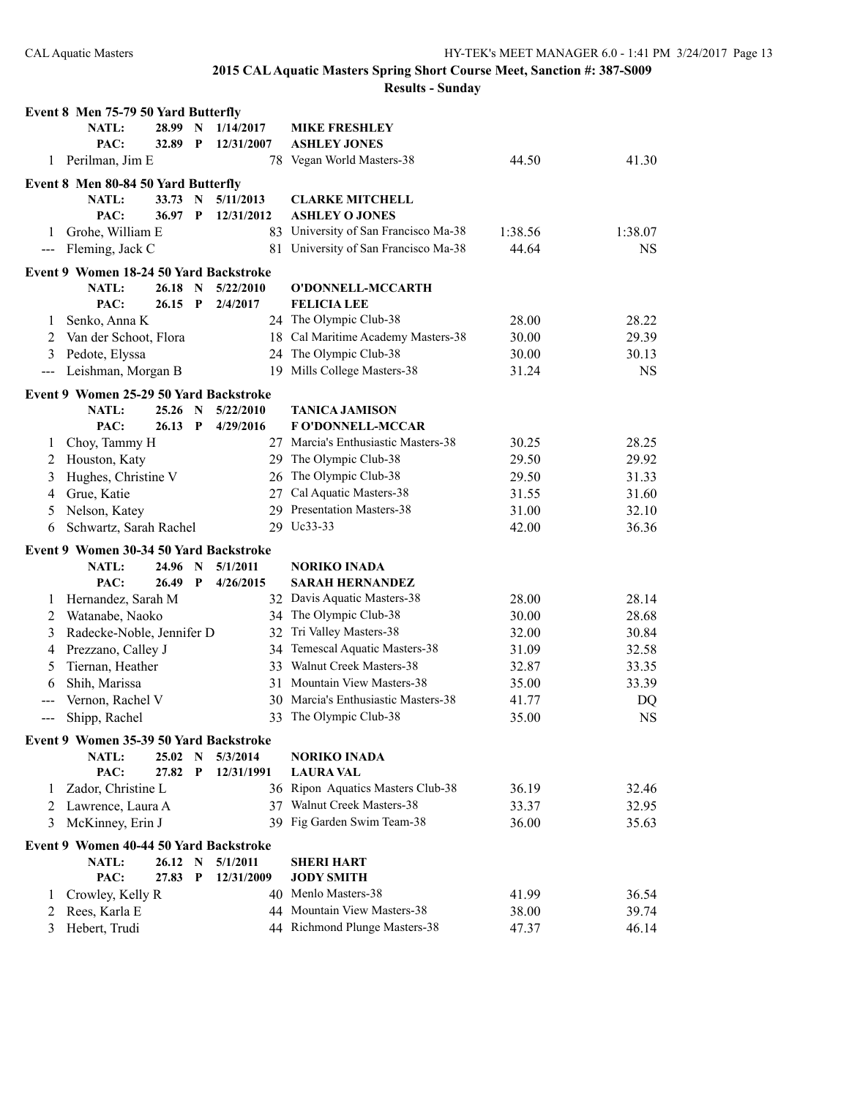|                   | Event 8 Men 75-79 50 Yard Butterfly    |           |              |            |                                                              |                |                |
|-------------------|----------------------------------------|-----------|--------------|------------|--------------------------------------------------------------|----------------|----------------|
|                   | <b>NATL:</b>                           | 28.99     | N            | 1/14/2017  | <b>MIKE FRESHLEY</b>                                         |                |                |
|                   | PAC:                                   | 32.89     | $\mathbf{P}$ | 12/31/2007 | <b>ASHLEY JONES</b>                                          |                |                |
| 1                 | Perilman, Jim E                        |           |              |            | 78 Vegan World Masters-38                                    | 44.50          | 41.30          |
|                   | Event 8 Men 80-84 50 Yard Butterfly    |           |              |            |                                                              |                |                |
|                   | NATL:                                  | 33.73     | N            | 5/11/2013  | <b>CLARKE MITCHELL</b>                                       |                |                |
|                   | PAC:                                   | 36.97     | P            | 12/31/2012 | <b>ASHLEY O JONES</b>                                        |                |                |
| 1                 | Grohe, William E                       |           |              |            | 83 University of San Francisco Ma-38                         | 1:38.56        | 1:38.07        |
| $\qquad \qquad -$ | Fleming, Jack C                        |           |              |            | 81 University of San Francisco Ma-38                         | 44.64          | <b>NS</b>      |
|                   | Event 9 Women 18-24 50 Yard Backstroke |           |              |            |                                                              |                |                |
|                   | <b>NATL:</b>                           | 26.18     | N            | 5/22/2010  | O'DONNELL-MCCARTH                                            |                |                |
|                   | PAC:                                   | 26.15     | $\mathbf{P}$ | 2/4/2017   | <b>FELICIA LEE</b>                                           |                |                |
| 1                 | Senko, Anna K                          |           |              |            | 24 The Olympic Club-38                                       | 28.00          | 28.22          |
| 2                 | Van der Schoot, Flora                  |           |              |            | 18 Cal Maritime Academy Masters-38                           | 30.00          | 29.39          |
| 3                 | Pedote, Elyssa                         |           |              |            | 24 The Olympic Club-38                                       | 30.00          | 30.13          |
| $\qquad \qquad -$ | Leishman, Morgan B                     |           |              | 19         | Mills College Masters-38                                     | 31.24          | <b>NS</b>      |
|                   |                                        |           |              |            |                                                              |                |                |
|                   | Event 9 Women 25-29 50 Yard Backstroke |           |              |            |                                                              |                |                |
|                   | <b>NATL:</b>                           | 25.26 N   |              | 5/22/2010  | <b>TANICA JAMISON</b>                                        |                |                |
|                   | PAC:                                   | $26.13$ P |              | 4/29/2016  | <b>FO'DONNELL-MCCAR</b>                                      |                |                |
| 1                 | Choy, Tammy H                          |           |              |            | 27 Marcia's Enthusiastic Masters-38                          | 30.25          | 28.25          |
| 2                 | Houston, Katy                          |           |              | 29.        | The Olympic Club-38                                          | 29.50          | 29.92          |
| 3                 | Hughes, Christine V                    |           |              | 26         | The Olympic Club-38                                          | 29.50          | 31.33          |
| 4                 | Grue, Katie                            |           |              | 27         | Cal Aquatic Masters-38                                       | 31.55          | 31.60          |
| 5                 | Nelson, Katey                          |           |              | 29         | <b>Presentation Masters-38</b>                               | 31.00          | 32.10          |
| 6                 | Schwartz, Sarah Rachel                 |           |              |            | 29 Uc33-33                                                   | 42.00          | 36.36          |
|                   | Event 9 Women 30-34 50 Yard Backstroke |           |              |            |                                                              |                |                |
|                   | NATL:                                  | 24.96     | N            | 5/1/2011   | NORIKO INADA                                                 |                |                |
|                   | PAC:                                   | 26.49     | P            | 4/26/2015  | <b>SARAH HERNANDEZ</b>                                       |                |                |
| 1                 | Hernandez, Sarah M                     |           |              |            | 32 Davis Aquatic Masters-38                                  | 28.00          | 28.14          |
| 2                 | Watanabe, Naoko                        |           |              |            |                                                              |                |                |
| 3                 |                                        |           |              | 34         | The Olympic Club-38                                          | 30.00          | 28.68          |
|                   |                                        |           |              | 32         | Tri Valley Masters-38                                        | 32.00          | 30.84          |
| 4                 | Radecke-Noble, Jennifer D              |           |              | 34         | Temescal Aquatic Masters-38                                  | 31.09          | 32.58          |
| 5                 | Prezzano, Calley J                     |           |              | 33         | Walnut Creek Masters-38                                      | 32.87          | 33.35          |
| 6                 | Tiernan, Heather                       |           |              | 31         | Mountain View Masters-38                                     | 35.00          |                |
|                   | Shih, Marissa                          |           |              | 30.        | Marcia's Enthusiastic Masters-38                             | 41.77          | 33.39          |
| $---$             | Vernon, Rachel V                       |           |              | 33         | The Olympic Club-38                                          |                | DQ             |
|                   | Shipp, Rachel                          |           |              |            |                                                              | 35.00          | <b>NS</b>      |
|                   | Event 9 Women 35-39 50 Yard Backstroke |           |              |            |                                                              |                |                |
|                   | <b>NATL:</b>                           | 25.02     | $\mathbf N$  | 5/3/2014   | <b>NORIKO INADA</b>                                          |                |                |
|                   | PAC:                                   | 27.82     | $\mathbf{P}$ | 12/31/1991 | <b>LAURA VAL</b>                                             |                |                |
| 1                 | Zador, Christine L                     |           |              |            | 36 Ripon Aquatics Masters Club-38                            | 36.19          | 32.46          |
| 2                 | Lawrence, Laura A                      |           |              |            | 37 Walnut Creek Masters-38                                   | 33.37          | 32.95          |
| 3                 | McKinney, Erin J                       |           |              |            | 39 Fig Garden Swim Team-38                                   | 36.00          | 35.63          |
|                   | Event 9 Women 40-44 50 Yard Backstroke |           |              |            |                                                              |                |                |
|                   | NATL:                                  | 26.12 N   |              | 5/1/2011   | <b>SHERI HART</b>                                            |                |                |
|                   | PAC:                                   | 27.83     | $\mathbf{P}$ | 12/31/2009 | <b>JODY SMITH</b>                                            |                |                |
| 1                 | Crowley, Kelly R                       |           |              |            | 40 Menlo Masters-38                                          | 41.99          | 36.54          |
| 2<br>3            | Rees, Karla E<br>Hebert, Trudi         |           |              |            | 44 Mountain View Masters-38<br>44 Richmond Plunge Masters-38 | 38.00<br>47.37 | 39.74<br>46.14 |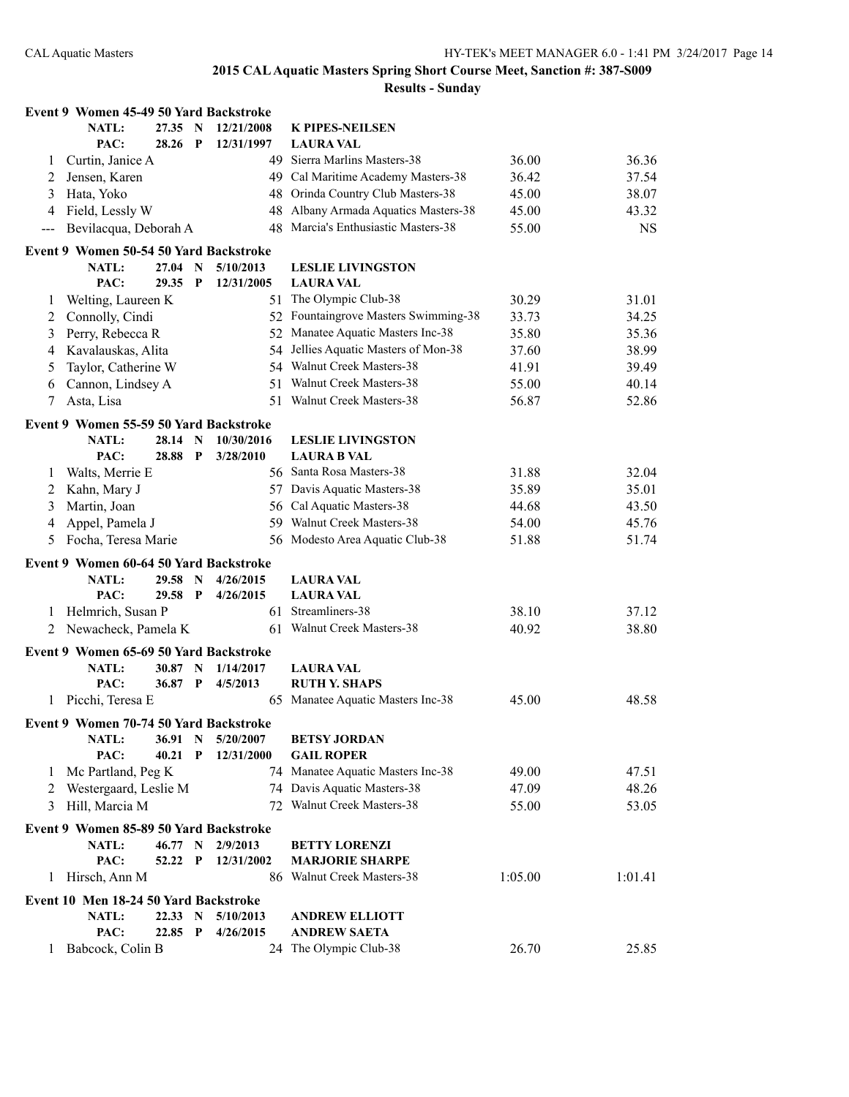|              | Event 9 Women 45-49 50 Yard Backstroke |           |              |            |                                      |         |           |
|--------------|----------------------------------------|-----------|--------------|------------|--------------------------------------|---------|-----------|
|              | <b>NATL:</b>                           | 27.35 N   |              | 12/21/2008 | K PIPES-NEILSEN                      |         |           |
|              | PAC:                                   | 28.26     | $\mathbf{P}$ | 12/31/1997 | <b>LAURA VAL</b>                     |         |           |
| 1            | Curtin, Janice A                       |           |              | 49         | Sierra Marlins Masters-38            | 36.00   | 36.36     |
| 2            | Jensen, Karen                          |           |              |            | 49 Cal Maritime Academy Masters-38   | 36.42   | 37.54     |
| 3            | Hata, Yoko                             |           |              |            | 48 Orinda Country Club Masters-38    | 45.00   | 38.07     |
| 4            | Field, Lessly W                        |           |              | 48         | Albany Armada Aquatics Masters-38    | 45.00   | 43.32     |
| $---$        | Bevilacqua, Deborah A                  |           |              | 48         | Marcia's Enthusiastic Masters-38     | 55.00   | <b>NS</b> |
|              | Event 9 Women 50-54 50 Yard Backstroke |           |              |            |                                      |         |           |
|              | <b>NATL:</b>                           | $27.04$ N |              | 5/10/2013  | <b>LESLIE LIVINGSTON</b>             |         |           |
|              | PAC:                                   | 29.35     | $\mathbf{P}$ | 12/31/2005 | <b>LAURA VAL</b>                     |         |           |
| 1            | Welting, Laureen K                     |           |              | 51         | The Olympic Club-38                  | 30.29   | 31.01     |
| 2            | Connolly, Cindi                        |           |              |            | 52 Fountaingrove Masters Swimming-38 | 33.73   | 34.25     |
| 3            | Perry, Rebecca R                       |           |              | 52         | Manatee Aquatic Masters Inc-38       | 35.80   | 35.36     |
| 4            | Kavalauskas, Alita                     |           |              | 54         | Jellies Aquatic Masters of Mon-38    | 37.60   | 38.99     |
| 5            | Taylor, Catherine W                    |           |              |            | 54 Walnut Creek Masters-38           | 41.91   | 39.49     |
| 6            | Cannon, Lindsey A                      |           |              | 51.        | Walnut Creek Masters-38              | 55.00   | 40.14     |
| 7            | Asta, Lisa                             |           |              |            | 51 Walnut Creek Masters-38           | 56.87   | 52.86     |
|              | Event 9 Women 55-59 50 Yard Backstroke |           |              |            |                                      |         |           |
|              | <b>NATL:</b>                           | 28.14 N   |              | 10/30/2016 | <b>LESLIE LIVINGSTON</b>             |         |           |
|              | PAC:                                   | 28.88     | P            | 3/28/2010  | <b>LAURA B VAL</b>                   |         |           |
| 1            | Walts, Merrie E                        |           |              |            | 56 Santa Rosa Masters-38             | 31.88   | 32.04     |
| 2            | Kahn, Mary J                           |           |              |            | 57 Davis Aquatic Masters-38          | 35.89   | 35.01     |
| 3            | Martin, Joan                           |           |              |            | 56 Cal Aquatic Masters-38            | 44.68   | 43.50     |
| 4            | Appel, Pamela J                        |           |              |            | 59 Walnut Creek Masters-38           | 54.00   | 45.76     |
| 5            | Focha, Teresa Marie                    |           |              |            | 56 Modesto Area Aquatic Club-38      | 51.88   | 51.74     |
|              | Event 9 Women 60-64 50 Yard Backstroke |           |              |            |                                      |         |           |
|              | <b>NATL:</b>                           | 29.58     | $\mathbf N$  | 4/26/2015  | <b>LAURA VAL</b>                     |         |           |
|              | PAC:                                   | 29.58 P   |              | 4/26/2015  | <b>LAURA VAL</b>                     |         |           |
| 1            | Helmrich, Susan P                      |           |              |            | 61 Streamliners-38                   | 38.10   | 37.12     |
| 2            | Newacheck, Pamela K                    |           |              |            | 61 Walnut Creek Masters-38           | 40.92   | 38.80     |
|              | Event 9 Women 65-69 50 Yard Backstroke |           |              |            |                                      |         |           |
|              | <b>NATL:</b>                           | 30.87 N   |              | 1/14/2017  | <b>LAURA VAL</b>                     |         |           |
|              | PAC:                                   | 36.87 P   |              | 4/5/2013   | <b>RUTH Y. SHAPS</b>                 |         |           |
| 1            | Picchi, Teresa E                       |           |              |            | 65 Manatee Aquatic Masters Inc-38    | 45.00   | 48.58     |
|              | Event 9 Women 70-74 50 Yard Backstroke |           |              |            |                                      |         |           |
|              | NATL:                                  | 36.91     | N            | 5/20/2007  | <b>BETSY JORDAN</b>                  |         |           |
|              | PAC:                                   | 40.21     | $\mathbf P$  | 12/31/2000 | <b>GAIL ROPER</b>                    |         |           |
| $\mathbf{I}$ | Mc Partland, Peg K                     |           |              |            | 74 Manatee Aquatic Masters Inc-38    | 49.00   | 47.51     |
| 2            | Westergaard, Leslie M                  |           |              |            | 74 Davis Aquatic Masters-38          | 47.09   | 48.26     |
| 3            | Hill, Marcia M                         |           |              |            | 72 Walnut Creek Masters-38           | 55.00   | 53.05     |
|              | Event 9 Women 85-89 50 Yard Backstroke |           |              |            |                                      |         |           |
|              | <b>NATL:</b>                           | 46.77 N   |              | 2/9/2013   | <b>BETTY LORENZI</b>                 |         |           |
|              | PAC:                                   | 52.22     | $\mathbf{P}$ | 12/31/2002 | <b>MARJORIE SHARPE</b>               |         |           |
| 1            | Hirsch, Ann M                          |           |              |            | 86 Walnut Creek Masters-38           | 1:05.00 | 1:01.41   |
|              | Event 10 Men 18-24 50 Yard Backstroke  |           |              |            |                                      |         |           |
|              | NATL:                                  | 22.33 N   |              | 5/10/2013  | <b>ANDREW ELLIOTT</b>                |         |           |
|              | PAC:                                   | 22.85 P   |              | 4/26/2015  | <b>ANDREW SAETA</b>                  |         |           |
| 1            | Babcock, Colin B                       |           |              |            | 24 The Olympic Club-38               | 26.70   | 25.85     |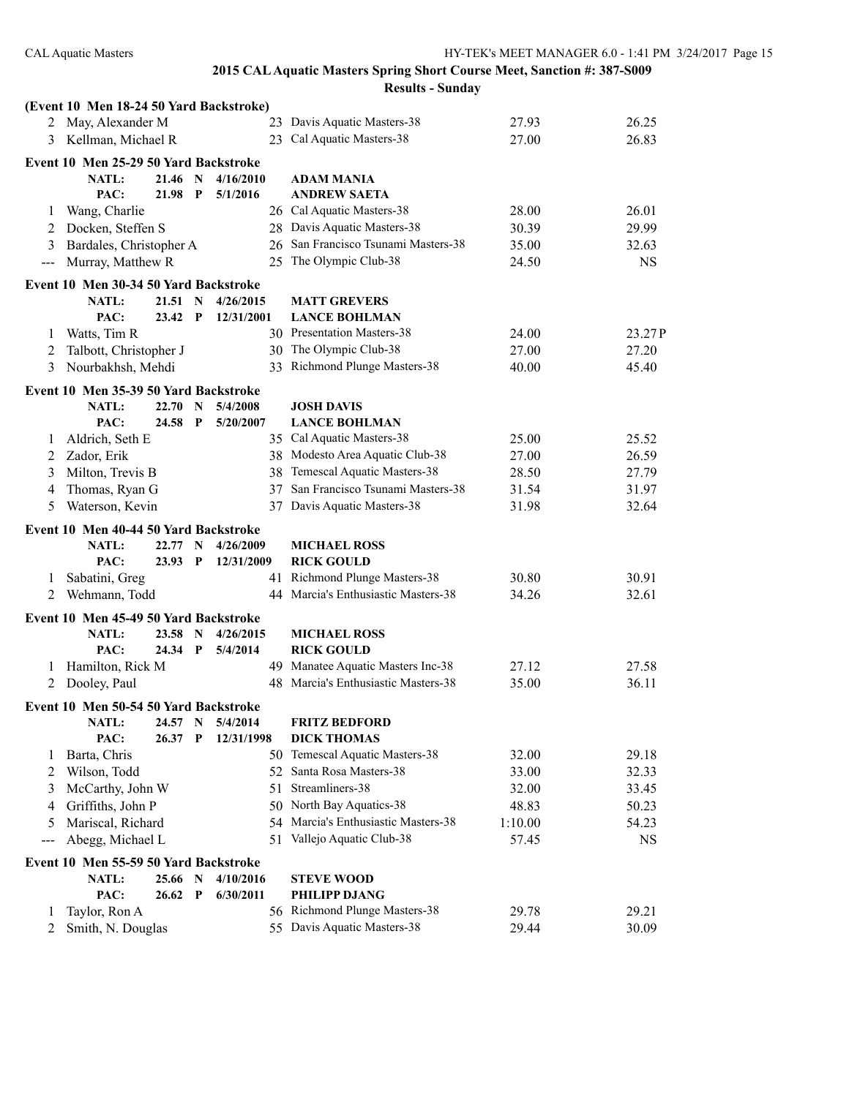#### **2015 CAL Aquatic Masters Spring Short Course Meet, Sanction #: 387-S009 Results - Sunday**

|                   | (Event 10 Men 18-24 50 Yard Backstroke) |         |              |            |                                     |         |           |
|-------------------|-----------------------------------------|---------|--------------|------------|-------------------------------------|---------|-----------|
|                   | 2 May, Alexander M                      |         |              |            | 23 Davis Aquatic Masters-38         | 27.93   | 26.25     |
|                   | 3 Kellman, Michael R                    |         |              |            | 23 Cal Aquatic Masters-38           | 27.00   | 26.83     |
|                   | Event 10 Men 25-29 50 Yard Backstroke   |         |              |            |                                     |         |           |
|                   | NATL:                                   | 21.46 N |              | 4/16/2010  | <b>ADAM MANIA</b>                   |         |           |
|                   | PAC:                                    | 21.98   | $\mathbf{P}$ | 5/1/2016   | <b>ANDREW SAETA</b>                 |         |           |
| 1                 | Wang, Charlie                           |         |              |            | 26 Cal Aquatic Masters-38           | 28.00   | 26.01     |
| 2                 | Docken, Steffen S                       |         |              |            | 28 Davis Aquatic Masters-38         | 30.39   | 29.99     |
| 3                 | Bardales, Christopher A                 |         |              |            | 26 San Francisco Tsunami Masters-38 | 35.00   | 32.63     |
| $\qquad \qquad -$ | Murray, Matthew R                       |         |              | 25         | The Olympic Club-38                 | 24.50   | <b>NS</b> |
|                   | Event 10 Men 30-34 50 Yard Backstroke   |         |              |            |                                     |         |           |
|                   | <b>NATL:</b>                            | 21.51 N |              | 4/26/2015  | <b>MATT GREVERS</b>                 |         |           |
|                   | PAC:                                    | 23.42 P |              | 12/31/2001 | <b>LANCE BOHLMAN</b>                |         |           |
| 1                 | Watts, Tim R                            |         |              |            | 30 Presentation Masters-38          | 24.00   | 23.27P    |
| 2                 | Talbott, Christopher J                  |         |              |            | 30 The Olympic Club-38              | 27.00   | 27.20     |
| 3                 | Nourbakhsh, Mehdi                       |         |              |            | 33 Richmond Plunge Masters-38       | 40.00   | 45.40     |
|                   | Event 10 Men 35-39 50 Yard Backstroke   |         |              |            |                                     |         |           |
|                   | <b>NATL:</b>                            | 22.70 N |              | 5/4/2008   | <b>JOSH DAVIS</b>                   |         |           |
|                   | PAC:                                    | 24.58   | $\mathbf P$  | 5/20/2007  | <b>LANCE BOHLMAN</b>                |         |           |
| 1                 | Aldrich, Seth E                         |         |              |            | 35 Cal Aquatic Masters-38           | 25.00   | 25.52     |
| 2                 | Zador, Erik                             |         |              |            | 38 Modesto Area Aquatic Club-38     | 27.00   | 26.59     |
| 3                 | Milton, Trevis B                        |         |              |            | 38 Temescal Aquatic Masters-38      | 28.50   | 27.79     |
| 4                 | Thomas, Ryan G                          |         |              | 37         | San Francisco Tsunami Masters-38    | 31.54   | 31.97     |
| 5                 | Waterson, Kevin                         |         |              | 37         | Davis Aquatic Masters-38            | 31.98   | 32.64     |
|                   |                                         |         |              |            |                                     |         |           |
|                   |                                         |         |              |            |                                     |         |           |
|                   | Event 10 Men 40-44 50 Yard Backstroke   |         |              |            |                                     |         |           |
|                   | <b>NATL:</b>                            | 22.77 N |              | 4/26/2009  | <b>MICHAEL ROSS</b>                 |         |           |
|                   | PAC:                                    | 23.93 P |              | 12/31/2009 | <b>RICK GOULD</b>                   |         |           |
| 1                 | Sabatini, Greg                          |         |              |            | 41 Richmond Plunge Masters-38       | 30.80   | 30.91     |
| 2                 | Wehmann, Todd                           |         |              |            | 44 Marcia's Enthusiastic Masters-38 | 34.26   | 32.61     |
|                   | Event 10 Men 45-49 50 Yard Backstroke   |         |              |            |                                     |         |           |
|                   | <b>NATL:</b>                            | 23.58   | $\mathbf N$  | 4/26/2015  | <b>MICHAEL ROSS</b>                 |         |           |
|                   | PAC:                                    | 24.34   | $\mathbf{P}$ | 5/4/2014   | <b>RICK GOULD</b>                   |         |           |
| 1                 | Hamilton, Rick M                        |         |              |            | 49 Manatee Aquatic Masters Inc-38   | 27.12   | 27.58     |
| 2                 | Dooley, Paul                            |         |              |            | 48 Marcia's Enthusiastic Masters-38 | 35.00   | 36.11     |
|                   | Event 10 Men 50-54 50 Yard Backstroke   |         |              |            |                                     |         |           |
|                   | NATL:                                   | 24.57   | N            | 5/4/2014   | <b>FRITZ BEDFORD</b>                |         |           |
|                   | PAC:                                    | 26.37   | $\mathbf{P}$ | 12/31/1998 | <b>DICK THOMAS</b>                  |         |           |
| 1                 | Barta, Chris                            |         |              |            | 50 Temescal Aquatic Masters-38      | 32.00   | 29.18     |
| 2                 | Wilson, Todd                            |         |              |            | 52 Santa Rosa Masters-38            | 33.00   | 32.33     |
| 3                 | McCarthy, John W                        |         |              | 51         | Streamliners-38                     | 32.00   | 33.45     |
| 4                 | Griffiths, John P                       |         |              |            | 50 North Bay Aquatics-38            | 48.83   | 50.23     |
| 5                 | Mariscal, Richard                       |         |              | 54         | Marcia's Enthusiastic Masters-38    | 1:10.00 | 54.23     |
| ---               | Abegg, Michael L                        |         |              |            | 51 Vallejo Aquatic Club-38          | 57.45   | NS        |
|                   | Event 10 Men 55-59 50 Yard Backstroke   |         |              |            |                                     |         |           |
|                   | <b>NATL:</b>                            | 25.66 N |              | 4/10/2016  | <b>STEVE WOOD</b>                   |         |           |
|                   | PAC:                                    | 26.62 P |              | 6/30/2011  | <b>PHILIPP DJANG</b>                |         |           |
| 1                 | Taylor, Ron A                           |         |              |            | 56 Richmond Plunge Masters-38       | 29.78   | 29.21     |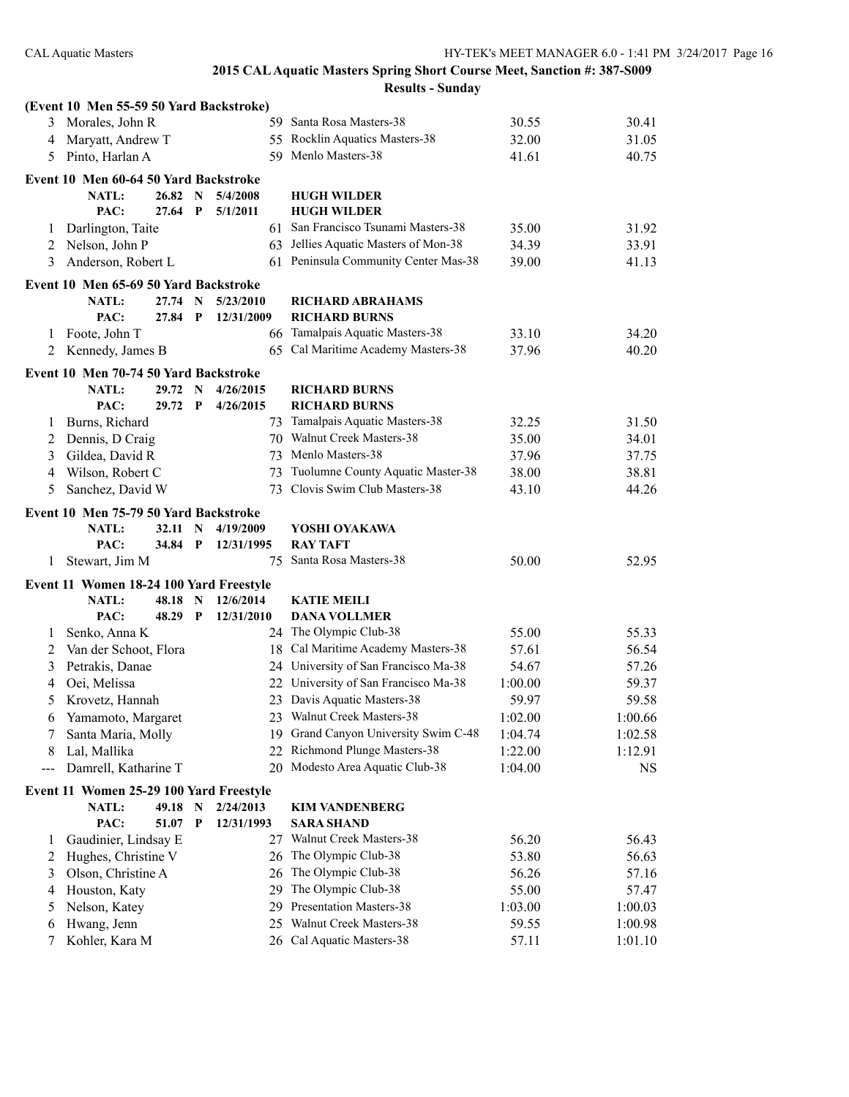|        | (Event 10 Men 55-59 50 Yard Backstroke)                 |                |                   |                         |                                                                  |                    |                      |
|--------|---------------------------------------------------------|----------------|-------------------|-------------------------|------------------------------------------------------------------|--------------------|----------------------|
|        | 3 Morales, John R                                       |                |                   |                         | 59 Santa Rosa Masters-38                                         | 30.55              | 30.41                |
| 4      | Maryatt, Andrew T                                       |                |                   |                         | 55 Rocklin Aquatics Masters-38                                   | 32.00              | 31.05                |
| 5      | Pinto, Harlan A                                         |                |                   |                         | 59 Menlo Masters-38                                              | 41.61              | 40.75                |
|        | Event 10 Men 60-64 50 Yard Backstroke                   |                |                   |                         |                                                                  |                    |                      |
|        | <b>NATL:</b>                                            | 26.82          | N                 | 5/4/2008                | <b>HUGH WILDER</b>                                               |                    |                      |
|        | PAC:                                                    | 27.64          | P                 | 5/1/2011                | <b>HUGH WILDER</b>                                               |                    |                      |
| 1      | Darlington, Taite                                       |                |                   |                         | 61 San Francisco Tsunami Masters-38                              | 35.00              | 31.92                |
| 2      | Nelson, John P                                          |                |                   |                         | 63 Jellies Aquatic Masters of Mon-38                             | 34.39              | 33.91                |
| 3      | Anderson, Robert L                                      |                |                   |                         | 61 Peninsula Community Center Mas-38                             | 39.00              | 41.13                |
|        | Event 10 Men 65-69 50 Yard Backstroke                   |                |                   |                         |                                                                  |                    |                      |
|        | <b>NATL:</b>                                            | 27.74          | N                 | 5/23/2010               | <b>RICHARD ABRAHAMS</b>                                          |                    |                      |
|        | PAC:                                                    | 27.84          | $\mathbf{P}$      | 12/31/2009              | <b>RICHARD BURNS</b>                                             |                    |                      |
| 1      | Foote, John T                                           |                |                   |                         | 66 Tamalpais Aquatic Masters-38                                  | 33.10              | 34.20                |
| 2      | Kennedy, James B                                        |                |                   |                         | 65 Cal Maritime Academy Masters-38                               | 37.96              | 40.20                |
|        | Event 10 Men 70-74 50 Yard Backstroke                   |                |                   |                         |                                                                  |                    |                      |
|        | <b>NATL:</b>                                            | 29.72 N        |                   | 4/26/2015               | <b>RICHARD BURNS</b>                                             |                    |                      |
|        | PAC:                                                    | 29.72 P        |                   | 4/26/2015               | <b>RICHARD BURNS</b>                                             |                    |                      |
| 1      | Burns, Richard                                          |                |                   | 73                      | Tamalpais Aquatic Masters-38                                     | 32.25              | 31.50                |
| 2      | Dennis, D Craig                                         |                |                   |                         | 70 Walnut Creek Masters-38                                       | 35.00              | 34.01                |
| 3      | Gildea, David R                                         |                |                   |                         | 73 Menlo Masters-38                                              | 37.96              | 37.75                |
| 4      | Wilson, Robert C                                        |                |                   | 73                      | Tuolumne County Aquatic Master-38                                | 38.00              | 38.81                |
| 5      | Sanchez, David W                                        |                |                   | 73                      | Clovis Swim Club Masters-38                                      | 43.10              | 44.26                |
|        | Event 10 Men 75-79 50 Yard Backstroke                   |                |                   |                         |                                                                  |                    |                      |
|        |                                                         |                |                   |                         |                                                                  |                    |                      |
|        |                                                         |                |                   |                         |                                                                  |                    |                      |
|        | NATL:<br>PAC:                                           | 32.11<br>34.84 | N<br>$\mathbf{P}$ | 4/19/2009<br>12/31/1995 | YOSHI OYAKAWA<br><b>RAY TAFT</b>                                 |                    |                      |
| 1      | Stewart, Jim M                                          |                |                   | 75                      | Santa Rosa Masters-38                                            | 50.00              | 52.95                |
|        |                                                         |                |                   |                         |                                                                  |                    |                      |
|        | Event 11 Women 18-24 100 Yard Freestyle<br><b>NATL:</b> | 48.18          | N                 | 12/6/2014               | <b>KATIE MEILI</b>                                               |                    |                      |
|        | PAC:                                                    | 48.29          | $\mathbf{P}$      | 12/31/2010              | <b>DANA VOLLMER</b>                                              |                    |                      |
| 1      |                                                         |                |                   |                         | 24 The Olympic Club-38                                           | 55.00              | 55.33                |
| 2      | Senko, Anna K                                           |                |                   |                         | 18 Cal Maritime Academy Masters-38                               | 57.61              | 56.54                |
| 3      | Van der Schoot, Flora                                   |                |                   |                         | 24 University of San Francisco Ma-38                             | 54.67              |                      |
| 4      | Petrakis, Danae                                         |                |                   |                         | 22 University of San Francisco Ma-38                             | 1:00.00            | 57.26                |
| 5      | Oei, Melissa                                            |                |                   |                         |                                                                  | 59.97              | 59.37                |
|        | Krovetz, Hannah                                         |                |                   |                         | 23 Davis Aquatic Masters-38                                      |                    | 59.58                |
| 6<br>7 | Yamamoto, Margaret                                      |                |                   |                         | 23 Walnut Creek Masters-38                                       | 1:02.00            | 1:00.66              |
| 8      | Santa Maria, Molly                                      |                |                   |                         | 19 Grand Canyon University Swim C-48                             | 1:04.74            | 1:02.58              |
| $---$  | Lal, Mallika<br>Damrell, Katharine T                    |                |                   |                         | 22 Richmond Plunge Masters-38<br>20 Modesto Area Aquatic Club-38 | 1:22.00<br>1:04.00 | 1:12.91<br><b>NS</b> |
|        |                                                         |                |                   |                         |                                                                  |                    |                      |
|        | Event 11 Women 25-29 100 Yard Freestyle                 |                |                   |                         |                                                                  |                    |                      |
|        | NATL:<br>PAC:                                           | 49.18<br>51.07 | N<br>$\mathbf P$  | 2/24/2013<br>12/31/1993 | <b>KIM VANDENBERG</b><br><b>SARA SHAND</b>                       |                    |                      |
| 1      |                                                         |                |                   | 27                      | Walnut Creek Masters-38                                          | 56.20              | 56.43                |
| 2      | Gaudinier, Lindsay E                                    |                |                   |                         | 26 The Olympic Club-38                                           | 53.80              | 56.63                |
| 3      | Hughes, Christine V                                     |                |                   | 26                      | The Olympic Club-38                                              | 56.26              | 57.16                |
| 4      | Olson, Christine A                                      |                |                   | 29                      | The Olympic Club-38                                              | 55.00              | 57.47                |
| 5      | Houston, Katy                                           |                |                   |                         | 29 Presentation Masters-38                                       | 1:03.00            | 1:00.03              |
| 6      | Nelson, Katey<br>Hwang, Jenn                            |                |                   | 25.                     | Walnut Creek Masters-38                                          | 59.55              | 1:00.98              |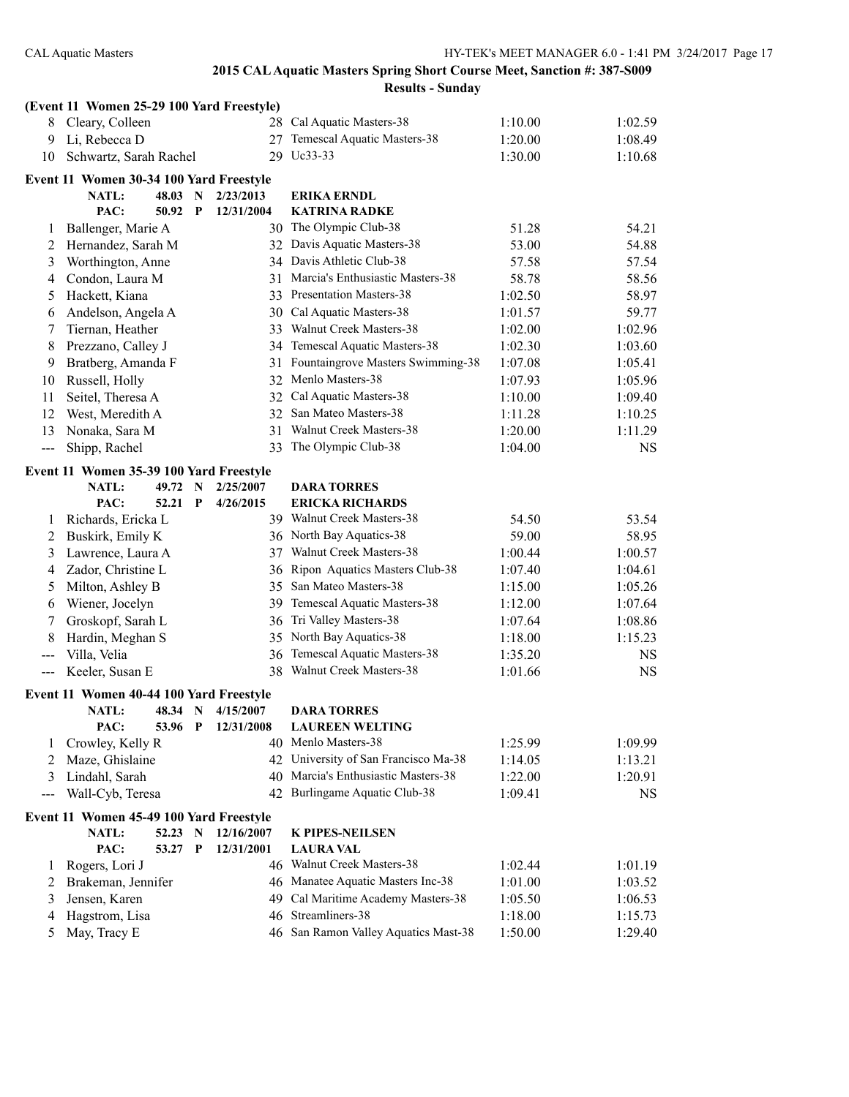|                     | (Event 11 Women 25-29 100 Yard Freestyle) |         |   |            |                                      |         |           |
|---------------------|-------------------------------------------|---------|---|------------|--------------------------------------|---------|-----------|
| 8                   | Cleary, Colleen                           |         |   |            | 28 Cal Aquatic Masters-38            | 1:10.00 | 1:02.59   |
| 9                   | Li, Rebecca D                             |         |   | 27         | Temescal Aquatic Masters-38          | 1:20.00 | 1:08.49   |
| 10                  | Schwartz, Sarah Rachel                    |         |   | 29         | Uc33-33                              | 1:30.00 | 1:10.68   |
|                     | Event 11 Women 30-34 100 Yard Freestyle   |         |   |            |                                      |         |           |
|                     | NATL:                                     | 48.03   | N | 2/23/2013  | <b>ERIKA ERNDL</b>                   |         |           |
|                     | PAC:                                      | 50.92   | P | 12/31/2004 | <b>KATRINA RADKE</b>                 |         |           |
| 1                   | Ballenger, Marie A                        |         |   |            | 30 The Olympic Club-38               | 51.28   | 54.21     |
| 2                   | Hernandez, Sarah M                        |         |   |            | 32 Davis Aquatic Masters-38          | 53.00   | 54.88     |
| 3                   | Worthington, Anne                         |         |   |            | 34 Davis Athletic Club-38            | 57.58   | 57.54     |
| 4                   | Condon, Laura M                           |         |   |            | 31 Marcia's Enthusiastic Masters-38  | 58.78   | 58.56     |
| 5                   | Hackett, Kiana                            |         |   |            | 33 Presentation Masters-38           | 1:02.50 | 58.97     |
| 6                   | Andelson, Angela A                        |         |   |            | 30 Cal Aquatic Masters-38            | 1:01.57 | 59.77     |
| 7                   | Tiernan, Heather                          |         |   |            | 33 Walnut Creek Masters-38           | 1:02.00 | 1:02.96   |
| 8                   | Prezzano, Calley J                        |         |   |            | 34 Temescal Aquatic Masters-38       | 1:02.30 | 1:03.60   |
| 9                   | Bratberg, Amanda F                        |         |   |            | 31 Fountaingrove Masters Swimming-38 | 1:07.08 | 1:05.41   |
| 10                  | Russell, Holly                            |         |   |            | 32 Menlo Masters-38                  | 1:07.93 | 1:05.96   |
| 11                  | Seitel, Theresa A                         |         |   |            | 32 Cal Aquatic Masters-38            | 1:10.00 | 1:09.40   |
| 12                  | West, Meredith A                          |         |   | 32         | San Mateo Masters-38                 | 1:11.28 | 1:10.25   |
| 13                  | Nonaka, Sara M                            |         |   |            | 31 Walnut Creek Masters-38           | 1:20.00 | 1:11.29   |
| $---$               | Shipp, Rachel                             |         |   | 33         | The Olympic Club-38                  | 1:04.00 | <b>NS</b> |
|                     | Event 11 Women 35-39 100 Yard Freestyle   |         |   |            |                                      |         |           |
|                     | <b>NATL:</b>                              | 49.72   | N | 2/25/2007  | <b>DARA TORRES</b>                   |         |           |
|                     | PAC:                                      | 52.21   | P | 4/26/2015  | <b>ERICKA RICHARDS</b>               |         |           |
| 1                   | Richards, Ericka L                        |         |   |            | 39 Walnut Creek Masters-38           | 54.50   | 53.54     |
| 2                   | Buskirk, Emily K                          |         |   |            | 36 North Bay Aquatics-38             | 59.00   | 58.95     |
| 3                   | Lawrence, Laura A                         |         |   | 37         | Walnut Creek Masters-38              | 1:00.44 | 1:00.57   |
| 4                   | Zador, Christine L                        |         |   | 36         | Ripon Aquatics Masters Club-38       | 1:07.40 | 1:04.61   |
| 5                   | Milton, Ashley B                          |         |   | 35         | San Mateo Masters-38                 | 1:15.00 | 1:05.26   |
| 6                   | Wiener, Jocelyn                           |         |   | 39         | Temescal Aquatic Masters-38          | 1:12.00 | 1:07.64   |
| 7                   | Groskopf, Sarah L                         |         |   | 36         | Tri Valley Masters-38                | 1:07.64 | 1:08.86   |
| 8                   | Hardin, Meghan S                          |         |   | 35         | North Bay Aquatics-38                | 1:18.00 | 1:15.23   |
| $\qquad \qquad - -$ | Villa, Velia                              |         |   | 36         | Temescal Aquatic Masters-38          | 1:35.20 | NS.       |
| $---$               | Keeler, Susan E                           |         |   |            | 38 Walnut Creek Masters-38           | 1:01.66 | <b>NS</b> |
|                     | Event 11 Women 40-44 100 Yard Freestyle   |         |   |            |                                      |         |           |
|                     | NATL:                                     | 48.34 N |   | 4/15/2007  | <b>DARA TORRES</b>                   |         |           |
|                     | PAC:                                      | 53.96 P |   | 12/31/2008 | <b>LAUREEN WELTING</b>               |         |           |
| 1                   | Crowley, Kelly R                          |         |   |            | 40 Menlo Masters-38                  | 1:25.99 | 1:09.99   |
| 2                   | Maze, Ghislaine                           |         |   |            | 42 University of San Francisco Ma-38 | 1:14.05 | 1:13.21   |
| 3                   | Lindahl, Sarah                            |         |   |            | 40 Marcia's Enthusiastic Masters-38  | 1:22.00 | 1:20.91   |
| ---                 | Wall-Cyb, Teresa                          |         |   |            | 42 Burlingame Aquatic Club-38        | 1:09.41 | <b>NS</b> |
|                     | Event 11 Women 45-49 100 Yard Freestyle   |         |   |            |                                      |         |           |
|                     | NATL:                                     | 52.23   | N | 12/16/2007 | <b>K PIPES-NEILSEN</b>               |         |           |
|                     | PAC:                                      | 53.27   | P | 12/31/2001 | <b>LAURA VAL</b>                     |         |           |
| 1                   | Rogers, Lori J                            |         |   |            | 46 Walnut Creek Masters-38           | 1:02.44 | 1:01.19   |
| 2                   | Brakeman, Jennifer                        |         |   |            | 46 Manatee Aquatic Masters Inc-38    | 1:01.00 | 1:03.52   |
| 3                   | Jensen, Karen                             |         |   | 49         | Cal Maritime Academy Masters-38      | 1:05.50 | 1:06.53   |
| 4                   | Hagstrom, Lisa                            |         |   | 46         | Streamliners-38                      | 1:18.00 | 1:15.73   |
| 5                   | May, Tracy E                              |         |   |            | 46 San Ramon Valley Aquatics Mast-38 | 1:50.00 | 1:29.40   |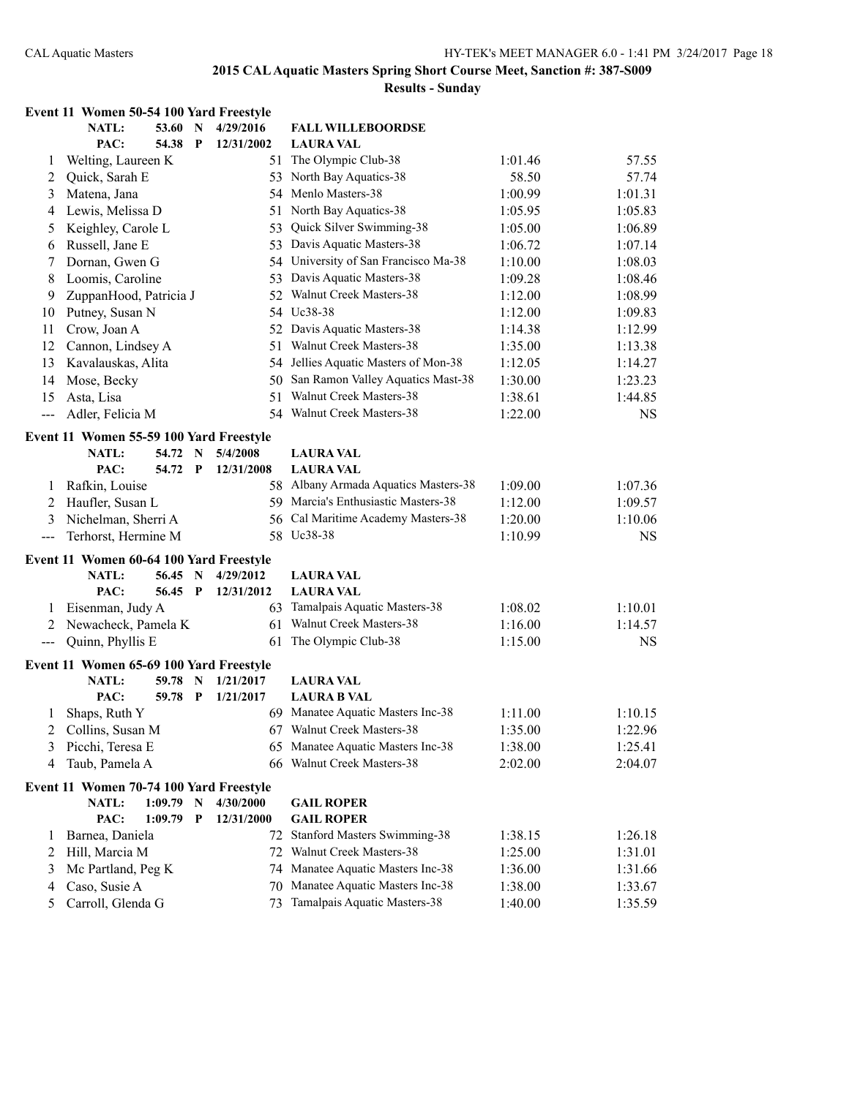|                                          | Event 11 Women 50-54 100 Yard Freestyle          |         |     |                        |                                                                 |         |           |
|------------------------------------------|--------------------------------------------------|---------|-----|------------------------|-----------------------------------------------------------------|---------|-----------|
|                                          | <b>NATL:</b>                                     | 53.60   | N   | 4/29/2016              | <b>FALL WILLEBOORDSE</b>                                        |         |           |
|                                          | PAC:                                             | 54.38   | P   | 12/31/2002             | <b>LAURA VAL</b>                                                |         |           |
| 1                                        | Welting, Laureen K                               |         |     |                        | 51 The Olympic Club-38                                          | 1:01.46 | 57.55     |
| 2                                        | Quick, Sarah E                                   |         |     |                        | 53 North Bay Aquatics-38                                        | 58.50   | 57.74     |
| 3                                        | Matena, Jana                                     |         |     |                        | 54 Menlo Masters-38                                             | 1:00.99 | 1:01.31   |
| 4                                        | Lewis, Melissa D                                 |         |     |                        | 51 North Bay Aquatics-38                                        | 1:05.95 | 1:05.83   |
| 5                                        | Keighley, Carole L                               |         |     | 53                     | Quick Silver Swimming-38                                        | 1:05.00 | 1:06.89   |
| 6                                        | Russell, Jane E                                  |         |     |                        | 53 Davis Aquatic Masters-38                                     | 1:06.72 | 1:07.14   |
| 7                                        | Dornan, Gwen G                                   |         |     |                        | 54 University of San Francisco Ma-38                            | 1:10.00 | 1:08.03   |
| 8                                        | Loomis, Caroline                                 |         |     |                        | 53 Davis Aquatic Masters-38                                     | 1:09.28 | 1:08.46   |
| 9                                        | ZuppanHood, Patricia J                           |         |     | 52.                    | <b>Walnut Creek Masters-38</b>                                  | 1:12.00 | 1:08.99   |
| 10                                       | Putney, Susan N                                  |         |     |                        | 54 Uc38-38                                                      | 1:12.00 | 1:09.83   |
| 11                                       | Crow, Joan A                                     |         |     |                        | 52 Davis Aquatic Masters-38                                     | 1:14.38 | 1:12.99   |
| 12                                       | Cannon, Lindsey A                                |         |     | 51                     | <b>Walnut Creek Masters-38</b>                                  | 1:35.00 | 1:13.38   |
| 13                                       | Kavalauskas, Alita                               |         |     |                        | 54 Jellies Aquatic Masters of Mon-38                            | 1:12.05 | 1:14.27   |
| 14                                       | Mose, Becky                                      |         |     |                        | 50 San Ramon Valley Aquatics Mast-38                            | 1:30.00 | 1:23.23   |
| 15                                       | Asta, Lisa                                       |         |     | 51                     | Walnut Creek Masters-38                                         | 1:38.61 | 1:44.85   |
| ---                                      | Adler, Felicia M                                 |         |     |                        | 54 Walnut Creek Masters-38                                      | 1:22.00 | <b>NS</b> |
|                                          | Event 11 Women 55-59 100 Yard Freestyle          |         |     |                        |                                                                 |         |           |
|                                          | <b>NATL:</b>                                     | 54.72 N |     | 5/4/2008               | <b>LAURA VAL</b>                                                |         |           |
|                                          | PAC:                                             | 54.72 P |     | 12/31/2008             | <b>LAURA VAL</b>                                                |         |           |
| 1                                        | Rafkin, Louise                                   |         |     |                        | 58 Albany Armada Aquatics Masters-38                            | 1:09.00 | 1:07.36   |
| 2                                        | Haufler, Susan L                                 |         |     |                        | 59 Marcia's Enthusiastic Masters-38                             | 1:12.00 | 1:09.57   |
| 3                                        | Nichelman, Sherri A                              |         |     | 56                     | Cal Maritime Academy Masters-38                                 | 1:20.00 | 1:10.06   |
| $\qquad \qquad -$                        | Terhorst, Hermine M                              |         |     |                        | 58 Uc38-38                                                      | 1:10.99 | <b>NS</b> |
|                                          |                                                  |         |     |                        |                                                                 |         |           |
|                                          | Event 11 Women 60-64 100 Yard Freestyle<br>NATL: | 56.45   | - N | 4/29/2012              | <b>LAURA VAL</b>                                                |         |           |
|                                          | PAC:                                             | 56.45 P |     | 12/31/2012             | <b>LAURA VAL</b>                                                |         |           |
| 1                                        | Eisenman, Judy A                                 |         |     |                        | 63 Tamalpais Aquatic Masters-38                                 | 1:08.02 | 1:10.01   |
| 2                                        | Newacheck, Pamela K                              |         |     | 61                     | Walnut Creek Masters-38                                         | 1:16.00 | 1:14.57   |
| $\hspace{0.05cm} \ldots \hspace{0.05cm}$ | Quinn, Phyllis E                                 |         |     | 61                     | The Olympic Club-38                                             | 1:15.00 | <b>NS</b> |
|                                          |                                                  |         |     |                        |                                                                 |         |           |
|                                          | Event 11 Women 65-69 100 Yard Freestyle          |         |     |                        |                                                                 |         |           |
|                                          | <b>NATL:</b>                                     | 59.78   | N   | 1/21/2017<br>1/21/2017 | <b>LAURA VAL</b>                                                |         |           |
|                                          | PAC:                                             | 59.78   | P   |                        | <b>LAURA B VAL</b>                                              |         |           |
| 1                                        | Shaps, Ruth Y                                    |         |     |                        | 69 Manatee Aquatic Masters Inc-38<br>67 Walnut Creek Masters-38 | 1:11.00 | 1:10.15   |
| 2                                        | Collins, Susan M                                 |         |     |                        |                                                                 | 1:35.00 | 1:22.96   |
| 3                                        | Picchi, Teresa E                                 |         |     |                        | 65 Manatee Aquatic Masters Inc-38                               | 1:38.00 | 1:25.41   |
| 4                                        | Taub, Pamela A                                   |         |     |                        | 66 Walnut Creek Masters-38                                      | 2:02.00 | 2:04.07   |
|                                          | Event 11 Women 70-74 100 Yard Freestyle          |         |     |                        |                                                                 |         |           |
|                                          | <b>NATL:</b>                                     | 1:09.79 | N   | 4/30/2000              | <b>GAIL ROPER</b>                                               |         |           |
|                                          | PAC:                                             | 1:09.79 | P   | 12/31/2000             | <b>GAIL ROPER</b>                                               |         |           |
| 1                                        | Barnea, Daniela                                  |         |     |                        | 72 Stanford Masters Swimming-38                                 | 1:38.15 | 1:26.18   |
| 2                                        | Hill, Marcia M                                   |         |     |                        | 72 Walnut Creek Masters-38                                      | 1:25.00 | 1:31.01   |
| 3                                        | Mc Partland, Peg K                               |         |     | 74                     | Manatee Aquatic Masters Inc-38                                  | 1:36.00 | 1:31.66   |
| 4                                        | Caso, Susie A                                    |         |     | 70                     | Manatee Aquatic Masters Inc-38                                  | 1:38.00 | 1:33.67   |
| 5                                        | Carroll, Glenda G                                |         |     | 73                     | Tamalpais Aquatic Masters-38                                    | 1:40.00 | 1:35.59   |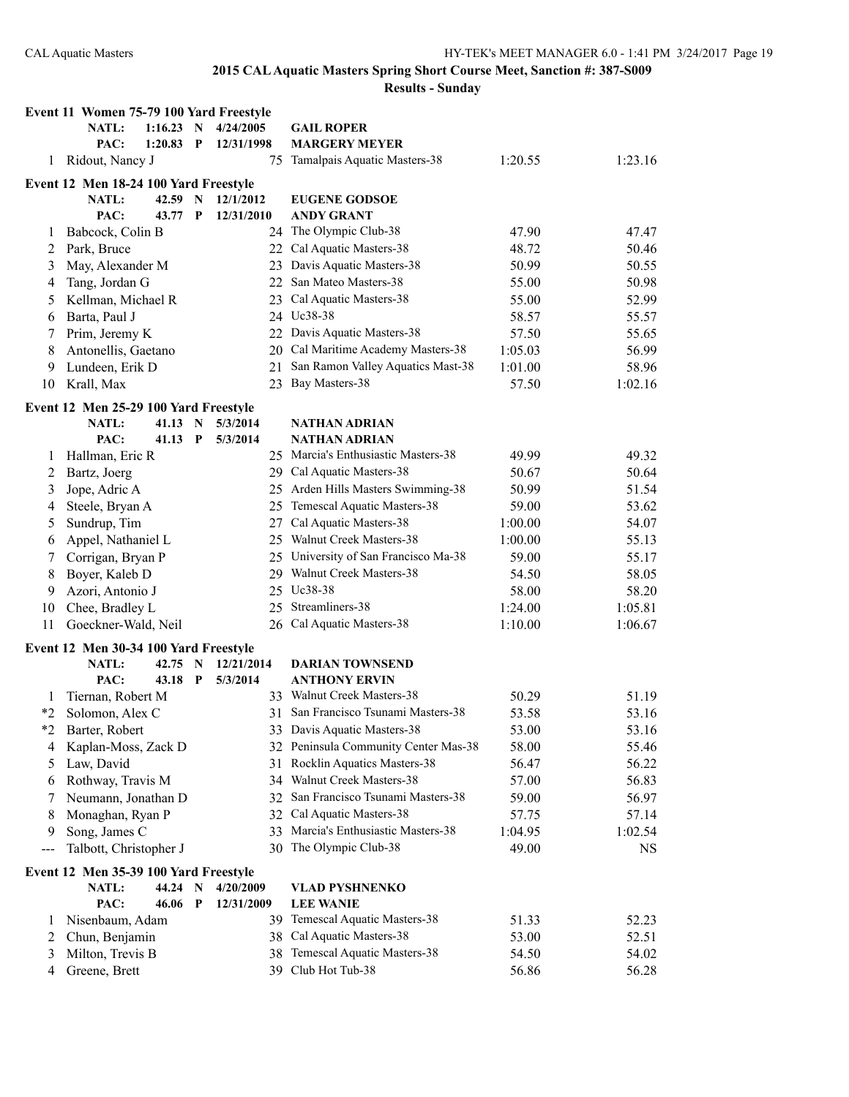| <b>Results - Sunday</b> |  |  |
|-------------------------|--|--|
|                         |  |  |

|         | Event 11 Women 75-79 100 Yard Freestyle |         |              |            |     |                                      |         |           |
|---------|-----------------------------------------|---------|--------------|------------|-----|--------------------------------------|---------|-----------|
|         | <b>NATL:</b>                            | 1:16.23 | N            | 4/24/2005  |     | <b>GAIL ROPER</b>                    |         |           |
|         | PAC:                                    | 1:20.83 | $\mathbf{P}$ | 12/31/1998 |     | <b>MARGERY MEYER</b>                 |         |           |
| 1       | Ridout, Nancy J                         |         |              |            | 75. | Tamalpais Aquatic Masters-38         | 1:20.55 | 1:23.16   |
|         | Event 12 Men 18-24 100 Yard Freestyle   |         |              |            |     |                                      |         |           |
|         | NATL:                                   | 42.59   | N            | 12/1/2012  |     | <b>EUGENE GODSOE</b>                 |         |           |
|         | PAC:                                    | 43.77   | P            | 12/31/2010 |     | <b>ANDY GRANT</b>                    |         |           |
| 1       | Babcock, Colin B                        |         |              |            |     | 24 The Olympic Club-38               | 47.90   | 47.47     |
| 2       | Park, Bruce                             |         |              |            |     | 22 Cal Aquatic Masters-38            | 48.72   | 50.46     |
| 3       | May, Alexander M                        |         |              |            |     | 23 Davis Aquatic Masters-38          | 50.99   | 50.55     |
| 4       | Tang, Jordan G                          |         |              |            |     | 22 San Mateo Masters-38              | 55.00   | 50.98     |
| 5       | Kellman, Michael R                      |         |              |            |     | 23 Cal Aquatic Masters-38            | 55.00   | 52.99     |
| 6       | Barta, Paul J                           |         |              |            |     | 24 Uc38-38                           | 58.57   | 55.57     |
| 7       | Prim, Jeremy K                          |         |              |            |     | 22 Davis Aquatic Masters-38          | 57.50   | 55.65     |
| 8       | Antonellis, Gaetano                     |         |              |            |     | 20 Cal Maritime Academy Masters-38   | 1:05.03 | 56.99     |
| 9       | Lundeen, Erik D                         |         |              |            |     | 21 San Ramon Valley Aquatics Mast-38 | 1:01.00 | 58.96     |
| 10      | Krall, Max                              |         |              |            |     | 23 Bay Masters-38                    | 57.50   | 1:02.16   |
|         | Event 12 Men 25-29 100 Yard Freestyle   |         |              |            |     |                                      |         |           |
|         | <b>NATL:</b>                            | 41.13   | N            | 5/3/2014   |     | <b>NATHAN ADRIAN</b>                 |         |           |
|         | PAC:                                    | 41.13   | P            | 5/3/2014   |     | <b>NATHAN ADRIAN</b>                 |         |           |
| 1       | Hallman, Eric R                         |         |              |            |     | 25 Marcia's Enthusiastic Masters-38  | 49.99   | 49.32     |
| 2       | Bartz, Joerg                            |         |              |            |     | 29 Cal Aquatic Masters-38            | 50.67   | 50.64     |
| 3       | Jope, Adric A                           |         |              |            |     | 25 Arden Hills Masters Swimming-38   | 50.99   | 51.54     |
| 4       | Steele, Bryan A                         |         |              |            |     | 25 Temescal Aquatic Masters-38       | 59.00   | 53.62     |
| 5       | Sundrup, Tim                            |         |              |            |     | 27 Cal Aquatic Masters-38            | 1:00.00 | 54.07     |
| 6       | Appel, Nathaniel L                      |         |              |            |     | 25 Walnut Creek Masters-38           | 1:00.00 | 55.13     |
| 7       | Corrigan, Bryan P                       |         |              |            |     | 25 University of San Francisco Ma-38 | 59.00   | 55.17     |
| 8       | Boyer, Kaleb D                          |         |              |            |     | 29 Walnut Creek Masters-38           | 54.50   | 58.05     |
| 9       | Azori, Antonio J                        |         |              |            |     | 25 Uc38-38                           | 58.00   | 58.20     |
| 10      | Chee, Bradley L                         |         |              |            |     | 25 Streamliners-38                   | 1:24.00 | 1:05.81   |
| 11      | Goeckner-Wald, Neil                     |         |              |            |     | 26 Cal Aquatic Masters-38            | 1:10.00 | 1:06.67   |
|         |                                         |         |              |            |     |                                      |         |           |
|         | Event 12 Men 30-34 100 Yard Freestyle   |         |              |            |     |                                      |         |           |
|         | NATL:                                   | 42.75   | $\mathbf N$  | 12/21/2014 |     | <b>DARIAN TOWNSEND</b>               |         |           |
|         | PAC:                                    | 43.18   | $\mathbf P$  | 5/3/2014   |     | <b>ANTHONY ERVIN</b>                 |         |           |
| 1       | Tiernan, Robert M                       |         |              |            |     | 33 Walnut Creek Masters-38           | 50.29   | 51.19     |
| $*_{2}$ | Solomon, Alex C                         |         |              |            |     | 31 San Francisco Tsunami Masters-38  | 53.58   | 53.16     |
|         | *2 Barter, Robert                       |         |              |            |     | 33 Davis Aquatic Masters-38          | 53.00   | 53.16     |
| 4       | Kaplan-Moss, Zack D                     |         |              |            |     | 32 Peninsula Community Center Mas-38 | 58.00   | 55.46     |
| 5       | Law, David                              |         |              |            | 31  | <b>Rocklin Aquatics Masters-38</b>   | 56.47   | 56.22     |
| 6       | Rothway, Travis M                       |         |              |            |     | 34 Walnut Creek Masters-38           | 57.00   | 56.83     |
| 7       | Neumann, Jonathan D                     |         |              |            |     | 32 San Francisco Tsunami Masters-38  | 59.00   | 56.97     |
| 8       | Monaghan, Ryan P                        |         |              |            |     | 32 Cal Aquatic Masters-38            | 57.75   | 57.14     |
| 9       | Song, James C                           |         |              |            |     | 33 Marcia's Enthusiastic Masters-38  | 1:04.95 | 1:02.54   |
| ---     | Talbott, Christopher J                  |         |              |            |     | 30 The Olympic Club-38               | 49.00   | <b>NS</b> |
|         | Event 12 Men 35-39 100 Yard Freestyle   |         |              |            |     |                                      |         |           |
|         | NATL:                                   | 44.24   | $\mathbf N$  | 4/20/2009  |     | <b>VLAD PYSHNENKO</b>                |         |           |
|         | PAC:                                    | 46.06   | P            | 12/31/2009 |     | <b>LEE WANIE</b>                     |         |           |
| 1       | Nisenbaum, Adam                         |         |              |            |     | 39 Temescal Aquatic Masters-38       | 51.33   | 52.23     |
| 2       | Chun, Benjamin                          |         |              |            |     | 38 Cal Aquatic Masters-38            | 53.00   | 52.51     |
| 3       | Milton, Trevis B                        |         |              |            |     | 38 Temescal Aquatic Masters-38       | 54.50   | 54.02     |
| 4       | Greene, Brett                           |         |              |            |     | 39 Club Hot Tub-38                   | 56.86   | 56.28     |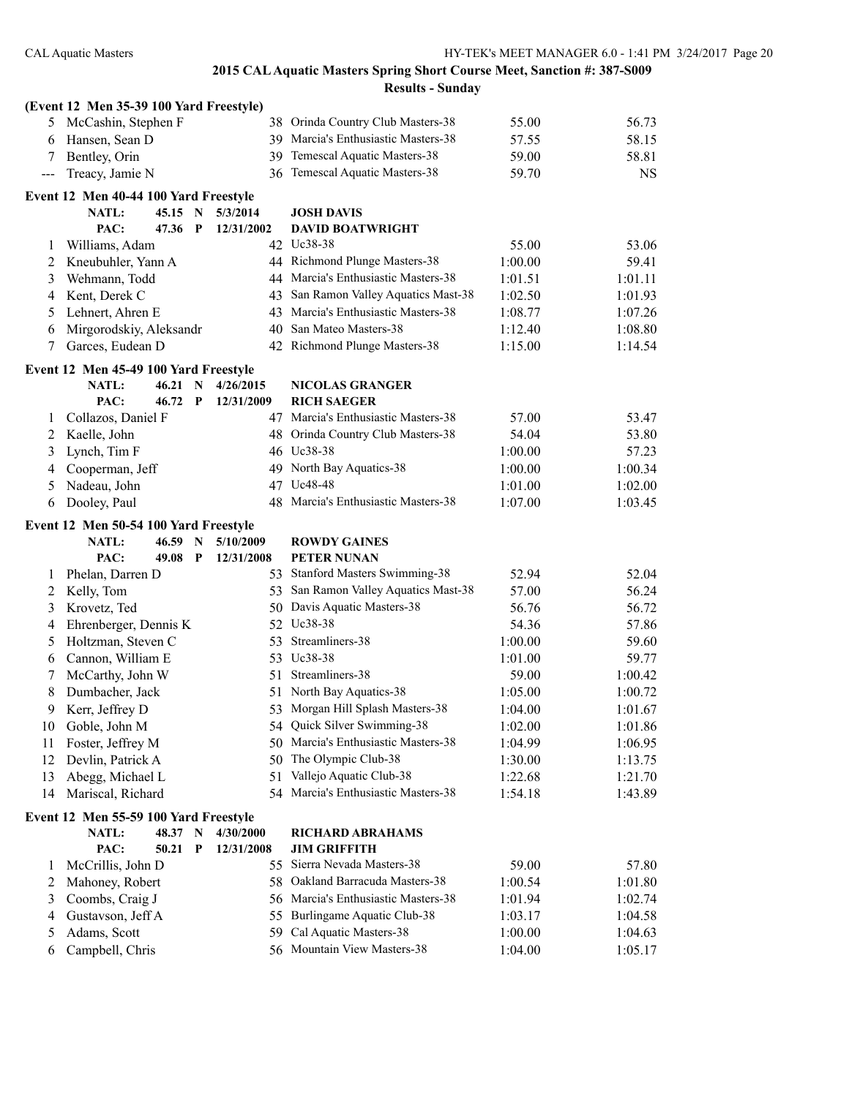|     | (Event 12 Men 35-39 100 Yard Freestyle)        |         |             |            |                                                          |                    |                    |
|-----|------------------------------------------------|---------|-------------|------------|----------------------------------------------------------|--------------------|--------------------|
| 5   | McCashin, Stephen F                            |         |             |            | 38 Orinda Country Club Masters-38                        | 55.00              | 56.73              |
| 6   | Hansen, Sean D                                 |         |             |            | 39 Marcia's Enthusiastic Masters-38                      | 57.55              | 58.15              |
| 7   | Bentley, Orin                                  |         |             | 39         | Temescal Aquatic Masters-38                              | 59.00              | 58.81              |
| --- | Treacy, Jamie N                                |         |             |            | 36 Temescal Aquatic Masters-38                           | 59.70              | <b>NS</b>          |
|     | Event 12 Men 40-44 100 Yard Freestyle          |         |             |            |                                                          |                    |                    |
|     | NATL:                                          | 45.15 N |             | 5/3/2014   | <b>JOSH DAVIS</b>                                        |                    |                    |
|     | PAC:                                           | 47.36   | P           | 12/31/2002 | <b>DAVID BOATWRIGHT</b>                                  |                    |                    |
| 1   | Williams, Adam                                 |         |             |            | 42 Uc38-38                                               | 55.00              | 53.06              |
| 2   | Kneubuhler, Yann A                             |         |             |            | 44 Richmond Plunge Masters-38                            | 1:00.00            | 59.41              |
| 3   | Wehmann, Todd                                  |         |             |            | 44 Marcia's Enthusiastic Masters-38                      | 1:01.51            | 1:01.11            |
| 4   | Kent, Derek C                                  |         |             | 43         | San Ramon Valley Aquatics Mast-38                        | 1:02.50            | 1:01.93            |
| 5   | Lehnert, Ahren E                               |         |             |            | 43 Marcia's Enthusiastic Masters-38                      | 1:08.77            | 1:07.26            |
| 6   | Mirgorodskiy, Aleksandr                        |         |             |            | 40 San Mateo Masters-38                                  | 1:12.40            | 1:08.80            |
| 7   | Garces, Eudean D                               |         |             |            | 42 Richmond Plunge Masters-38                            | 1:15.00            | 1:14.54            |
|     |                                                |         |             |            |                                                          |                    |                    |
|     | Event 12 Men 45-49 100 Yard Freestyle<br>NATL: | 46.21 N |             | 4/26/2015  | <b>NICOLAS GRANGER</b>                                   |                    |                    |
|     | PAC:                                           | 46.72 P |             | 12/31/2009 | <b>RICH SAEGER</b>                                       |                    |                    |
| 1   | Collazos, Daniel F                             |         |             |            | 47 Marcia's Enthusiastic Masters-38                      | 57.00              | 53.47              |
| 2   | Kaelle, John                                   |         |             |            | 48 Orinda Country Club Masters-38                        | 54.04              | 53.80              |
| 3   | Lynch, Tim F                                   |         |             |            | 46 Uc38-38                                               | 1:00.00            | 57.23              |
| 4   | Cooperman, Jeff                                |         |             | 49.        | North Bay Aquatics-38                                    | 1:00.00            | 1:00.34            |
| 5   | Nadeau, John                                   |         |             | 47         | Uc48-48                                                  | 1:01.00            | 1:02.00            |
| 6   | Dooley, Paul                                   |         |             |            | 48 Marcia's Enthusiastic Masters-38                      | 1:07.00            | 1:03.45            |
|     |                                                |         |             |            |                                                          |                    |                    |
|     | Event 12 Men 50-54 100 Yard Freestyle          |         |             |            |                                                          |                    |                    |
|     |                                                |         |             |            |                                                          |                    |                    |
|     | <b>NATL:</b>                                   | 46.59   | N           | 5/10/2009  | <b>ROWDY GAINES</b>                                      |                    |                    |
|     | PAC:                                           | 49.08   | P           | 12/31/2008 | PETER NUNAN                                              |                    |                    |
| 1   | Phelan, Darren D                               |         |             |            | 53 Stanford Masters Swimming-38                          | 52.94              | 52.04              |
| 2   | Kelly, Tom                                     |         |             | 53         | San Ramon Valley Aquatics Mast-38                        | 57.00              | 56.24              |
| 3   | Krovetz, Ted                                   |         |             |            | 50 Davis Aquatic Masters-38                              | 56.76              | 56.72              |
| 4   | Ehrenberger, Dennis K                          |         |             | 52         | Uc38-38                                                  | 54.36              | 57.86              |
| 5   | Holtzman, Steven C                             |         |             | 53         | Streamliners-38                                          | 1:00.00            | 59.60              |
| 6   | Cannon, William E                              |         |             | 53         | Uc38-38                                                  | 1:01.00            | 59.77              |
| 7   | McCarthy, John W                               |         |             | 51         | Streamliners-38                                          | 59.00              | 1:00.42            |
| 8   | Dumbacher, Jack                                |         |             |            | 51 North Bay Aquatics-38                                 | 1:05.00            | 1:00.72            |
| 9   | Kerr, Jeffrey D                                |         |             |            | 53 Morgan Hill Splash Masters-38                         | 1:04.00            | 1:01.67            |
| 10  | Goble, John M                                  |         |             |            | 54 Quick Silver Swimming-38                              | 1:02.00            | 1:01.86            |
| 11  | Foster, Jeffrey M                              |         |             |            | 50 Marcia's Enthusiastic Masters-38                      | 1:04.99            | 1:06.95            |
| 12  | Devlin, Patrick A                              |         |             | 50         | The Olympic Club-38                                      | 1:30.00            | 1:13.75            |
| 13  | Abegg, Michael L                               |         |             | 51         | Vallejo Aquatic Club-38                                  | 1:22.68            | 1:21.70            |
| 14  | Mariscal, Richard                              |         |             |            | 54 Marcia's Enthusiastic Masters-38                      | 1:54.18            | 1:43.89            |
|     | Event 12 Men 55-59 100 Yard Freestyle          |         |             |            |                                                          |                    |                    |
|     | NATL:                                          | 48.37 N |             | 4/30/2000  | <b>RICHARD ABRAHAMS</b>                                  |                    |                    |
|     | PAC:                                           | 50.21   | $\mathbf P$ | 12/31/2008 | <b>JIM GRIFFITH</b>                                      |                    |                    |
| 1   | McCrillis, John D                              |         |             |            | 55 Sierra Nevada Masters-38                              | 59.00              | 57.80              |
| 2   | Mahoney, Robert                                |         |             |            | 58 Oakland Barracuda Masters-38                          | 1:00.54            | 1:01.80            |
| 3   | Coombs, Craig J                                |         |             |            | 56 Marcia's Enthusiastic Masters-38                      | 1:01.94            | 1:02.74            |
| 4   | Gustavson, Jeff A                              |         |             |            | 55 Burlingame Aquatic Club-38                            | 1:03.17            | 1:04.58            |
| 5   | Adams, Scott<br>Campbell, Chris                |         |             |            | 59 Cal Aquatic Masters-38<br>56 Mountain View Masters-38 | 1:00.00<br>1:04.00 | 1:04.63<br>1:05.17 |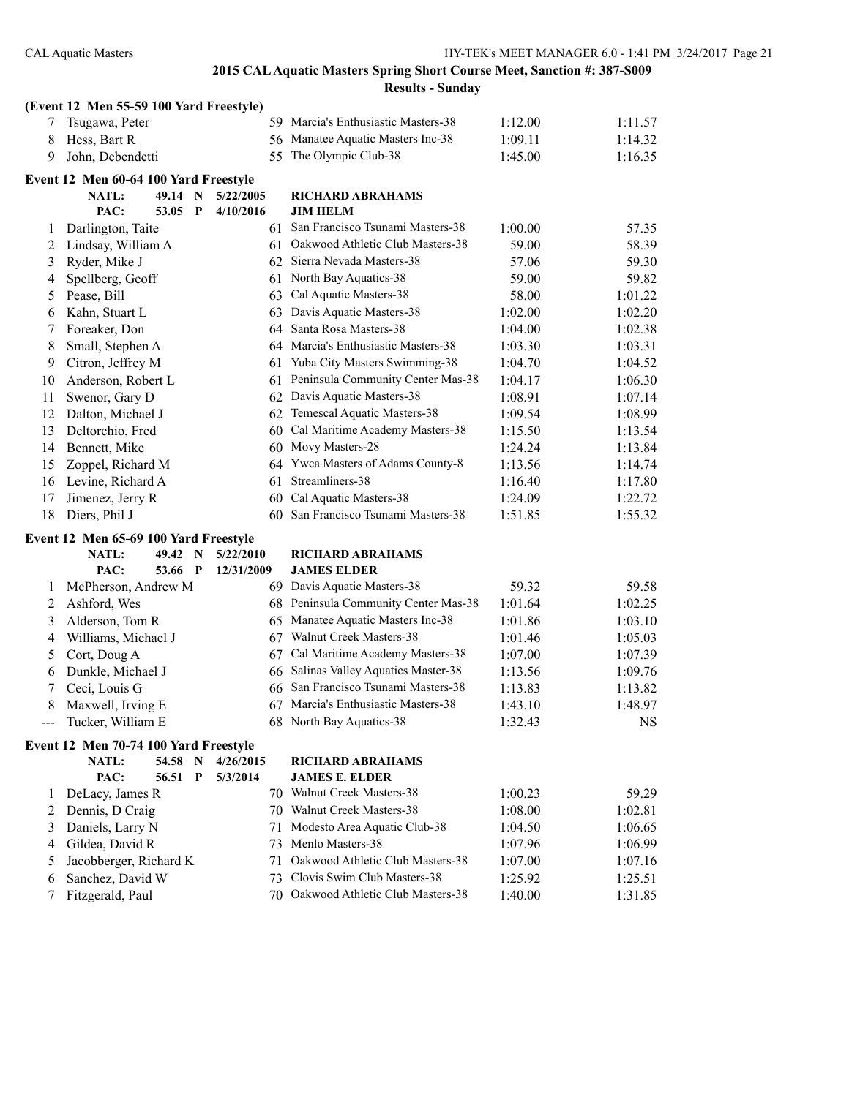|        | (Event 12 Men 55-59 100 Yard Freestyle) |         |             |            |                                                                 |                    |                    |
|--------|-----------------------------------------|---------|-------------|------------|-----------------------------------------------------------------|--------------------|--------------------|
| 7      | Tsugawa, Peter                          |         |             |            | 59 Marcia's Enthusiastic Masters-38                             | 1:12.00            | 1:11.57            |
| 8      | Hess, Bart R                            |         |             |            | 56 Manatee Aquatic Masters Inc-38                               | 1:09.11            | 1:14.32            |
| 9      | John, Debendetti                        |         |             | 55         | The Olympic Club-38                                             | 1:45.00            | 1:16.35            |
|        | Event 12 Men 60-64 100 Yard Freestyle   |         |             |            |                                                                 |                    |                    |
|        | <b>NATL:</b>                            | 49.14 N |             | 5/22/2005  | <b>RICHARD ABRAHAMS</b>                                         |                    |                    |
|        | PAC:                                    | 53.05 P |             | 4/10/2016  | <b>JIM HELM</b>                                                 |                    |                    |
| 1      | Darlington, Taite                       |         |             |            | 61 San Francisco Tsunami Masters-38                             | 1:00.00            | 57.35              |
| 2      | Lindsay, William A                      |         |             |            | 61 Oakwood Athletic Club Masters-38                             | 59.00              | 58.39              |
| 3      | Ryder, Mike J                           |         |             |            | 62 Sierra Nevada Masters-38                                     | 57.06              | 59.30              |
| 4      | Spellberg, Geoff                        |         |             |            | 61 North Bay Aquatics-38                                        | 59.00              | 59.82              |
| 5      | Pease, Bill                             |         |             | 63         | Cal Aquatic Masters-38                                          | 58.00              | 1:01.22            |
| 6      | Kahn, Stuart L                          |         |             | 63         | Davis Aquatic Masters-38                                        | 1:02.00            | 1:02.20            |
| 7      | Foreaker, Don                           |         |             | 64         | Santa Rosa Masters-38                                           | 1:04.00            | 1:02.38            |
| 8      | Small, Stephen A                        |         |             |            | 64 Marcia's Enthusiastic Masters-38                             | 1:03.30            | 1:03.31            |
| 9      | Citron, Jeffrey M                       |         |             | 61         | Yuba City Masters Swimming-38                                   | 1:04.70            | 1:04.52            |
| 10     | Anderson, Robert L                      |         |             | 61         | Peninsula Community Center Mas-38                               | 1:04.17            | 1:06.30            |
| 11     | Swenor, Gary D                          |         |             | 62         | Davis Aquatic Masters-38                                        | 1:08.91            | 1:07.14            |
| 12     | Dalton, Michael J                       |         |             | 62         | Temescal Aquatic Masters-38                                     | 1:09.54            | 1:08.99            |
| 13     | Deltorchio, Fred                        |         |             | 60         | Cal Maritime Academy Masters-38                                 | 1:15.50            | 1:13.54            |
| 14     | Bennett, Mike                           |         |             |            | 60 Movy Masters-28                                              | 1:24.24            | 1:13.84            |
| 15     | Zoppel, Richard M                       |         |             | 64         | Ywca Masters of Adams County-8                                  | 1:13.56            | 1:14.74            |
| 16     | Levine, Richard A                       |         |             | 61         | Streamliners-38                                                 | 1:16.40            | 1:17.80            |
| 17     | Jimenez, Jerry R                        |         |             |            | 60 Cal Aquatic Masters-38                                       | 1:24.09            | 1:22.72            |
|        |                                         |         |             |            |                                                                 |                    |                    |
| 18     | Diers, Phil J                           |         |             |            | 60 San Francisco Tsunami Masters-38                             | 1:51.85            | 1:55.32            |
|        | Event 12 Men 65-69 100 Yard Freestyle   |         |             |            |                                                                 |                    |                    |
|        | <b>NATL:</b>                            | 49.42 N |             | 5/22/2010  | <b>RICHARD ABRAHAMS</b>                                         |                    |                    |
|        | PAC:                                    | 53.66 P |             | 12/31/2009 | <b>JAMES ELDER</b>                                              |                    |                    |
| 1      | McPherson, Andrew M                     |         |             |            | 69 Davis Aquatic Masters-38                                     | 59.32              | 59.58              |
| 2      | Ashford, Wes                            |         |             |            | 68 Peninsula Community Center Mas-38                            | 1:01.64            | 1:02.25            |
| 3      | Alderson, Tom R                         |         |             |            | 65 Manatee Aquatic Masters Inc-38                               | 1:01.86            | 1:03.10            |
| 4      | Williams, Michael J                     |         |             |            | 67 Walnut Creek Masters-38                                      | 1:01.46            | 1:05.03            |
| 5      | Cort, Doug A                            |         |             | 67         | Cal Maritime Academy Masters-38                                 | 1:07.00            | 1:07.39            |
| 6      | Dunkle, Michael J                       |         |             | 66         | Salinas Valley Aquatics Master-38                               | 1:13.56            | 1:09.76            |
| 7      | Ceci, Louis G                           |         |             | 66         | San Francisco Tsunami Masters-38                                | 1:13.83            | 1:13.82            |
| 8      | Maxwell, Irving E                       |         |             |            | 67 Marcia's Enthusiastic Masters-38                             | 1:43.10            | 1:48.97            |
|        | Tucker, William E                       |         |             |            | 68 North Bay Aquatics-38                                        | 1:32.43            | NS                 |
|        | Event 12 Men 70-74 100 Yard Freestyle   |         |             |            |                                                                 |                    |                    |
|        | NATL:                                   | 54.58 N |             | 4/26/2015  | <b>RICHARD ABRAHAMS</b>                                         |                    |                    |
|        | PAC:                                    | 56.51   | $\mathbf P$ | 5/3/2014   | <b>JAMES E. ELDER</b>                                           |                    |                    |
| 1      | DeLacy, James R                         |         |             |            | 70 Walnut Creek Masters-38                                      | 1:00.23            | 59.29              |
| 2      | Dennis, D Craig                         |         |             |            | 70 Walnut Creek Masters-38                                      | 1:08.00            | 1:02.81            |
| 3      | Daniels, Larry N                        |         |             | 71         | Modesto Area Aquatic Club-38                                    | 1:04.50            | 1:06.65            |
| 4      | Gildea, David R                         |         |             | 73         | Menlo Masters-38                                                | 1:07.96            | 1:06.99            |
| 5      | Jacobberger, Richard K                  |         |             | 71         | Oakwood Athletic Club Masters-38                                | 1:07.00            | 1:07.16            |
| 6<br>7 | Sanchez, David W<br>Fitzgerald, Paul    |         |             | 73<br>70   | Clovis Swim Club Masters-38<br>Oakwood Athletic Club Masters-38 | 1:25.92<br>1:40.00 | 1:25.51<br>1:31.85 |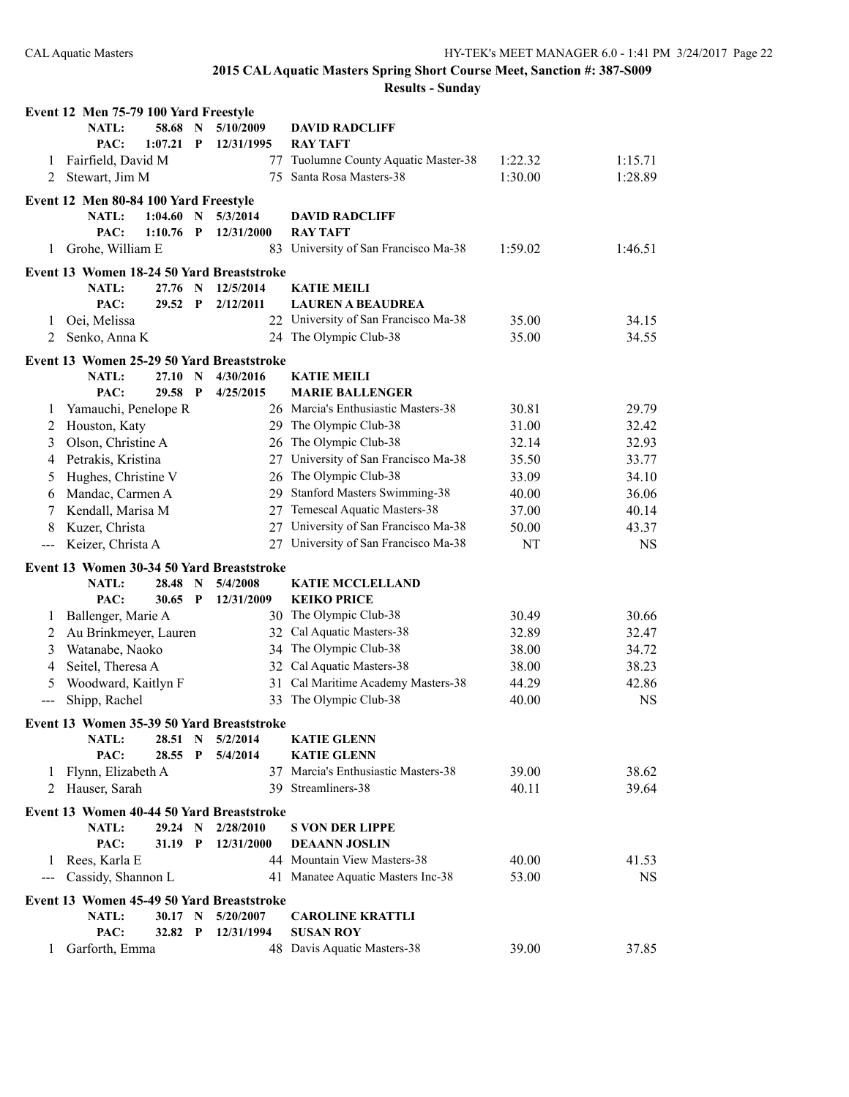|       | Event 12 Men 75-79 100 Yard Freestyle                     |                  |              |            |                                                |         |           |
|-------|-----------------------------------------------------------|------------------|--------------|------------|------------------------------------------------|---------|-----------|
|       | <b>NATL:</b>                                              | 58.68 N          |              | 5/10/2009  | <b>DAVID RADCLIFF</b>                          |         |           |
|       | PAC:                                                      | 1:07.21          | P            | 12/31/1995 | <b>RAY TAFT</b>                                |         |           |
| 1     | Fairfield, David M                                        |                  |              | 77         | Tuolumne County Aquatic Master-38              | 1:22.32 | 1:15.71   |
| 2     | Stewart, Jim M                                            |                  |              |            | 75 Santa Rosa Masters-38                       | 1:30.00 | 1:28.89   |
|       | Event 12 Men 80-84 100 Yard Freestyle                     |                  |              |            |                                                |         |           |
|       | <b>NATL:</b>                                              | 1:04.60          | $\mathbf N$  | 5/3/2014   | <b>DAVID RADCLIFF</b>                          |         |           |
|       | PAC:                                                      | 1:10.76          | P            | 12/31/2000 | <b>RAY TAFT</b>                                |         |           |
| 1     | Grohe, William E                                          |                  |              |            | 83 University of San Francisco Ma-38           | 1:59.02 | 1:46.51   |
|       | Event 13 Women 18-24 50 Yard Breaststroke                 |                  |              |            |                                                |         |           |
|       | <b>NATL:</b>                                              | 27.76 N          |              | 12/5/2014  | <b>KATIE MEILI</b>                             |         |           |
|       | PAC:                                                      | 29.52            | $\mathbf{P}$ | 2/12/2011  | <b>LAUREN A BEAUDREA</b>                       |         |           |
| 1     | Oei, Melissa                                              |                  |              |            | 22 University of San Francisco Ma-38           | 35.00   | 34.15     |
| 2     | Senko, Anna K                                             |                  |              |            | 24 The Olympic Club-38                         | 35.00   | 34.55     |
|       | Event 13 Women 25-29 50 Yard Breaststroke                 |                  |              |            |                                                |         |           |
|       | <b>NATL:</b>                                              | 27.10 N          |              | 4/30/2016  | <b>KATIE MEILI</b>                             |         |           |
|       | PAC:                                                      | 29.58 P          |              | 4/25/2015  | <b>MARIE BALLENGER</b>                         |         |           |
| 1     | Yamauchi, Penelope R                                      |                  |              |            | 26 Marcia's Enthusiastic Masters-38            | 30.81   | 29.79     |
| 2     | Houston, Katy                                             |                  |              |            | 29 The Olympic Club-38                         | 31.00   | 32.42     |
| 3     | Olson, Christine A                                        |                  |              |            | 26 The Olympic Club-38                         | 32.14   | 32.93     |
| 4     | Petrakis, Kristina                                        |                  |              |            | 27 University of San Francisco Ma-38           | 35.50   | 33.77     |
| 5     | Hughes, Christine V                                       |                  |              | 26         | The Olympic Club-38                            | 33.09   | 34.10     |
| 6     | Mandac, Carmen A                                          |                  |              | 29.        | <b>Stanford Masters Swimming-38</b>            | 40.00   | 36.06     |
| 7     | Kendall, Marisa M                                         |                  |              | 27         | Temescal Aquatic Masters-38                    | 37.00   | 40.14     |
| 8     | Kuzer, Christa                                            |                  |              |            | 27 University of San Francisco Ma-38           | 50.00   | 43.37     |
|       |                                                           |                  |              |            |                                                |         |           |
| $---$ | Keizer, Christa A                                         |                  |              |            | 27 University of San Francisco Ma-38           | NT      | <b>NS</b> |
|       |                                                           |                  |              |            |                                                |         |           |
|       | Event 13 Women 30-34 50 Yard Breaststroke<br><b>NATL:</b> | 28.48            | $\mathbf N$  | 5/4/2008   | <b>KATIE MCCLELLAND</b>                        |         |           |
|       | PAC:                                                      | $30.65$ P        |              | 12/31/2009 | <b>KEIKO PRICE</b>                             |         |           |
| 1     | Ballenger, Marie A                                        |                  |              |            | 30 The Olympic Club-38                         | 30.49   | 30.66     |
| 2     | Au Brinkmeyer, Lauren                                     |                  |              | 32         | Cal Aquatic Masters-38                         | 32.89   | 32.47     |
| 3     | Watanabe, Naoko                                           |                  |              |            | 34 The Olympic Club-38                         | 38.00   | 34.72     |
| 4     | Seitel, Theresa A                                         |                  |              |            | 32 Cal Aquatic Masters-38                      | 38.00   | 38.23     |
| 5     | Woodward, Kaitlyn F                                       |                  |              | 31         | Cal Maritime Academy Masters-38                | 44.29   | 42.86     |
| ---   | Shipp, Rachel                                             |                  |              | 33         | The Olympic Club-38                            | 40.00   | <b>NS</b> |
|       |                                                           |                  |              |            |                                                |         |           |
|       | Event 13 Women 35-39 50 Yard Breaststroke<br><b>NATL:</b> | 28.51            | $\mathbf N$  | 5/2/2014   | <b>KATIE GLENN</b>                             |         |           |
|       | PAC:                                                      | 28.55            | P            | 5/4/2014   | <b>KATIE GLENN</b>                             |         |           |
| 1     | Flynn, Elizabeth A                                        |                  |              |            | 37 Marcia's Enthusiastic Masters-38            | 39.00   | 38.62     |
| 2     | Hauser, Sarah                                             |                  |              |            | 39 Streamliners-38                             | 40.11   | 39.64     |
|       |                                                           |                  |              |            |                                                |         |           |
|       | Event 13 Women 40-44 50 Yard Breaststroke<br>NATL:        | 29.24 N          |              | 2/28/2010  |                                                |         |           |
|       | PAC:                                                      | 31.19 P          |              | 12/31/2000 | <b>S VON DER LIPPE</b><br><b>DEAANN JOSLIN</b> |         |           |
| 1     | Rees, Karla E                                             |                  |              |            | 44 Mountain View Masters-38                    | 40.00   | 41.53     |
| ---   | Cassidy, Shannon L                                        |                  |              |            | 41 Manatee Aquatic Masters Inc-38              | 53.00   | <b>NS</b> |
|       |                                                           |                  |              |            |                                                |         |           |
|       | Event 13 Women 45-49 50 Yard Breaststroke<br><b>NATL:</b> |                  |              | 5/20/2007  |                                                |         |           |
|       | PAC:                                                      | 30.17 N<br>32.82 | $\mathbf{P}$ | 12/31/1994 | <b>CAROLINE KRATTLI</b><br><b>SUSAN ROY</b>    |         |           |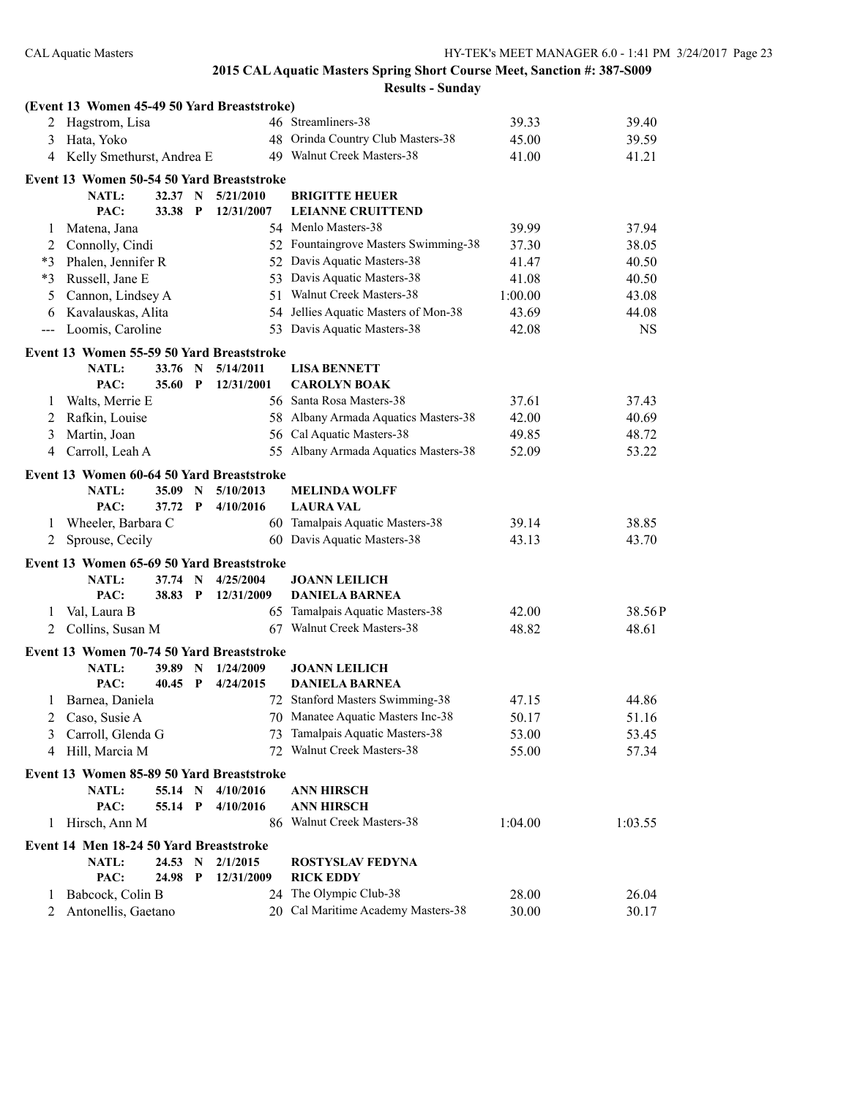|         | (Event 13 Women 45-49 50 Yard Breaststroke) |                    |              |            |                                               |         |           |
|---------|---------------------------------------------|--------------------|--------------|------------|-----------------------------------------------|---------|-----------|
|         | 2 Hagstrom, Lisa                            |                    |              |            | 46 Streamliners-38                            | 39.33   | 39.40     |
| 3       | Hata, Yoko                                  |                    |              |            | 48 Orinda Country Club Masters-38             | 45.00   | 39.59     |
|         | 4 Kelly Smethurst, Andrea E                 |                    |              |            | 49 Walnut Creek Masters-38                    | 41.00   | 41.21     |
|         | Event 13 Women 50-54 50 Yard Breaststroke   |                    |              |            |                                               |         |           |
|         | <b>NATL:</b>                                | 32.37 N            |              | 5/21/2010  | <b>BRIGITTE HEUER</b>                         |         |           |
|         | PAC:                                        | 33.38              | $\mathbf P$  | 12/31/2007 | <b>LEIANNE CRUITTEND</b>                      |         |           |
| 1       | Matena, Jana                                |                    |              |            | 54 Menlo Masters-38                           | 39.99   | 37.94     |
| 2       | Connolly, Cindi                             |                    |              |            | 52 Fountaingrove Masters Swimming-38          | 37.30   | 38.05     |
| *3      | Phalen, Jennifer R                          |                    |              |            | 52 Davis Aquatic Masters-38                   | 41.47   | 40.50     |
| *3      | Russell, Jane E                             |                    |              |            | 53 Davis Aquatic Masters-38                   | 41.08   | 40.50     |
| 5       | Cannon, Lindsey A                           |                    |              |            | 51 Walnut Creek Masters-38                    | 1:00.00 | 43.08     |
| 6       | Kavalauskas, Alita                          |                    |              |            | 54 Jellies Aquatic Masters of Mon-38          | 43.69   | 44.08     |
| ---     | Loomis, Caroline                            |                    |              |            | 53 Davis Aquatic Masters-38                   | 42.08   | <b>NS</b> |
|         | Event 13 Women 55-59 50 Yard Breaststroke   |                    |              |            |                                               |         |           |
|         | <b>NATL:</b>                                | 33.76              | N            | 5/14/2011  | <b>LISA BENNETT</b>                           |         |           |
|         | PAC:                                        | 35.60              | $\mathbf P$  | 12/31/2001 | <b>CAROLYN BOAK</b>                           |         |           |
| 1       | Walts, Merrie E                             |                    |              |            | 56 Santa Rosa Masters-38                      | 37.61   | 37.43     |
| 2       | Rafkin, Louise                              |                    |              |            | 58 Albany Armada Aquatics Masters-38          | 42.00   | 40.69     |
| 3       | Martin, Joan                                |                    |              |            | 56 Cal Aquatic Masters-38                     | 49.85   | 48.72     |
| 4       | Carroll, Leah A                             |                    |              |            | 55 Albany Armada Aquatics Masters-38          | 52.09   | 53.22     |
|         | Event 13 Women 60-64 50 Yard Breaststroke   |                    |              |            |                                               |         |           |
|         | NATL:                                       | 35.09              | $\mathbf N$  | 5/10/2013  | <b>MELINDA WOLFF</b>                          |         |           |
|         | PAC:                                        | 37.72 P            |              | 4/10/2016  | <b>LAURA VAL</b>                              |         |           |
| 1       | Wheeler, Barbara C                          |                    |              |            | 60 Tamalpais Aquatic Masters-38               | 39.14   | 38.85     |
| 2       | Sprouse, Cecily                             |                    |              |            | 60 Davis Aquatic Masters-38                   | 43.13   | 43.70     |
|         |                                             |                    |              |            |                                               |         |           |
|         | Event 13 Women 65-69 50 Yard Breaststroke   |                    |              |            |                                               |         |           |
|         | NATL:<br>PAC:                               | 37.74 N<br>38.83 P |              | 4/25/2004  | <b>JOANN LEILICH</b><br><b>DANIELA BARNEA</b> |         |           |
|         |                                             |                    |              | 12/31/2009 | 65 Tamalpais Aquatic Masters-38               | 42.00   |           |
| 1       | Val, Laura B                                |                    |              |            | 67 Walnut Creek Masters-38                    |         | 38.56P    |
| 2       | Collins, Susan M                            |                    |              |            |                                               | 48.82   | 48.61     |
|         | Event 13 Women 70-74 50 Yard Breaststroke   |                    |              |            |                                               |         |           |
|         | <b>NATL:</b>                                | 39.89              | $\mathbf N$  | 1/24/2009  | <b>JOANN LEILICH</b>                          |         |           |
|         | PAC:                                        | 40.45              | $\mathbf{P}$ | 4/24/2015  | <b>DANIELA BARNEA</b>                         |         |           |
| $\perp$ | Barnea, Daniela                             |                    |              |            | 72 Stanford Masters Swimming-38               | 47.15   | 44.86     |
|         | Caso, Susie A                               |                    |              |            | 70 Manatee Aquatic Masters Inc-38             | 50.17   | 51.16     |
| 3       | Carroll, Glenda G                           |                    |              | 73         | Tamalpais Aquatic Masters-38                  | 53.00   | 53.45     |
| 4       | Hill, Marcia M                              |                    |              |            | 72 Walnut Creek Masters-38                    | 55.00   | 57.34     |
|         | Event 13 Women 85-89 50 Yard Breaststroke   |                    |              |            |                                               |         |           |
|         | NATL:                                       | 55.14 N            |              | 4/10/2016  | <b>ANN HIRSCH</b>                             |         |           |
|         | PAC:                                        | 55.14 P            |              | 4/10/2016  | <b>ANN HIRSCH</b>                             |         |           |
| 1       | Hirsch, Ann M                               |                    |              |            | 86 Walnut Creek Masters-38                    | 1:04.00 | 1:03.55   |
|         | Event 14 Men 18-24 50 Yard Breaststroke     |                    |              |            |                                               |         |           |
|         | <b>NATL:</b>                                | 24.53 N            |              | 2/1/2015   | <b>ROSTYSLAV FEDYNA</b>                       |         |           |
|         | PAC:                                        | 24.98              | $\mathbf{P}$ | 12/31/2009 | <b>RICK EDDY</b>                              |         |           |
| $\perp$ | Babcock, Colin B                            |                    |              |            | 24 The Olympic Club-38                        | 28.00   | 26.04     |
| 2       | Antonellis, Gaetano                         |                    |              |            | 20 Cal Maritime Academy Masters-38            | 30.00   | 30.17     |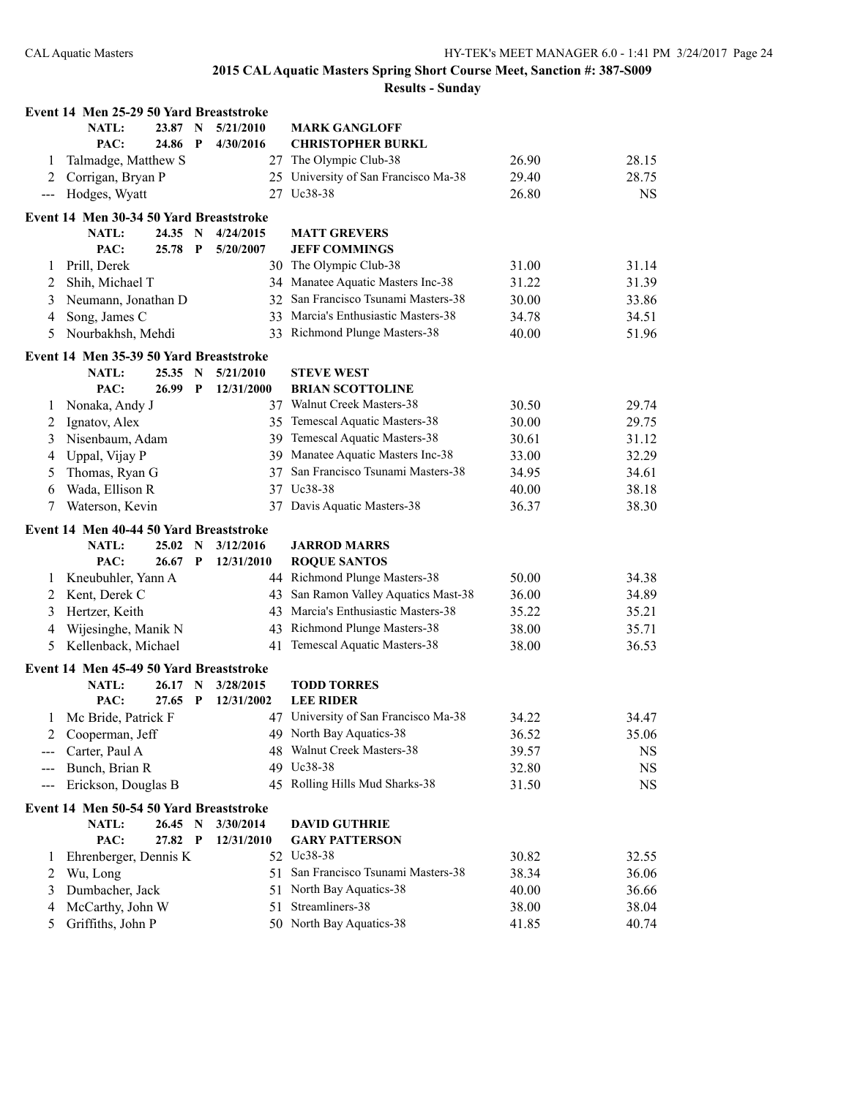|                       | Event 14 Men 25-29 50 Yard Breaststroke |           |              |            |                                      |       |           |
|-----------------------|-----------------------------------------|-----------|--------------|------------|--------------------------------------|-------|-----------|
|                       | NATL:                                   | 23.87 N   |              | 5/21/2010  | <b>MARK GANGLOFF</b>                 |       |           |
|                       | PAC:                                    | 24.86     | $\mathbf{P}$ | 4/30/2016  | <b>CHRISTOPHER BURKL</b>             |       |           |
| 1                     | Talmadge, Matthew S                     |           |              |            | 27 The Olympic Club-38               | 26.90 | 28.15     |
| 2                     | Corrigan, Bryan P                       |           |              |            | 25 University of San Francisco Ma-38 | 29.40 | 28.75     |
| $\scriptstyle \cdots$ | Hodges, Wyatt                           |           |              |            | 27 Uc38-38                           | 26.80 | <b>NS</b> |
|                       | Event 14 Men 30-34 50 Yard Breaststroke |           |              |            |                                      |       |           |
|                       | <b>NATL:</b>                            | 24.35 N   |              | 4/24/2015  | <b>MATT GREVERS</b>                  |       |           |
|                       | PAC:                                    | 25.78     | $\mathbf P$  | 5/20/2007  | <b>JEFF COMMINGS</b>                 |       |           |
| 1                     | Prill, Derek                            |           |              |            | 30 The Olympic Club-38               | 31.00 | 31.14     |
| 2                     | Shih, Michael T                         |           |              |            | 34 Manatee Aquatic Masters Inc-38    | 31.22 | 31.39     |
| 3                     | Neumann, Jonathan D                     |           |              |            | 32 San Francisco Tsunami Masters-38  | 30.00 | 33.86     |
| 4                     | Song, James C                           |           |              |            | 33 Marcia's Enthusiastic Masters-38  | 34.78 | 34.51     |
| 5                     | Nourbakhsh, Mehdi                       |           |              |            | 33 Richmond Plunge Masters-38        | 40.00 | 51.96     |
|                       | Event 14 Men 35-39 50 Yard Breaststroke |           |              |            |                                      |       |           |
|                       | NATL:                                   | 25.35     | $\mathbf N$  | 5/21/2010  | <b>STEVE WEST</b>                    |       |           |
|                       | PAC:                                    | 26.99     | $\mathbf{P}$ | 12/31/2000 | <b>BRIAN SCOTTOLINE</b>              |       |           |
| 1                     | Nonaka, Andy J                          |           |              |            | 37 Walnut Creek Masters-38           | 30.50 | 29.74     |
| 2                     | Ignatov, Alex                           |           |              |            | 35 Temescal Aquatic Masters-38       | 30.00 | 29.75     |
| 3                     | Nisenbaum, Adam                         |           |              |            | 39 Temescal Aquatic Masters-38       | 30.61 | 31.12     |
| 4                     | Uppal, Vijay P                          |           |              |            | 39 Manatee Aquatic Masters Inc-38    | 33.00 | 32.29     |
| 5                     | Thomas, Ryan G                          |           |              | 37         | San Francisco Tsunami Masters-38     | 34.95 | 34.61     |
| 6                     | Wada, Ellison R                         |           |              |            | 37 Uc38-38                           | 40.00 | 38.18     |
| 7                     | Waterson, Kevin                         |           |              | 37         | Davis Aquatic Masters-38             | 36.37 | 38.30     |
|                       | Event 14 Men 40-44 50 Yard Breaststroke |           |              |            |                                      |       |           |
|                       | NATL:                                   | 25.02 N   |              | 3/12/2016  | <b>JARROD MARRS</b>                  |       |           |
|                       | PAC:                                    | 26.67     | $\mathbf{P}$ | 12/31/2010 | <b>ROQUE SANTOS</b>                  |       |           |
| 1                     | Kneubuhler, Yann A                      |           |              |            | 44 Richmond Plunge Masters-38        | 50.00 | 34.38     |
| 2                     | Kent, Derek C                           |           |              |            | 43 San Ramon Valley Aquatics Mast-38 | 36.00 | 34.89     |
| 3                     | Hertzer, Keith                          |           |              |            | 43 Marcia's Enthusiastic Masters-38  | 35.22 | 35.21     |
| 4                     | Wijesinghe, Manik N                     |           |              |            | 43 Richmond Plunge Masters-38        | 38.00 | 35.71     |
| 5                     | Kellenback, Michael                     |           |              |            | 41 Temescal Aquatic Masters-38       | 38.00 | 36.53     |
|                       | Event 14 Men 45-49 50 Yard Breaststroke |           |              |            |                                      |       |           |
|                       | <b>NATL:</b>                            | 26.17 N   |              | 3/28/2015  | <b>TODD TORRES</b>                   |       |           |
|                       | PAC:                                    | $27.65$ P |              | 12/31/2002 | <b>LEE RIDER</b>                     |       |           |
|                       | 1 Mc Bride, Patrick F                   |           |              |            | 47 University of San Francisco Ma-38 | 34.22 | 34.47     |
|                       | Cooperman, Jeff                         |           |              |            | 49 North Bay Aquatics-38             | 36.52 | 35.06     |
|                       | Carter, Paul A                          |           |              |            | 48 Walnut Creek Masters-38           | 39.57 | NS        |
| $---$                 | Bunch, Brian R                          |           |              |            | 49 Uc38-38                           | 32.80 | <b>NS</b> |
| $--$                  | Erickson, Douglas B                     |           |              |            | 45 Rolling Hills Mud Sharks-38       | 31.50 | <b>NS</b> |
|                       | Event 14 Men 50-54 50 Yard Breaststroke |           |              |            |                                      |       |           |
|                       | <b>NATL:</b>                            | 26.45 N   |              | 3/30/2014  | <b>DAVID GUTHRIE</b>                 |       |           |
|                       | PAC:                                    | 27.82 P   |              | 12/31/2010 | <b>GARY PATTERSON</b>                |       |           |
| 1                     | Ehrenberger, Dennis K                   |           |              |            | 52 Uc38-38                           | 30.82 | 32.55     |
| 2                     | Wu, Long                                |           |              |            | 51 San Francisco Tsunami Masters-38  | 38.34 | 36.06     |
| 3                     | Dumbacher, Jack                         |           |              |            | 51 North Bay Aquatics-38             | 40.00 | 36.66     |
| 4                     | McCarthy, John W                        |           |              |            | 51 Streamliners-38                   | 38.00 | 38.04     |
| 5                     | Griffiths, John P                       |           |              |            | 50 North Bay Aquatics-38             | 41.85 | 40.74     |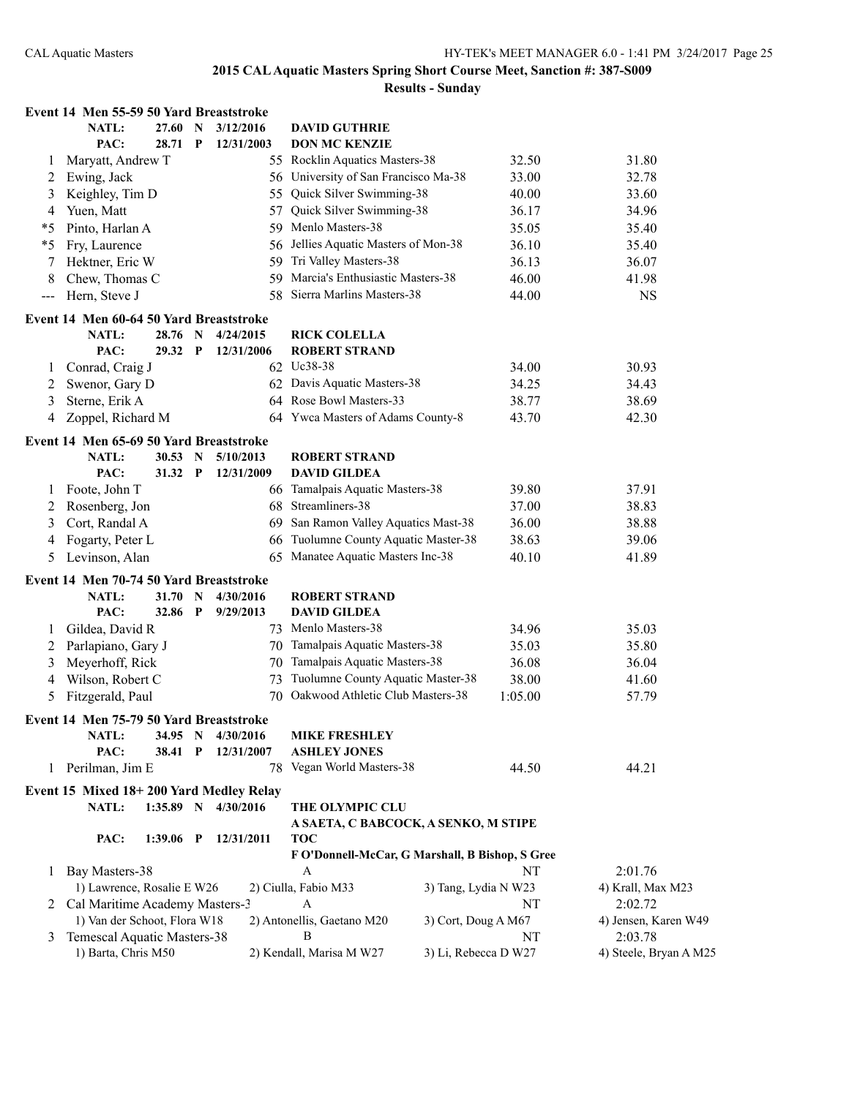|         | Event 14 Men 55-59 50 Yard Breaststroke          |             |              |                     |                                                 |                      |                        |
|---------|--------------------------------------------------|-------------|--------------|---------------------|-------------------------------------------------|----------------------|------------------------|
|         | NATL:                                            | 27.60       | N            | 3/12/2016           | <b>DAVID GUTHRIE</b>                            |                      |                        |
|         | PAC:                                             | 28.71       | $\mathbf{P}$ | 12/31/2003          | <b>DON MC KENZIE</b>                            |                      |                        |
| 1       | Maryatt, Andrew T                                |             |              |                     | 55 Rocklin Aquatics Masters-38                  | 32.50                | 31.80                  |
| 2       | Ewing, Jack                                      |             |              |                     | 56 University of San Francisco Ma-38            | 33.00                | 32.78                  |
| 3       | Keighley, Tim D                                  |             |              | 55                  | Quick Silver Swimming-38                        | 40.00                | 33.60                  |
| 4       | Yuen, Matt                                       |             |              | 57                  | Quick Silver Swimming-38                        | 36.17                | 34.96                  |
| $*_{5}$ | Pinto, Harlan A                                  |             |              | 59                  | Menlo Masters-38                                | 35.05                | 35.40                  |
| $*_{5}$ | Fry, Laurence                                    |             |              | 56                  | Jellies Aquatic Masters of Mon-38               | 36.10                | 35.40                  |
| 7       | Hektner, Eric W                                  |             |              | 59                  | Tri Valley Masters-38                           | 36.13                | 36.07                  |
| 8       | Chew, Thomas C                                   |             |              | 59                  | Marcia's Enthusiastic Masters-38                | 46.00                | 41.98                  |
| $--$    | Hern, Steve J                                    |             |              | 58                  | Sierra Marlins Masters-38                       | 44.00                | <b>NS</b>              |
|         | Event 14 Men 60-64 50 Yard Breaststroke          |             |              |                     |                                                 |                      |                        |
|         | <b>NATL:</b>                                     | 28.76 N     |              | 4/24/2015           | <b>RICK COLELLA</b>                             |                      |                        |
|         | PAC:                                             | 29.32 P     |              | 12/31/2006          | <b>ROBERT STRAND</b>                            |                      |                        |
| $\perp$ | Conrad, Craig J                                  |             |              |                     | 62 Uc38-38                                      | 34.00                | 30.93                  |
| 2       | Swenor, Gary D                                   |             |              |                     | 62 Davis Aquatic Masters-38                     | 34.25                | 34.43                  |
| 3       | Sterne, Erik A                                   |             |              |                     | 64 Rose Bowl Masters-33                         | 38.77                | 38.69                  |
| 4       | Zoppel, Richard M                                |             |              |                     | 64 Ywca Masters of Adams County-8               | 43.70                | 42.30                  |
|         |                                                  |             |              |                     |                                                 |                      |                        |
|         | Event 14 Men 65-69 50 Yard Breaststroke          |             |              |                     |                                                 |                      |                        |
|         | NATL:                                            | 30.53 N     |              | 5/10/2013           | <b>ROBERT STRAND</b>                            |                      |                        |
|         | PAC:                                             | 31.32       | $\mathbf{P}$ | 12/31/2009          | <b>DAVID GILDEA</b>                             |                      |                        |
| $\perp$ | Foote, John T                                    |             |              |                     | 66 Tamalpais Aquatic Masters-38                 | 39.80                | 37.91                  |
| 2       | Rosenberg, Jon                                   |             |              | 68                  | Streamliners-38                                 | 37.00                | 38.83                  |
| 3       | Cort, Randal A                                   |             |              | 69                  | San Ramon Valley Aquatics Mast-38               | 36.00                | 38.88                  |
| 4       | Fogarty, Peter L                                 |             |              | 66                  | Tuolumne County Aquatic Master-38               | 38.63                | 39.06                  |
| 5       | Levinson, Alan                                   |             |              | 65                  | Manatee Aquatic Masters Inc-38                  | 40.10                | 41.89                  |
|         | Event 14 Men 70-74 50 Yard Breaststroke          |             |              |                     |                                                 |                      |                        |
|         | <b>NATL:</b>                                     | 31.70       | $\mathbf N$  | 4/30/2016           | <b>ROBERT STRAND</b>                            |                      |                        |
|         | PAC:                                             | 32.86       | $\mathbf P$  | 9/29/2013           | <b>DAVID GILDEA</b>                             |                      |                        |
| 1       | Gildea, David R                                  |             |              |                     | 73 Menlo Masters-38                             | 34.96                | 35.03                  |
| 2       | Parlapiano, Gary J                               |             |              |                     | 70 Tamalpais Aquatic Masters-38                 | 35.03                | 35.80                  |
| 3       | Meyerhoff, Rick                                  |             |              | 70                  | Tamalpais Aquatic Masters-38                    | 36.08                | 36.04                  |
| 4       | Wilson, Robert C                                 |             |              | 73                  | Tuolumne County Aquatic Master-38               | 38.00                | 41.60                  |
| 5       | Fitzgerald, Paul                                 |             |              |                     | 70 Oakwood Athletic Club Masters-38             | 1:05.00              | 57.79                  |
|         | Event 14 Men 75-79 50 Yard Breaststroke          |             |              |                     |                                                 |                      |                        |
|         | <b>NATL:</b>                                     | 34.95 N     |              | 4/30/2016           | <b>MIKE FRESHLEY</b>                            |                      |                        |
|         | PAC:                                             | 38.41       | P            | 12/31/2007          | <b>ASHLEY JONES</b>                             |                      |                        |
| 1       | Perilman, Jim E                                  |             |              |                     | 78 Vegan World Masters-38                       | 44.50                | 44.21                  |
|         |                                                  |             |              |                     |                                                 |                      |                        |
|         | Event 15 Mixed 18+200 Yard Medley Relay<br>NATL: |             |              | 1:35.89 N 4/30/2016 | THE OLYMPIC CLU                                 |                      |                        |
|         |                                                  |             |              |                     | A SAETA, C BABCOCK, A SENKO, M STIPE            |                      |                        |
|         | PAC:                                             | $1:39.06$ P |              | 12/31/2011          | <b>TOC</b>                                      |                      |                        |
|         |                                                  |             |              |                     | F O'Donnell-McCar, G Marshall, B Bishop, S Gree |                      |                        |
| 1       | Bay Masters-38                                   |             |              |                     | A                                               | NT                   | 2:01.76                |
|         | 1) Lawrence, Rosalie E W26                       |             |              |                     | 2) Ciulla, Fabio M33                            | 3) Tang, Lydia N W23 | 4) Krall, Max M23      |
|         | 2 Cal Maritime Academy Masters-3                 |             |              |                     | A                                               | NT                   | 2:02.72                |
|         | 1) Van der Schoot, Flora W18                     |             |              |                     | 2) Antonellis, Gaetano M20                      | 3) Cort, Doug A M67  | 4) Jensen, Karen W49   |
| 3       | Temescal Aquatic Masters-38                      |             |              |                     | B                                               | NT                   | 2:03.78                |
|         | 1) Barta, Chris M50                              |             |              |                     | 2) Kendall, Marisa M W27                        | 3) Li, Rebecca D W27 | 4) Steele, Bryan A M25 |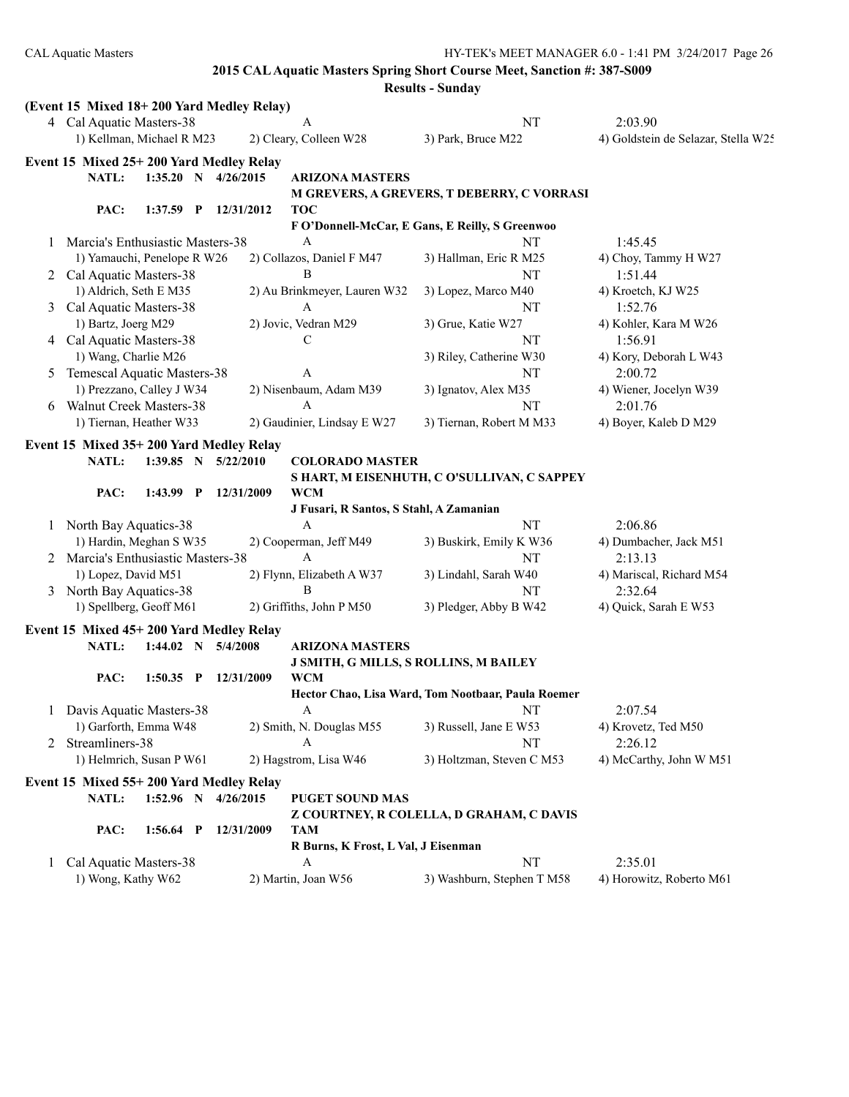|   |                                           |                                         | <b>Results - Sunday</b>                            |                                     |
|---|-------------------------------------------|-----------------------------------------|----------------------------------------------------|-------------------------------------|
|   | (Event 15 Mixed 18+200 Yard Medley Relay) |                                         |                                                    |                                     |
|   | 4 Cal Aquatic Masters-38                  | A                                       | NT                                                 | 2:03.90                             |
|   | 1) Kellman, Michael R M23                 | 2) Cleary, Colleen W28                  | 3) Park, Bruce M22                                 | 4) Goldstein de Selazar, Stella W25 |
|   | Event 15 Mixed 25+200 Yard Medley Relay   |                                         |                                                    |                                     |
|   | NATL:<br>$1:35.20$ N $4/26/2015$          | <b>ARIZONA MASTERS</b>                  |                                                    |                                     |
|   |                                           |                                         | M GREVERS, A GREVERS, T DEBERRY, C VORRASI         |                                     |
|   | PAC:<br>$1:37.59$ P                       | 12/31/2012<br>TOC                       |                                                    |                                     |
|   |                                           |                                         | F O'Donnell-McCar, E Gans, E Reilly, S Greenwoo    |                                     |
| 1 | Marcia's Enthusiastic Masters-38          | А                                       | NT                                                 | 1:45.45                             |
|   | 1) Yamauchi, Penelope R W26               | 2) Collazos, Daniel F M47               | 3) Hallman, Eric R M25                             | 4) Choy, Tammy H W27                |
|   | 2 Cal Aquatic Masters-38                  | В                                       | NT                                                 | 1:51.44                             |
|   | 1) Aldrich, Seth E M35                    | 2) Au Brinkmeyer, Lauren W32            | 3) Lopez, Marco M40                                | 4) Kroetch, KJ W25                  |
| 3 | Cal Aquatic Masters-38                    | A                                       | NT                                                 | 1:52.76                             |
|   | 1) Bartz, Joerg M29                       | 2) Jovic, Vedran M29                    | 3) Grue, Katie W27                                 | 4) Kohler, Kara M W26               |
|   | 4 Cal Aquatic Masters-38                  | С                                       | NT                                                 | 1:56.91                             |
|   | 1) Wang, Charlie M26                      |                                         | 3) Riley, Catherine W30                            | 4) Kory, Deborah L W43              |
| 5 | Temescal Aquatic Masters-38               | A                                       | NT                                                 | 2:00.72                             |
|   | 1) Prezzano, Calley J W34                 | 2) Nisenbaum, Adam M39                  | 3) Ignatov, Alex M35                               | 4) Wiener, Jocelyn W39              |
| 6 | <b>Walnut Creek Masters-38</b>            | A                                       | NT                                                 | 2:01.76                             |
|   | 1) Tiernan, Heather W33                   | 2) Gaudinier, Lindsay E W27             | 3) Tiernan, Robert M M33                           | 4) Boyer, Kaleb D M29               |
|   |                                           |                                         |                                                    |                                     |
|   | Event 15 Mixed 35+200 Yard Medley Relay   |                                         |                                                    |                                     |
|   | NATL:<br>1:39.85 N                        | 5/22/2010<br><b>COLORADO MASTER</b>     |                                                    |                                     |
|   |                                           |                                         | S HART, M EISENHUTH, C O'SULLIVAN, C SAPPEY        |                                     |
|   | PAC:<br>1:43.99 P                         | <b>WCM</b><br>12/31/2009                |                                                    |                                     |
|   |                                           | J Fusari, R Santos, S Stahl, A Zamanian |                                                    |                                     |
| 1 | North Bay Aquatics-38                     | A                                       | NT                                                 | 2:06.86                             |
|   | 1) Hardin, Meghan S W35                   | 2) Cooperman, Jeff M49                  | 3) Buskirk, Emily K W36                            | 4) Dumbacher, Jack M51              |
| 2 | Marcia's Enthusiastic Masters-38          | A                                       | NT                                                 | 2:13.13                             |
|   | 1) Lopez, David M51                       | 2) Flynn, Elizabeth A W37               | 3) Lindahl, Sarah W40                              | 4) Mariscal, Richard M54            |
|   | 3 North Bay Aquatics-38                   | B                                       | NT                                                 | 2:32.64                             |
|   | 1) Spellberg, Geoff M61                   | 2) Griffiths, John P M50                | 3) Pledger, Abby B W42                             | 4) Quick, Sarah E W53               |
|   | Event 15 Mixed 45+200 Yard Medley Relay   |                                         |                                                    |                                     |
|   | NATL:<br>$1:44.02$ N                      | 5/4/2008<br><b>ARIZONA MASTERS</b>      |                                                    |                                     |
|   |                                           |                                         | J SMITH, G MILLS, S ROLLINS, M BAILEY              |                                     |
|   | PAC:<br>$1:50.35$ P                       | 12/31/2009<br><b>WCM</b>                |                                                    |                                     |
|   |                                           |                                         | Hector Chao, Lisa Ward, Tom Nootbaar, Paula Roemer |                                     |
| 1 | Davis Aquatic Masters-38                  | A                                       | NT                                                 | 2:07.54                             |
|   | 1) Garforth, Emma W48                     | 2) Smith, N. Douglas M55                | 3) Russell, Jane E W53                             | 4) Krovetz, Ted M50                 |
| 2 | Streamliners-38                           | A                                       | NT                                                 | 2:26.12                             |
|   | 1) Helmrich, Susan P W61                  | 2) Hagstrom, Lisa W46                   | 3) Holtzman, Steven C M53                          | 4) McCarthy, John W M51             |
|   | Event 15 Mixed 55+200 Yard Medley Relay   |                                         |                                                    |                                     |
|   | NATL:<br>$1:52.96$ N                      | PUGET SOUND MAS<br>4/26/2015            |                                                    |                                     |
|   |                                           |                                         |                                                    |                                     |
|   | PAC:<br>$1:56.64$ P                       | 12/31/2009<br>TAM                       | Z COURTNEY, R COLELLA, D GRAHAM, C DAVIS           |                                     |
|   |                                           | R Burns, K Frost, L Val, J Eisenman     |                                                    |                                     |
|   | Cal Aquatic Masters-38                    | A                                       | NT                                                 | 2:35.01                             |
| 1 | 1) Wong, Kathy W62                        | 2) Martin, Joan W56                     | 3) Washburn, Stephen T M58                         | 4) Horowitz, Roberto M61            |
|   |                                           |                                         |                                                    |                                     |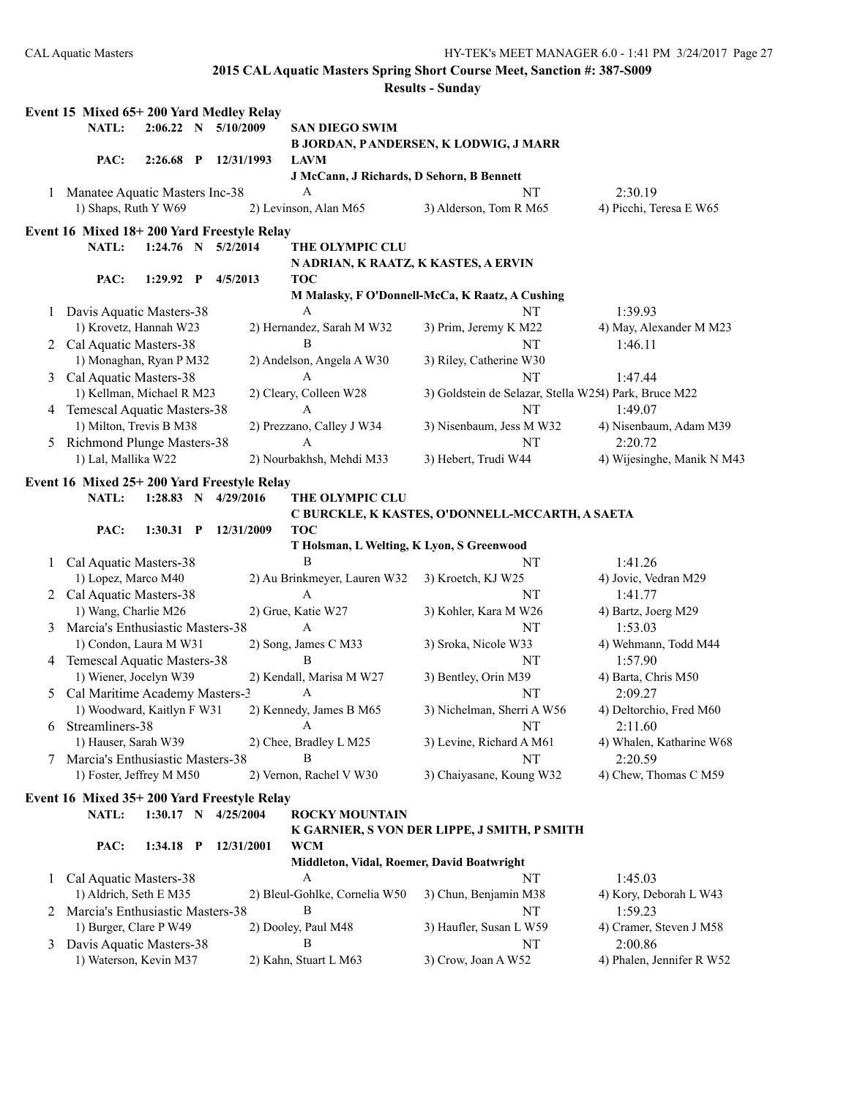| Event 15 Mixed 65+200 Yard Medley Relay<br>5/10/2009<br>NATL:<br>2:06.22 N<br><b>SAN DIEGO SWIM</b><br><b>B JORDAN, PANDERSEN, K LODWIG, J MARR</b><br>PAC:<br>2:26.68<br>$\mathbf{P}$<br>12/31/1993<br><b>LAVM</b><br>J McCann, J Richards, D Sehorn, B Bennett<br>Manatee Aquatic Masters Inc-38<br>NT<br>2:30.19<br>A<br>1<br>1) Shaps, Ruth Y W69<br>2) Levinson, Alan M65<br>3) Alderson, Tom R M65<br>4) Picchi, Teresa E W65<br>NATL:<br>$1:24.76$ N $5/2/2014$<br>THE OLYMPIC CLU<br>N ADRIAN, K RAATZ, K KASTES, A ERVIN<br>PAC:<br>1:29.92<br>$\mathbf{P}$<br>4/5/2013<br><b>TOC</b><br>M Malasky, F O'Donnell-McCa, K Raatz, A Cushing<br>Davis Aquatic Masters-38<br>A<br>NT<br>1:39.93<br>1<br>1) Krovetz, Hannah W23<br>2) Hernandez, Sarah M W32<br>3) Prim, Jeremy K M22<br>4) May, Alexander M M23<br>2 Cal Aquatic Masters-38<br>B<br>NT<br>1:46.11<br>1) Monaghan, Ryan P M32<br>3) Riley, Catherine W30<br>2) Andelson, Angela A W30<br>Cal Aquatic Masters-38<br>NT<br>A<br>1:47.44<br>3 |  |
|---------------------------------------------------------------------------------------------------------------------------------------------------------------------------------------------------------------------------------------------------------------------------------------------------------------------------------------------------------------------------------------------------------------------------------------------------------------------------------------------------------------------------------------------------------------------------------------------------------------------------------------------------------------------------------------------------------------------------------------------------------------------------------------------------------------------------------------------------------------------------------------------------------------------------------------------------------------------------------------------------------------|--|
|                                                                                                                                                                                                                                                                                                                                                                                                                                                                                                                                                                                                                                                                                                                                                                                                                                                                                                                                                                                                               |  |
|                                                                                                                                                                                                                                                                                                                                                                                                                                                                                                                                                                                                                                                                                                                                                                                                                                                                                                                                                                                                               |  |
|                                                                                                                                                                                                                                                                                                                                                                                                                                                                                                                                                                                                                                                                                                                                                                                                                                                                                                                                                                                                               |  |
|                                                                                                                                                                                                                                                                                                                                                                                                                                                                                                                                                                                                                                                                                                                                                                                                                                                                                                                                                                                                               |  |
|                                                                                                                                                                                                                                                                                                                                                                                                                                                                                                                                                                                                                                                                                                                                                                                                                                                                                                                                                                                                               |  |
| Event 16 Mixed 18+200 Yard Freestyle Relay                                                                                                                                                                                                                                                                                                                                                                                                                                                                                                                                                                                                                                                                                                                                                                                                                                                                                                                                                                    |  |
|                                                                                                                                                                                                                                                                                                                                                                                                                                                                                                                                                                                                                                                                                                                                                                                                                                                                                                                                                                                                               |  |
|                                                                                                                                                                                                                                                                                                                                                                                                                                                                                                                                                                                                                                                                                                                                                                                                                                                                                                                                                                                                               |  |
|                                                                                                                                                                                                                                                                                                                                                                                                                                                                                                                                                                                                                                                                                                                                                                                                                                                                                                                                                                                                               |  |
|                                                                                                                                                                                                                                                                                                                                                                                                                                                                                                                                                                                                                                                                                                                                                                                                                                                                                                                                                                                                               |  |
|                                                                                                                                                                                                                                                                                                                                                                                                                                                                                                                                                                                                                                                                                                                                                                                                                                                                                                                                                                                                               |  |
|                                                                                                                                                                                                                                                                                                                                                                                                                                                                                                                                                                                                                                                                                                                                                                                                                                                                                                                                                                                                               |  |
|                                                                                                                                                                                                                                                                                                                                                                                                                                                                                                                                                                                                                                                                                                                                                                                                                                                                                                                                                                                                               |  |
|                                                                                                                                                                                                                                                                                                                                                                                                                                                                                                                                                                                                                                                                                                                                                                                                                                                                                                                                                                                                               |  |
|                                                                                                                                                                                                                                                                                                                                                                                                                                                                                                                                                                                                                                                                                                                                                                                                                                                                                                                                                                                                               |  |
|                                                                                                                                                                                                                                                                                                                                                                                                                                                                                                                                                                                                                                                                                                                                                                                                                                                                                                                                                                                                               |  |
| 1) Kellman, Michael R M23<br>3) Goldstein de Selazar, Stella W254) Park, Bruce M22                                                                                                                                                                                                                                                                                                                                                                                                                                                                                                                                                                                                                                                                                                                                                                                                                                                                                                                            |  |
| 2) Cleary, Colleen W28<br>Temescal Aquatic Masters-38<br>NT<br>A<br>1:49.07                                                                                                                                                                                                                                                                                                                                                                                                                                                                                                                                                                                                                                                                                                                                                                                                                                                                                                                                   |  |
| 4<br>1) Milton, Trevis B M38<br>2) Prezzano, Calley J W34<br>3) Nisenbaum, Jess M W32<br>4) Nisenbaum, Adam M39                                                                                                                                                                                                                                                                                                                                                                                                                                                                                                                                                                                                                                                                                                                                                                                                                                                                                               |  |
| Richmond Plunge Masters-38<br>A<br>NT<br>2:20.72<br>5                                                                                                                                                                                                                                                                                                                                                                                                                                                                                                                                                                                                                                                                                                                                                                                                                                                                                                                                                         |  |
| 1) Lal, Mallika W22<br>2) Nourbakhsh, Mehdi M33<br>3) Hebert, Trudi W44<br>4) Wijesinghe, Manik N M43                                                                                                                                                                                                                                                                                                                                                                                                                                                                                                                                                                                                                                                                                                                                                                                                                                                                                                         |  |
|                                                                                                                                                                                                                                                                                                                                                                                                                                                                                                                                                                                                                                                                                                                                                                                                                                                                                                                                                                                                               |  |
| Event 16 Mixed 25+200 Yard Freestyle Relay                                                                                                                                                                                                                                                                                                                                                                                                                                                                                                                                                                                                                                                                                                                                                                                                                                                                                                                                                                    |  |
| NATL:<br>1:28.83 N<br>4/29/2016<br><b>THE OLYMPIC CLU</b>                                                                                                                                                                                                                                                                                                                                                                                                                                                                                                                                                                                                                                                                                                                                                                                                                                                                                                                                                     |  |
| C BURCKLE, K KASTES, O'DONNELL-MCCARTH, A SAETA                                                                                                                                                                                                                                                                                                                                                                                                                                                                                                                                                                                                                                                                                                                                                                                                                                                                                                                                                               |  |
| PAC:<br>$1:30.31$ P<br>12/31/2009<br><b>TOC</b>                                                                                                                                                                                                                                                                                                                                                                                                                                                                                                                                                                                                                                                                                                                                                                                                                                                                                                                                                               |  |
| T Holsman, L Welting, K Lyon, S Greenwood<br>B<br>Cal Aquatic Masters-38<br>NT<br>1:41.26<br>1                                                                                                                                                                                                                                                                                                                                                                                                                                                                                                                                                                                                                                                                                                                                                                                                                                                                                                                |  |
| 1) Lopez, Marco M40<br>2) Au Brinkmeyer, Lauren W32<br>4) Jovic, Vedran M29<br>3) Kroetch, KJ W25                                                                                                                                                                                                                                                                                                                                                                                                                                                                                                                                                                                                                                                                                                                                                                                                                                                                                                             |  |
| 2 Cal Aquatic Masters-38<br>A<br>NT<br>1:41.77                                                                                                                                                                                                                                                                                                                                                                                                                                                                                                                                                                                                                                                                                                                                                                                                                                                                                                                                                                |  |
| 1) Wang, Charlie M26<br>2) Grue, Katie W27<br>3) Kohler, Kara M W26<br>4) Bartz, Joerg M29                                                                                                                                                                                                                                                                                                                                                                                                                                                                                                                                                                                                                                                                                                                                                                                                                                                                                                                    |  |
| A<br>Marcia's Enthusiastic Masters-38<br>NT<br>1:53.03<br>3                                                                                                                                                                                                                                                                                                                                                                                                                                                                                                                                                                                                                                                                                                                                                                                                                                                                                                                                                   |  |
| 1) Condon, Laura M W31<br>2) Song, James C M33<br>4) Wehmann, Todd M44<br>3) Sroka, Nicole W33                                                                                                                                                                                                                                                                                                                                                                                                                                                                                                                                                                                                                                                                                                                                                                                                                                                                                                                |  |
| 4 Temescal Aquatic Masters-38<br>В<br>NT<br>1:57.90                                                                                                                                                                                                                                                                                                                                                                                                                                                                                                                                                                                                                                                                                                                                                                                                                                                                                                                                                           |  |
| 1) Wiener, Jocelyn W39<br>2) Kendall, Marisa M W27<br>4) Barta, Chris M50<br>3) Bentley, Orin M39                                                                                                                                                                                                                                                                                                                                                                                                                                                                                                                                                                                                                                                                                                                                                                                                                                                                                                             |  |
| 5 Cal Maritime Academy Masters-3<br>NT<br>2:09.27<br>A                                                                                                                                                                                                                                                                                                                                                                                                                                                                                                                                                                                                                                                                                                                                                                                                                                                                                                                                                        |  |
| 1) Woodward, Kaitlyn F W31<br>2) Kennedy, James B M65<br>3) Nichelman, Sherri A W56<br>4) Deltorchio, Fred M60                                                                                                                                                                                                                                                                                                                                                                                                                                                                                                                                                                                                                                                                                                                                                                                                                                                                                                |  |
| Streamliners-38<br>NT<br>2:11.60<br>A<br>6                                                                                                                                                                                                                                                                                                                                                                                                                                                                                                                                                                                                                                                                                                                                                                                                                                                                                                                                                                    |  |
| 1) Hauser, Sarah W39<br>2) Chee, Bradley L M25<br>3) Levine, Richard A M61<br>4) Whalen, Katharine W68                                                                                                                                                                                                                                                                                                                                                                                                                                                                                                                                                                                                                                                                                                                                                                                                                                                                                                        |  |
| Marcia's Enthusiastic Masters-38<br>NT<br>Β<br>2:20.59                                                                                                                                                                                                                                                                                                                                                                                                                                                                                                                                                                                                                                                                                                                                                                                                                                                                                                                                                        |  |
| 1) Foster, Jeffrey M M50<br>2) Vernon, Rachel V W30<br>3) Chaiyasane, Koung W32<br>4) Chew, Thomas C M59                                                                                                                                                                                                                                                                                                                                                                                                                                                                                                                                                                                                                                                                                                                                                                                                                                                                                                      |  |
| Event 16 Mixed 35+200 Yard Freestyle Relay                                                                                                                                                                                                                                                                                                                                                                                                                                                                                                                                                                                                                                                                                                                                                                                                                                                                                                                                                                    |  |
| NATL:<br>$1:30.17$ N<br>4/25/2004<br><b>ROCKY MOUNTAIN</b>                                                                                                                                                                                                                                                                                                                                                                                                                                                                                                                                                                                                                                                                                                                                                                                                                                                                                                                                                    |  |
| K GARNIER, S VON DER LIPPE, J SMITH, P SMITH                                                                                                                                                                                                                                                                                                                                                                                                                                                                                                                                                                                                                                                                                                                                                                                                                                                                                                                                                                  |  |
| PAC:<br><b>WCM</b><br>$1:34.18$ P<br>12/31/2001                                                                                                                                                                                                                                                                                                                                                                                                                                                                                                                                                                                                                                                                                                                                                                                                                                                                                                                                                               |  |
| Middleton, Vidal, Roemer, David Boatwright                                                                                                                                                                                                                                                                                                                                                                                                                                                                                                                                                                                                                                                                                                                                                                                                                                                                                                                                                                    |  |
| Cal Aquatic Masters-38<br>A<br>1:45.03<br>NT<br>$\mathbf{1}$                                                                                                                                                                                                                                                                                                                                                                                                                                                                                                                                                                                                                                                                                                                                                                                                                                                                                                                                                  |  |
| 1) Aldrich, Seth E M35<br>2) Bleul-Gohlke, Cornelia W50<br>3) Chun, Benjamin M38<br>4) Kory, Deborah L W43                                                                                                                                                                                                                                                                                                                                                                                                                                                                                                                                                                                                                                                                                                                                                                                                                                                                                                    |  |
| Marcia's Enthusiastic Masters-38<br>B<br>1:59.23<br>NT<br>2                                                                                                                                                                                                                                                                                                                                                                                                                                                                                                                                                                                                                                                                                                                                                                                                                                                                                                                                                   |  |
| 1) Burger, Clare P W49<br>2) Dooley, Paul M48<br>3) Haufler, Susan L W59<br>4) Cramer, Steven J M58                                                                                                                                                                                                                                                                                                                                                                                                                                                                                                                                                                                                                                                                                                                                                                                                                                                                                                           |  |
| В<br>Davis Aquatic Masters-38<br>NT<br>2:00.86<br>3                                                                                                                                                                                                                                                                                                                                                                                                                                                                                                                                                                                                                                                                                                                                                                                                                                                                                                                                                           |  |
| 1) Waterson, Kevin M37<br>2) Kahn, Stuart L M63<br>3) Crow, Joan A W52<br>4) Phalen, Jennifer R W52                                                                                                                                                                                                                                                                                                                                                                                                                                                                                                                                                                                                                                                                                                                                                                                                                                                                                                           |  |
|                                                                                                                                                                                                                                                                                                                                                                                                                                                                                                                                                                                                                                                                                                                                                                                                                                                                                                                                                                                                               |  |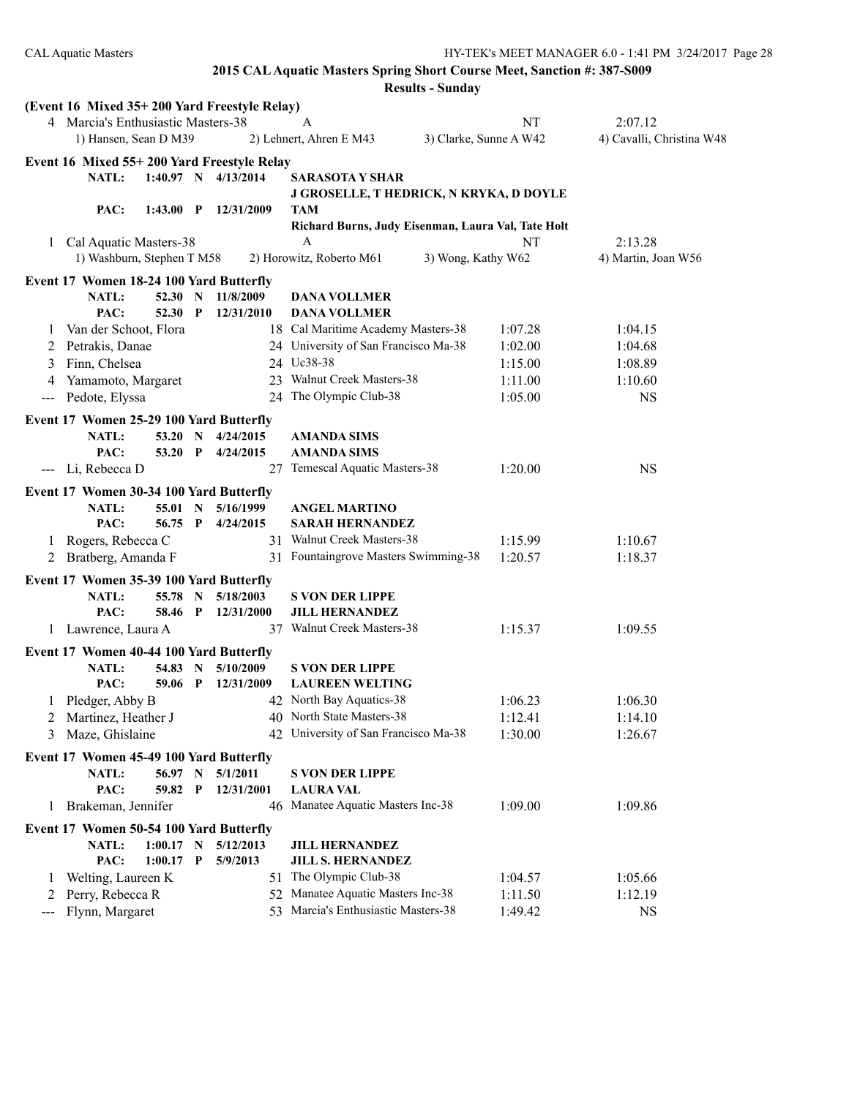|              | (Event 16 Mixed 35+200 Yard Freestyle Relay)<br>4 Marcia's Enthusiastic Masters-38 |             |                         | A                                                       | NT                     | 2:07.12                   |
|--------------|------------------------------------------------------------------------------------|-------------|-------------------------|---------------------------------------------------------|------------------------|---------------------------|
|              | 1) Hansen, Sean D M39                                                              |             |                         | 2) Lehnert, Ahren E M43                                 | 3) Clarke, Sunne A W42 | 4) Cavalli, Christina W48 |
|              |                                                                                    |             |                         |                                                         |                        |                           |
|              | Event 16 Mixed 55+200 Yard Freestyle Relay                                         |             |                         |                                                         |                        |                           |
|              | NATL:                                                                              |             | $1:40.97$ N $4/13/2014$ | <b>SARASOTA Y SHAR</b>                                  |                        |                           |
|              |                                                                                    |             |                         | J GROSELLE, T HEDRICK, N KRYKA, D DOYLE                 |                        |                           |
|              | PAC:<br>$1:43.00$ P                                                                |             | 12/31/2009              | TAM                                                     |                        |                           |
|              |                                                                                    |             |                         | Richard Burns, Judy Eisenman, Laura Val, Tate Holt<br>A |                        |                           |
|              | 1 Cal Aquatic Masters-38                                                           |             |                         |                                                         | NT                     | 2:13.28                   |
|              | 1) Washburn, Stephen T M58                                                         |             |                         | 2) Horowitz, Roberto M61                                | 3) Wong, Kathy W62     | 4) Martin, Joan W56       |
|              | Event 17 Women 18-24 100 Yard Butterfly                                            |             |                         |                                                         |                        |                           |
|              | <b>NATL:</b><br>52.30 N                                                            |             | 11/8/2009               | <b>DANA VOLLMER</b>                                     |                        |                           |
|              | PAC:<br>52.30 P                                                                    |             | 12/31/2010              | <b>DANA VOLLMER</b>                                     |                        |                           |
| $\perp$      | Van der Schoot, Flora                                                              |             |                         | 18 Cal Maritime Academy Masters-38                      | 1:07.28                | 1:04.15                   |
| 2            | Petrakis, Danae                                                                    |             |                         | 24 University of San Francisco Ma-38                    | 1:02.00                | 1:04.68                   |
| 3            | Finn, Chelsea                                                                      |             |                         | 24 Uc38-38                                              | 1:15.00                | 1:08.89                   |
|              | Yamamoto, Margaret                                                                 |             |                         | 23 Walnut Creek Masters-38                              | 1:11.00                | 1:10.60                   |
| $---$        | Pedote, Elyssa                                                                     |             | 24                      | The Olympic Club-38                                     | 1:05.00                | <b>NS</b>                 |
|              | Event 17 Women 25-29 100 Yard Butterfly                                            |             |                         |                                                         |                        |                           |
|              | <b>NATL:</b><br>53.20 N                                                            |             | 4/24/2015               | <b>AMANDA SIMS</b>                                      |                        |                           |
|              | PAC:<br>53.20 P                                                                    |             | 4/24/2015               | <b>AMANDA SIMS</b>                                      |                        |                           |
|              | --- Li, Rebecca D                                                                  |             | 27                      | Temescal Aquatic Masters-38                             | 1:20.00                | <b>NS</b>                 |
|              |                                                                                    |             |                         |                                                         |                        |                           |
|              | Event 17 Women 30-34 100 Yard Butterfly<br>NATL:<br>55.01 N                        |             | 5/16/1999               |                                                         |                        |                           |
|              | PAC:<br>56.75 P                                                                    |             | 4/24/2015               | <b>ANGEL MARTINO</b>                                    |                        |                           |
|              |                                                                                    |             |                         | <b>SARAH HERNANDEZ</b><br>31 Walnut Creek Masters-38    | 1:15.99                | 1:10.67                   |
| 1            | Rogers, Rebecca C                                                                  |             |                         | 31 Fountaingrove Masters Swimming-38                    | 1:20.57                |                           |
|              | 2 Bratberg, Amanda F                                                               |             |                         |                                                         |                        | 1:18.37                   |
|              | Event 17 Women 35-39 100 Yard Butterfly                                            |             |                         |                                                         |                        |                           |
|              | <b>NATL:</b><br>55.78                                                              | $\mathbf N$ | 5/18/2003               | <b>S VON DER LIPPE</b>                                  |                        |                           |
|              | PAC:<br>58.46 P                                                                    |             | 12/31/2000              | <b>JILL HERNANDEZ</b>                                   |                        |                           |
|              | 1 Lawrence, Laura A                                                                |             |                         | 37 Walnut Creek Masters-38                              | 1:15.37                | 1:09.55                   |
|              | Event 17 Women 40-44 100 Yard Butterfly                                            |             |                         |                                                         |                        |                           |
|              | NATL:<br>54.83                                                                     | $\mathbf N$ | 5/10/2009               | <b>S VON DER LIPPE</b>                                  |                        |                           |
|              | PAC:<br>59.06 P                                                                    |             | 12/31/2009              | <b>LAUREEN WELTING</b>                                  |                        |                           |
|              | 1 Pledger, Abby B                                                                  |             |                         | 42 North Bay Aquatics-38                                | 1:06.23                | 1:06.30                   |
|              | 2 Martinez, Heather J                                                              |             |                         | 40 North State Masters-38                               | 1:12.41                | 1:14.10                   |
|              | 3 Maze, Ghislaine                                                                  |             |                         | 42 University of San Francisco Ma-38                    | 1:30.00                | 1:26.67                   |
|              | Event 17 Women 45-49 100 Yard Butterfly                                            |             |                         |                                                         |                        |                           |
|              | NATL:<br>56.97 N                                                                   |             | 5/1/2011                | <b>S VON DER LIPPE</b>                                  |                        |                           |
|              | PAC:<br>59.82 P                                                                    |             | 12/31/2001              | <b>LAURA VAL</b>                                        |                        |                           |
| 1            | Brakeman, Jennifer                                                                 |             |                         | 46 Manatee Aquatic Masters Inc-38                       | 1:09.00                | 1:09.86                   |
|              |                                                                                    |             |                         |                                                         |                        |                           |
|              | Event 17 Women 50-54 100 Yard Butterfly                                            |             |                         |                                                         |                        |                           |
|              | NATL:<br>$1:00.17$ N                                                               |             | 5/12/2013               | <b>JILL HERNANDEZ</b>                                   |                        |                           |
|              | PAC:<br>$1:00.17$ P                                                                |             | 5/9/2013                | <b>JILL S. HERNANDEZ</b>                                |                        |                           |
| $\mathbf{I}$ | Welting, Laureen K                                                                 |             | 51                      | The Olympic Club-38                                     | 1:04.57                | 1:05.66                   |
| 2            | Perry, Rebecca R                                                                   |             | 52                      | Manatee Aquatic Masters Inc-38                          | 1:11.50                | 1:12.19                   |
| ---          | Flynn, Margaret                                                                    |             |                         | 53 Marcia's Enthusiastic Masters-38                     | 1:49.42                | <b>NS</b>                 |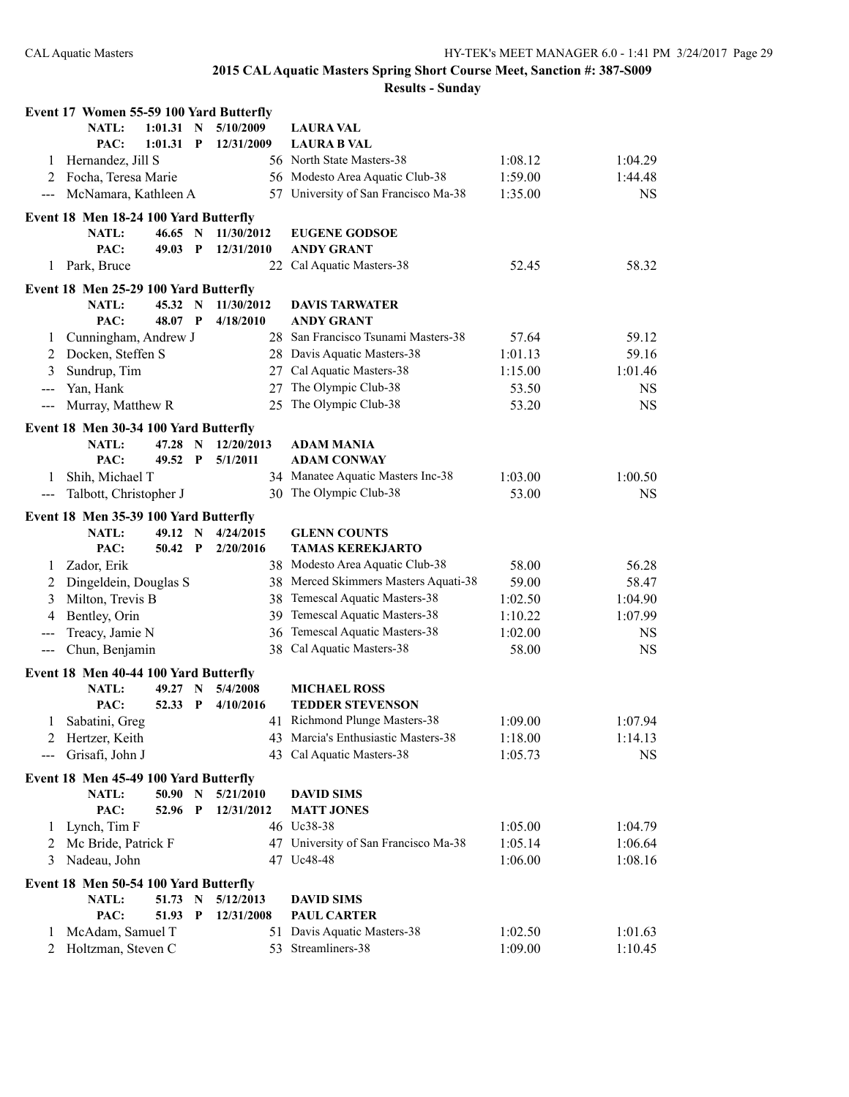|                   | Event 17 Women 55-59 100 Yard Butterfly |                  |                             |                        |                                                                        |                    |                    |
|-------------------|-----------------------------------------|------------------|-----------------------------|------------------------|------------------------------------------------------------------------|--------------------|--------------------|
|                   | <b>NATL:</b>                            | $1:01.31$ N      |                             | 5/10/2009              | <b>LAURA VAL</b>                                                       |                    |                    |
|                   | PAC:                                    | 1:01.31          | $\mathbf{P}$                | 12/31/2009             | <b>LAURA B VAL</b>                                                     |                    |                    |
| 1                 | Hernandez, Jill S                       |                  |                             |                        | 56 North State Masters-38                                              | 1:08.12            | 1:04.29            |
| 2                 | Focha, Teresa Marie                     |                  |                             |                        | 56 Modesto Area Aquatic Club-38                                        | 1:59.00            | 1:44.48            |
| $\qquad \qquad -$ | McNamara, Kathleen A                    |                  |                             |                        | 57 University of San Francisco Ma-38                                   | 1:35.00            | <b>NS</b>          |
|                   | Event 18 Men 18-24 100 Yard Butterfly   |                  |                             |                        |                                                                        |                    |                    |
|                   | <b>NATL:</b>                            | 46.65 N          |                             | 11/30/2012             | <b>EUGENE GODSOE</b>                                                   |                    |                    |
|                   | PAC:                                    | 49.03            | $\mathbf P$                 | 12/31/2010             | <b>ANDY GRANT</b>                                                      |                    |                    |
| 1                 | Park, Bruce                             |                  |                             | 22                     | Cal Aquatic Masters-38                                                 | 52.45              | 58.32              |
|                   | Event 18 Men 25-29 100 Yard Butterfly   |                  |                             |                        |                                                                        |                    |                    |
|                   | NATL:                                   | 45.32 N          |                             | 11/30/2012             | <b>DAVIS TARWATER</b>                                                  |                    |                    |
|                   | PAC:                                    | 48.07 P          |                             | 4/18/2010              | <b>ANDY GRANT</b>                                                      |                    |                    |
| 1                 | Cunningham, Andrew J                    |                  |                             |                        | 28 San Francisco Tsunami Masters-38                                    | 57.64              | 59.12              |
| 2                 | Docken, Steffen S                       |                  |                             |                        | 28 Davis Aquatic Masters-38                                            | 1:01.13            | 59.16              |
| 3                 | Sundrup, Tim                            |                  |                             |                        | 27 Cal Aquatic Masters-38                                              | 1:15.00            | 1:01.46            |
| $---$             | Yan, Hank                               |                  |                             | 27                     | The Olympic Club-38                                                    | 53.50              | <b>NS</b>          |
| $---$             | Murray, Matthew R                       |                  |                             | 25                     | The Olympic Club-38                                                    | 53.20              | <b>NS</b>          |
|                   | Event 18 Men 30-34 100 Yard Butterfly   |                  |                             |                        |                                                                        |                    |                    |
|                   | NATL:                                   | 47.28 N          |                             | 12/20/2013             | <b>ADAM MANIA</b>                                                      |                    |                    |
|                   | PAC:                                    | 49.52            | $\mathbf{P}$                | 5/1/2011               | <b>ADAM CONWAY</b>                                                     |                    |                    |
| 1                 | Shih, Michael T                         |                  |                             |                        | 34 Manatee Aquatic Masters Inc-38                                      | 1:03.00            | 1:00.50            |
| $\qquad \qquad -$ | Talbott, Christopher J                  |                  |                             |                        | 30 The Olympic Club-38                                                 | 53.00              | <b>NS</b>          |
|                   | Event 18 Men 35-39 100 Yard Butterfly   |                  |                             |                        |                                                                        |                    |                    |
|                   |                                         |                  |                             |                        |                                                                        |                    |                    |
|                   |                                         |                  |                             |                        |                                                                        |                    |                    |
|                   | <b>NATL:</b><br>PAC:                    | 49.12<br>50.42 P | N                           | 4/24/2015<br>2/20/2016 | <b>GLENN COUNTS</b>                                                    |                    |                    |
| 1                 |                                         |                  |                             |                        | <b>TAMAS KEREKJARTO</b>                                                |                    |                    |
| 2                 | Zador, Erik                             |                  |                             |                        | 38 Modesto Area Aquatic Club-38                                        | 58.00<br>59.00     | 56.28<br>58.47     |
| 3                 | Dingeldein, Douglas S                   |                  |                             |                        | 38 Merced Skimmers Masters Aquati-38<br>38 Temescal Aquatic Masters-38 | 1:02.50            | 1:04.90            |
| 4                 | Milton, Trevis B                        |                  |                             |                        | 39 Temescal Aquatic Masters-38                                         | 1:10.22            | 1:07.99            |
| $---$             | Bentley, Orin                           |                  |                             |                        |                                                                        | 1:02.00            | NS                 |
| ---               | Treacy, Jamie N<br>Chun, Benjamin       |                  |                             |                        | 36 Temescal Aquatic Masters-38<br>38 Cal Aquatic Masters-38            | 58.00              | <b>NS</b>          |
|                   |                                         |                  |                             |                        |                                                                        |                    |                    |
|                   | Event 18 Men 40-44 100 Yard Butterfly   |                  | N                           | 5/4/2008               |                                                                        |                    |                    |
|                   | NATL:<br>PAC:                           | 49.27<br>52.33   | $\mathbf{P}$                | 4/10/2016              | <b>MICHAEL ROSS</b><br><b>TEDDER STEVENSON</b>                         |                    |                    |
|                   |                                         |                  |                             |                        | 41 Richmond Plunge Masters-38                                          |                    |                    |
| 2                 | Sabatini, Greg<br>Hertzer, Keith        |                  |                             |                        | 43 Marcia's Enthusiastic Masters-38                                    | 1:09.00            | 1:07.94<br>1:14.13 |
|                   | Grisafi, John J                         |                  |                             |                        | 43 Cal Aquatic Masters-38                                              | 1:18.00<br>1:05.73 | <b>NS</b>          |
|                   |                                         |                  |                             |                        |                                                                        |                    |                    |
|                   | Event 18 Men 45-49 100 Yard Butterfly   |                  |                             |                        |                                                                        |                    |                    |
|                   | NATL:                                   | 50.90            | $\mathbf N$<br>$\mathbf{P}$ | 5/21/2010              | <b>DAVID SIMS</b>                                                      |                    |                    |
| 1                 | PAC:                                    | 52.96            |                             | 12/31/2012             | <b>MATT JONES</b><br>46 Uc38-38                                        |                    |                    |
| 2                 | Lynch, Tim F                            |                  |                             |                        |                                                                        | 1:05.00            | 1:04.79            |
| 3                 | Mc Bride, Patrick F<br>Nadeau, John     |                  |                             |                        | 47 University of San Francisco Ma-38<br>47 Uc48-48                     | 1:05.14<br>1:06.00 | 1:06.64<br>1:08.16 |
|                   |                                         |                  |                             |                        |                                                                        |                    |                    |
|                   | Event 18 Men 50-54 100 Yard Butterfly   |                  |                             |                        |                                                                        |                    |                    |
|                   | <b>NATL:</b>                            | 51.73 N          |                             | 5/12/2013              | <b>DAVID SIMS</b>                                                      |                    |                    |
| 1                 | PAC:<br>McAdam, Samuel T                | 51.93            | $\mathbf{P}$                | 12/31/2008             | <b>PAUL CARTER</b><br>51 Davis Aquatic Masters-38                      | 1:02.50            | 1:01.63            |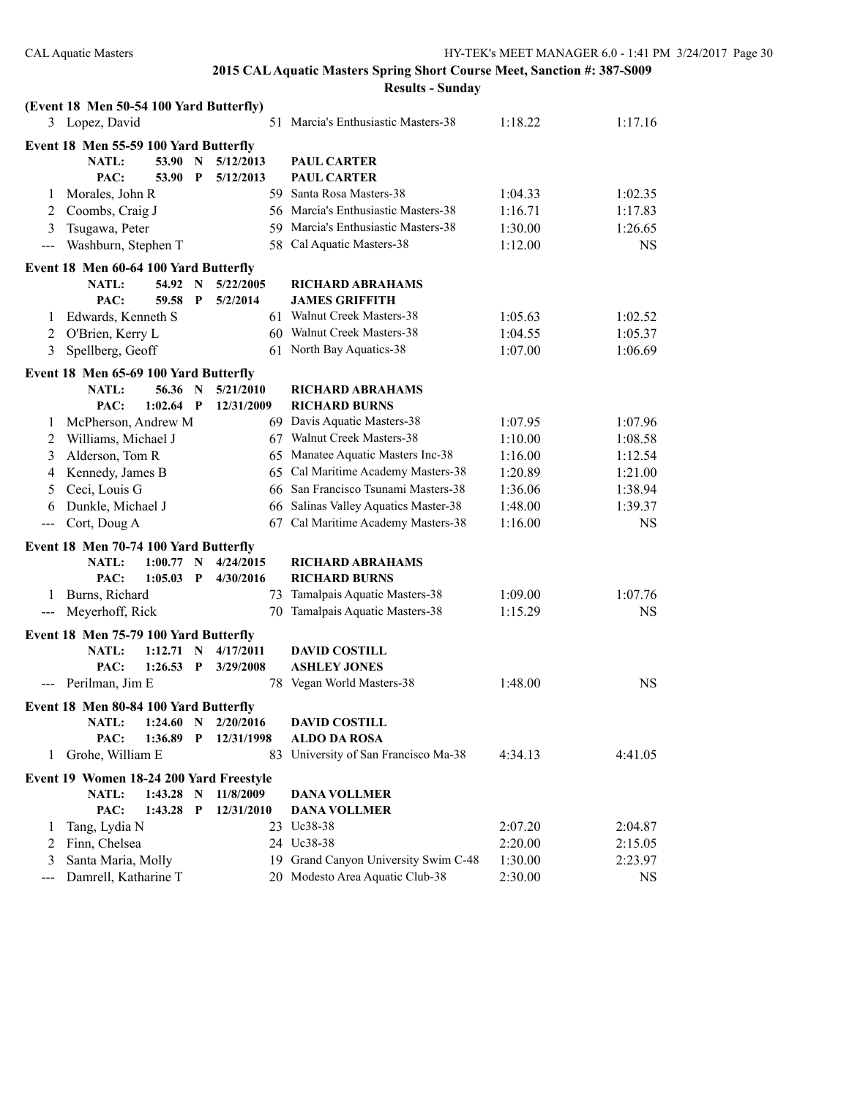|                                        | (Event 18 Men 50-54 100 Yard Butterfly) |             |              |            |                                      |         |           |
|----------------------------------------|-----------------------------------------|-------------|--------------|------------|--------------------------------------|---------|-----------|
|                                        | 3 Lopez, David                          |             |              |            | 51 Marcia's Enthusiastic Masters-38  | 1:18.22 | 1:17.16   |
|                                        | Event 18 Men 55-59 100 Yard Butterfly   |             |              |            |                                      |         |           |
|                                        | <b>NATL:</b>                            | 53.90       | N            | 5/12/2013  | <b>PAUL CARTER</b>                   |         |           |
|                                        | PAC:                                    | 53.90       | P            | 5/12/2013  | <b>PAUL CARTER</b>                   |         |           |
| 1                                      | Morales, John R                         |             |              |            | 59 Santa Rosa Masters-38             | 1:04.33 | 1:02.35   |
| 2                                      | Coombs, Craig J                         |             |              |            | 56 Marcia's Enthusiastic Masters-38  | 1:16.71 | 1:17.83   |
| 3                                      | Tsugawa, Peter                          |             |              |            | 59 Marcia's Enthusiastic Masters-38  | 1:30.00 | 1:26.65   |
| $---$                                  | Washburn, Stephen T                     |             |              |            | 58 Cal Aquatic Masters-38            | 1:12.00 | <b>NS</b> |
|                                        |                                         |             |              |            |                                      |         |           |
|                                        | Event 18 Men 60-64 100 Yard Butterfly   |             |              |            |                                      |         |           |
|                                        | NATL:                                   | 54.92       | $\mathbf N$  | 5/22/2005  | <b>RICHARD ABRAHAMS</b>              |         |           |
|                                        | PAC:                                    | 59.58       | P            | 5/2/2014   | <b>JAMES GRIFFITH</b>                |         |           |
| 1                                      | Edwards, Kenneth S                      |             |              |            | 61 Walnut Creek Masters-38           | 1:05.63 | 1:02.52   |
| 2                                      | O'Brien, Kerry L                        |             |              |            | 60 Walnut Creek Masters-38           | 1:04.55 | 1:05.37   |
| 3                                      | Spellberg, Geoff                        |             |              |            | 61 North Bay Aquatics-38             | 1:07.00 | 1:06.69   |
|                                        | Event 18 Men 65-69 100 Yard Butterfly   |             |              |            |                                      |         |           |
|                                        | <b>NATL:</b>                            | 56.36       | $\mathbf N$  | 5/21/2010  | <b>RICHARD ABRAHAMS</b>              |         |           |
|                                        | PAC:                                    | $1:02.64$ P |              | 12/31/2009 | <b>RICHARD BURNS</b>                 |         |           |
| 1                                      | McPherson, Andrew M                     |             |              |            | 69 Davis Aquatic Masters-38          | 1:07.95 | 1:07.96   |
| 2                                      | Williams, Michael J                     |             |              |            | 67 Walnut Creek Masters-38           | 1:10.00 | 1:08.58   |
| 3                                      | Alderson, Tom R                         |             |              |            | 65 Manatee Aquatic Masters Inc-38    | 1:16.00 | 1:12.54   |
| 4                                      | Kennedy, James B                        |             |              |            | 65 Cal Maritime Academy Masters-38   | 1:20.89 | 1:21.00   |
| 5                                      | Ceci, Louis G                           |             |              |            | 66 San Francisco Tsunami Masters-38  | 1:36.06 | 1:38.94   |
| 6                                      | Dunkle, Michael J                       |             |              |            | 66 Salinas Valley Aquatics Master-38 | 1:48.00 | 1:39.37   |
| $\scriptstyle\cdots\scriptstyle\cdots$ | Cort, Doug A                            |             |              |            | 67 Cal Maritime Academy Masters-38   | 1:16.00 | <b>NS</b> |
|                                        | Event 18 Men 70-74 100 Yard Butterfly   |             |              |            |                                      |         |           |
|                                        | <b>NATL:</b>                            | 1:00.77     | $\mathbf N$  | 4/24/2015  | <b>RICHARD ABRAHAMS</b>              |         |           |
|                                        | PAC:                                    | 1:05.03     | $\mathbf{P}$ | 4/30/2016  | <b>RICHARD BURNS</b>                 |         |           |
| 1                                      | Burns, Richard                          |             |              |            | 73 Tamalpais Aquatic Masters-38      | 1:09.00 | 1:07.76   |
| $\qquad \qquad -$                      | Meyerhoff, Rick                         |             |              | 70         | Tamalpais Aquatic Masters-38         | 1:15.29 | <b>NS</b> |
|                                        |                                         |             |              |            |                                      |         |           |
|                                        | Event 18 Men 75-79 100 Yard Butterfly   |             |              |            |                                      |         |           |
|                                        | NATL:                                   | $1:12.71$ N |              | 4/17/2011  | <b>DAVID COSTILL</b>                 |         |           |
|                                        | PAC:                                    | $1:26.53$ P |              | 3/29/2008  | <b>ASHLEY JONES</b>                  |         |           |
|                                        | --- Perilman, Jim E                     |             |              |            | 78 Vegan World Masters-38            | 1:48.00 | <b>NS</b> |
|                                        | Event 18 Men 80-84 100 Yard Butterfly   |             |              |            |                                      |         |           |
|                                        | NATL:                                   | 1:24.60     | $\mathbf N$  | 2/20/2016  | <b>DAVID COSTILL</b>                 |         |           |
|                                        | PAC:                                    | 1:36.89     | $\mathbf P$  | 12/31/1998 | <b>ALDO DA ROSA</b>                  |         |           |
| 1                                      | Grohe, William E                        |             |              | 83.        | University of San Francisco Ma-38    | 4:34.13 | 4:41.05   |
|                                        | Event 19 Women 18-24 200 Yard Freestyle |             |              |            |                                      |         |           |
|                                        | <b>NATL:</b>                            | 1:43.28     | N            | 11/8/2009  | <b>DANA VOLLMER</b>                  |         |           |
|                                        | PAC:                                    | 1:43.28     | $\mathbf P$  | 12/31/2010 | <b>DANA VOLLMER</b>                  |         |           |
| 1                                      | Tang, Lydia N                           |             |              |            | 23 Uc38-38                           | 2:07.20 | 2:04.87   |
| 2                                      | Finn, Chelsea                           |             |              |            | 24 Uc38-38                           | 2:20.00 | 2:15.05   |
| 3                                      | Santa Maria, Molly                      |             |              |            | 19 Grand Canyon University Swim C-48 | 1:30.00 | 2:23.97   |
| $\qquad \qquad -$                      | Damrell, Katharine T                    |             |              |            | 20 Modesto Area Aquatic Club-38      | 2:30.00 | <b>NS</b> |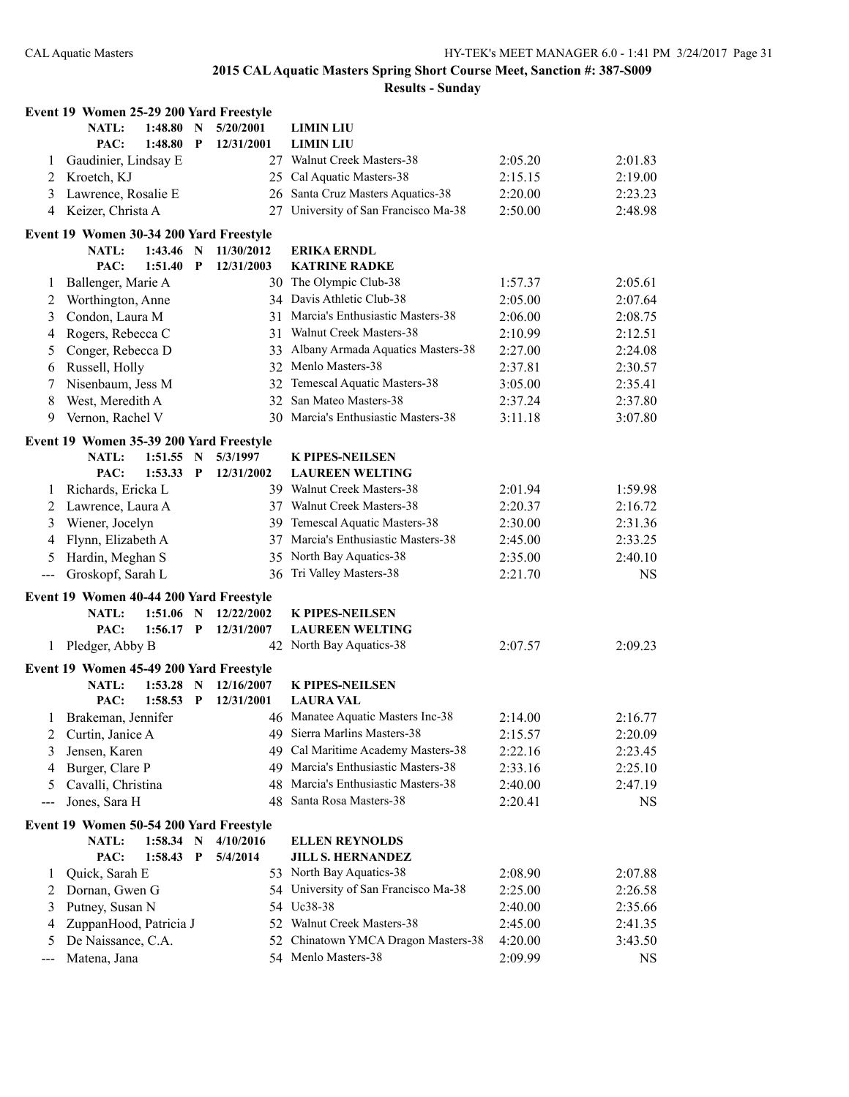|                   | Event 19 Women 25-29 200 Yard Freestyle                 |             |              |            |                                      |         |         |
|-------------------|---------------------------------------------------------|-------------|--------------|------------|--------------------------------------|---------|---------|
|                   | NATL:                                                   | 1:48.80     | N            | 5/20/2001  | <b>LIMIN LIU</b>                     |         |         |
|                   | PAC:                                                    | 1:48.80     | P            | 12/31/2001 | <b>LIMIN LIU</b>                     |         |         |
| 1                 | Gaudinier, Lindsay E                                    |             |              |            | 27 Walnut Creek Masters-38           | 2:05.20 | 2:01.83 |
| 2                 | Kroetch, KJ                                             |             |              |            | 25 Cal Aquatic Masters-38            | 2:15.15 | 2:19.00 |
| 3                 | Lawrence, Rosalie E                                     |             |              |            | 26 Santa Cruz Masters Aquatics-38    | 2:20.00 | 2:23.23 |
| 4                 | Keizer, Christa A                                       |             |              | 27         | University of San Francisco Ma-38    | 2:50.00 | 2:48.98 |
|                   | Event 19 Women 30-34 200 Yard Freestyle                 |             |              |            |                                      |         |         |
|                   | NATL:                                                   | 1:43.46     | N            | 11/30/2012 | <b>ERIKA ERNDL</b>                   |         |         |
|                   | PAC:                                                    | 1:51.40     | P            | 12/31/2003 | <b>KATRINE RADKE</b>                 |         |         |
| 1                 | Ballenger, Marie A                                      |             |              |            | 30 The Olympic Club-38               | 1:57.37 | 2:05.61 |
| 2                 | Worthington, Anne                                       |             |              |            | 34 Davis Athletic Club-38            | 2:05.00 | 2:07.64 |
| 3                 | Condon, Laura M                                         |             |              |            | 31 Marcia's Enthusiastic Masters-38  | 2:06.00 | 2:08.75 |
| 4                 | Rogers, Rebecca C                                       |             |              | 31         | Walnut Creek Masters-38              | 2:10.99 | 2:12.51 |
| 5                 | Conger, Rebecca D                                       |             |              | 33         | Albany Armada Aquatics Masters-38    | 2:27.00 | 2:24.08 |
| 6                 | Russell, Holly                                          |             |              |            | 32 Menlo Masters-38                  | 2:37.81 | 2:30.57 |
| 7                 | Nisenbaum, Jess M                                       |             |              |            | 32 Temescal Aquatic Masters-38       | 3:05.00 | 2:35.41 |
| 8                 | West, Meredith A                                        |             |              |            | 32 San Mateo Masters-38              | 2:37.24 | 2:37.80 |
| 9                 | Vernon, Rachel V                                        |             |              |            | 30 Marcia's Enthusiastic Masters-38  | 3:11.18 | 3:07.80 |
|                   |                                                         |             |              |            |                                      |         |         |
|                   | Event 19 Women 35-39 200 Yard Freestyle                 |             |              |            |                                      |         |         |
|                   | <b>NATL:</b>                                            | 1:51.55     | N            | 5/3/1997   | <b>K PIPES-NEILSEN</b>               |         |         |
|                   | PAC:                                                    | 1:53.33     | P            | 12/31/2002 | <b>LAUREEN WELTING</b>               |         |         |
| 1                 | Richards, Ericka L                                      |             |              |            | 39 Walnut Creek Masters-38           | 2:01.94 | 1:59.98 |
| 2                 | Lawrence, Laura A                                       |             |              |            | 37 Walnut Creek Masters-38           | 2:20.37 | 2:16.72 |
| 3                 | Wiener, Jocelyn                                         |             |              |            | 39 Temescal Aquatic Masters-38       | 2:30.00 | 2:31.36 |
| 4                 | Flynn, Elizabeth A                                      |             |              |            | 37 Marcia's Enthusiastic Masters-38  | 2:45.00 | 2:33.25 |
| 5                 | Hardin, Meghan S                                        |             |              | 35         | North Bay Aquatics-38                | 2:35.00 | 2:40.10 |
| $\sim$ $\sim$     | Groskopf, Sarah L                                       |             |              |            | 36 Tri Valley Masters-38             | 2:21.70 | NS      |
|                   | Event 19 Women 40-44 200 Yard Freestyle                 |             |              |            |                                      |         |         |
|                   | <b>NATL:</b>                                            | 1:51.06     | N            | 12/22/2002 | <b>K PIPES-NEILSEN</b>               |         |         |
|                   | PAC:                                                    | $1:56.17$ P |              | 12/31/2007 | <b>LAUREEN WELTING</b>               |         |         |
| 1                 | Pledger, Abby B                                         |             |              |            | 42 North Bay Aquatics-38             | 2:07.57 | 2:09.23 |
|                   | Event 19 Women 45-49 200 Yard Freestyle                 |             |              |            |                                      |         |         |
|                   | <b>NATL:</b>                                            | 1:53.28     | N            | 12/16/2007 | <b>K PIPES-NEILSEN</b>               |         |         |
|                   | PAC:                                                    | 1:58.53     | P            | 12/31/2001 | <b>LAURA VAL</b>                     |         |         |
| 1                 | Brakeman, Jennifer                                      |             |              |            | 46 Manatee Aquatic Masters Inc-38    | 2:14.00 | 2:16.77 |
| 2                 | Curtin, Janice A                                        |             |              |            | 49 Sierra Marlins Masters-38         | 2:15.57 | 2:20.09 |
| 3                 | Jensen, Karen                                           |             |              |            | 49 Cal Maritime Academy Masters-38   | 2:22.16 | 2:23.45 |
| 4                 | Burger, Clare P                                         |             |              |            | 49 Marcia's Enthusiastic Masters-38  | 2:33.16 | 2:25.10 |
| 5                 | Cavalli, Christina                                      |             |              | 48         | Marcia's Enthusiastic Masters-38     | 2:40.00 | 2:47.19 |
| $---$             | Jones, Sara H                                           |             |              | 48         | Santa Rosa Masters-38                | 2:20.41 | NS.     |
|                   |                                                         |             |              |            |                                      |         |         |
|                   | Event 19 Women 50-54 200 Yard Freestyle<br><b>NATL:</b> | 1:58.34 N   |              | 4/10/2016  | <b>ELLEN REYNOLDS</b>                |         |         |
|                   | PAC:                                                    | 1:58.43     | $\mathbf{P}$ | 5/4/2014   | <b>JILL S. HERNANDEZ</b>             |         |         |
| 1                 | Quick, Sarah E                                          |             |              |            | 53 North Bay Aquatics-38             | 2:08.90 | 2:07.88 |
| 2                 | Dornan, Gwen G                                          |             |              |            | 54 University of San Francisco Ma-38 | 2:25.00 | 2:26.58 |
| 3                 | Putney, Susan N                                         |             |              |            | 54 Uc38-38                           | 2:40.00 | 2:35.66 |
|                   | ZuppanHood, Patricia J                                  |             |              | 52         | <b>Walnut Creek Masters-38</b>       | 2:45.00 |         |
| 4                 |                                                         |             |              |            | 52 Chinatown YMCA Dragon Masters-38  |         | 2:41.35 |
| 5                 | De Naissance, C.A.                                      |             |              |            |                                      | 4:20.00 | 3:43.50 |
| $\qquad \qquad -$ | Matena, Jana                                            |             |              |            | 54 Menlo Masters-38                  | 2:09.99 | NS      |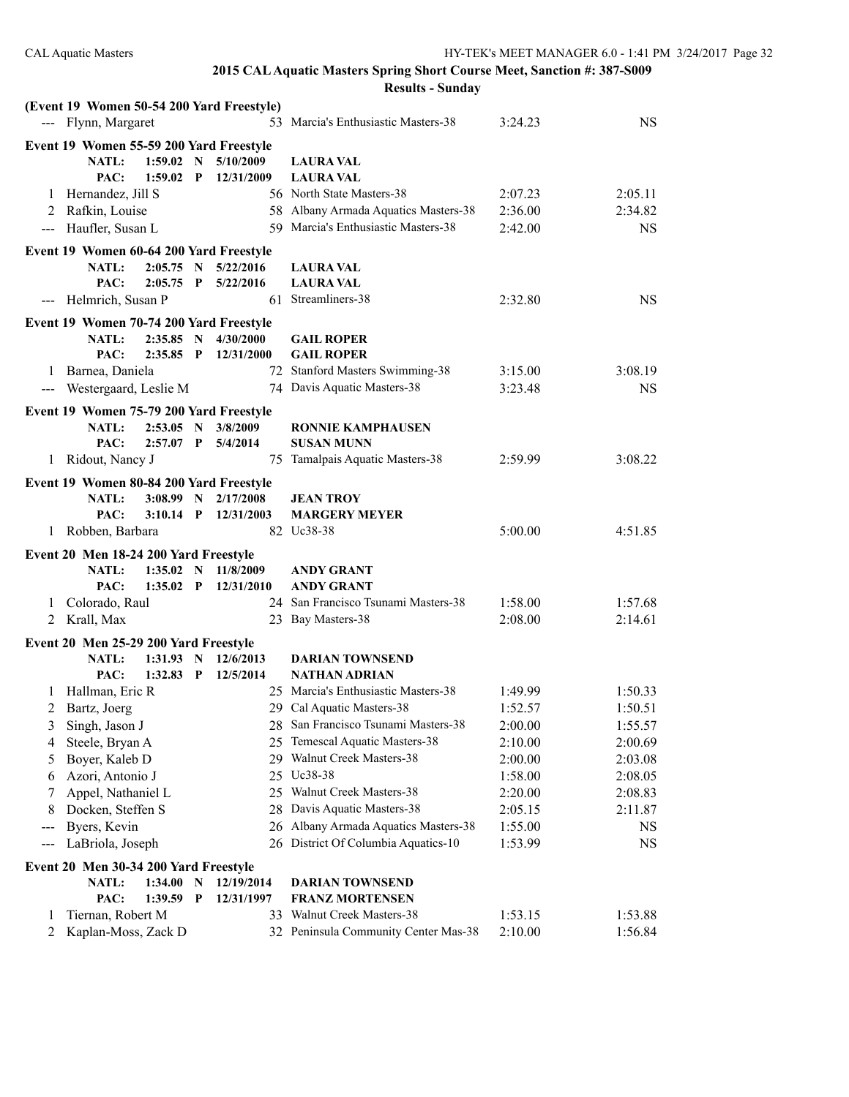| (Event 19 Women 50-54 200 Yard Freestyle)                                           |                                                                 |                    |                    |
|-------------------------------------------------------------------------------------|-----------------------------------------------------------------|--------------------|--------------------|
| --- Flynn, Margaret                                                                 | 53 Marcia's Enthusiastic Masters-38                             | 3:24.23            | <b>NS</b>          |
| Event 19 Women 55-59 200 Yard Freestyle                                             |                                                                 |                    |                    |
| <b>NATL:</b><br>$1:59.02$ N<br>5/10/2009                                            | <b>LAURA VAL</b>                                                |                    |                    |
| PAC:<br>$1:59.02$ P<br>12/31/2009                                                   | <b>LAURA VAL</b>                                                |                    |                    |
| 1 Hernandez, Jill S                                                                 | 56 North State Masters-38                                       | 2:07.23            | 2:05.11            |
| 2 Rafkin, Louise                                                                    | 58 Albany Armada Aquatics Masters-38                            | 2:36.00            | 2:34.82            |
| --- Haufler, Susan L                                                                | 59 Marcia's Enthusiastic Masters-38                             | 2:42.00            | <b>NS</b>          |
| Event 19 Women 60-64 200 Yard Freestyle                                             |                                                                 |                    |                    |
| 5/22/2016<br>NATL:<br>2:05.75 N                                                     | <b>LAURA VAL</b>                                                |                    |                    |
| PAC:<br>$2:05.75$ P<br>5/22/2016                                                    | <b>LAURA VAL</b>                                                |                    |                    |
| --- Helmrich, Susan P                                                               | 61 Streamliners-38                                              | 2:32.80            | <b>NS</b>          |
| Event 19 Women 70-74 200 Yard Freestyle                                             |                                                                 |                    |                    |
| $2:35.85$ N<br>4/30/2000<br><b>NATL:</b>                                            | <b>GAIL ROPER</b>                                               |                    |                    |
| PAC:<br>$2:35.85$ P<br>12/31/2000                                                   | <b>GAIL ROPER</b>                                               |                    |                    |
| 1 Barnea, Daniela                                                                   | 72 Stanford Masters Swimming-38                                 | 3:15.00            | 3:08.19            |
| --- Westergaard, Leslie M                                                           | 74 Davis Aquatic Masters-38                                     | 3:23.48            | <b>NS</b>          |
| Event 19 Women 75-79 200 Yard Freestyle                                             |                                                                 |                    |                    |
| <b>NATL:</b><br>$2:53.05$ N<br>3/8/2009                                             | <b>RONNIE KAMPHAUSEN</b>                                        |                    |                    |
| PAC:<br>$2:57.07$ P<br>5/4/2014                                                     | <b>SUSAN MUNN</b>                                               |                    |                    |
| 1 Ridout, Nancy J                                                                   | 75 Tamalpais Aquatic Masters-38                                 | 2:59.99            | 3:08.22            |
|                                                                                     |                                                                 |                    |                    |
| Event 19 Women 80-84 200 Yard Freestyle<br>2/17/2008<br><b>NATL:</b><br>$3:08.99$ N | <b>JEAN TROY</b>                                                |                    |                    |
| PAC:<br>$3:10.14$ P<br>12/31/2003                                                   | <b>MARGERY MEYER</b>                                            |                    |                    |
|                                                                                     |                                                                 |                    |                    |
|                                                                                     |                                                                 |                    |                    |
| 1 Robben, Barbara                                                                   | 82 Uc38-38                                                      | 5:00.00            | 4:51.85            |
| Event 20 Men 18-24 200 Yard Freestyle                                               |                                                                 |                    |                    |
| <b>NATL:</b><br>$1:35.02$ N<br>11/8/2009                                            | <b>ANDY GRANT</b>                                               |                    |                    |
| PAC:<br>$1:35.02$ P<br>12/31/2010                                                   | ANDY GRANT                                                      |                    |                    |
| Colorado, Raul<br>1                                                                 | 24 San Francisco Tsunami Masters-38                             | 1:58.00            | 1:57.68            |
| 2 Krall, Max                                                                        | 23 Bay Masters-38                                               | 2:08.00            | 2:14.61            |
| Event 20 Men 25-29 200 Yard Freestyle                                               |                                                                 |                    |                    |
| <b>NATL:</b><br>1:31.93 N<br>12/6/2013                                              | <b>DARIAN TOWNSEND</b>                                          |                    |                    |
| PAC:<br>1:32.83<br>$\mathbf{P}$<br>12/5/2014                                        | NATHAN ADRIAN                                                   |                    |                    |
| Hallman, Eric R<br>1                                                                | 25 Marcia's Enthusiastic Masters-38                             | 1:49.99            | 1:50.33            |
| 2<br>Bartz, Joerg                                                                   | 29 Cal Aquatic Masters-38                                       | 1:52.57            | 1:50.51            |
| Singh, Jason J<br>3                                                                 | 28 San Francisco Tsunami Masters-38                             | 2:00.00            | 1:55.57            |
| Steele, Bryan A<br>4                                                                | 25 Temescal Aquatic Masters-38                                  | 2:10.00            | 2:00.69            |
| Boyer, Kaleb D<br>5                                                                 | 29 Walnut Creek Masters-38                                      | 2:00.00            | 2:03.08            |
| Azori, Antonio J<br>6                                                               | 25 Uc38-38                                                      | 1:58.00            | 2:08.05            |
| Appel, Nathaniel L<br>7                                                             | 25 Walnut Creek Masters-38                                      | 2:20.00            | 2:08.83            |
| Docken, Steffen S<br>8                                                              | 28 Davis Aquatic Masters-38                                     | 2:05.15            | 2:11.87            |
| Byers, Kevin<br>---                                                                 | 26 Albany Armada Aquatics Masters-38                            | 1:55.00            | <b>NS</b>          |
| LaBriola, Joseph<br>$\qquad \qquad \text{---}$                                      | 26 District Of Columbia Aquatics-10                             | 1:53.99            | NS                 |
| Event 20 Men 30-34 200 Yard Freestyle                                               |                                                                 |                    |                    |
| <b>NATL:</b><br>1:34.00<br>$\mathbf N$<br>12/19/2014                                | <b>DARIAN TOWNSEND</b>                                          |                    |                    |
| PAC:<br>1:39.59<br>$\mathbf{P}$<br>12/31/1997                                       | <b>FRANZ MORTENSEN</b>                                          |                    |                    |
| Tiernan, Robert M<br>33<br>1<br>$\overline{2}$<br>Kaplan-Moss, Zack D               | Walnut Creek Masters-38<br>32 Peninsula Community Center Mas-38 | 1:53.15<br>2:10.00 | 1:53.88<br>1:56.84 |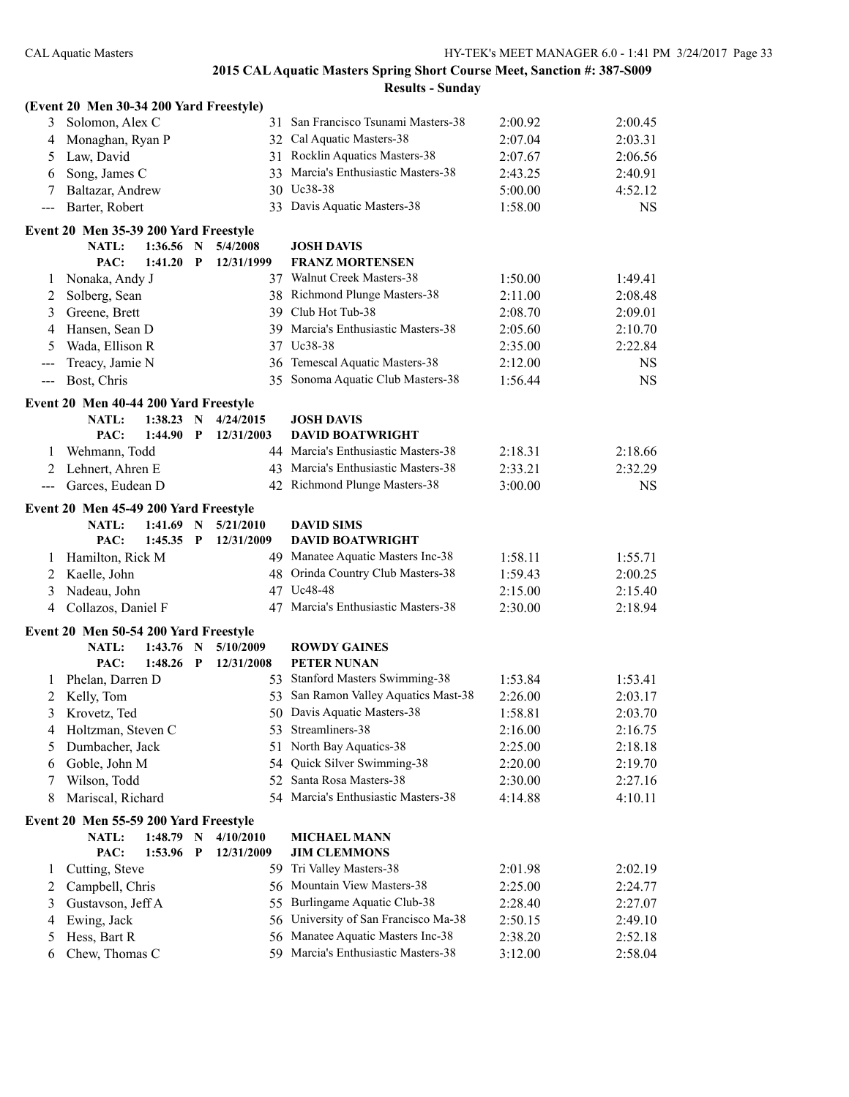|                                          | (Event 20 Men 30-34 200 Yard Freestyle) |           |             |            |                                      |         |           |
|------------------------------------------|-----------------------------------------|-----------|-------------|------------|--------------------------------------|---------|-----------|
| 3                                        | Solomon, Alex C                         |           |             |            | 31 San Francisco Tsunami Masters-38  | 2:00.92 | 2:00.45   |
| 4                                        | Monaghan, Ryan P                        |           |             |            | 32 Cal Aquatic Masters-38            | 2:07.04 | 2:03.31   |
| 5                                        | Law, David                              |           |             |            | 31 Rocklin Aquatics Masters-38       | 2:07.67 | 2:06.56   |
| 6                                        | Song, James C                           |           |             |            | 33 Marcia's Enthusiastic Masters-38  | 2:43.25 | 2:40.91   |
| 7                                        | Baltazar, Andrew                        |           |             |            | 30 Uc38-38                           | 5:00.00 | 4:52.12   |
| $\qquad \qquad -$                        | Barter, Robert                          |           |             |            | 33 Davis Aquatic Masters-38          | 1:58.00 | <b>NS</b> |
|                                          | Event 20 Men 35-39 200 Yard Freestyle   |           |             |            |                                      |         |           |
|                                          | <b>NATL:</b>                            | 1:36.56 N |             | 5/4/2008   | <b>JOSH DAVIS</b>                    |         |           |
|                                          | PAC:                                    | 1:41.20   | P           | 12/31/1999 | <b>FRANZ MORTENSEN</b>               |         |           |
| 1                                        | Nonaka, Andy J                          |           |             |            | 37 Walnut Creek Masters-38           | 1:50.00 | 1:49.41   |
| 2                                        | Solberg, Sean                           |           |             |            | 38 Richmond Plunge Masters-38        | 2:11.00 | 2:08.48   |
| 3                                        | Greene, Brett                           |           |             |            | 39 Club Hot Tub-38                   | 2:08.70 | 2:09.01   |
| 4                                        | Hansen, Sean D                          |           |             |            | 39 Marcia's Enthusiastic Masters-38  | 2:05.60 | 2:10.70   |
| 5                                        | Wada, Ellison R                         |           |             |            | 37 Uc38-38                           | 2:35.00 | 2:22.84   |
| $\qquad \qquad -$                        | Treacy, Jamie N                         |           |             |            | 36 Temescal Aquatic Masters-38       | 2:12.00 | <b>NS</b> |
| $\hspace{0.05cm} \ldots \hspace{0.05cm}$ | Bost, Chris                             |           |             |            | 35 Sonoma Aquatic Club Masters-38    | 1:56.44 | <b>NS</b> |
|                                          | Event 20 Men 40-44 200 Yard Freestyle   |           |             |            |                                      |         |           |
|                                          | <b>NATL:</b>                            | 1:38.23   | - N         | 4/24/2015  | <b>JOSH DAVIS</b>                    |         |           |
|                                          | PAC:                                    | 1:44.90   | $\mathbf P$ | 12/31/2003 | <b>DAVID BOATWRIGHT</b>              |         |           |
| 1                                        | Wehmann, Todd                           |           |             |            | 44 Marcia's Enthusiastic Masters-38  | 2:18.31 | 2:18.66   |
| 2                                        | Lehnert, Ahren E                        |           |             |            | 43 Marcia's Enthusiastic Masters-38  | 2:33.21 | 2:32.29   |
| $\scriptstyle \cdots$                    | Garces, Eudean D                        |           |             |            | 42 Richmond Plunge Masters-38        | 3:00.00 | <b>NS</b> |
|                                          | Event 20 Men 45-49 200 Yard Freestyle   |           |             |            |                                      |         |           |
|                                          | <b>NATL:</b>                            | 1:41.69   | $\mathbf N$ | 5/21/2010  | <b>DAVID SIMS</b>                    |         |           |
|                                          | PAC:                                    | 1:45.35   | $\mathbf P$ | 12/31/2009 | <b>DAVID BOATWRIGHT</b>              |         |           |
| 1                                        | Hamilton, Rick M                        |           |             |            | 49 Manatee Aquatic Masters Inc-38    | 1:58.11 | 1:55.71   |
| 2                                        | Kaelle, John                            |           |             |            | 48 Orinda Country Club Masters-38    | 1:59.43 | 2:00.25   |
| 3                                        | Nadeau, John                            |           |             |            | 47 Uc48-48                           | 2:15.00 | 2:15.40   |
| 4                                        | Collazos, Daniel F                      |           |             |            | 47 Marcia's Enthusiastic Masters-38  | 2:30.00 | 2:18.94   |
|                                          | Event 20 Men 50-54 200 Yard Freestyle   |           |             |            |                                      |         |           |
|                                          | <b>NATL:</b>                            | 1:43.76   | $\mathbf N$ | 5/10/2009  | <b>ROWDY GAINES</b>                  |         |           |
|                                          | PAC:                                    | 1:48.26   | P           | 12/31/2008 | <b>PETER NUNAN</b>                   |         |           |
| 1                                        | Phelan, Darren D                        |           |             |            | 53 Stanford Masters Swimming-38      | 1:53.84 | 1:53.41   |
| 2                                        | Kelly, Tom                              |           |             |            | 53 San Ramon Valley Aquatics Mast-38 | 2:26.00 | 2:03.17   |
| 3                                        | Krovetz, Ted                            |           |             |            | 50 Davis Aquatic Masters-38          | 1:58.81 | 2:03.70   |
| 4                                        | Holtzman, Steven C                      |           |             |            | 53 Streamliners-38                   | 2:16.00 | 2:16.75   |
| 5                                        | Dumbacher, Jack                         |           |             |            | 51 North Bay Aquatics-38             | 2:25.00 | 2:18.18   |
| 6                                        | Goble, John M                           |           |             | 54         | Quick Silver Swimming-38             | 2:20.00 | 2:19.70   |
| 7                                        | Wilson, Todd                            |           |             |            | 52 Santa Rosa Masters-38             | 2:30.00 | 2:27.16   |
| 8                                        | Mariscal, Richard                       |           |             |            | 54 Marcia's Enthusiastic Masters-38  | 4:14.88 | 4:10.11   |
|                                          | Event 20 Men 55-59 200 Yard Freestyle   |           |             |            |                                      |         |           |
|                                          | NATL:                                   | 1:48.79 N |             | 4/10/2010  | <b>MICHAEL MANN</b>                  |         |           |
|                                          | PAC:                                    | 1:53.96   | P           | 12/31/2009 | <b>JIM CLEMMONS</b>                  |         |           |
| 1                                        | Cutting, Steve                          |           |             |            | 59 Tri Valley Masters-38             | 2:01.98 | 2:02.19   |
| 2                                        | Campbell, Chris                         |           |             |            | 56 Mountain View Masters-38          | 2:25.00 | 2:24.77   |
| 3                                        | Gustavson, Jeff A                       |           |             |            | 55 Burlingame Aquatic Club-38        | 2:28.40 | 2:27.07   |
| 4                                        | Ewing, Jack                             |           |             | 56         | University of San Francisco Ma-38    | 2:50.15 | 2:49.10   |
| 5                                        | Hess, Bart R                            |           |             |            | 56 Manatee Aquatic Masters Inc-38    | 2:38.20 | 2:52.18   |
| 6                                        | Chew, Thomas C                          |           |             |            | 59 Marcia's Enthusiastic Masters-38  | 3:12.00 | 2:58.04   |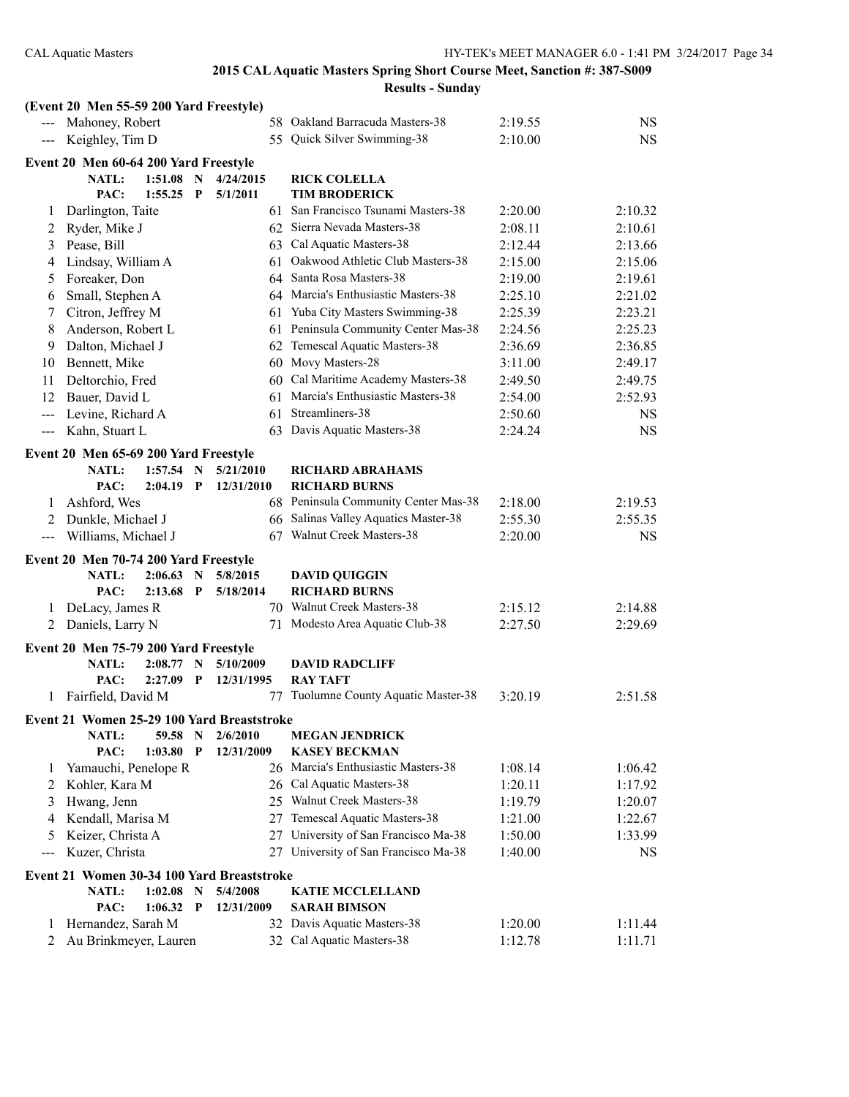|                     | (Event 20 Men 55-59 200 Yard Freestyle)    |             |              |            |                                      |         |           |
|---------------------|--------------------------------------------|-------------|--------------|------------|--------------------------------------|---------|-----------|
|                     | Mahoney, Robert                            |             |              |            | 58 Oakland Barracuda Masters-38      | 2:19.55 | <b>NS</b> |
| $\qquad \qquad - -$ | Keighley, Tim D                            |             |              |            | 55 Quick Silver Swimming-38          | 2:10.00 | <b>NS</b> |
|                     | Event 20 Men 60-64 200 Yard Freestyle      |             |              |            |                                      |         |           |
|                     | NATL:                                      | 1:51.08     | $\mathbf N$  | 4/24/2015  | <b>RICK COLELLA</b>                  |         |           |
|                     | PAC:                                       | $1:55.25$ P |              | 5/1/2011   | <b>TIM BRODERICK</b>                 |         |           |
| 1                   | Darlington, Taite                          |             |              |            | 61 San Francisco Tsunami Masters-38  | 2:20.00 | 2:10.32   |
| 2                   | Ryder, Mike J                              |             |              |            | 62 Sierra Nevada Masters-38          | 2:08.11 | 2:10.61   |
| 3                   | Pease, Bill                                |             |              |            | 63 Cal Aquatic Masters-38            | 2:12.44 | 2:13.66   |
| 4                   | Lindsay, William A                         |             |              | 61         | Oakwood Athletic Club Masters-38     | 2:15.00 | 2:15.06   |
| 5                   | Foreaker, Don                              |             |              |            | 64 Santa Rosa Masters-38             | 2:19.00 | 2:19.61   |
| 6                   | Small, Stephen A                           |             |              |            | 64 Marcia's Enthusiastic Masters-38  | 2:25.10 | 2:21.02   |
| 7                   | Citron, Jeffrey M                          |             |              |            | 61 Yuba City Masters Swimming-38     | 2:25.39 | 2:23.21   |
| 8                   | Anderson, Robert L                         |             |              |            | 61 Peninsula Community Center Mas-38 | 2:24.56 | 2:25.23   |
| 9                   | Dalton, Michael J                          |             |              |            | 62 Temescal Aquatic Masters-38       | 2:36.69 | 2:36.85   |
| 10                  | Bennett, Mike                              |             |              |            | 60 Movy Masters-28                   | 3:11.00 | 2:49.17   |
| 11                  | Deltorchio, Fred                           |             |              |            | 60 Cal Maritime Academy Masters-38   | 2:49.50 | 2:49.75   |
| 12                  | Bauer, David L                             |             |              |            | 61 Marcia's Enthusiastic Masters-38  | 2:54.00 | 2:52.93   |
| $---$               | Levine, Richard A                          |             |              | 61         | Streamliners-38                      | 2:50.60 | <b>NS</b> |
| $\qquad \qquad - -$ | Kahn, Stuart L                             |             |              |            | 63 Davis Aquatic Masters-38          | 2:24.24 | <b>NS</b> |
|                     | Event 20 Men 65-69 200 Yard Freestyle      |             |              |            |                                      |         |           |
|                     | <b>NATL:</b>                               | $1:57.54$ N |              | 5/21/2010  | <b>RICHARD ABRAHAMS</b>              |         |           |
|                     | PAC:                                       | $2:04.19$ P |              | 12/31/2010 | <b>RICHARD BURNS</b>                 |         |           |
| 1                   | Ashford, Wes                               |             |              |            | 68 Peninsula Community Center Mas-38 | 2:18.00 | 2:19.53   |
| 2                   | Dunkle, Michael J                          |             |              |            | 66 Salinas Valley Aquatics Master-38 | 2:55.30 | 2:55.35   |
| $---$               | Williams, Michael J                        |             |              |            | 67 Walnut Creek Masters-38           | 2:20.00 | <b>NS</b> |
|                     |                                            |             |              |            |                                      |         |           |
|                     | Event 20 Men 70-74 200 Yard Freestyle      |             |              |            |                                      |         |           |
|                     | <b>NATL:</b>                               | 2:06.63     | N            | 5/8/2015   | <b>DAVID QUIGGIN</b>                 |         |           |
|                     | PAC:                                       | 2:13.68     | $\mathbf P$  | 5/18/2014  | <b>RICHARD BURNS</b>                 |         |           |
| 1                   | DeLacy, James R                            |             |              |            | 70 Walnut Creek Masters-38           | 2:15.12 | 2:14.88   |
| 2                   | Daniels, Larry N                           |             |              | 71         | Modesto Area Aquatic Club-38         | 2:27.50 | 2:29.69   |
|                     | Event 20 Men 75-79 200 Yard Freestyle      |             |              |            |                                      |         |           |
|                     | <b>NATL:</b>                               | $2:08.77$ N |              | 5/10/2009  | <b>DAVID RADCLIFF</b>                |         |           |
|                     | PAC:                                       | 2:27.09     | P            | 12/31/1995 | <b>RAY TAFT</b>                      |         |           |
| 1                   | Fairfield, David M                         |             |              |            | 77 Tuolumne County Aquatic Master-38 | 3:20.19 | 2:51.58   |
|                     | Event 21 Women 25-29 100 Yard Breaststroke |             |              |            |                                      |         |           |
|                     | NATL:                                      | 59.58       | $\mathbf N$  | 2/6/2010   | <b>MEGAN JENDRICK</b>                |         |           |
|                     | PAC:                                       | $1:03.80$ P |              | 12/31/2009 | <b>KASEY BECKMAN</b>                 |         |           |
| 1                   | Yamauchi, Penelope R                       |             |              |            | 26 Marcia's Enthusiastic Masters-38  | 1:08.14 | 1:06.42   |
| 2                   | Kohler, Kara M                             |             |              |            | 26 Cal Aquatic Masters-38            | 1:20.11 | 1:17.92   |
| 3                   | Hwang, Jenn                                |             |              |            | 25 Walnut Creek Masters-38           | 1:19.79 | 1:20.07   |
| 4                   | Kendall, Marisa M                          |             |              |            | 27 Temescal Aquatic Masters-38       | 1:21.00 | 1:22.67   |
| 5                   | Keizer, Christa A                          |             |              |            | 27 University of San Francisco Ma-38 | 1:50.00 | 1:33.99   |
| $---$               | Kuzer, Christa                             |             |              |            | 27 University of San Francisco Ma-38 | 1:40.00 | <b>NS</b> |
|                     |                                            |             |              |            |                                      |         |           |
|                     | Event 21 Women 30-34 100 Yard Breaststroke |             |              |            |                                      |         |           |
|                     | <b>NATL:</b>                               | 1:02.08     | $\mathbf N$  | 5/4/2008   | <b>KATIE MCCLELLAND</b>              |         |           |
|                     | PAC:                                       | 1:06.32     | $\mathbf{P}$ | 12/31/2009 | <b>SARAH BIMSON</b>                  |         |           |
| $\perp$             | Hernandez, Sarah M                         |             |              |            | 32 Davis Aquatic Masters-38          | 1:20.00 | 1:11.44   |
| 2                   | Au Brinkmeyer, Lauren                      |             |              |            | 32 Cal Aquatic Masters-38            | 1:12.78 | 1:11.71   |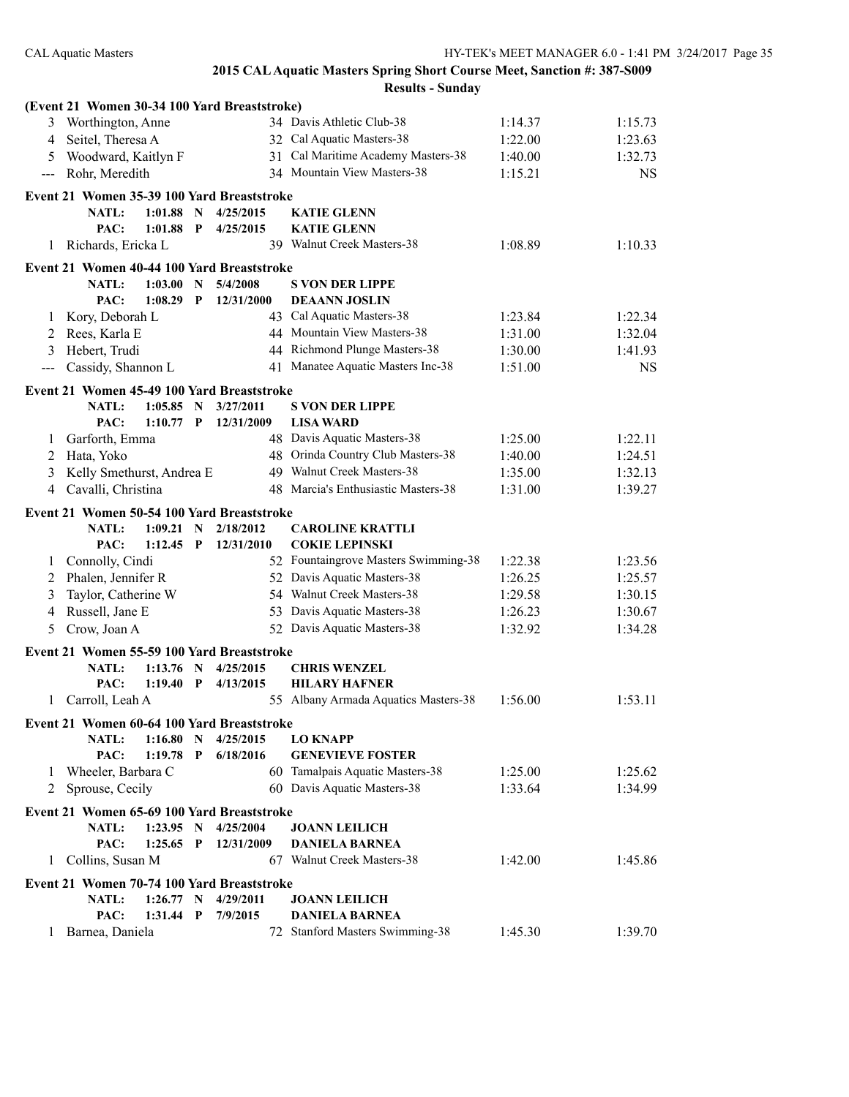|                   | (Event 21 Women 30-34 100 Yard Breaststroke) |             |                             |            |                                                            |                    |           |
|-------------------|----------------------------------------------|-------------|-----------------------------|------------|------------------------------------------------------------|--------------------|-----------|
|                   | 3 Worthington, Anne                          |             |                             |            | 34 Davis Athletic Club-38                                  | 1:14.37            | 1:15.73   |
| 4                 | Seitel, Theresa A                            |             |                             |            | 32 Cal Aquatic Masters-38                                  | 1:22.00            | 1:23.63   |
| 5.                | Woodward, Kaitlyn F                          |             |                             |            | 31 Cal Maritime Academy Masters-38                         | 1:40.00            | 1:32.73   |
| $---$             | Rohr, Meredith                               |             |                             |            | 34 Mountain View Masters-38                                | 1:15.21            | <b>NS</b> |
|                   | Event 21 Women 35-39 100 Yard Breaststroke   |             |                             |            |                                                            |                    |           |
|                   | NATL:                                        | 1:01.88     | $\mathbf N$                 | 4/25/2015  | <b>KATIE GLENN</b>                                         |                    |           |
|                   | PAC:                                         | 1:01.88     | $\mathbf{P}$                | 4/25/2015  | <b>KATIE GLENN</b>                                         |                    |           |
| 1                 | Richards, Ericka L                           |             |                             |            | 39 Walnut Creek Masters-38                                 | 1:08.89            | 1:10.33   |
|                   | Event 21 Women 40-44 100 Yard Breaststroke   |             |                             |            |                                                            |                    |           |
|                   | <b>NATL:</b>                                 | 1:03.00     | N                           | 5/4/2008   | <b>S VON DER LIPPE</b>                                     |                    |           |
|                   | PAC:                                         | 1:08.29     | $\mathbf{P}$                | 12/31/2000 | <b>DEAANN JOSLIN</b>                                       |                    |           |
| 1                 | Kory, Deborah L                              |             |                             |            | 43 Cal Aquatic Masters-38                                  | 1:23.84            | 1:22.34   |
| 2                 | Rees, Karla E                                |             |                             |            | 44 Mountain View Masters-38                                | 1:31.00            | 1:32.04   |
| 3                 | Hebert, Trudi                                |             |                             |            | 44 Richmond Plunge Masters-38                              | 1:30.00            | 1:41.93   |
| $\qquad \qquad -$ | Cassidy, Shannon L                           |             |                             |            | 41 Manatee Aquatic Masters Inc-38                          | 1:51.00            | <b>NS</b> |
|                   | Event 21 Women 45-49 100 Yard Breaststroke   |             |                             |            |                                                            |                    |           |
|                   | <b>NATL:</b>                                 | 1:05.85     | $\mathbf N$                 | 3/27/2011  | <b>S VON DER LIPPE</b>                                     |                    |           |
|                   | PAC:                                         | $1:10.77$ P |                             | 12/31/2009 | <b>LISA WARD</b>                                           |                    |           |
| 1                 | Garforth, Emma                               |             |                             |            | 48 Davis Aquatic Masters-38                                | 1:25.00            | 1:22.11   |
| 2                 | Hata, Yoko                                   |             |                             |            | 48 Orinda Country Club Masters-38                          | 1:40.00            | 1:24.51   |
| 3                 | Kelly Smethurst, Andrea E                    |             |                             |            | 49 Walnut Creek Masters-38                                 | 1:35.00            | 1:32.13   |
|                   | 4 Cavalli, Christina                         |             |                             |            | 48 Marcia's Enthusiastic Masters-38                        | 1:31.00            | 1:39.27   |
|                   |                                              |             |                             |            |                                                            |                    |           |
|                   | Event 21 Women 50-54 100 Yard Breaststroke   | 1:09.21     |                             | 2/18/2012  | <b>CAROLINE KRATTLI</b>                                    |                    |           |
|                   | <b>NATL:</b><br>PAC:                         | 1:12.45     | $\mathbf N$<br>$\mathbf{P}$ | 12/31/2010 | <b>COKIE LEPINSKI</b>                                      |                    |           |
|                   |                                              |             |                             |            | 52 Fountaingrove Masters Swimming-38                       | 1:22.38            | 1:23.56   |
| 1                 | Connolly, Cindi<br>Phalen, Jennifer R        |             |                             |            | 52 Davis Aquatic Masters-38                                |                    |           |
| 2                 |                                              |             |                             |            | 54 Walnut Creek Masters-38                                 | 1:26.25<br>1:29.58 | 1:25.57   |
| 3                 | Taylor, Catherine W                          |             |                             |            |                                                            |                    | 1:30.15   |
| 4                 | Russell, Jane E<br>Crow, Joan A              |             |                             |            | 53 Davis Aquatic Masters-38<br>52 Davis Aquatic Masters-38 | 1:26.23            | 1:30.67   |
| 5                 |                                              |             |                             |            |                                                            | 1:32.92            | 1:34.28   |
|                   | Event 21 Women 55-59 100 Yard Breaststroke   |             |                             |            |                                                            |                    |           |
|                   | <b>NATL:</b>                                 | $1:13.76$ N |                             | 4/25/2015  | <b>CHRIS WENZEL</b>                                        |                    |           |
|                   | PAC:                                         | $1:19.40$ P |                             | 4/13/2015  | <b>HILARY HAFNER</b>                                       |                    |           |
| 1                 | Carroll, Leah A                              |             |                             |            | 55 Albany Armada Aquatics Masters-38                       | 1:56.00            | 1:53.11   |
|                   | Event 21 Women 60-64 100 Yard Breaststroke   |             |                             |            |                                                            |                    |           |
|                   | <b>NATL:</b>                                 | 1:16.80     | N                           | 4/25/2015  | <b>LO KNAPP</b>                                            |                    |           |
|                   | PAC:                                         | 1:19.78     | $\mathbf{P}$                | 6/18/2016  | <b>GENEVIEVE FOSTER</b>                                    |                    |           |
| 1                 | Wheeler, Barbara C                           |             |                             |            | 60 Tamalpais Aquatic Masters-38                            | 1:25.00            | 1:25.62   |
| 2                 | Sprouse, Cecily                              |             |                             |            | 60 Davis Aquatic Masters-38                                | 1:33.64            | 1:34.99   |
|                   | Event 21 Women 65-69 100 Yard Breaststroke   |             |                             |            |                                                            |                    |           |
|                   | <b>NATL:</b>                                 | 1:23.95 N   |                             | 4/25/2004  | <b>JOANN LEILICH</b>                                       |                    |           |
|                   | PAC:                                         | $1:25.65$ P |                             | 12/31/2009 | <b>DANIELA BARNEA</b>                                      |                    |           |
| 1                 | Collins, Susan M                             |             |                             |            | 67 Walnut Creek Masters-38                                 | 1:42.00            | 1:45.86   |
|                   | Event 21 Women 70-74 100 Yard Breaststroke   |             |                             |            |                                                            |                    |           |
|                   | <b>NATL:</b>                                 | 1:26.77 N   |                             | 4/29/2011  | <b>JOANN LEILICH</b>                                       |                    |           |
|                   | PAC:                                         | $1:31.44$ P |                             | 7/9/2015   | <b>DANIELA BARNEA</b>                                      |                    |           |
| 1                 | Barnea, Daniela                              |             |                             | 72         | <b>Stanford Masters Swimming-38</b>                        | 1:45.30            | 1:39.70   |
|                   |                                              |             |                             |            |                                                            |                    |           |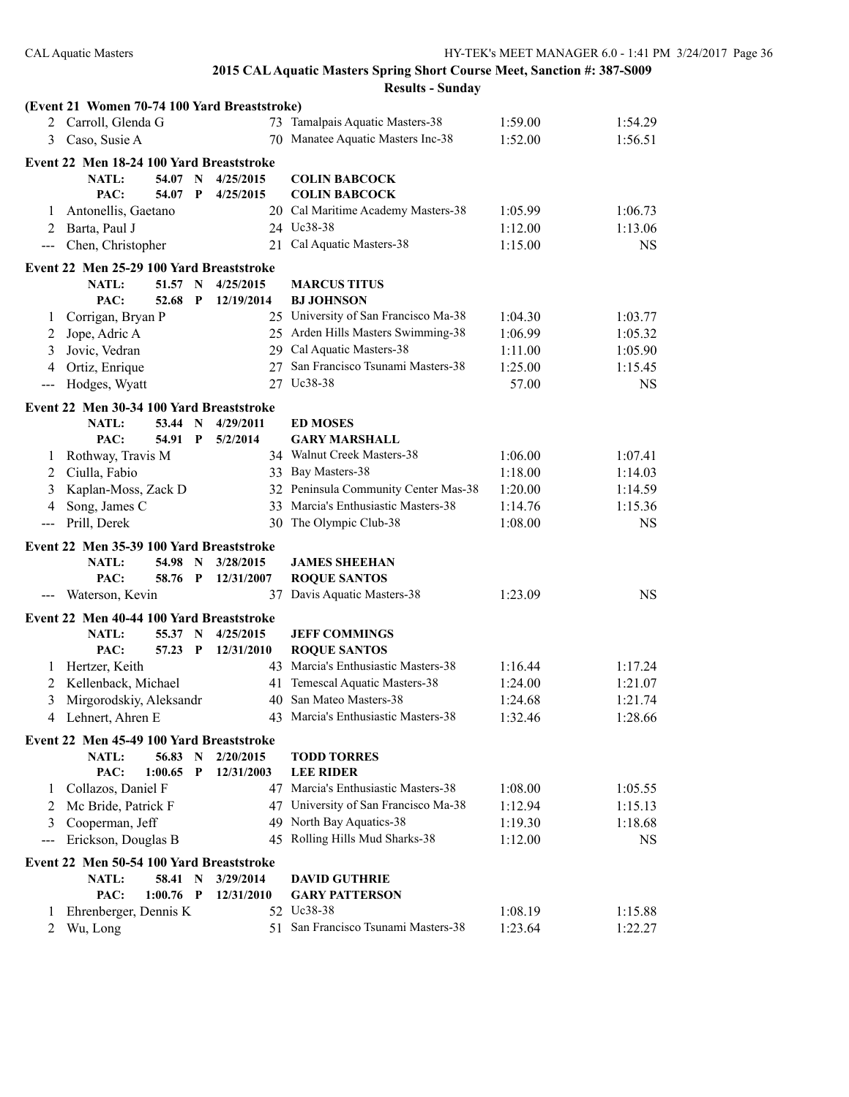|                                          | (Event 21 Women 70-74 100 Yard Breaststroke) |             |              |            |                                      |         |           |  |  |
|------------------------------------------|----------------------------------------------|-------------|--------------|------------|--------------------------------------|---------|-----------|--|--|
|                                          | 2 Carroll, Glenda G                          |             |              |            | 73 Tamalpais Aquatic Masters-38      | 1:59.00 | 1:54.29   |  |  |
| 3                                        | Caso, Susie A                                |             |              |            | 70 Manatee Aquatic Masters Inc-38    | 1:52.00 | 1:56.51   |  |  |
|                                          | Event 22 Men 18-24 100 Yard Breaststroke     |             |              |            |                                      |         |           |  |  |
|                                          | <b>NATL:</b>                                 | 54.07 N     |              | 4/25/2015  | <b>COLIN BABCOCK</b>                 |         |           |  |  |
|                                          | PAC:                                         | 54.07       | $\mathbf{P}$ | 4/25/2015  | <b>COLIN BABCOCK</b>                 |         |           |  |  |
| 1                                        | Antonellis, Gaetano                          |             |              |            | 20 Cal Maritime Academy Masters-38   | 1:05.99 | 1:06.73   |  |  |
| 2                                        | Barta, Paul J                                |             |              |            | 24 Uc38-38                           | 1:12.00 | 1:13.06   |  |  |
| $\qquad \qquad -$                        | Chen, Christopher                            |             |              |            | 21 Cal Aquatic Masters-38            | 1:15.00 | <b>NS</b> |  |  |
|                                          |                                              |             |              |            |                                      |         |           |  |  |
|                                          | Event 22 Men 25-29 100 Yard Breaststroke     |             |              |            |                                      |         |           |  |  |
|                                          | <b>NATL:</b>                                 | 51.57       | $\mathbf N$  | 4/25/2015  | <b>MARCUS TITUS</b>                  |         |           |  |  |
|                                          | PAC:                                         | 52.68       | P            | 12/19/2014 | <b>BJ JOHNSON</b>                    |         |           |  |  |
| 1                                        | Corrigan, Bryan P                            |             |              |            | 25 University of San Francisco Ma-38 | 1:04.30 | 1:03.77   |  |  |
| 2                                        | Jope, Adric A                                |             |              |            | 25 Arden Hills Masters Swimming-38   | 1:06.99 | 1:05.32   |  |  |
| 3                                        | Jovic, Vedran                                |             |              |            | 29 Cal Aquatic Masters-38            | 1:11.00 | 1:05.90   |  |  |
| 4                                        | Ortiz, Enrique                               |             |              |            | 27 San Francisco Tsunami Masters-38  | 1:25.00 | 1:15.45   |  |  |
| $\qquad \qquad -$                        | Hodges, Wyatt                                |             |              |            | 27 Uc38-38                           | 57.00   | NS.       |  |  |
|                                          | Event 22 Men 30-34 100 Yard Breaststroke     |             |              |            |                                      |         |           |  |  |
|                                          | NATL:                                        | 53.44 N     |              | 4/29/2011  | <b>ED MOSES</b>                      |         |           |  |  |
|                                          | PAC:                                         | 54.91 P     |              | 5/2/2014   | <b>GARY MARSHALL</b>                 |         |           |  |  |
| 1                                        | Rothway, Travis M                            |             |              |            | 34 Walnut Creek Masters-38           | 1:06.00 | 1:07.41   |  |  |
| 2                                        | Ciulla, Fabio                                |             |              |            | 33 Bay Masters-38                    | 1:18.00 | 1:14.03   |  |  |
| 3                                        | Kaplan-Moss, Zack D                          |             |              |            | 32 Peninsula Community Center Mas-38 | 1:20.00 | 1:14.59   |  |  |
| 4                                        | Song, James C                                |             |              |            | 33 Marcia's Enthusiastic Masters-38  | 1:14.76 | 1:15.36   |  |  |
| $---$                                    | Prill, Derek                                 |             |              | 30         | The Olympic Club-38                  | 1:08.00 | <b>NS</b> |  |  |
|                                          |                                              |             |              |            |                                      |         |           |  |  |
|                                          | Event 22 Men 35-39 100 Yard Breaststroke     |             |              |            |                                      |         |           |  |  |
|                                          | <b>NATL:</b>                                 | 54.98 N     |              | 3/28/2015  | <b>JAMES SHEEHAN</b>                 |         |           |  |  |
|                                          | PAC:                                         | 58.76 P     |              | 12/31/2007 | <b>ROQUE SANTOS</b>                  |         |           |  |  |
| $\hspace{0.05cm} \ldots \hspace{0.05cm}$ | Waterson, Kevin                              |             |              | 37         | Davis Aquatic Masters-38             | 1:23.09 | <b>NS</b> |  |  |
|                                          | Event 22 Men 40-44 100 Yard Breaststroke     |             |              |            |                                      |         |           |  |  |
|                                          | NATL:                                        | 55.37       | $\mathbf N$  | 4/25/2015  | <b>JEFF COMMINGS</b>                 |         |           |  |  |
|                                          | PAC:                                         | 57.23       | $\mathbf P$  | 12/31/2010 | <b>ROQUE SANTOS</b>                  |         |           |  |  |
| 1                                        | Hertzer, Keith                               |             |              |            | 43 Marcia's Enthusiastic Masters-38  | 1:16.44 | 1:17.24   |  |  |
| 2                                        | Kellenback, Michael                          |             |              | 41         | Temescal Aquatic Masters-38          | 1:24.00 | 1:21.07   |  |  |
| 3                                        | Mirgorodskiy, Aleksandr                      |             |              |            | 40 San Mateo Masters-38              | 1:24.68 | 1:21.74   |  |  |
| 4                                        | Lehnert, Ahren E                             |             |              |            | 43 Marcia's Enthusiastic Masters-38  | 1:32.46 | 1:28.66   |  |  |
|                                          |                                              |             |              |            |                                      |         |           |  |  |
|                                          | Event 22 Men 45-49 100 Yard Breaststroke     |             |              |            |                                      |         |           |  |  |
|                                          | NATL:                                        | 56.83 N     |              | 2/20/2015  | <b>TODD TORRES</b>                   |         |           |  |  |
|                                          | PAC:                                         | 1:00.65     | $\mathbf P$  | 12/31/2003 | <b>LEE RIDER</b>                     |         |           |  |  |
| 1                                        | Collazos, Daniel F                           |             |              |            | 47 Marcia's Enthusiastic Masters-38  | 1:08.00 | 1:05.55   |  |  |
| 2                                        | Mc Bride, Patrick F                          |             |              |            | 47 University of San Francisco Ma-38 | 1:12.94 | 1:15.13   |  |  |
| 3                                        | Cooperman, Jeff                              |             |              |            | 49 North Bay Aquatics-38             | 1:19.30 | 1:18.68   |  |  |
| $--$                                     | Erickson, Douglas B                          |             |              |            | 45 Rolling Hills Mud Sharks-38       | 1:12.00 | <b>NS</b> |  |  |
|                                          | Event 22 Men 50-54 100 Yard Breaststroke     |             |              |            |                                      |         |           |  |  |
|                                          | NATL:                                        | 58.41       | $\mathbf N$  | 3/29/2014  | <b>DAVID GUTHRIE</b>                 |         |           |  |  |
|                                          | PAC:                                         | $1:00.76$ P |              | 12/31/2010 | <b>GARY PATTERSON</b>                |         |           |  |  |
| 1                                        | Ehrenberger, Dennis K                        |             |              |            | 52 Uc38-38                           | 1:08.19 | 1:15.88   |  |  |
| $\overline{2}$                           | Wu, Long                                     |             |              |            | 51 San Francisco Tsunami Masters-38  | 1:23.64 | 1:22.27   |  |  |
|                                          |                                              |             |              |            |                                      |         |           |  |  |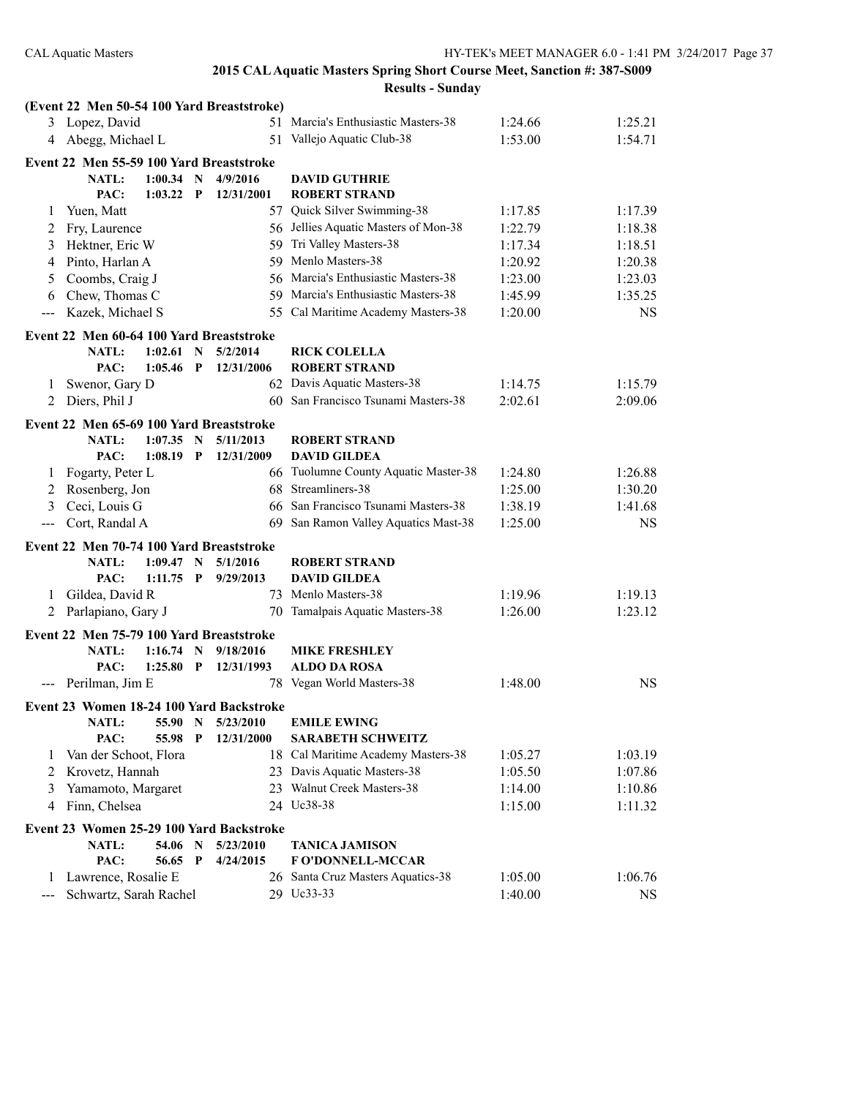| 3 Lopez, David<br>51 Marcia's Enthusiastic Masters-38<br>1:25.21<br>1:24.66<br>Abegg, Michael L<br>51 Vallejo Aquatic Club-38<br>1:53.00<br>1:54.71<br>4<br>Event 22 Men 55-59 100 Yard Breaststroke<br>NATL:<br>$1:00.34$ N<br>4/9/2016<br><b>DAVID GUTHRIE</b><br>PAC:<br>1:03.22<br>$\mathbf P$<br>12/31/2001<br><b>ROBERT STRAND</b><br>57 Quick Silver Swimming-38<br>Yuen, Matt<br>1:17.85<br>1:17.39<br>1<br>56 Jellies Aquatic Masters of Mon-38<br>Fry, Laurence<br>1:22.79<br>1:18.38<br>2<br>59 Tri Valley Masters-38<br>Hektner, Eric W<br>1:17.34<br>1:18.51<br>3<br>59 Menlo Masters-38<br>1:20.38<br>Pinto, Harlan A<br>1:20.92<br>4<br>Coombs, Craig J<br>56 Marcia's Enthusiastic Masters-38<br>1:23.00<br>1:23.03<br>5<br>Chew, Thomas C<br>59 Marcia's Enthusiastic Masters-38<br>1:45.99<br>1:35.25<br>6<br>55 Cal Maritime Academy Masters-38<br>Kazek, Michael S<br>1:20.00<br><b>NS</b><br>$---$<br>Event 22 Men 60-64 100 Yard Breaststroke<br><b>NATL:</b><br>1:02.61<br>$\mathbf N$<br>5/2/2014<br><b>RICK COLELLA</b><br><b>ROBERT STRAND</b><br>PAC:<br>1:05.46<br>$\mathbf{P}$<br>12/31/2006<br>62 Davis Aquatic Masters-38<br>Swenor, Gary D<br>1:15.79<br>1:14.75<br>1<br>60 San Francisco Tsunami Masters-38<br>Diers, Phil J<br>2:02.61<br>2:09.06<br>2<br>Event 22 Men 65-69 100 Yard Breaststroke<br><b>NATL:</b><br>$1:07.35$ N<br>5/11/2013<br><b>ROBERT STRAND</b><br>PAC:<br>1:08.19<br>$\mathbf{P}$<br>12/31/2009<br><b>DAVID GILDEA</b><br>66 Tuolumne County Aquatic Master-38<br>Fogarty, Peter L<br>1:26.88<br>1:24.80<br>1<br>68 Streamliners-38<br>Rosenberg, Jon<br>1:25.00<br>1:30.20<br>2<br>Ceci, Louis G<br>66 San Francisco Tsunami Masters-38<br>1:38.19<br>1:41.68<br>3<br>San Ramon Valley Aquatics Mast-38<br>1:25.00<br>Cort, Randal A<br><b>NS</b><br>69<br>$\qquad \qquad -$<br>Event 22 Men 70-74 100 Yard Breaststroke<br><b>NATL:</b><br>1:09.47<br>5/1/2016<br><b>ROBERT STRAND</b><br>$\mathbf N$<br>PAC:<br>1:11.75<br>$\mathbf P$<br>9/29/2013<br><b>DAVID GILDEA</b><br>Gildea, David R<br>73 Menlo Masters-38<br>1:19.96<br>1:19.13<br>1<br>Parlapiano, Gary J<br>Tamalpais Aquatic Masters-38<br>1:23.12<br>1:26.00<br>2<br>70<br>Event 22 Men 75-79 100 Yard Breaststroke<br><b>NATL:</b><br>$1:16.74$ N<br>9/18/2016<br><b>MIKE FRESHLEY</b><br>PAC:<br>1:25.80<br>$\mathbf{P}$<br><b>ALDO DA ROSA</b><br>12/31/1993<br>78 Vegan World Masters-38<br>--- Perilman, Jim E<br>1:48.00<br><b>NS</b><br>Event 23 Women 18-24 100 Yard Backstroke<br>NATL:<br>55.90<br>$\mathbf N$<br>5/23/2010<br><b>EMILE EWING</b><br>PAC:<br>55.98<br>12/31/2000<br><b>SARABETH SCHWEITZ</b><br>$\mathbf{P}$<br>18 Cal Maritime Academy Masters-38<br>Van der Schoot, Flora<br>1:05.27<br>1<br>23 Davis Aquatic Masters-38<br>Krovetz, Hannah<br>1:05.50<br>2<br>23 Walnut Creek Masters-38<br>Yamamoto, Margaret<br>1:14.00<br>3<br>Finn, Chelsea<br>24 Uc38-38<br>1:15.00<br>4<br>Event 23 Women 25-29 100 Yard Backstroke<br><b>NATL:</b><br>54.06<br>N<br>5/23/2010<br><b>TANICA JAMISON</b><br>PAC:<br>56.65<br>$\mathbf P$<br>4/24/2015<br>F O'DONNELL-MCCAR<br>Lawrence, Rosalie E<br>26 Santa Cruz Masters Aquatics-38<br>1:05.00<br>1:06.76<br>1<br>29 Uc33-33<br>Schwartz, Sarah Rachel |       | (Event 22 Men 50-54 100 Yard Breaststroke) |  |  |  |         |           |
|---------------------------------------------------------------------------------------------------------------------------------------------------------------------------------------------------------------------------------------------------------------------------------------------------------------------------------------------------------------------------------------------------------------------------------------------------------------------------------------------------------------------------------------------------------------------------------------------------------------------------------------------------------------------------------------------------------------------------------------------------------------------------------------------------------------------------------------------------------------------------------------------------------------------------------------------------------------------------------------------------------------------------------------------------------------------------------------------------------------------------------------------------------------------------------------------------------------------------------------------------------------------------------------------------------------------------------------------------------------------------------------------------------------------------------------------------------------------------------------------------------------------------------------------------------------------------------------------------------------------------------------------------------------------------------------------------------------------------------------------------------------------------------------------------------------------------------------------------------------------------------------------------------------------------------------------------------------------------------------------------------------------------------------------------------------------------------------------------------------------------------------------------------------------------------------------------------------------------------------------------------------------------------------------------------------------------------------------------------------------------------------------------------------------------------------------------------------------------------------------------------------------------------------------------------------------------------------------------------------------------------------------------------------------------------------------------------------------------------------------------------------------------------------------------------------------------------------------------------------------------------------------------------------------------------------------------------------------------------------------------------------------------------------------------------------------------------------------------------------------------------------------------------------------------------------------------------------------------------------------------------|-------|--------------------------------------------|--|--|--|---------|-----------|
|                                                                                                                                                                                                                                                                                                                                                                                                                                                                                                                                                                                                                                                                                                                                                                                                                                                                                                                                                                                                                                                                                                                                                                                                                                                                                                                                                                                                                                                                                                                                                                                                                                                                                                                                                                                                                                                                                                                                                                                                                                                                                                                                                                                                                                                                                                                                                                                                                                                                                                                                                                                                                                                                                                                                                                                                                                                                                                                                                                                                                                                                                                                                                                                                                                                         |       |                                            |  |  |  |         |           |
|                                                                                                                                                                                                                                                                                                                                                                                                                                                                                                                                                                                                                                                                                                                                                                                                                                                                                                                                                                                                                                                                                                                                                                                                                                                                                                                                                                                                                                                                                                                                                                                                                                                                                                                                                                                                                                                                                                                                                                                                                                                                                                                                                                                                                                                                                                                                                                                                                                                                                                                                                                                                                                                                                                                                                                                                                                                                                                                                                                                                                                                                                                                                                                                                                                                         |       |                                            |  |  |  |         |           |
|                                                                                                                                                                                                                                                                                                                                                                                                                                                                                                                                                                                                                                                                                                                                                                                                                                                                                                                                                                                                                                                                                                                                                                                                                                                                                                                                                                                                                                                                                                                                                                                                                                                                                                                                                                                                                                                                                                                                                                                                                                                                                                                                                                                                                                                                                                                                                                                                                                                                                                                                                                                                                                                                                                                                                                                                                                                                                                                                                                                                                                                                                                                                                                                                                                                         |       |                                            |  |  |  |         |           |
|                                                                                                                                                                                                                                                                                                                                                                                                                                                                                                                                                                                                                                                                                                                                                                                                                                                                                                                                                                                                                                                                                                                                                                                                                                                                                                                                                                                                                                                                                                                                                                                                                                                                                                                                                                                                                                                                                                                                                                                                                                                                                                                                                                                                                                                                                                                                                                                                                                                                                                                                                                                                                                                                                                                                                                                                                                                                                                                                                                                                                                                                                                                                                                                                                                                         |       |                                            |  |  |  |         |           |
|                                                                                                                                                                                                                                                                                                                                                                                                                                                                                                                                                                                                                                                                                                                                                                                                                                                                                                                                                                                                                                                                                                                                                                                                                                                                                                                                                                                                                                                                                                                                                                                                                                                                                                                                                                                                                                                                                                                                                                                                                                                                                                                                                                                                                                                                                                                                                                                                                                                                                                                                                                                                                                                                                                                                                                                                                                                                                                                                                                                                                                                                                                                                                                                                                                                         |       |                                            |  |  |  |         |           |
|                                                                                                                                                                                                                                                                                                                                                                                                                                                                                                                                                                                                                                                                                                                                                                                                                                                                                                                                                                                                                                                                                                                                                                                                                                                                                                                                                                                                                                                                                                                                                                                                                                                                                                                                                                                                                                                                                                                                                                                                                                                                                                                                                                                                                                                                                                                                                                                                                                                                                                                                                                                                                                                                                                                                                                                                                                                                                                                                                                                                                                                                                                                                                                                                                                                         |       |                                            |  |  |  |         |           |
|                                                                                                                                                                                                                                                                                                                                                                                                                                                                                                                                                                                                                                                                                                                                                                                                                                                                                                                                                                                                                                                                                                                                                                                                                                                                                                                                                                                                                                                                                                                                                                                                                                                                                                                                                                                                                                                                                                                                                                                                                                                                                                                                                                                                                                                                                                                                                                                                                                                                                                                                                                                                                                                                                                                                                                                                                                                                                                                                                                                                                                                                                                                                                                                                                                                         |       |                                            |  |  |  |         |           |
|                                                                                                                                                                                                                                                                                                                                                                                                                                                                                                                                                                                                                                                                                                                                                                                                                                                                                                                                                                                                                                                                                                                                                                                                                                                                                                                                                                                                                                                                                                                                                                                                                                                                                                                                                                                                                                                                                                                                                                                                                                                                                                                                                                                                                                                                                                                                                                                                                                                                                                                                                                                                                                                                                                                                                                                                                                                                                                                                                                                                                                                                                                                                                                                                                                                         |       |                                            |  |  |  |         |           |
|                                                                                                                                                                                                                                                                                                                                                                                                                                                                                                                                                                                                                                                                                                                                                                                                                                                                                                                                                                                                                                                                                                                                                                                                                                                                                                                                                                                                                                                                                                                                                                                                                                                                                                                                                                                                                                                                                                                                                                                                                                                                                                                                                                                                                                                                                                                                                                                                                                                                                                                                                                                                                                                                                                                                                                                                                                                                                                                                                                                                                                                                                                                                                                                                                                                         |       |                                            |  |  |  |         |           |
|                                                                                                                                                                                                                                                                                                                                                                                                                                                                                                                                                                                                                                                                                                                                                                                                                                                                                                                                                                                                                                                                                                                                                                                                                                                                                                                                                                                                                                                                                                                                                                                                                                                                                                                                                                                                                                                                                                                                                                                                                                                                                                                                                                                                                                                                                                                                                                                                                                                                                                                                                                                                                                                                                                                                                                                                                                                                                                                                                                                                                                                                                                                                                                                                                                                         |       |                                            |  |  |  |         |           |
|                                                                                                                                                                                                                                                                                                                                                                                                                                                                                                                                                                                                                                                                                                                                                                                                                                                                                                                                                                                                                                                                                                                                                                                                                                                                                                                                                                                                                                                                                                                                                                                                                                                                                                                                                                                                                                                                                                                                                                                                                                                                                                                                                                                                                                                                                                                                                                                                                                                                                                                                                                                                                                                                                                                                                                                                                                                                                                                                                                                                                                                                                                                                                                                                                                                         |       |                                            |  |  |  |         |           |
|                                                                                                                                                                                                                                                                                                                                                                                                                                                                                                                                                                                                                                                                                                                                                                                                                                                                                                                                                                                                                                                                                                                                                                                                                                                                                                                                                                                                                                                                                                                                                                                                                                                                                                                                                                                                                                                                                                                                                                                                                                                                                                                                                                                                                                                                                                                                                                                                                                                                                                                                                                                                                                                                                                                                                                                                                                                                                                                                                                                                                                                                                                                                                                                                                                                         |       |                                            |  |  |  |         |           |
|                                                                                                                                                                                                                                                                                                                                                                                                                                                                                                                                                                                                                                                                                                                                                                                                                                                                                                                                                                                                                                                                                                                                                                                                                                                                                                                                                                                                                                                                                                                                                                                                                                                                                                                                                                                                                                                                                                                                                                                                                                                                                                                                                                                                                                                                                                                                                                                                                                                                                                                                                                                                                                                                                                                                                                                                                                                                                                                                                                                                                                                                                                                                                                                                                                                         |       |                                            |  |  |  |         |           |
|                                                                                                                                                                                                                                                                                                                                                                                                                                                                                                                                                                                                                                                                                                                                                                                                                                                                                                                                                                                                                                                                                                                                                                                                                                                                                                                                                                                                                                                                                                                                                                                                                                                                                                                                                                                                                                                                                                                                                                                                                                                                                                                                                                                                                                                                                                                                                                                                                                                                                                                                                                                                                                                                                                                                                                                                                                                                                                                                                                                                                                                                                                                                                                                                                                                         |       |                                            |  |  |  |         |           |
|                                                                                                                                                                                                                                                                                                                                                                                                                                                                                                                                                                                                                                                                                                                                                                                                                                                                                                                                                                                                                                                                                                                                                                                                                                                                                                                                                                                                                                                                                                                                                                                                                                                                                                                                                                                                                                                                                                                                                                                                                                                                                                                                                                                                                                                                                                                                                                                                                                                                                                                                                                                                                                                                                                                                                                                                                                                                                                                                                                                                                                                                                                                                                                                                                                                         |       |                                            |  |  |  |         |           |
|                                                                                                                                                                                                                                                                                                                                                                                                                                                                                                                                                                                                                                                                                                                                                                                                                                                                                                                                                                                                                                                                                                                                                                                                                                                                                                                                                                                                                                                                                                                                                                                                                                                                                                                                                                                                                                                                                                                                                                                                                                                                                                                                                                                                                                                                                                                                                                                                                                                                                                                                                                                                                                                                                                                                                                                                                                                                                                                                                                                                                                                                                                                                                                                                                                                         |       |                                            |  |  |  |         |           |
|                                                                                                                                                                                                                                                                                                                                                                                                                                                                                                                                                                                                                                                                                                                                                                                                                                                                                                                                                                                                                                                                                                                                                                                                                                                                                                                                                                                                                                                                                                                                                                                                                                                                                                                                                                                                                                                                                                                                                                                                                                                                                                                                                                                                                                                                                                                                                                                                                                                                                                                                                                                                                                                                                                                                                                                                                                                                                                                                                                                                                                                                                                                                                                                                                                                         |       |                                            |  |  |  |         |           |
|                                                                                                                                                                                                                                                                                                                                                                                                                                                                                                                                                                                                                                                                                                                                                                                                                                                                                                                                                                                                                                                                                                                                                                                                                                                                                                                                                                                                                                                                                                                                                                                                                                                                                                                                                                                                                                                                                                                                                                                                                                                                                                                                                                                                                                                                                                                                                                                                                                                                                                                                                                                                                                                                                                                                                                                                                                                                                                                                                                                                                                                                                                                                                                                                                                                         |       |                                            |  |  |  |         |           |
|                                                                                                                                                                                                                                                                                                                                                                                                                                                                                                                                                                                                                                                                                                                                                                                                                                                                                                                                                                                                                                                                                                                                                                                                                                                                                                                                                                                                                                                                                                                                                                                                                                                                                                                                                                                                                                                                                                                                                                                                                                                                                                                                                                                                                                                                                                                                                                                                                                                                                                                                                                                                                                                                                                                                                                                                                                                                                                                                                                                                                                                                                                                                                                                                                                                         |       |                                            |  |  |  |         |           |
|                                                                                                                                                                                                                                                                                                                                                                                                                                                                                                                                                                                                                                                                                                                                                                                                                                                                                                                                                                                                                                                                                                                                                                                                                                                                                                                                                                                                                                                                                                                                                                                                                                                                                                                                                                                                                                                                                                                                                                                                                                                                                                                                                                                                                                                                                                                                                                                                                                                                                                                                                                                                                                                                                                                                                                                                                                                                                                                                                                                                                                                                                                                                                                                                                                                         |       |                                            |  |  |  |         |           |
|                                                                                                                                                                                                                                                                                                                                                                                                                                                                                                                                                                                                                                                                                                                                                                                                                                                                                                                                                                                                                                                                                                                                                                                                                                                                                                                                                                                                                                                                                                                                                                                                                                                                                                                                                                                                                                                                                                                                                                                                                                                                                                                                                                                                                                                                                                                                                                                                                                                                                                                                                                                                                                                                                                                                                                                                                                                                                                                                                                                                                                                                                                                                                                                                                                                         |       |                                            |  |  |  |         |           |
|                                                                                                                                                                                                                                                                                                                                                                                                                                                                                                                                                                                                                                                                                                                                                                                                                                                                                                                                                                                                                                                                                                                                                                                                                                                                                                                                                                                                                                                                                                                                                                                                                                                                                                                                                                                                                                                                                                                                                                                                                                                                                                                                                                                                                                                                                                                                                                                                                                                                                                                                                                                                                                                                                                                                                                                                                                                                                                                                                                                                                                                                                                                                                                                                                                                         |       |                                            |  |  |  |         |           |
|                                                                                                                                                                                                                                                                                                                                                                                                                                                                                                                                                                                                                                                                                                                                                                                                                                                                                                                                                                                                                                                                                                                                                                                                                                                                                                                                                                                                                                                                                                                                                                                                                                                                                                                                                                                                                                                                                                                                                                                                                                                                                                                                                                                                                                                                                                                                                                                                                                                                                                                                                                                                                                                                                                                                                                                                                                                                                                                                                                                                                                                                                                                                                                                                                                                         |       |                                            |  |  |  |         |           |
|                                                                                                                                                                                                                                                                                                                                                                                                                                                                                                                                                                                                                                                                                                                                                                                                                                                                                                                                                                                                                                                                                                                                                                                                                                                                                                                                                                                                                                                                                                                                                                                                                                                                                                                                                                                                                                                                                                                                                                                                                                                                                                                                                                                                                                                                                                                                                                                                                                                                                                                                                                                                                                                                                                                                                                                                                                                                                                                                                                                                                                                                                                                                                                                                                                                         |       |                                            |  |  |  |         |           |
|                                                                                                                                                                                                                                                                                                                                                                                                                                                                                                                                                                                                                                                                                                                                                                                                                                                                                                                                                                                                                                                                                                                                                                                                                                                                                                                                                                                                                                                                                                                                                                                                                                                                                                                                                                                                                                                                                                                                                                                                                                                                                                                                                                                                                                                                                                                                                                                                                                                                                                                                                                                                                                                                                                                                                                                                                                                                                                                                                                                                                                                                                                                                                                                                                                                         |       |                                            |  |  |  |         |           |
|                                                                                                                                                                                                                                                                                                                                                                                                                                                                                                                                                                                                                                                                                                                                                                                                                                                                                                                                                                                                                                                                                                                                                                                                                                                                                                                                                                                                                                                                                                                                                                                                                                                                                                                                                                                                                                                                                                                                                                                                                                                                                                                                                                                                                                                                                                                                                                                                                                                                                                                                                                                                                                                                                                                                                                                                                                                                                                                                                                                                                                                                                                                                                                                                                                                         |       |                                            |  |  |  |         |           |
|                                                                                                                                                                                                                                                                                                                                                                                                                                                                                                                                                                                                                                                                                                                                                                                                                                                                                                                                                                                                                                                                                                                                                                                                                                                                                                                                                                                                                                                                                                                                                                                                                                                                                                                                                                                                                                                                                                                                                                                                                                                                                                                                                                                                                                                                                                                                                                                                                                                                                                                                                                                                                                                                                                                                                                                                                                                                                                                                                                                                                                                                                                                                                                                                                                                         |       |                                            |  |  |  |         |           |
|                                                                                                                                                                                                                                                                                                                                                                                                                                                                                                                                                                                                                                                                                                                                                                                                                                                                                                                                                                                                                                                                                                                                                                                                                                                                                                                                                                                                                                                                                                                                                                                                                                                                                                                                                                                                                                                                                                                                                                                                                                                                                                                                                                                                                                                                                                                                                                                                                                                                                                                                                                                                                                                                                                                                                                                                                                                                                                                                                                                                                                                                                                                                                                                                                                                         |       |                                            |  |  |  |         |           |
|                                                                                                                                                                                                                                                                                                                                                                                                                                                                                                                                                                                                                                                                                                                                                                                                                                                                                                                                                                                                                                                                                                                                                                                                                                                                                                                                                                                                                                                                                                                                                                                                                                                                                                                                                                                                                                                                                                                                                                                                                                                                                                                                                                                                                                                                                                                                                                                                                                                                                                                                                                                                                                                                                                                                                                                                                                                                                                                                                                                                                                                                                                                                                                                                                                                         |       |                                            |  |  |  |         |           |
|                                                                                                                                                                                                                                                                                                                                                                                                                                                                                                                                                                                                                                                                                                                                                                                                                                                                                                                                                                                                                                                                                                                                                                                                                                                                                                                                                                                                                                                                                                                                                                                                                                                                                                                                                                                                                                                                                                                                                                                                                                                                                                                                                                                                                                                                                                                                                                                                                                                                                                                                                                                                                                                                                                                                                                                                                                                                                                                                                                                                                                                                                                                                                                                                                                                         |       |                                            |  |  |  |         |           |
|                                                                                                                                                                                                                                                                                                                                                                                                                                                                                                                                                                                                                                                                                                                                                                                                                                                                                                                                                                                                                                                                                                                                                                                                                                                                                                                                                                                                                                                                                                                                                                                                                                                                                                                                                                                                                                                                                                                                                                                                                                                                                                                                                                                                                                                                                                                                                                                                                                                                                                                                                                                                                                                                                                                                                                                                                                                                                                                                                                                                                                                                                                                                                                                                                                                         |       |                                            |  |  |  |         |           |
|                                                                                                                                                                                                                                                                                                                                                                                                                                                                                                                                                                                                                                                                                                                                                                                                                                                                                                                                                                                                                                                                                                                                                                                                                                                                                                                                                                                                                                                                                                                                                                                                                                                                                                                                                                                                                                                                                                                                                                                                                                                                                                                                                                                                                                                                                                                                                                                                                                                                                                                                                                                                                                                                                                                                                                                                                                                                                                                                                                                                                                                                                                                                                                                                                                                         |       |                                            |  |  |  |         |           |
|                                                                                                                                                                                                                                                                                                                                                                                                                                                                                                                                                                                                                                                                                                                                                                                                                                                                                                                                                                                                                                                                                                                                                                                                                                                                                                                                                                                                                                                                                                                                                                                                                                                                                                                                                                                                                                                                                                                                                                                                                                                                                                                                                                                                                                                                                                                                                                                                                                                                                                                                                                                                                                                                                                                                                                                                                                                                                                                                                                                                                                                                                                                                                                                                                                                         |       |                                            |  |  |  |         |           |
|                                                                                                                                                                                                                                                                                                                                                                                                                                                                                                                                                                                                                                                                                                                                                                                                                                                                                                                                                                                                                                                                                                                                                                                                                                                                                                                                                                                                                                                                                                                                                                                                                                                                                                                                                                                                                                                                                                                                                                                                                                                                                                                                                                                                                                                                                                                                                                                                                                                                                                                                                                                                                                                                                                                                                                                                                                                                                                                                                                                                                                                                                                                                                                                                                                                         |       |                                            |  |  |  |         |           |
|                                                                                                                                                                                                                                                                                                                                                                                                                                                                                                                                                                                                                                                                                                                                                                                                                                                                                                                                                                                                                                                                                                                                                                                                                                                                                                                                                                                                                                                                                                                                                                                                                                                                                                                                                                                                                                                                                                                                                                                                                                                                                                                                                                                                                                                                                                                                                                                                                                                                                                                                                                                                                                                                                                                                                                                                                                                                                                                                                                                                                                                                                                                                                                                                                                                         |       |                                            |  |  |  |         |           |
|                                                                                                                                                                                                                                                                                                                                                                                                                                                                                                                                                                                                                                                                                                                                                                                                                                                                                                                                                                                                                                                                                                                                                                                                                                                                                                                                                                                                                                                                                                                                                                                                                                                                                                                                                                                                                                                                                                                                                                                                                                                                                                                                                                                                                                                                                                                                                                                                                                                                                                                                                                                                                                                                                                                                                                                                                                                                                                                                                                                                                                                                                                                                                                                                                                                         |       |                                            |  |  |  |         |           |
|                                                                                                                                                                                                                                                                                                                                                                                                                                                                                                                                                                                                                                                                                                                                                                                                                                                                                                                                                                                                                                                                                                                                                                                                                                                                                                                                                                                                                                                                                                                                                                                                                                                                                                                                                                                                                                                                                                                                                                                                                                                                                                                                                                                                                                                                                                                                                                                                                                                                                                                                                                                                                                                                                                                                                                                                                                                                                                                                                                                                                                                                                                                                                                                                                                                         |       |                                            |  |  |  |         |           |
|                                                                                                                                                                                                                                                                                                                                                                                                                                                                                                                                                                                                                                                                                                                                                                                                                                                                                                                                                                                                                                                                                                                                                                                                                                                                                                                                                                                                                                                                                                                                                                                                                                                                                                                                                                                                                                                                                                                                                                                                                                                                                                                                                                                                                                                                                                                                                                                                                                                                                                                                                                                                                                                                                                                                                                                                                                                                                                                                                                                                                                                                                                                                                                                                                                                         |       |                                            |  |  |  |         | 1:03.19   |
|                                                                                                                                                                                                                                                                                                                                                                                                                                                                                                                                                                                                                                                                                                                                                                                                                                                                                                                                                                                                                                                                                                                                                                                                                                                                                                                                                                                                                                                                                                                                                                                                                                                                                                                                                                                                                                                                                                                                                                                                                                                                                                                                                                                                                                                                                                                                                                                                                                                                                                                                                                                                                                                                                                                                                                                                                                                                                                                                                                                                                                                                                                                                                                                                                                                         |       |                                            |  |  |  |         | 1:07.86   |
|                                                                                                                                                                                                                                                                                                                                                                                                                                                                                                                                                                                                                                                                                                                                                                                                                                                                                                                                                                                                                                                                                                                                                                                                                                                                                                                                                                                                                                                                                                                                                                                                                                                                                                                                                                                                                                                                                                                                                                                                                                                                                                                                                                                                                                                                                                                                                                                                                                                                                                                                                                                                                                                                                                                                                                                                                                                                                                                                                                                                                                                                                                                                                                                                                                                         |       |                                            |  |  |  |         | 1:10.86   |
|                                                                                                                                                                                                                                                                                                                                                                                                                                                                                                                                                                                                                                                                                                                                                                                                                                                                                                                                                                                                                                                                                                                                                                                                                                                                                                                                                                                                                                                                                                                                                                                                                                                                                                                                                                                                                                                                                                                                                                                                                                                                                                                                                                                                                                                                                                                                                                                                                                                                                                                                                                                                                                                                                                                                                                                                                                                                                                                                                                                                                                                                                                                                                                                                                                                         |       |                                            |  |  |  |         | 1:11.32   |
|                                                                                                                                                                                                                                                                                                                                                                                                                                                                                                                                                                                                                                                                                                                                                                                                                                                                                                                                                                                                                                                                                                                                                                                                                                                                                                                                                                                                                                                                                                                                                                                                                                                                                                                                                                                                                                                                                                                                                                                                                                                                                                                                                                                                                                                                                                                                                                                                                                                                                                                                                                                                                                                                                                                                                                                                                                                                                                                                                                                                                                                                                                                                                                                                                                                         |       |                                            |  |  |  |         |           |
|                                                                                                                                                                                                                                                                                                                                                                                                                                                                                                                                                                                                                                                                                                                                                                                                                                                                                                                                                                                                                                                                                                                                                                                                                                                                                                                                                                                                                                                                                                                                                                                                                                                                                                                                                                                                                                                                                                                                                                                                                                                                                                                                                                                                                                                                                                                                                                                                                                                                                                                                                                                                                                                                                                                                                                                                                                                                                                                                                                                                                                                                                                                                                                                                                                                         |       |                                            |  |  |  |         |           |
|                                                                                                                                                                                                                                                                                                                                                                                                                                                                                                                                                                                                                                                                                                                                                                                                                                                                                                                                                                                                                                                                                                                                                                                                                                                                                                                                                                                                                                                                                                                                                                                                                                                                                                                                                                                                                                                                                                                                                                                                                                                                                                                                                                                                                                                                                                                                                                                                                                                                                                                                                                                                                                                                                                                                                                                                                                                                                                                                                                                                                                                                                                                                                                                                                                                         |       |                                            |  |  |  |         |           |
|                                                                                                                                                                                                                                                                                                                                                                                                                                                                                                                                                                                                                                                                                                                                                                                                                                                                                                                                                                                                                                                                                                                                                                                                                                                                                                                                                                                                                                                                                                                                                                                                                                                                                                                                                                                                                                                                                                                                                                                                                                                                                                                                                                                                                                                                                                                                                                                                                                                                                                                                                                                                                                                                                                                                                                                                                                                                                                                                                                                                                                                                                                                                                                                                                                                         |       |                                            |  |  |  |         |           |
|                                                                                                                                                                                                                                                                                                                                                                                                                                                                                                                                                                                                                                                                                                                                                                                                                                                                                                                                                                                                                                                                                                                                                                                                                                                                                                                                                                                                                                                                                                                                                                                                                                                                                                                                                                                                                                                                                                                                                                                                                                                                                                                                                                                                                                                                                                                                                                                                                                                                                                                                                                                                                                                                                                                                                                                                                                                                                                                                                                                                                                                                                                                                                                                                                                                         | $---$ |                                            |  |  |  | 1:40.00 | <b>NS</b> |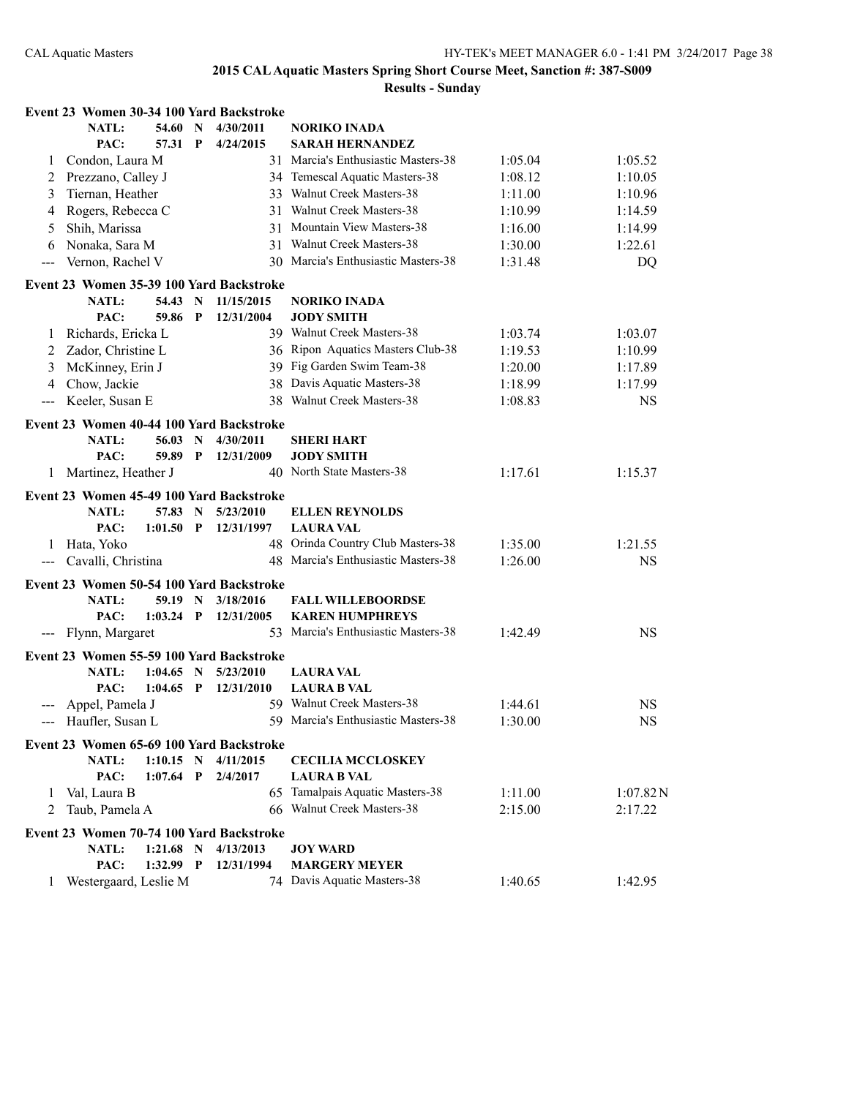|                                                                                                | Event 23 Women 30-34 100 Yard Backstroke |             |              |            |                                                               |         |           |
|------------------------------------------------------------------------------------------------|------------------------------------------|-------------|--------------|------------|---------------------------------------------------------------|---------|-----------|
|                                                                                                | <b>NATL:</b>                             | 54.60       | N            | 4/30/2011  | <b>NORIKO INADA</b>                                           |         |           |
|                                                                                                | PAC:                                     | 57.31       | P            | 4/24/2015  | <b>SARAH HERNANDEZ</b>                                        |         |           |
| 1                                                                                              | Condon, Laura M                          |             |              |            | 31 Marcia's Enthusiastic Masters-38                           | 1:05.04 | 1:05.52   |
| 2                                                                                              | Prezzano, Calley J                       |             |              |            | 34 Temescal Aquatic Masters-38                                | 1:08.12 | 1:10.05   |
| 3                                                                                              | Tiernan, Heather                         |             |              |            | 33 Walnut Creek Masters-38                                    | 1:11.00 | 1:10.96   |
| 4                                                                                              | Rogers, Rebecca C                        |             |              |            | 31 Walnut Creek Masters-38                                    | 1:10.99 | 1:14.59   |
| 5                                                                                              | Shih, Marissa                            |             |              | 31         | Mountain View Masters-38                                      | 1:16.00 | 1:14.99   |
| 6                                                                                              | Nonaka, Sara M                           |             |              |            | 31 Walnut Creek Masters-38                                    | 1:30.00 | 1:22.61   |
| $--$                                                                                           | Vernon, Rachel V                         |             |              |            | 30 Marcia's Enthusiastic Masters-38                           | 1:31.48 | DQ        |
|                                                                                                | Event 23 Women 35-39 100 Yard Backstroke |             |              |            |                                                               |         |           |
|                                                                                                | <b>NATL:</b>                             | 54.43       | N            | 11/15/2015 | <b>NORIKO INADA</b>                                           |         |           |
|                                                                                                | PAC:                                     | 59.86       | P            | 12/31/2004 | <b>JODY SMITH</b>                                             |         |           |
| 1                                                                                              | Richards, Ericka L                       |             |              |            | 39 Walnut Creek Masters-38                                    | 1:03.74 | 1:03.07   |
| 2                                                                                              | Zador, Christine L                       |             |              |            | 36 Ripon Aquatics Masters Club-38                             | 1:19.53 | 1:10.99   |
| 3                                                                                              | McKinney, Erin J                         |             |              |            | 39 Fig Garden Swim Team-38                                    | 1:20.00 | 1:17.89   |
| 4                                                                                              | Chow, Jackie                             |             |              |            | 38 Davis Aquatic Masters-38                                   | 1:18.99 | 1:17.99   |
| $\qquad \qquad -$                                                                              | Keeler, Susan E                          |             |              |            | 38 Walnut Creek Masters-38                                    | 1:08.83 | <b>NS</b> |
|                                                                                                | Event 23 Women 40-44 100 Yard Backstroke |             |              |            |                                                               |         |           |
|                                                                                                | <b>NATL:</b>                             | 56.03       | N            | 4/30/2011  | SHERI HART                                                    |         |           |
|                                                                                                | PAC:                                     | 59.89       | $\mathbf{P}$ | 12/31/2009 | <b>JODY SMITH</b>                                             |         |           |
| 1                                                                                              | Martinez, Heather J                      |             |              |            | 40 North State Masters-38                                     | 1:17.61 | 1:15.37   |
|                                                                                                | Event 23 Women 45-49 100 Yard Backstroke |             |              |            |                                                               |         |           |
|                                                                                                | NATL:                                    | 57.83       | $\mathbf N$  | 5/23/2010  | <b>ELLEN REYNOLDS</b>                                         |         |           |
|                                                                                                | PAC:                                     | 1:01.50     | $\mathbf{P}$ | 12/31/1997 | <b>LAURA VAL</b>                                              |         |           |
| 1                                                                                              | Hata, Yoko                               |             |              |            | 48 Orinda Country Club Masters-38                             | 1:35.00 | 1:21.55   |
| $\frac{1}{2} \left( \frac{1}{2} \right) \left( \frac{1}{2} \right) \left( \frac{1}{2} \right)$ | Cavalli, Christina                       |             |              |            | 48 Marcia's Enthusiastic Masters-38                           | 1:26.00 | <b>NS</b> |
|                                                                                                |                                          |             |              |            |                                                               |         |           |
|                                                                                                | Event 23 Women 50-54 100 Yard Backstroke |             |              |            |                                                               |         |           |
|                                                                                                | <b>NATL:</b>                             | 59.19 N     |              | 3/18/2016  | <b>FALL WILLEBOORDSE</b>                                      |         |           |
|                                                                                                | PAC:                                     | $1:03.24$ P |              | 12/31/2005 | <b>KAREN HUMPHREYS</b><br>53 Marcia's Enthusiastic Masters-38 | 1:42.49 | <b>NS</b> |
| $\scriptstyle\cdots\scriptstyle\cdots$                                                         | Flynn, Margaret                          |             |              |            |                                                               |         |           |
|                                                                                                | Event 23 Women 55-59 100 Yard Backstroke |             |              |            |                                                               |         |           |
|                                                                                                | <b>NATL:</b>                             | 1:04.65     | $\mathbf N$  | 5/23/2010  | <b>LAURA VAL</b>                                              |         |           |
|                                                                                                | PAC:                                     | 1:04.65     | $\mathbf{P}$ | 12/31/2010 | <b>LAURA B VAL</b>                                            |         |           |
| $---$                                                                                          | Appel, Pamela J                          |             |              |            | 59 Walnut Creek Masters-38                                    | 1:44.61 | <b>NS</b> |
|                                                                                                | Haufler, Susan L                         |             |              |            | 59 Marcia's Enthusiastic Masters-38                           | 1:30.00 | <b>NS</b> |
|                                                                                                | Event 23 Women 65-69 100 Yard Backstroke |             |              |            |                                                               |         |           |
|                                                                                                | <b>NATL:</b>                             | $1:10.15$ N |              | 4/11/2015  | <b>CECILIA MCCLOSKEY</b>                                      |         |           |
|                                                                                                | PAC:                                     | 1:07.64     | $\mathbf{P}$ | 2/4/2017   | <b>LAURA B VAL</b>                                            |         |           |
| 1                                                                                              | Val, Laura B                             |             |              |            | 65 Tamalpais Aquatic Masters-38                               | 1:11.00 | 1:07.82N  |
| 2                                                                                              | Taub, Pamela A                           |             |              |            | 66 Walnut Creek Masters-38                                    | 2:15.00 | 2:17.22   |
|                                                                                                | Event 23 Women 70-74 100 Yard Backstroke |             |              |            |                                                               |         |           |
|                                                                                                | NATL:                                    | $1:21.68$ N |              | 4/13/2013  | <b>JOY WARD</b>                                               |         |           |
|                                                                                                | PAC:                                     | $1:32.99$ P |              | 12/31/1994 | <b>MARGERY MEYER</b>                                          |         |           |
|                                                                                                | Westergaard, Leslie M                    |             |              |            | 74 Davis Aquatic Masters-38                                   | 1:40.65 | 1:42.95   |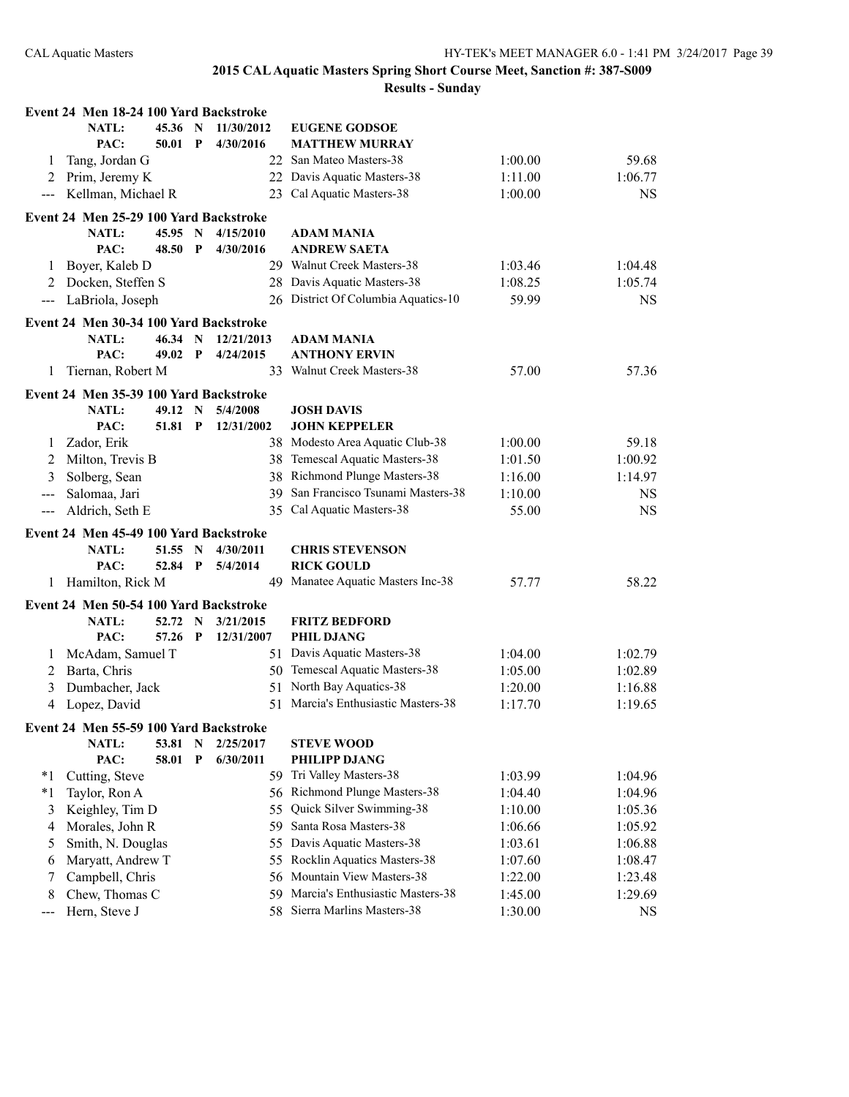|               | Event 24 Men 18-24 100 Yard Backstroke |         |                           |            |                                     |         |           |
|---------------|----------------------------------------|---------|---------------------------|------------|-------------------------------------|---------|-----------|
|               | <b>NATL:</b>                           | 45.36 N |                           | 11/30/2012 | <b>EUGENE GODSOE</b>                |         |           |
|               | PAC:                                   | 50.01   | $\mathbf P$               | 4/30/2016  | <b>MATTHEW MURRAY</b>               |         |           |
| 1             | Tang, Jordan G                         |         |                           |            | 22 San Mateo Masters-38             | 1:00.00 | 59.68     |
| 2             | Prim, Jeremy K                         |         |                           |            | 22 Davis Aquatic Masters-38         | 1:11.00 | 1:06.77   |
| $\frac{1}{2}$ | Kellman, Michael R                     |         |                           |            | 23 Cal Aquatic Masters-38           | 1:00.00 | <b>NS</b> |
|               | Event 24 Men 25-29 100 Yard Backstroke |         |                           |            |                                     |         |           |
|               | <b>NATL:</b>                           | 45.95   | $\mathbf N$               | 4/15/2010  | ADAM MANIA                          |         |           |
|               | PAC:                                   | 48.50   | P                         | 4/30/2016  | <b>ANDREW SAETA</b>                 |         |           |
| 1             | Boyer, Kaleb D                         |         |                           |            | 29 Walnut Creek Masters-38          | 1:03.46 | 1:04.48   |
| 2             | Docken, Steffen S                      |         |                           |            | 28 Davis Aquatic Masters-38         | 1:08.25 | 1:05.74   |
| $---$         | LaBriola, Joseph                       |         |                           |            | 26 District Of Columbia Aquatics-10 | 59.99   | <b>NS</b> |
|               |                                        |         |                           |            |                                     |         |           |
|               | Event 24 Men 30-34 100 Yard Backstroke |         |                           |            |                                     |         |           |
|               | <b>NATL:</b>                           | 46.34   | $\mathbf N$               | 12/21/2013 | <b>ADAM MANIA</b>                   |         |           |
|               | PAC:                                   | 49.02 P |                           | 4/24/2015  | <b>ANTHONY ERVIN</b>                |         |           |
| 1             | Tiernan, Robert M                      |         |                           |            | 33 Walnut Creek Masters-38          | 57.00   | 57.36     |
|               | Event 24 Men 35-39 100 Yard Backstroke |         |                           |            |                                     |         |           |
|               | NATL:                                  | 49.12   | $\mathbf N$               | 5/4/2008   | <b>JOSH DAVIS</b>                   |         |           |
|               | PAC:                                   | 51.81   | $\mathbf{P}$              | 12/31/2002 | <b>JOHN KEPPELER</b>                |         |           |
| 1             | Zador, Erik                            |         |                           |            | 38 Modesto Area Aquatic Club-38     | 1:00.00 | 59.18     |
| 2             | Milton, Trevis B                       |         |                           |            | 38 Temescal Aquatic Masters-38      | 1:01.50 | 1:00.92   |
| 3             | Solberg, Sean                          |         |                           |            | 38 Richmond Plunge Masters-38       | 1:16.00 | 1:14.97   |
| $---$         | Salomaa, Jari                          |         |                           | 39         | San Francisco Tsunami Masters-38    | 1:10.00 | <b>NS</b> |
| $---$         | Aldrich, Seth E                        |         |                           | 35         | Cal Aquatic Masters-38              | 55.00   | <b>NS</b> |
|               | Event 24 Men 45-49 100 Yard Backstroke |         |                           |            |                                     |         |           |
|               | <b>NATL:</b>                           | 51.55   | $\mathbf N$               | 4/30/2011  | <b>CHRIS STEVENSON</b>              |         |           |
|               | PAC:                                   | 52.84   | $\boldsymbol{\mathrm{P}}$ | 5/4/2014   | <b>RICK GOULD</b>                   |         |           |
| 1             | Hamilton, Rick M                       |         |                           |            | 49 Manatee Aquatic Masters Inc-38   | 57.77   | 58.22     |
|               |                                        |         |                           |            |                                     |         |           |
|               | Event 24 Men 50-54 100 Yard Backstroke |         |                           |            |                                     |         |           |
|               | <b>NATL:</b>                           | 52.72   | N                         | 3/21/2015  | <b>FRITZ BEDFORD</b>                |         |           |
|               | PAC:                                   | 57.26   | $\mathbf{P}$              | 12/31/2007 | <b>PHIL DJANG</b>                   |         |           |
| 1             | McAdam, Samuel T                       |         |                           |            | 51 Davis Aquatic Masters-38         | 1:04.00 | 1:02.79   |
| 2             | Barta, Chris                           |         |                           |            | 50 Temescal Aquatic Masters-38      | 1:05.00 | 1:02.89   |
| 3             | Dumbacher, Jack                        |         |                           | 51         | North Bay Aquatics-38               | 1:20.00 | 1:16.88   |
| 4             | Lopez, David                           |         |                           |            | 51 Marcia's Enthusiastic Masters-38 | 1:17.70 | 1:19.65   |
|               | Event 24 Men 55-59 100 Yard Backstroke |         |                           |            |                                     |         |           |
|               | <b>NATL:</b>                           | 53.81   | N                         | 2/25/2017  | <b>STEVE WOOD</b>                   |         |           |
|               | PAC:                                   | 58.01   | $\mathbf{P}$              | 6/30/2011  | PHILIPP DJANG                       |         |           |
| *1            | Cutting, Steve                         |         |                           |            | 59 Tri Valley Masters-38            | 1:03.99 | 1:04.96   |
| $*1$          | Taylor, Ron A                          |         |                           |            | 56 Richmond Plunge Masters-38       | 1:04.40 | 1:04.96   |
| 3             | Keighley, Tim D                        |         |                           | 55         | Quick Silver Swimming-38            | 1:10.00 | 1:05.36   |
| 4             | Morales, John R                        |         |                           | 59         | Santa Rosa Masters-38               | 1:06.66 | 1:05.92   |
| 5             | Smith, N. Douglas                      |         |                           | 55         | Davis Aquatic Masters-38            | 1:03.61 | 1:06.88   |
| 6             | Maryatt, Andrew T                      |         |                           | 55         | Rocklin Aquatics Masters-38         | 1:07.60 | 1:08.47   |
| 7             | Campbell, Chris                        |         |                           | 56         | Mountain View Masters-38            | 1:22.00 | 1:23.48   |
| 8             | Chew, Thomas C                         |         |                           | 59         | Marcia's Enthusiastic Masters-38    | 1:45.00 | 1:29.69   |
| $---$         | Hern, Steve J                          |         |                           |            | 58 Sierra Marlins Masters-38        | 1:30.00 | <b>NS</b> |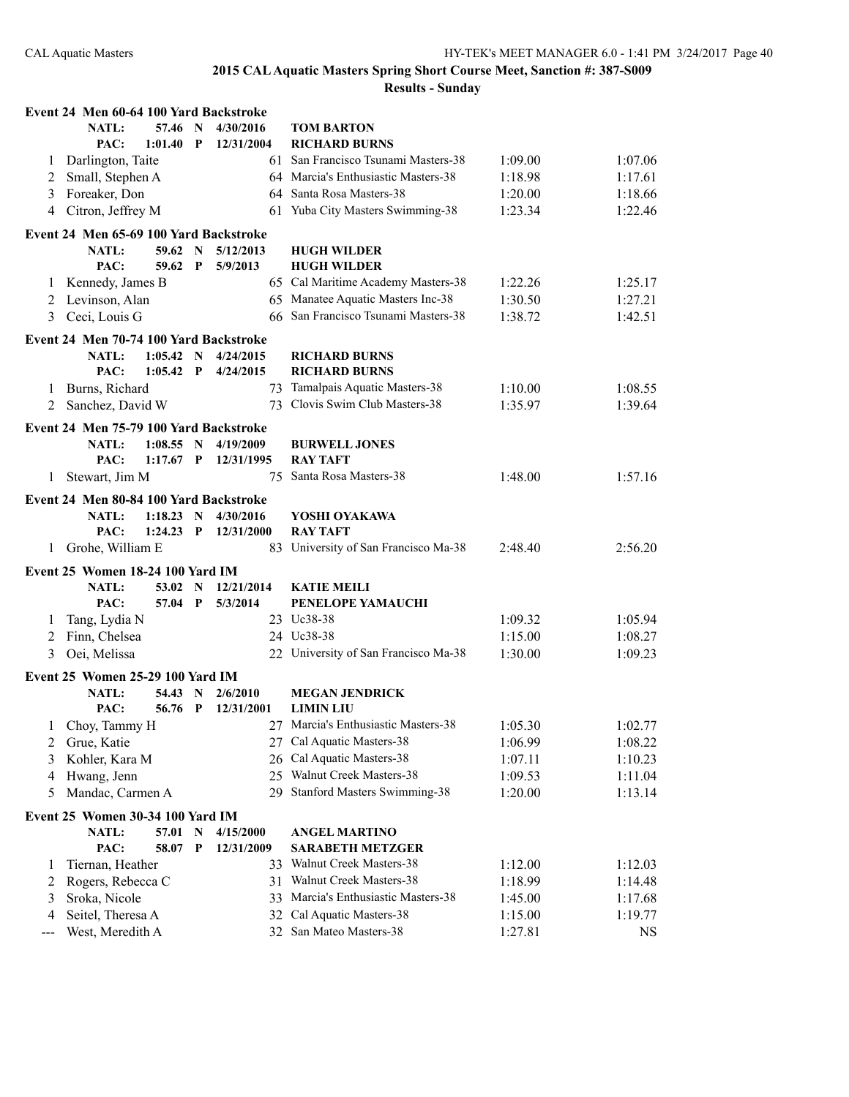|     | Event 24 Men 60-64 100 Yard Backstroke    |             |              |            |                                      |         |         |
|-----|-------------------------------------------|-------------|--------------|------------|--------------------------------------|---------|---------|
|     | NATL:                                     | 57.46       | $\mathbf N$  | 4/30/2016  | <b>TOM BARTON</b>                    |         |         |
|     | PAC:                                      | 1:01.40     | $\mathbf{P}$ | 12/31/2004 | <b>RICHARD BURNS</b>                 |         |         |
| 1   | Darlington, Taite                         |             |              | 61         | San Francisco Tsunami Masters-38     | 1:09.00 | 1:07.06 |
| 2   | Small, Stephen A                          |             |              |            | 64 Marcia's Enthusiastic Masters-38  | 1:18.98 | 1:17.61 |
| 3   | Foreaker, Don                             |             |              |            | 64 Santa Rosa Masters-38             | 1:20.00 | 1:18.66 |
| 4   | Citron, Jeffrey M                         |             |              |            | 61 Yuba City Masters Swimming-38     | 1:23.34 | 1:22.46 |
|     | Event 24 Men 65-69 100 Yard Backstroke    |             |              |            |                                      |         |         |
|     | <b>NATL:</b>                              | 59.62 N     |              | 5/12/2013  | <b>HUGH WILDER</b>                   |         |         |
|     | PAC:                                      | 59.62       | P            | 5/9/2013   | <b>HUGH WILDER</b>                   |         |         |
| 1   | Kennedy, James B                          |             |              |            | 65 Cal Maritime Academy Masters-38   | 1:22.26 | 1:25.17 |
| 2   | Levinson, Alan                            |             |              |            | 65 Manatee Aquatic Masters Inc-38    | 1:30.50 | 1:27.21 |
| 3   | Ceci, Louis G                             |             |              |            | 66 San Francisco Tsunami Masters-38  | 1:38.72 | 1:42.51 |
|     | Event 24 Men 70-74 100 Yard Backstroke    |             |              |            |                                      |         |         |
|     | <b>NATL:</b>                              | $1:05.42$ N |              | 4/24/2015  | <b>RICHARD BURNS</b>                 |         |         |
|     | PAC:                                      | 1:05.42     | $\mathbf{P}$ | 4/24/2015  | <b>RICHARD BURNS</b>                 |         |         |
| 1   | Burns, Richard                            |             |              |            | 73 Tamalpais Aquatic Masters-38      | 1:10.00 | 1:08.55 |
| 2   | Sanchez, David W                          |             |              | 73         | Clovis Swim Club Masters-38          | 1:35.97 | 1:39.64 |
|     | Event 24 Men 75-79 100 Yard Backstroke    |             |              |            |                                      |         |         |
|     | NATL:                                     | $1:08.55$ N |              | 4/19/2009  | <b>BURWELL JONES</b>                 |         |         |
|     | PAC:                                      | $1:17.67$ P |              | 12/31/1995 | <b>RAY TAFT</b>                      |         |         |
| 1   | Stewart, Jim M                            |             |              | 75         | Santa Rosa Masters-38                | 1:48.00 | 1:57.16 |
|     | Event 24 Men 80-84 100 Yard Backstroke    |             |              |            |                                      |         |         |
|     | NATL:                                     | 1:18.23 N   |              | 4/30/2016  | YOSHI OYAKAWA                        |         |         |
|     | PAC:                                      | $1:24.23$ P |              | 12/31/2000 | <b>RAY TAFT</b>                      |         |         |
| 1   | Grohe, William E                          |             |              |            | 83 University of San Francisco Ma-38 | 2:48.40 | 2:56.20 |
|     |                                           |             |              |            |                                      |         |         |
|     | Event 25 Women 18-24 100 Yard IM<br>NATL: | 53.02       | $\mathbf N$  | 12/21/2014 | <b>KATIE MEILI</b>                   |         |         |
|     | PAC:                                      | 57.04       | $\mathbf{P}$ | 5/3/2014   | PENELOPE YAMAUCHI                    |         |         |
| 1   | Tang, Lydia N                             |             |              |            | 23 Uc38-38                           | 1:09.32 | 1:05.94 |
| 2   | Finn, Chelsea                             |             |              |            | 24 Uc38-38                           | 1:15.00 | 1:08.27 |
| 3   | Oei, Melissa                              |             |              |            | 22 University of San Francisco Ma-38 | 1:30.00 | 1:09.23 |
|     |                                           |             |              |            |                                      |         |         |
|     | Event 25 Women 25-29 100 Yard IM          |             |              |            |                                      |         |         |
|     | <b>NATL:</b>                              | 54.43 N     |              | 2/6/2010   | <b>MEGAN JENDRICK</b>                |         |         |
|     | PAC:                                      | 56.76 P     |              | 12/31/2001 | <b>LIMIN LIU</b>                     |         |         |
|     | 1 Choy, Tammy H                           |             |              |            | 27 Marcia's Enthusiastic Masters-38  | 1:05.30 | 1:02.77 |
| 2   | Grue, Katie                               |             |              |            | 27 Cal Aquatic Masters-38            | 1:06.99 | 1:08.22 |
| 3   | Kohler, Kara M                            |             |              |            | 26 Cal Aquatic Masters-38            | 1:07.11 | 1:10.23 |
| 4   | Hwang, Jenn                               |             |              |            | 25 Walnut Creek Masters-38           | 1:09.53 | 1:11.04 |
| 5   | Mandac, Carmen A                          |             |              |            | 29 Stanford Masters Swimming-38      | 1:20.00 | 1:13.14 |
|     | Event 25 Women 30-34 100 Yard IM          |             |              |            |                                      |         |         |
|     | NATL:                                     | 57.01       | N            | 4/15/2000  | <b>ANGEL MARTINO</b>                 |         |         |
|     | PAC:                                      | 58.07       | P            | 12/31/2009 | <b>SARABETH METZGER</b>              |         |         |
| 1   | Tiernan, Heather                          |             |              |            | 33 Walnut Creek Masters-38           | 1:12.00 | 1:12.03 |
| 2   | Rogers, Rebecca C                         |             |              | 31         | Walnut Creek Masters-38              | 1:18.99 | 1:14.48 |
| 3   | Sroka, Nicole                             |             |              | 33         | Marcia's Enthusiastic Masters-38     | 1:45.00 | 1:17.68 |
| 4   | Seitel, Theresa A                         |             |              | 32         | Cal Aquatic Masters-38               | 1:15.00 | 1:19.77 |
| --- | West, Meredith A                          |             |              |            | 32 San Mateo Masters-38              | 1:27.81 | NS      |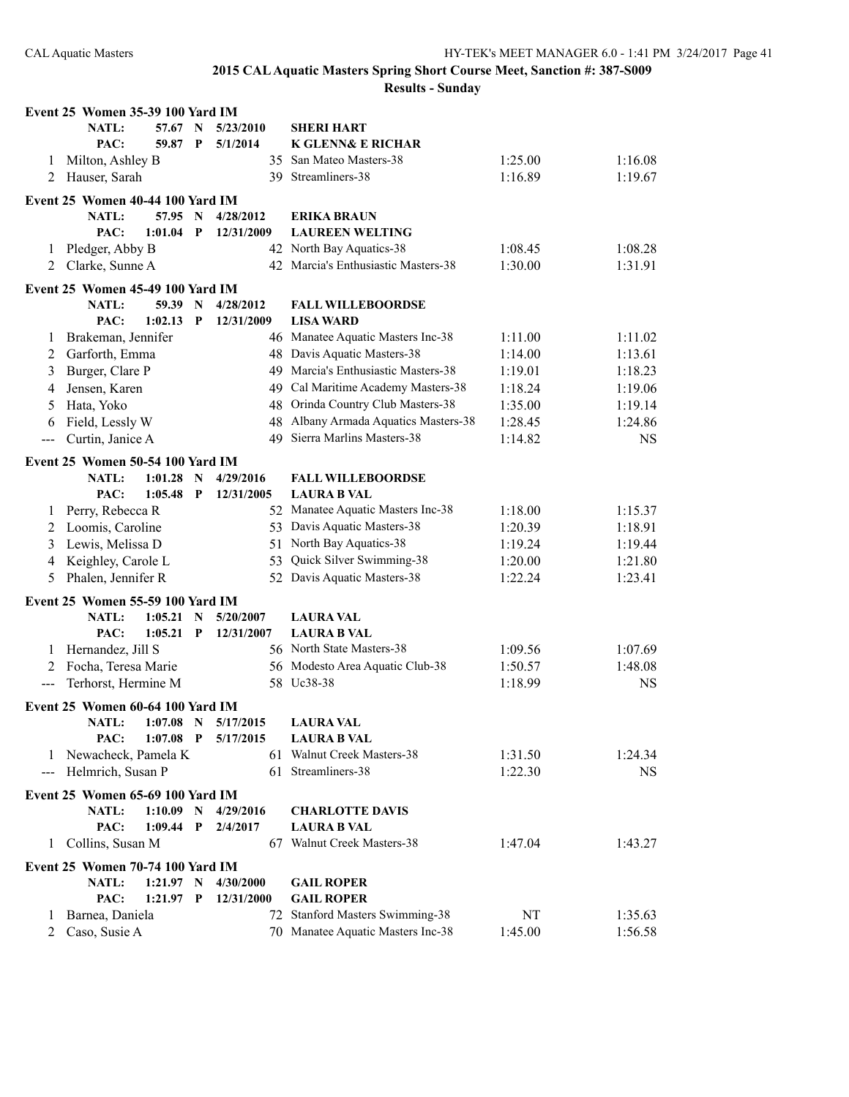|                   | Event 25 Women 35-39 100 Yard IM                 |             |                            |            |                                              |         |           |
|-------------------|--------------------------------------------------|-------------|----------------------------|------------|----------------------------------------------|---------|-----------|
|                   | NATL:                                            | 57.67       | N                          | 5/23/2010  | <b>SHERI HART</b>                            |         |           |
|                   | PAC:                                             | 59.87       | $\mathbf{P}$               | 5/1/2014   | <b>K GLENN&amp; E RICHAR</b>                 |         |           |
| 1                 | Milton, Ashley B                                 |             |                            | 35         | San Mateo Masters-38                         | 1:25.00 | 1:16.08   |
| 2                 | Hauser, Sarah                                    |             |                            |            | 39 Streamliners-38                           | 1:16.89 | 1:19.67   |
|                   | Event 25 Women 40-44 100 Yard IM                 |             |                            |            |                                              |         |           |
|                   | <b>NATL:</b>                                     | 57.95       | $\mathbf N$                | 4/28/2012  | <b>ERIKA BRAUN</b>                           |         |           |
|                   | PAC:                                             | 1:01.04     | P                          | 12/31/2009 | <b>LAUREEN WELTING</b>                       |         |           |
| 1                 | Pledger, Abby B                                  |             |                            |            | 42 North Bay Aquatics-38                     | 1:08.45 | 1:08.28   |
| 2                 | Clarke, Sunne A                                  |             |                            |            | 42 Marcia's Enthusiastic Masters-38          | 1:30.00 | 1:31.91   |
|                   |                                                  |             |                            |            |                                              |         |           |
|                   | Event 25 Women 45-49 100 Yard IM                 |             |                            |            |                                              |         |           |
|                   | <b>NATL:</b>                                     | 59.39       | $\mathbf N$                | 4/28/2012  | <b>FALL WILLEBOORDSE</b>                     |         |           |
|                   | PAC:                                             | 1:02.13     | $\mathbf P$                | 12/31/2009 | <b>LISA WARD</b>                             |         |           |
| 1                 | Brakeman, Jennifer                               |             |                            |            | 46 Manatee Aquatic Masters Inc-38            | 1:11.00 | 1:11.02   |
| 2                 | Garforth, Emma                                   |             |                            |            | 48 Davis Aquatic Masters-38                  | 1:14.00 | 1:13.61   |
| 3                 | Burger, Clare P                                  |             |                            |            | 49 Marcia's Enthusiastic Masters-38          | 1:19.01 | 1:18.23   |
| 4                 | Jensen, Karen                                    |             |                            |            | 49 Cal Maritime Academy Masters-38           | 1:18.24 | 1:19.06   |
| 5                 | Hata, Yoko                                       |             |                            |            | 48 Orinda Country Club Masters-38            | 1:35.00 | 1:19.14   |
| 6                 | Field, Lessly W                                  |             |                            | 48         | Albany Armada Aquatics Masters-38            | 1:28.45 | 1:24.86   |
| $--$              | Curtin, Janice A                                 |             |                            | 49         | Sierra Marlins Masters-38                    | 1:14.82 | <b>NS</b> |
|                   | Event 25 Women 50-54 100 Yard IM                 |             |                            |            |                                              |         |           |
|                   | NATL:                                            | 1:01.28     | $\mathbf N$                | 4/29/2016  | <b>FALL WILLEBOORDSE</b>                     |         |           |
|                   | PAC:                                             | 1:05.48     | $\mathbf{P}$               | 12/31/2005 | <b>LAURA B VAL</b>                           |         |           |
| 1                 | Perry, Rebecca R                                 |             |                            |            | 52 Manatee Aquatic Masters Inc-38            | 1:18.00 | 1:15.37   |
| 2                 | Loomis, Caroline                                 |             |                            |            | 53 Davis Aquatic Masters-38                  | 1:20.39 | 1:18.91   |
| 3                 | Lewis, Melissa D                                 |             |                            | 51         | North Bay Aquatics-38                        | 1:19.24 | 1:19.44   |
| 4                 | Keighley, Carole L                               |             |                            | 53         | Quick Silver Swimming-38                     | 1:20.00 | 1:21.80   |
| 5                 | Phalen, Jennifer R                               |             |                            |            | 52 Davis Aquatic Masters-38                  | 1:22.24 | 1:23.41   |
|                   |                                                  |             |                            |            |                                              |         |           |
|                   | <b>Event 25 Women 55-59 100 Yard IM</b>          |             |                            |            |                                              |         |           |
|                   | NATL:                                            | $1:05.21$ N |                            | 5/20/2007  | <b>LAURA VAL</b>                             |         |           |
|                   | PAC:                                             | 1:05.21     | $\mathbf{P}$               | 12/31/2007 | <b>LAURA B VAL</b>                           |         |           |
| 1                 | Hernandez, Jill S                                |             |                            |            | 56 North State Masters-38                    | 1:09.56 | 1:07.69   |
| 2                 | Focha, Teresa Marie                              |             |                            |            | 56 Modesto Area Aquatic Club-38              | 1:50.57 | 1:48.08   |
| $\qquad \qquad -$ | Terhorst, Hermine M                              |             |                            |            | 58 Uc38-38                                   | 1:18.99 | <b>NS</b> |
|                   | Event 25 Women 60-64 100 Yard IM                 |             |                            |            |                                              |         |           |
|                   | <b>NATL:</b>                                     | $1:07.08$ N |                            | 5/17/2015  | <b>LAURA VAL</b>                             |         |           |
|                   | PAC:                                             | $1:07.08$ P |                            | 5/17/2015  | <b>LAURA B VAL</b>                           |         |           |
| 1                 | Newacheck, Pamela K                              |             |                            | 61         | Walnut Creek Masters-38                      | 1:31.50 | 1:24.34   |
| $--$              | Helmrich, Susan P                                |             |                            |            | 61 Streamliners-38                           | 1:22.30 | <b>NS</b> |
|                   |                                                  |             |                            |            |                                              |         |           |
|                   | Event 25 Women 65-69 100 Yard IM<br><b>NATL:</b> | 1:10.09     |                            | 4/29/2016  |                                              |         |           |
|                   | PAC:                                             | 1:09.44     | $\mathbf N$<br>$\mathbf P$ | 2/4/2017   | <b>CHARLOTTE DAVIS</b><br><b>LAURA B VAL</b> |         |           |
|                   |                                                  |             |                            |            | 67 Walnut Creek Masters-38                   |         |           |
| 1                 | Collins, Susan M                                 |             |                            |            |                                              | 1:47.04 | 1:43.27   |
|                   | Event 25 Women 70-74 100 Yard IM                 |             |                            |            |                                              |         |           |
|                   | NATL:                                            | $1:21.97$ N |                            | 4/30/2000  | <b>GAIL ROPER</b>                            |         |           |
|                   | PAC:                                             | $1:21.97$ P |                            | 12/31/2000 | <b>GAIL ROPER</b>                            |         |           |
| $\mathbf{I}$      | Barnea, Daniela                                  |             |                            | 72         | <b>Stanford Masters Swimming-38</b>          | NT      | 1:35.63   |
| 2                 | Caso, Susie A                                    |             |                            |            | 70 Manatee Aquatic Masters Inc-38            | 1:45.00 | 1:56.58   |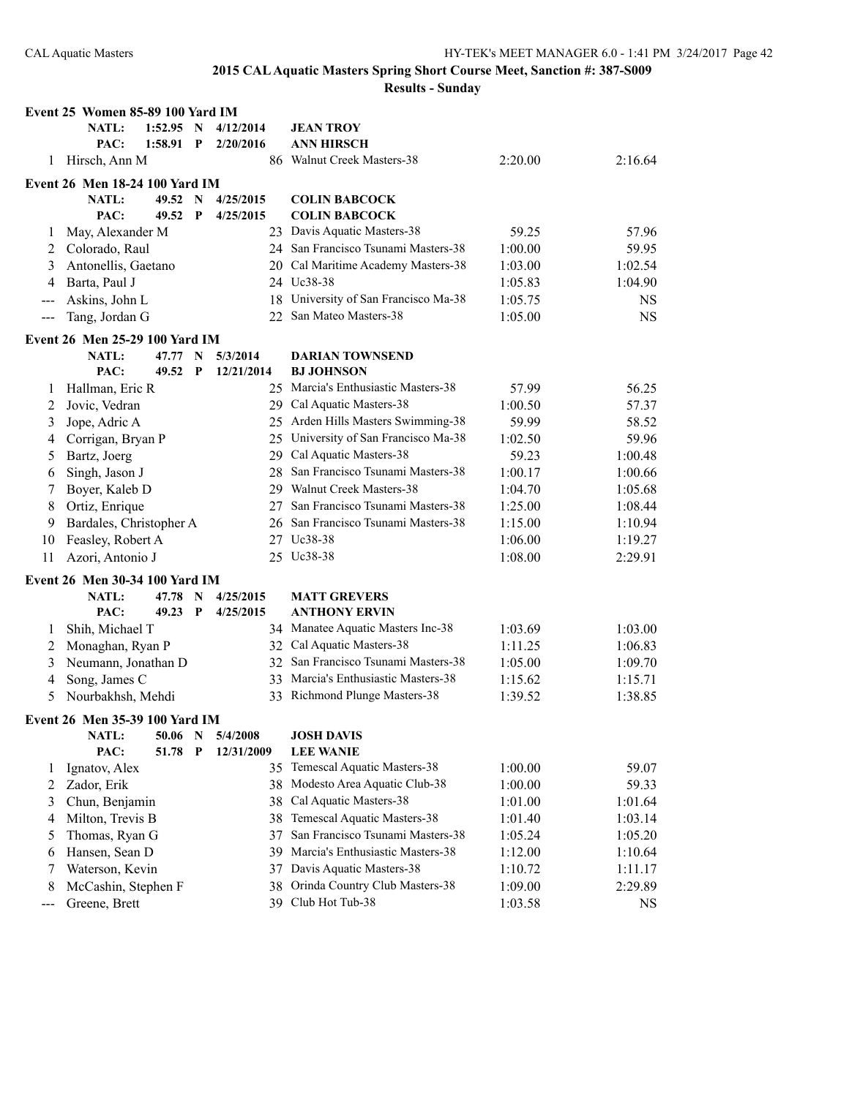|     | Event 25 Women 85-89 100 Yard IM      |         |                           |            |    |                                      |         |           |
|-----|---------------------------------------|---------|---------------------------|------------|----|--------------------------------------|---------|-----------|
|     | <b>NATL:</b>                          | 1:52.95 | N                         | 4/12/2014  |    | <b>JEAN TROY</b>                     |         |           |
|     | PAC:                                  | 1:58.91 | $\mathbf{P}$              | 2/20/2016  |    | <b>ANN HIRSCH</b>                    |         |           |
| 1   | Hirsch, Ann M                         |         |                           |            |    | 86 Walnut Creek Masters-38           | 2:20.00 | 2:16.64   |
|     | <b>Event 26 Men 18-24 100 Yard IM</b> |         |                           |            |    |                                      |         |           |
|     | <b>NATL:</b>                          | 49.52   | N                         | 4/25/2015  |    | <b>COLIN BABCOCK</b>                 |         |           |
|     | PAC:                                  | 49.52   | P                         | 4/25/2015  |    | <b>COLIN BABCOCK</b>                 |         |           |
| 1   | May, Alexander M                      |         |                           |            |    | 23 Davis Aquatic Masters-38          | 59.25   | 57.96     |
| 2   | Colorado, Raul                        |         |                           |            |    | 24 San Francisco Tsunami Masters-38  | 1:00.00 | 59.95     |
| 3   | Antonellis, Gaetano                   |         |                           |            |    | 20 Cal Maritime Academy Masters-38   | 1:03.00 | 1:02.54   |
| 4   | Barta, Paul J                         |         |                           |            |    | 24 Uc38-38                           | 1:05.83 | 1:04.90   |
| --- | Askins, John L                        |         |                           |            | 18 | University of San Francisco Ma-38    | 1:05.75 | <b>NS</b> |
| --- | Tang, Jordan G                        |         |                           |            | 22 | San Mateo Masters-38                 | 1:05.00 | <b>NS</b> |
|     | Event 26 Men 25-29 100 Yard IM        |         |                           |            |    |                                      |         |           |
|     | <b>NATL:</b>                          | 47.77   | N                         | 5/3/2014   |    | <b>DARIAN TOWNSEND</b>               |         |           |
|     | PAC:                                  | 49.52   | $\boldsymbol{\mathrm{P}}$ | 12/21/2014 |    | <b>BJ JOHNSON</b>                    |         |           |
| 1   | Hallman, Eric R                       |         |                           |            |    | 25 Marcia's Enthusiastic Masters-38  | 57.99   | 56.25     |
| 2   | Jovic, Vedran                         |         |                           |            |    | 29 Cal Aquatic Masters-38            | 1:00.50 | 57.37     |
| 3   | Jope, Adric A                         |         |                           |            |    | 25 Arden Hills Masters Swimming-38   | 59.99   | 58.52     |
| 4   | Corrigan, Bryan P                     |         |                           |            |    | 25 University of San Francisco Ma-38 | 1:02.50 | 59.96     |
| 5   | Bartz, Joerg                          |         |                           |            |    | 29 Cal Aquatic Masters-38            | 59.23   | 1:00.48   |
| 6   | Singh, Jason J                        |         |                           |            | 28 | San Francisco Tsunami Masters-38     | 1:00.17 | 1:00.66   |
| 7   | Boyer, Kaleb D                        |         |                           |            |    | 29 Walnut Creek Masters-38           | 1:04.70 | 1:05.68   |
| 8   | Ortiz, Enrique                        |         |                           |            | 27 | San Francisco Tsunami Masters-38     | 1:25.00 | 1:08.44   |
| 9   | Bardales, Christopher A               |         |                           |            | 26 | San Francisco Tsunami Masters-38     | 1:15.00 | 1:10.94   |
| 10  | Feasley, Robert A                     |         |                           |            | 27 | Uc38-38                              | 1:06.00 | 1:19.27   |
| 11  | Azori, Antonio J                      |         |                           |            |    | 25 Uc38-38                           | 1:08.00 | 2:29.91   |
|     | <b>Event 26 Men 30-34 100 Yard IM</b> |         |                           |            |    |                                      |         |           |
|     | <b>NATL:</b>                          | 47.78   | $\mathbf N$               | 4/25/2015  |    | <b>MATT GREVERS</b>                  |         |           |
|     | PAC:                                  | 49.23   | $\mathbf{P}$              | 4/25/2015  |    | <b>ANTHONY ERVIN</b>                 |         |           |
| 1   | Shih, Michael T                       |         |                           |            |    | 34 Manatee Aquatic Masters Inc-38    | 1:03.69 | 1:03.00   |
| 2   | Monaghan, Ryan P                      |         |                           |            |    | 32 Cal Aquatic Masters-38            | 1:11.25 | 1:06.83   |
| 3   | Neumann, Jonathan D                   |         |                           |            |    | 32 San Francisco Tsunami Masters-38  | 1:05.00 | 1:09.70   |
| 4   | Song, James C                         |         |                           |            |    | 33 Marcia's Enthusiastic Masters-38  | 1:15.62 | 1:15.71   |
| 5   | Nourbakhsh, Mehdi                     |         |                           |            |    | 33 Richmond Plunge Masters-38        | 1:39.52 | 1:38.85   |
|     | Event 26 Men 35-39 100 Yard IM        |         |                           |            |    |                                      |         |           |
|     | NATL:                                 | 50.06   | N                         | 5/4/2008   |    | <b>JOSH DAVIS</b>                    |         |           |
|     | PAC:                                  | 51.78   | $\mathbf{P}$              | 12/31/2009 |    | <b>LEE WANIE</b>                     |         |           |
| 1   | Ignatov, Alex                         |         |                           |            | 35 | Temescal Aquatic Masters-38          | 1:00.00 | 59.07     |
| 2   | Zador, Erik                           |         |                           |            | 38 | Modesto Area Aquatic Club-38         | 1:00.00 | 59.33     |
| 3   | Chun, Benjamin                        |         |                           |            | 38 | Cal Aquatic Masters-38               | 1:01.00 | 1:01.64   |
| 4   | Milton, Trevis B                      |         |                           |            | 38 | Temescal Aquatic Masters-38          | 1:01.40 | 1:03.14   |
| 5   | Thomas, Ryan G                        |         |                           |            | 37 | San Francisco Tsunami Masters-38     | 1:05.24 | 1:05.20   |
| 6   | Hansen, Sean D                        |         |                           |            | 39 | Marcia's Enthusiastic Masters-38     | 1:12.00 | 1:10.64   |
| 7   | Waterson, Kevin                       |         |                           |            | 37 | Davis Aquatic Masters-38             | 1:10.72 | 1:11.17   |
| 8   | McCashin, Stephen F                   |         |                           |            | 38 | Orinda Country Club Masters-38       | 1:09.00 | 2:29.89   |
| --- | Greene, Brett                         |         |                           |            | 39 | Club Hot Tub-38                      | 1:03.58 | <b>NS</b> |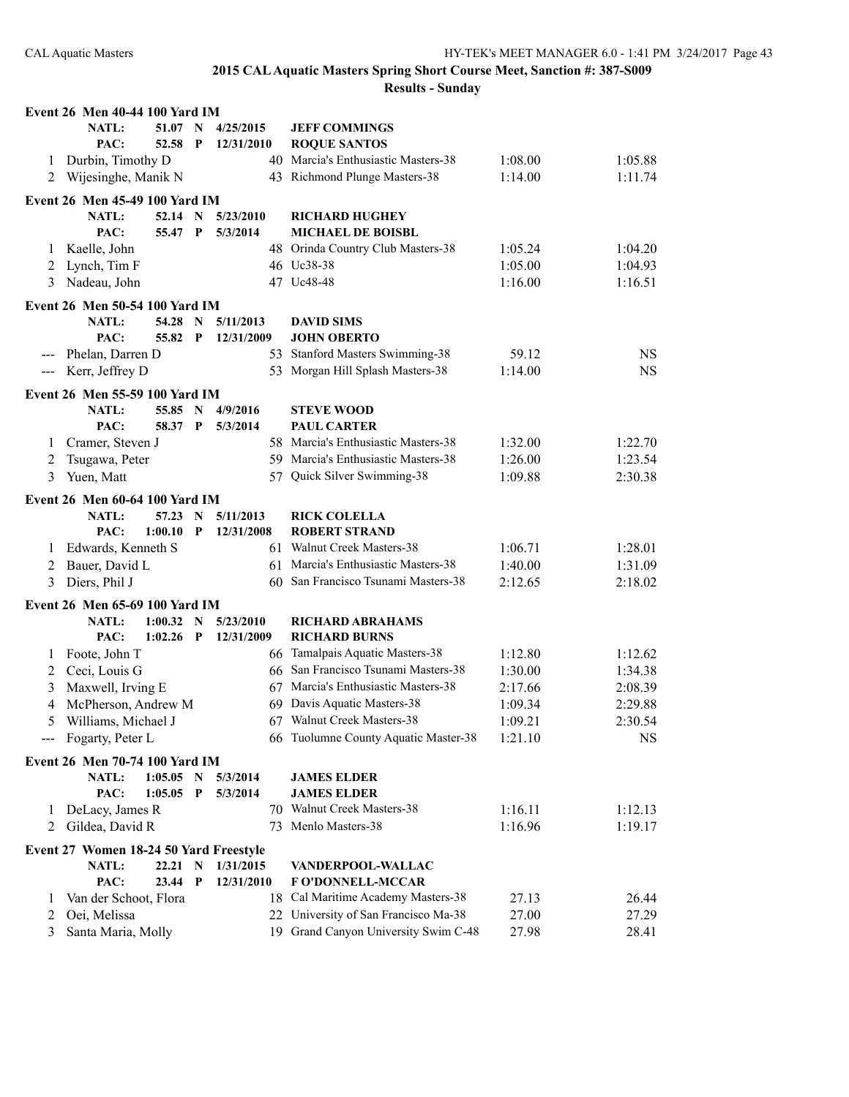|                | Event 26 Men 40-44 100 Yard IM         |             |              |            |                                      |         |           |
|----------------|----------------------------------------|-------------|--------------|------------|--------------------------------------|---------|-----------|
|                | <b>NATL:</b>                           | 51.07 N     |              | 4/25/2015  | <b>JEFF COMMINGS</b>                 |         |           |
|                | PAC:                                   | 52.58       | $\mathbf{P}$ | 12/31/2010 | <b>ROQUE SANTOS</b>                  |         |           |
| 1              | Durbin, Timothy D                      |             |              |            | 40 Marcia's Enthusiastic Masters-38  | 1:08.00 | 1:05.88   |
| 2              | Wijesinghe, Manik N                    |             |              |            | 43 Richmond Plunge Masters-38        | 1:14.00 | 1:11.74   |
|                | Event 26 Men 45-49 100 Yard IM         |             |              |            |                                      |         |           |
|                | <b>NATL:</b>                           | 52.14       | $\mathbf N$  | 5/23/2010  | <b>RICHARD HUGHEY</b>                |         |           |
|                | PAC:                                   | 55.47 P     |              | 5/3/2014   | <b>MICHAEL DE BOISBL</b>             |         |           |
| 1              | Kaelle, John                           |             |              |            | 48 Orinda Country Club Masters-38    | 1:05.24 | 1:04.20   |
| 2              | Lynch, Tim F                           |             |              |            | 46 Uc38-38                           | 1:05.00 | 1:04.93   |
| 3              | Nadeau, John                           |             |              |            | 47 Uc48-48                           | 1:16.00 | 1:16.51   |
|                |                                        |             |              |            |                                      |         |           |
|                | Event 26 Men 50-54 100 Yard IM         |             |              |            |                                      |         |           |
|                | <b>NATL:</b>                           | 54.28       | $\mathbf N$  | 5/11/2013  | <b>DAVID SIMS</b>                    |         |           |
|                | PAC:                                   | 55.82       | $\mathbf{P}$ | 12/31/2009 | <b>JOHN OBERTO</b>                   |         |           |
|                | --- Phelan, Darren D                   |             |              |            | 53 Stanford Masters Swimming-38      | 59.12   | <b>NS</b> |
| $\sim$ $\sim$  | Kerr, Jeffrey D                        |             |              |            | 53 Morgan Hill Splash Masters-38     | 1:14.00 | <b>NS</b> |
|                | Event 26 Men 55-59 100 Yard IM         |             |              |            |                                      |         |           |
|                | <b>NATL:</b>                           | 55.85 N     |              | 4/9/2016   | <b>STEVE WOOD</b>                    |         |           |
|                | PAC:                                   | 58.37       | $\mathbf{P}$ | 5/3/2014   | <b>PAUL CARTER</b>                   |         |           |
| 1              | Cramer, Steven J                       |             |              |            | 58 Marcia's Enthusiastic Masters-38  | 1:32.00 | 1:22.70   |
| 2              | Tsugawa, Peter                         |             |              |            | 59 Marcia's Enthusiastic Masters-38  | 1:26.00 | 1:23.54   |
| 3              | Yuen, Matt                             |             |              | 57         | Quick Silver Swimming-38             | 1:09.88 | 2:30.38   |
|                | <b>Event 26 Men 60-64 100 Yard IM</b>  |             |              |            |                                      |         |           |
|                | <b>NATL:</b>                           | 57.23       | N            | 5/11/2013  | <b>RICK COLELLA</b>                  |         |           |
|                | PAC:                                   | 1:00.10     | P            | 12/31/2008 | <b>ROBERT STRAND</b>                 |         |           |
| 1              | Edwards, Kenneth S                     |             |              |            | 61 Walnut Creek Masters-38           | 1:06.71 | 1:28.01   |
| 2              | Bauer, David L                         |             |              |            | 61 Marcia's Enthusiastic Masters-38  | 1:40.00 | 1:31.09   |
| 3              | Diers, Phil J                          |             |              |            | 60 San Francisco Tsunami Masters-38  | 2:12.65 | 2:18.02   |
|                |                                        |             |              |            |                                      |         |           |
|                | Event 26 Men 65-69 100 Yard IM         |             |              |            |                                      |         |           |
|                | <b>NATL:</b>                           | 1:00.32     | $\mathbf N$  | 5/23/2010  | <b>RICHARD ABRAHAMS</b>              |         |           |
|                | PAC:                                   | 1:02.26     | P            | 12/31/2009 | <b>RICHARD BURNS</b>                 |         |           |
| 1              | Foote, John T                          |             |              |            | 66 Tamalpais Aquatic Masters-38      | 1:12.80 | 1:12.62   |
| 2              | Ceci, Louis G                          |             |              |            | 66 San Francisco Tsunami Masters-38  | 1:30.00 | 1:34.38   |
| 3              | Maxwell, Irving E                      |             |              |            | 67 Marcia's Enthusiastic Masters-38  | 2:17.66 | 2:08.39   |
| $\overline{4}$ | McPherson, Andrew M                    |             |              |            | 69 Davis Aquatic Masters-38          | 1:09.34 | 2:29.88   |
| 5              | Williams, Michael J                    |             |              |            | 67 Walnut Creek Masters-38           | 1:09.21 | 2:30.54   |
|                | --- Fogarty, Peter L                   |             |              |            | 66 Tuolumne County Aquatic Master-38 | 1:21.10 | NS        |
|                | Event 26 Men 70-74 100 Yard IM         |             |              |            |                                      |         |           |
|                | <b>NATL:</b>                           | $1:05.05$ N |              | 5/3/2014   | <b>JAMES ELDER</b>                   |         |           |
|                | PAC:                                   | 1:05.05     | $\mathbf P$  | 5/3/2014   | <b>JAMES ELDER</b>                   |         |           |
| 1              | DeLacy, James R                        |             |              |            | 70 Walnut Creek Masters-38           | 1:16.11 | 1:12.13   |
| 2              | Gildea, David R                        |             |              | 73         | Menlo Masters-38                     | 1:16.96 | 1:19.17   |
|                |                                        |             |              |            |                                      |         |           |
|                | Event 27 Women 18-24 50 Yard Freestyle |             |              |            |                                      |         |           |
|                | NATL:                                  | 22.21 N     |              | 1/31/2015  | VANDERPOOL-WALLAC                    |         |           |
|                | PAC:                                   | 23.44 P     |              | 12/31/2010 | <b>FO'DONNELL-MCCAR</b>              |         |           |
| 1              | Van der Schoot, Flora                  |             |              |            | 18 Cal Maritime Academy Masters-38   | 27.13   | 26.44     |
| 2              | Oei, Melissa                           |             |              |            | 22 University of San Francisco Ma-38 | 27.00   | 27.29     |
| 3              | Santa Maria, Molly                     |             |              |            | 19 Grand Canyon University Swim C-48 | 27.98   | 28.41     |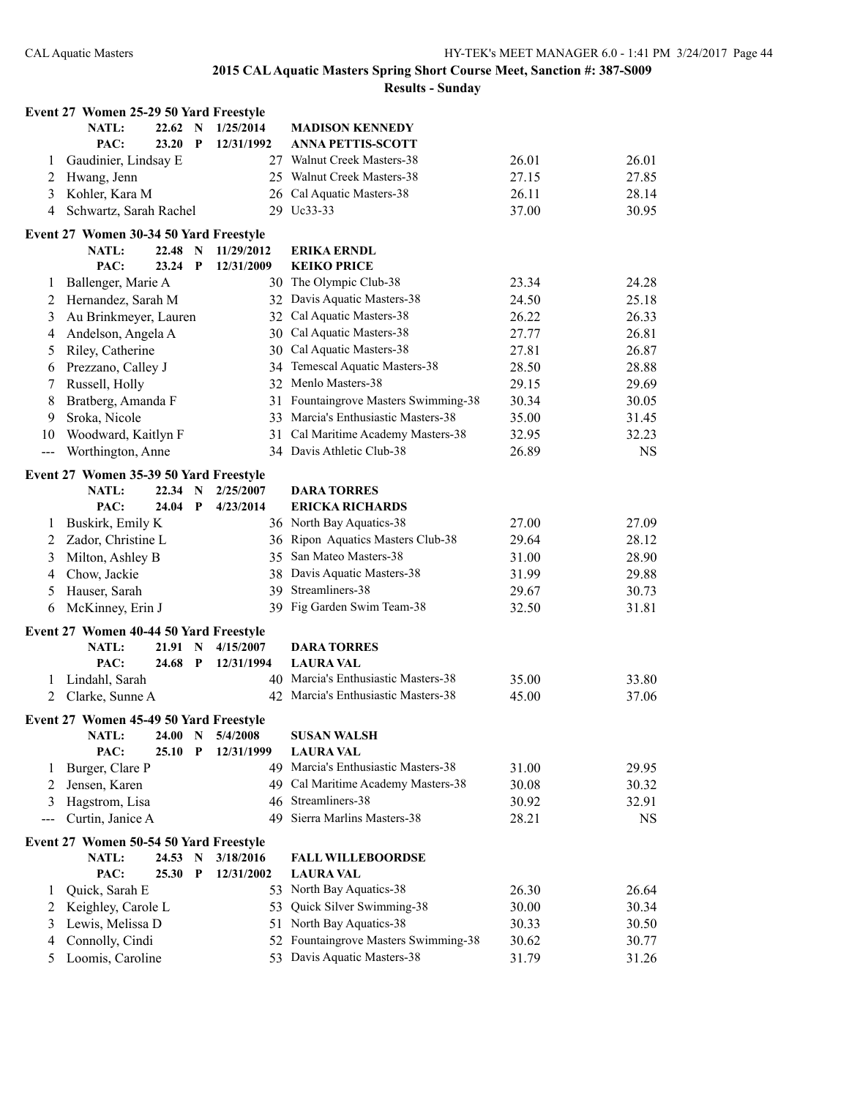|                     | Event 27 Women 25-29 50 Yard Freestyle |         |             |            |                                      |       |           |
|---------------------|----------------------------------------|---------|-------------|------------|--------------------------------------|-------|-----------|
|                     | <b>NATL:</b>                           | 22.62 N |             | 1/25/2014  | <b>MADISON KENNEDY</b>               |       |           |
|                     | PAC:                                   | 23.20   | $\mathbf P$ | 12/31/1992 | <b>ANNA PETTIS-SCOTT</b>             |       |           |
| 1                   | Gaudinier, Lindsay E                   |         |             |            | 27 Walnut Creek Masters-38           | 26.01 | 26.01     |
| 2                   | Hwang, Jenn                            |         |             |            | 25 Walnut Creek Masters-38           | 27.15 | 27.85     |
| 3                   | Kohler, Kara M                         |         |             |            | 26 Cal Aquatic Masters-38            | 26.11 | 28.14     |
| 4                   | Schwartz, Sarah Rachel                 |         |             |            | 29 Uc33-33                           | 37.00 | 30.95     |
|                     | Event 27 Women 30-34 50 Yard Freestyle |         |             |            |                                      |       |           |
|                     | <b>NATL:</b>                           | 22.48 N |             | 11/29/2012 | <b>ERIKA ERNDL</b>                   |       |           |
|                     | PAC:                                   | 23.24   | $\mathbf P$ | 12/31/2009 | <b>KEIKO PRICE</b>                   |       |           |
| 1                   | Ballenger, Marie A                     |         |             |            | 30 The Olympic Club-38               | 23.34 | 24.28     |
| 2                   | Hernandez, Sarah M                     |         |             |            | 32 Davis Aquatic Masters-38          | 24.50 | 25.18     |
| 3                   | Au Brinkmeyer, Lauren                  |         |             |            | 32 Cal Aquatic Masters-38            | 26.22 | 26.33     |
| 4                   | Andelson, Angela A                     |         |             |            | 30 Cal Aquatic Masters-38            | 27.77 | 26.81     |
| 5                   | Riley, Catherine                       |         |             |            | 30 Cal Aquatic Masters-38            | 27.81 | 26.87     |
| 6                   | Prezzano, Calley J                     |         |             |            | 34 Temescal Aquatic Masters-38       | 28.50 | 28.88     |
| 7                   | Russell, Holly                         |         |             |            | 32 Menlo Masters-38                  | 29.15 | 29.69     |
| 8                   | Bratberg, Amanda F                     |         |             |            | 31 Fountaingrove Masters Swimming-38 | 30.34 | 30.05     |
| 9                   | Sroka, Nicole                          |         |             |            | 33 Marcia's Enthusiastic Masters-38  | 35.00 | 31.45     |
| 10                  | Woodward, Kaitlyn F                    |         |             |            | 31 Cal Maritime Academy Masters-38   | 32.95 | 32.23     |
| $\qquad \qquad - -$ | Worthington, Anne                      |         |             |            | 34 Davis Athletic Club-38            | 26.89 | <b>NS</b> |
|                     | Event 27 Women 35-39 50 Yard Freestyle |         |             |            |                                      |       |           |
|                     | <b>NATL:</b>                           | 22.34   | N           | 2/25/2007  | <b>DARA TORRES</b>                   |       |           |
|                     | PAC:                                   | 24.04   | $\mathbf P$ | 4/23/2014  | <b>ERICKA RICHARDS</b>               |       |           |
| 1                   | Buskirk, Emily K                       |         |             |            | 36 North Bay Aquatics-38             | 27.00 | 27.09     |
| 2                   | Zador, Christine L                     |         |             |            | 36 Ripon Aquatics Masters Club-38    | 29.64 | 28.12     |
| 3                   | Milton, Ashley B                       |         |             |            | 35 San Mateo Masters-38              | 31.00 | 28.90     |
| 4                   | Chow, Jackie                           |         |             |            | 38 Davis Aquatic Masters-38          | 31.99 | 29.88     |
| 5                   | Hauser, Sarah                          |         |             |            | 39 Streamliners-38                   | 29.67 | 30.73     |
| 6                   | McKinney, Erin J                       |         |             |            | 39 Fig Garden Swim Team-38           | 32.50 | 31.81     |
|                     | Event 27 Women 40-44 50 Yard Freestyle |         |             |            |                                      |       |           |
|                     | NATL:                                  | 21.91   | N           | 4/15/2007  | <b>DARA TORRES</b>                   |       |           |
|                     | PAC:                                   | 24.68   | $\mathbf P$ | 12/31/1994 | <b>LAURA VAL</b>                     |       |           |
| 1                   | Lindahl, Sarah                         |         |             |            | 40 Marcia's Enthusiastic Masters-38  | 35.00 | 33.80     |
| 2                   | Clarke, Sunne A                        |         |             |            | 42 Marcia's Enthusiastic Masters-38  | 45.00 | 37.06     |
|                     | Event 27 Women 45-49 50 Yard Freestyle |         |             |            |                                      |       |           |
|                     | <b>NATL:</b>                           | 24.00   | $\mathbf N$ | 5/4/2008   | <b>SUSAN WALSH</b>                   |       |           |
|                     | PAC:                                   | 25.10   | P           | 12/31/1999 | <b>LAURA VAL</b>                     |       |           |
| 1                   | Burger, Clare P                        |         |             |            | 49 Marcia's Enthusiastic Masters-38  | 31.00 | 29.95     |
| 2                   | Jensen, Karen                          |         |             |            | 49 Cal Maritime Academy Masters-38   | 30.08 | 30.32     |
| 3                   | Hagstrom, Lisa                         |         |             | 46         | Streamliners-38                      | 30.92 | 32.91     |
|                     | Curtin, Janice A                       |         |             | 49         | Sierra Marlins Masters-38            | 28.21 | <b>NS</b> |
|                     | Event 27 Women 50-54 50 Yard Freestyle |         |             |            |                                      |       |           |
|                     | NATL:                                  | 24.53   | N           | 3/18/2016  | <b>FALL WILLEBOORDSE</b>             |       |           |
|                     | PAC:                                   | 25.30   | P           | 12/31/2002 | <b>LAURA VAL</b>                     |       |           |
| 1                   | Quick, Sarah E                         |         |             |            | 53 North Bay Aquatics-38             | 26.30 | 26.64     |
| 2                   | Keighley, Carole L                     |         |             | 53.        | Quick Silver Swimming-38             | 30.00 | 30.34     |
| 3                   | Lewis, Melissa D                       |         |             |            | 51 North Bay Aquatics-38             | 30.33 | 30.50     |
| 4                   | Connolly, Cindi                        |         |             |            | 52 Fountaingrove Masters Swimming-38 | 30.62 | 30.77     |
| 5                   | Loomis, Caroline                       |         |             |            | 53 Davis Aquatic Masters-38          | 31.79 | 31.26     |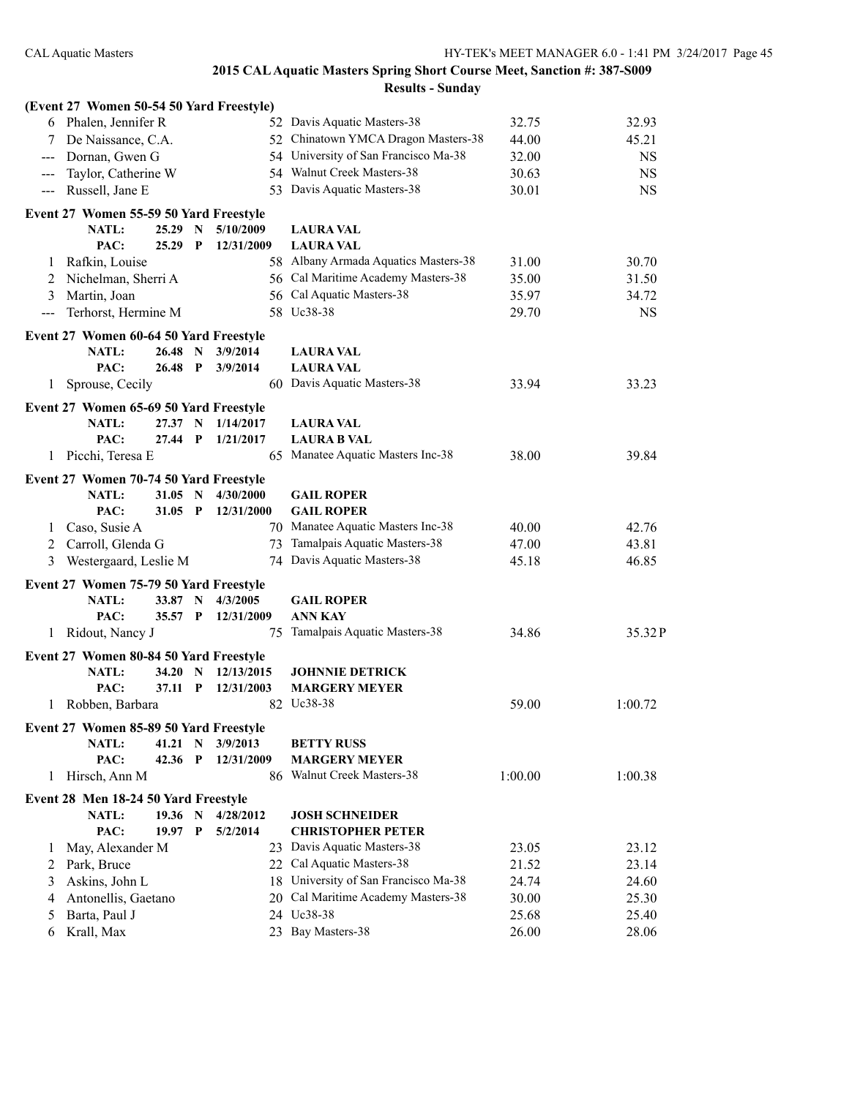|              | (Event 27 Women 50-54 50 Yard Freestyle) |           |             |                          |                                      |         |           |
|--------------|------------------------------------------|-----------|-------------|--------------------------|--------------------------------------|---------|-----------|
|              | 6 Phalen, Jennifer R                     |           |             |                          | 52 Davis Aquatic Masters-38          | 32.75   | 32.93     |
| 7            | De Naissance, C.A.                       |           |             |                          | 52 Chinatown YMCA Dragon Masters-38  | 44.00   | 45.21     |
| ---          | Dornan, Gwen G                           |           |             |                          | 54 University of San Francisco Ma-38 | 32.00   | <b>NS</b> |
|              | Taylor, Catherine W                      |           |             |                          | 54 Walnut Creek Masters-38           | 30.63   | <b>NS</b> |
|              | Russell, Jane E                          |           |             |                          | 53 Davis Aquatic Masters-38          | 30.01   | <b>NS</b> |
|              | Event 27 Women 55-59 50 Yard Freestyle   |           |             |                          |                                      |         |           |
|              | <b>NATL:</b>                             | 25.29     | N           | 5/10/2009                | <b>LAURA VAL</b>                     |         |           |
|              | PAC:                                     | 25.29     | P           | 12/31/2009               | <b>LAURA VAL</b>                     |         |           |
| $\mathbf{I}$ | Rafkin, Louise                           |           |             |                          | 58 Albany Armada Aquatics Masters-38 | 31.00   | 30.70     |
| 2            | Nichelman, Sherri A                      |           |             |                          | 56 Cal Maritime Academy Masters-38   | 35.00   | 31.50     |
| 3            | Martin, Joan                             |           |             |                          | 56 Cal Aquatic Masters-38            | 35.97   | 34.72     |
| $---$        | Terhorst, Hermine M                      |           |             |                          | 58 Uc38-38                           | 29.70   | <b>NS</b> |
|              | Event 27 Women 60-64 50 Yard Freestyle   |           |             |                          |                                      |         |           |
|              | <b>NATL:</b>                             | 26.48     | N           | 3/9/2014                 | <b>LAURA VAL</b>                     |         |           |
|              | PAC:                                     | 26.48 P   |             | 3/9/2014                 | <b>LAURA VAL</b>                     |         |           |
| 1            | Sprouse, Cecily                          |           |             |                          | 60 Davis Aquatic Masters-38          | 33.94   | 33.23     |
|              |                                          |           |             |                          |                                      |         |           |
|              | Event 27 Women 65-69 50 Yard Freestyle   |           |             |                          |                                      |         |           |
|              | <b>NATL:</b>                             | 27.37     | N           | 1/14/2017                | <b>LAURA VAL</b>                     |         |           |
|              | PAC:                                     | 27.44     | $\mathbf P$ | 1/21/2017                | <b>LAURA B VAL</b>                   |         |           |
| 1            | Picchi, Teresa E                         |           |             |                          | 65 Manatee Aquatic Masters Inc-38    | 38.00   | 39.84     |
|              | Event 27 Women 70-74 50 Yard Freestyle   |           |             |                          |                                      |         |           |
|              | NATL:                                    | 31.05     | N           | 4/30/2000                | <b>GAIL ROPER</b>                    |         |           |
|              | PAC:                                     | $31.05$ P |             | 12/31/2000               | <b>GAIL ROPER</b>                    |         |           |
| 1            | Caso, Susie A                            |           |             |                          | 70 Manatee Aquatic Masters Inc-38    | 40.00   | 42.76     |
| 2            | Carroll, Glenda G                        |           |             |                          | 73 Tamalpais Aquatic Masters-38      | 47.00   | 43.81     |
| 3            | Westergaard, Leslie M                    |           |             |                          | 74 Davis Aquatic Masters-38          | 45.18   | 46.85     |
|              | Event 27 Women 75-79 50 Yard Freestyle   |           |             |                          |                                      |         |           |
|              | <b>NATL:</b>                             | 33.87 N   |             | 4/3/2005                 | <b>GAIL ROPER</b>                    |         |           |
|              | PAC:                                     | 35.57 P   |             | 12/31/2009               | <b>ANN KAY</b>                       |         |           |
| 1            | Ridout, Nancy J                          |           |             | 75                       | Tamalpais Aquatic Masters-38         | 34.86   | 35.32P    |
|              |                                          |           |             |                          |                                      |         |           |
|              | Event 27 Women 80-84 50 Yard Freestyle   |           |             |                          |                                      |         |           |
|              | <b>NATL:</b>                             | 34.20     | N<br>P      | 12/13/2015<br>12/31/2003 | <b>JOHNNIE DETRICK</b>               |         |           |
|              | PAC:                                     | 37.11     |             |                          | <b>MARGERY MEYER</b><br>82 Uc38-38   |         |           |
| 1            | Robben, Barbara                          |           |             |                          |                                      | 59.00   | 1:00.72   |
|              | Event 27 Women 85-89 50 Yard Freestyle   |           |             |                          |                                      |         |           |
|              | NATL:                                    | 41.21     | N           | 3/9/2013                 | <b>BETTY RUSS</b>                    |         |           |
|              | PAC:                                     | 42.36 P   |             | 12/31/2009               | <b>MARGERY MEYER</b>                 |         |           |
| 1            | Hirsch, Ann M                            |           |             |                          | 86 Walnut Creek Masters-38           | 1:00.00 | 1:00.38   |
|              | Event 28 Men 18-24 50 Yard Freestyle     |           |             |                          |                                      |         |           |
|              | NATL:                                    | 19.36     | $\mathbf N$ | 4/28/2012                | <b>JOSH SCHNEIDER</b>                |         |           |
|              | PAC:                                     | 19.97 P   |             | 5/2/2014                 | <b>CHRISTOPHER PETER</b>             |         |           |
| 1            | May, Alexander M                         |           |             |                          | 23 Davis Aquatic Masters-38          | 23.05   | 23.12     |
| 2            | Park, Bruce                              |           |             |                          | 22 Cal Aquatic Masters-38            | 21.52   | 23.14     |
| 3            | Askins, John L                           |           |             |                          | 18 University of San Francisco Ma-38 | 24.74   | 24.60     |
| 4            | Antonellis, Gaetano                      |           |             |                          | 20 Cal Maritime Academy Masters-38   | 30.00   | 25.30     |
| 5            | Barta, Paul J                            |           |             |                          | 24 Uc38-38                           | 25.68   | 25.40     |
| 6            | Krall, Max                               |           |             |                          | 23 Bay Masters-38                    | 26.00   | 28.06     |
|              |                                          |           |             |                          |                                      |         |           |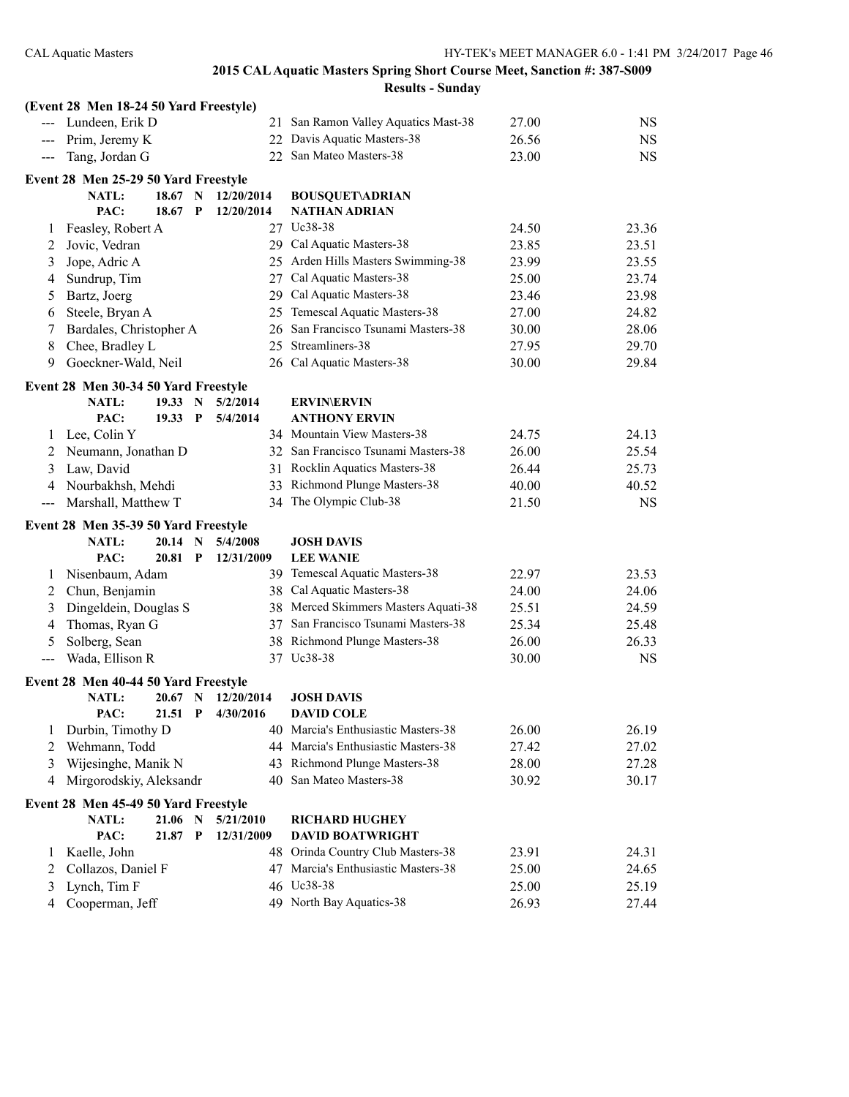|       | (Event 28 Men 18-24 50 Yard Freestyle) |         |              |                   |                                      |       |           |
|-------|----------------------------------------|---------|--------------|-------------------|--------------------------------------|-------|-----------|
|       | --- Lundeen, Erik D                    |         |              | 21                | San Ramon Valley Aquatics Mast-38    | 27.00 | <b>NS</b> |
|       | --- Prim, Jeremy K                     |         |              |                   | 22 Davis Aquatic Masters-38          | 26.56 | <b>NS</b> |
|       | --- Tang, Jordan G                     |         |              |                   | 22 San Mateo Masters-38              | 23.00 | <b>NS</b> |
|       | Event 28 Men 25-29 50 Yard Freestyle   |         |              |                   |                                      |       |           |
|       | <b>NATL:</b>                           | 18.67   | N            | 12/20/2014        | <b>BOUSQUET\ADRIAN</b>               |       |           |
|       | PAC:                                   | 18.67   | $\mathbf{P}$ | 12/20/2014        | <b>NATHAN ADRIAN</b>                 |       |           |
| 1     | Feasley, Robert A                      |         |              |                   | 27 Uc38-38                           | 24.50 | 23.36     |
| 2     | Jovic, Vedran                          |         |              |                   | 29 Cal Aquatic Masters-38            | 23.85 | 23.51     |
| 3     | Jope, Adric A                          |         |              |                   | 25 Arden Hills Masters Swimming-38   | 23.99 | 23.55     |
| 4     | Sundrup, Tim                           |         |              |                   | 27 Cal Aquatic Masters-38            | 25.00 | 23.74     |
| 5     | Bartz, Joerg                           |         |              |                   | 29 Cal Aquatic Masters-38            | 23.46 | 23.98     |
| 6     | Steele, Bryan A                        |         |              |                   | 25 Temescal Aquatic Masters-38       | 27.00 | 24.82     |
| 7     | Bardales, Christopher A                |         |              |                   | 26 San Francisco Tsunami Masters-38  | 30.00 | 28.06     |
| 8     | Chee, Bradley L                        |         |              | 25                | Streamliners-38                      | 27.95 | 29.70     |
| 9     | Goeckner-Wald, Neil                    |         |              |                   | 26 Cal Aquatic Masters-38            | 30.00 | 29.84     |
|       | Event 28 Men 30-34 50 Yard Freestyle   |         |              |                   |                                      |       |           |
|       | <b>NATL:</b>                           | 19.33   | $\mathbf N$  | 5/2/2014          | <b>ERVIN\ERVIN</b>                   |       |           |
|       | PAC:                                   | 19.33 P |              | 5/4/2014          | <b>ANTHONY ERVIN</b>                 |       |           |
| 1     | Lee, Colin Y                           |         |              |                   | 34 Mountain View Masters-38          | 24.75 | 24.13     |
| 2     | Neumann, Jonathan D                    |         |              |                   | 32 San Francisco Tsunami Masters-38  | 26.00 | 25.54     |
| 3     | Law, David                             |         |              |                   | 31 Rocklin Aquatics Masters-38       | 26.44 | 25.73     |
| 4     | Nourbakhsh, Mehdi                      |         |              |                   | 33 Richmond Plunge Masters-38        | 40.00 | 40.52     |
| $---$ | Marshall, Matthew T                    |         |              |                   | 34 The Olympic Club-38               | 21.50 | <b>NS</b> |
|       | Event 28 Men 35-39 50 Yard Freestyle   |         |              |                   |                                      |       |           |
|       | <b>NATL:</b>                           | 20.14   | N            | 5/4/2008          | <b>JOSH DAVIS</b>                    |       |           |
|       | PAC:                                   | 20.81   | $\mathbf P$  | 12/31/2009        | <b>LEE WANIE</b>                     |       |           |
| 1     | Nisenbaum, Adam                        |         |              |                   | 39 Temescal Aquatic Masters-38       | 22.97 | 23.53     |
| 2     | Chun, Benjamin                         |         |              |                   | 38 Cal Aquatic Masters-38            | 24.00 | 24.06     |
| 3     | Dingeldein, Douglas S                  |         |              |                   | 38 Merced Skimmers Masters Aquati-38 | 25.51 | 24.59     |
| 4     | Thomas, Ryan G                         |         |              |                   | 37 San Francisco Tsunami Masters-38  | 25.34 | 25.48     |
| 5     | Solberg, Sean                          |         |              |                   | 38 Richmond Plunge Masters-38        | 26.00 | 26.33     |
| $---$ | Wada, Ellison R                        |         |              | 37                | Uc38-38                              | 30.00 | <b>NS</b> |
|       | Event 28 Men 40-44 50 Yard Freestyle   |         |              |                   |                                      |       |           |
|       | <b>NATL:</b>                           | 20.67 N |              | 12/20/2014        | <b>JOSH DAVIS</b>                    |       |           |
|       | PAC:                                   |         |              | 21.51 P 4/30/2016 | <b>DAVID COLE</b>                    |       |           |
| 1     | Durbin, Timothy D                      |         |              |                   | 40 Marcia's Enthusiastic Masters-38  | 26.00 | 26.19     |
| 2     | Wehmann, Todd                          |         |              |                   | 44 Marcia's Enthusiastic Masters-38  | 27.42 | 27.02     |
| 3     | Wijesinghe, Manik N                    |         |              |                   | 43 Richmond Plunge Masters-38        | 28.00 | 27.28     |
| 4     | Mirgorodskiy, Aleksandr                |         |              |                   | 40 San Mateo Masters-38              | 30.92 | 30.17     |
|       | Event 28 Men 45-49 50 Yard Freestyle   |         |              |                   |                                      |       |           |
|       | NATL:                                  | 21.06   | N            | 5/21/2010         | <b>RICHARD HUGHEY</b>                |       |           |
|       | PAC:                                   | 21.87 P |              | 12/31/2009        | <b>DAVID BOATWRIGHT</b>              |       |           |
| 1     | Kaelle, John                           |         |              |                   | 48 Orinda Country Club Masters-38    | 23.91 | 24.31     |
| 2     | Collazos, Daniel F                     |         |              |                   | 47 Marcia's Enthusiastic Masters-38  | 25.00 | 24.65     |
| 3     | Lynch, Tim F                           |         |              |                   | 46 Uc38-38                           | 25.00 | 25.19     |
| 4     | Cooperman, Jeff                        |         |              |                   | 49 North Bay Aquatics-38             | 26.93 | 27.44     |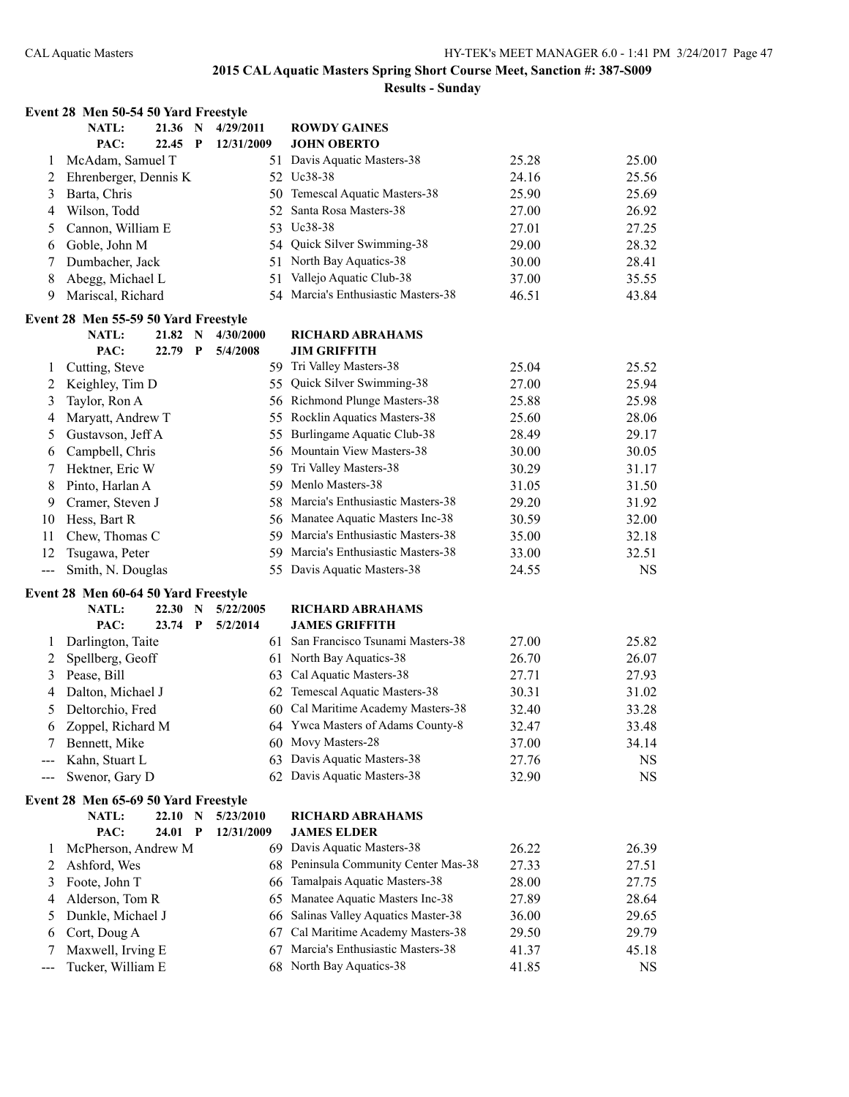| NATL:<br>21.36 N<br>4/29/2011<br><b>ROWDY GAINES</b><br>PAC:<br>22.45<br>$\mathbf{P}$<br>12/31/2009<br><b>JOHN OBERTO</b><br>51 Davis Aquatic Masters-38<br>25.00<br>McAdam, Samuel T<br>25.28<br>1<br>52 Uc38-38<br>Ehrenberger, Dennis K<br>24.16<br>25.56<br>2<br>50 Temescal Aquatic Masters-38<br>Barta, Chris<br>25.69<br>25.90<br>3<br>Wilson, Todd<br>Santa Rosa Masters-38<br>27.00<br>26.92<br>52<br>4<br>53 Uc38-38<br>Cannon, William E<br>27.01<br>27.25<br>5<br>54 Quick Silver Swimming-38<br>28.32<br>Goble, John M<br>29.00<br>6<br>Dumbacher, Jack<br>51 North Bay Aquatics-38<br>28.41<br>30.00<br>7<br>51 Vallejo Aquatic Club-38<br>Abegg, Michael L<br>8<br>37.00<br>35.55<br>54 Marcia's Enthusiastic Masters-38<br>Mariscal, Richard<br>9<br>46.51<br>43.84<br>Event 28 Men 55-59 50 Yard Freestyle<br>NATL:<br>21.82 N<br>4/30/2000<br><b>RICHARD ABRAHAMS</b><br>PAC:<br>22.79<br>$\mathbf{P}$<br><b>JIM GRIFFITH</b><br>5/4/2008<br>59 Tri Valley Masters-38<br>Cutting, Steve<br>25.04<br>25.52<br>1<br>55 Quick Silver Swimming-38<br>Keighley, Tim D<br>27.00<br>25.94<br>2<br>56 Richmond Plunge Masters-38<br>3<br>Taylor, Ron A<br>25.88<br>25.98<br>55 Rocklin Aquatics Masters-38<br>Maryatt, Andrew T<br>25.60<br>28.06<br>4<br>55 Burlingame Aquatic Club-38<br>Gustavson, Jeff A<br>28.49<br>29.17<br>5<br>56 Mountain View Masters-38<br>Campbell, Chris<br>30.00<br>30.05<br>6<br>59 Tri Valley Masters-38<br>Hektner, Eric W<br>30.29<br>7<br>31.17<br>59 Menlo Masters-38<br>Pinto, Harlan A<br>31.05<br>31.50<br>8<br>Cramer, Steven J<br>58 Marcia's Enthusiastic Masters-38<br>29.20<br>31.92<br>9<br>56 Manatee Aquatic Masters Inc-38<br>Hess, Bart R<br>30.59<br>32.00<br>10<br>59 Marcia's Enthusiastic Masters-38<br>11<br>Chew, Thomas C<br>35.00<br>32.18<br>59 Marcia's Enthusiastic Masters-38<br>Tsugawa, Peter<br>12<br>33.00<br>32.51<br>Smith, N. Douglas<br>55 Davis Aquatic Masters-38<br>24.55<br><b>NS</b><br>$---$<br>Event 28 Men 60-64 50 Yard Freestyle<br><b>NATL:</b><br>22.30<br>N<br>5/22/2005<br><b>RICHARD ABRAHAMS</b><br><b>JAMES GRIFFITH</b><br>PAC:<br>23.74<br>$\mathbf{P}$<br>5/2/2014<br>61 San Francisco Tsunami Masters-38<br>Darlington, Taite<br>27.00<br>25.82<br>1<br>61 North Bay Aquatics-38<br>Spellberg, Geoff<br>26.70<br>26.07<br>2<br>63 Cal Aquatic Masters-38<br>Pease, Bill<br>27.71<br>27.93<br>3<br>62 Temescal Aquatic Masters-38<br>Dalton, Michael J<br>30.31<br>31.02<br>4<br>60 Cal Maritime Academy Masters-38<br>5<br>Deltorchio, Fred<br>32.40<br>33.28<br>64 Ywca Masters of Adams County-8<br>33.48<br>Zoppel, Richard M<br>32.47<br>6<br>60 Movy Masters-28<br>Bennett, Mike<br>37.00<br>34.14<br>7<br>63 Davis Aquatic Masters-38<br>Kahn, Stuart L<br>27.76<br><b>NS</b><br>62 Davis Aquatic Masters-38<br>Swenor, Gary D<br>32.90<br><b>NS</b><br>$--$<br>Event 28 Men 65-69 50 Yard Freestyle<br><b>NATL:</b><br>22.10 N<br>5/23/2010<br><b>RICHARD ABRAHAMS</b><br>PAC:<br>24.01 P<br><b>JAMES ELDER</b><br>12/31/2009<br>69 Davis Aquatic Masters-38<br>26.22<br>26.39<br>McPherson, Andrew M<br>$\mathbf{I}$<br>68 Peninsula Community Center Mas-38<br>Ashford, Wes<br>27.33<br>27.51<br>2<br>Tamalpais Aquatic Masters-38<br>Foote, John T<br>28.00<br>27.75<br>3<br>66<br>Manatee Aquatic Masters Inc-38<br>Alderson, Tom R<br>27.89<br>28.64<br>4<br>65<br>66 Salinas Valley Aquatics Master-38<br>Dunkle, Michael J<br>36.00<br>29.65<br>5<br>Cort, Doug A<br>Cal Maritime Academy Masters-38<br>29.50<br>29.79<br>6<br>67<br>67 Marcia's Enthusiastic Masters-38<br>Maxwell, Irving E<br>45.18<br>7<br>41.37<br>68 North Bay Aquatics-38<br>Tucker, William E |     | Event 28 Men 50-54 50 Yard Freestyle |  |  |  |       |           |
|-----------------------------------------------------------------------------------------------------------------------------------------------------------------------------------------------------------------------------------------------------------------------------------------------------------------------------------------------------------------------------------------------------------------------------------------------------------------------------------------------------------------------------------------------------------------------------------------------------------------------------------------------------------------------------------------------------------------------------------------------------------------------------------------------------------------------------------------------------------------------------------------------------------------------------------------------------------------------------------------------------------------------------------------------------------------------------------------------------------------------------------------------------------------------------------------------------------------------------------------------------------------------------------------------------------------------------------------------------------------------------------------------------------------------------------------------------------------------------------------------------------------------------------------------------------------------------------------------------------------------------------------------------------------------------------------------------------------------------------------------------------------------------------------------------------------------------------------------------------------------------------------------------------------------------------------------------------------------------------------------------------------------------------------------------------------------------------------------------------------------------------------------------------------------------------------------------------------------------------------------------------------------------------------------------------------------------------------------------------------------------------------------------------------------------------------------------------------------------------------------------------------------------------------------------------------------------------------------------------------------------------------------------------------------------------------------------------------------------------------------------------------------------------------------------------------------------------------------------------------------------------------------------------------------------------------------------------------------------------------------------------------------------------------------------------------------------------------------------------------------------------------------------------------------------------------------------------------------------------------------------------------------------------------------------------------------------------------------------------------------------------------------------------------------------------------------------------------------------------------------------------------------------------------------------------------------------------------------------------------------------------------------------------------------------------------|-----|--------------------------------------|--|--|--|-------|-----------|
|                                                                                                                                                                                                                                                                                                                                                                                                                                                                                                                                                                                                                                                                                                                                                                                                                                                                                                                                                                                                                                                                                                                                                                                                                                                                                                                                                                                                                                                                                                                                                                                                                                                                                                                                                                                                                                                                                                                                                                                                                                                                                                                                                                                                                                                                                                                                                                                                                                                                                                                                                                                                                                                                                                                                                                                                                                                                                                                                                                                                                                                                                                                                                                                                                                                                                                                                                                                                                                                                                                                                                                                                                                                                                         |     |                                      |  |  |  |       |           |
|                                                                                                                                                                                                                                                                                                                                                                                                                                                                                                                                                                                                                                                                                                                                                                                                                                                                                                                                                                                                                                                                                                                                                                                                                                                                                                                                                                                                                                                                                                                                                                                                                                                                                                                                                                                                                                                                                                                                                                                                                                                                                                                                                                                                                                                                                                                                                                                                                                                                                                                                                                                                                                                                                                                                                                                                                                                                                                                                                                                                                                                                                                                                                                                                                                                                                                                                                                                                                                                                                                                                                                                                                                                                                         |     |                                      |  |  |  |       |           |
|                                                                                                                                                                                                                                                                                                                                                                                                                                                                                                                                                                                                                                                                                                                                                                                                                                                                                                                                                                                                                                                                                                                                                                                                                                                                                                                                                                                                                                                                                                                                                                                                                                                                                                                                                                                                                                                                                                                                                                                                                                                                                                                                                                                                                                                                                                                                                                                                                                                                                                                                                                                                                                                                                                                                                                                                                                                                                                                                                                                                                                                                                                                                                                                                                                                                                                                                                                                                                                                                                                                                                                                                                                                                                         |     |                                      |  |  |  |       |           |
|                                                                                                                                                                                                                                                                                                                                                                                                                                                                                                                                                                                                                                                                                                                                                                                                                                                                                                                                                                                                                                                                                                                                                                                                                                                                                                                                                                                                                                                                                                                                                                                                                                                                                                                                                                                                                                                                                                                                                                                                                                                                                                                                                                                                                                                                                                                                                                                                                                                                                                                                                                                                                                                                                                                                                                                                                                                                                                                                                                                                                                                                                                                                                                                                                                                                                                                                                                                                                                                                                                                                                                                                                                                                                         |     |                                      |  |  |  |       |           |
|                                                                                                                                                                                                                                                                                                                                                                                                                                                                                                                                                                                                                                                                                                                                                                                                                                                                                                                                                                                                                                                                                                                                                                                                                                                                                                                                                                                                                                                                                                                                                                                                                                                                                                                                                                                                                                                                                                                                                                                                                                                                                                                                                                                                                                                                                                                                                                                                                                                                                                                                                                                                                                                                                                                                                                                                                                                                                                                                                                                                                                                                                                                                                                                                                                                                                                                                                                                                                                                                                                                                                                                                                                                                                         |     |                                      |  |  |  |       |           |
|                                                                                                                                                                                                                                                                                                                                                                                                                                                                                                                                                                                                                                                                                                                                                                                                                                                                                                                                                                                                                                                                                                                                                                                                                                                                                                                                                                                                                                                                                                                                                                                                                                                                                                                                                                                                                                                                                                                                                                                                                                                                                                                                                                                                                                                                                                                                                                                                                                                                                                                                                                                                                                                                                                                                                                                                                                                                                                                                                                                                                                                                                                                                                                                                                                                                                                                                                                                                                                                                                                                                                                                                                                                                                         |     |                                      |  |  |  |       |           |
|                                                                                                                                                                                                                                                                                                                                                                                                                                                                                                                                                                                                                                                                                                                                                                                                                                                                                                                                                                                                                                                                                                                                                                                                                                                                                                                                                                                                                                                                                                                                                                                                                                                                                                                                                                                                                                                                                                                                                                                                                                                                                                                                                                                                                                                                                                                                                                                                                                                                                                                                                                                                                                                                                                                                                                                                                                                                                                                                                                                                                                                                                                                                                                                                                                                                                                                                                                                                                                                                                                                                                                                                                                                                                         |     |                                      |  |  |  |       |           |
|                                                                                                                                                                                                                                                                                                                                                                                                                                                                                                                                                                                                                                                                                                                                                                                                                                                                                                                                                                                                                                                                                                                                                                                                                                                                                                                                                                                                                                                                                                                                                                                                                                                                                                                                                                                                                                                                                                                                                                                                                                                                                                                                                                                                                                                                                                                                                                                                                                                                                                                                                                                                                                                                                                                                                                                                                                                                                                                                                                                                                                                                                                                                                                                                                                                                                                                                                                                                                                                                                                                                                                                                                                                                                         |     |                                      |  |  |  |       |           |
|                                                                                                                                                                                                                                                                                                                                                                                                                                                                                                                                                                                                                                                                                                                                                                                                                                                                                                                                                                                                                                                                                                                                                                                                                                                                                                                                                                                                                                                                                                                                                                                                                                                                                                                                                                                                                                                                                                                                                                                                                                                                                                                                                                                                                                                                                                                                                                                                                                                                                                                                                                                                                                                                                                                                                                                                                                                                                                                                                                                                                                                                                                                                                                                                                                                                                                                                                                                                                                                                                                                                                                                                                                                                                         |     |                                      |  |  |  |       |           |
|                                                                                                                                                                                                                                                                                                                                                                                                                                                                                                                                                                                                                                                                                                                                                                                                                                                                                                                                                                                                                                                                                                                                                                                                                                                                                                                                                                                                                                                                                                                                                                                                                                                                                                                                                                                                                                                                                                                                                                                                                                                                                                                                                                                                                                                                                                                                                                                                                                                                                                                                                                                                                                                                                                                                                                                                                                                                                                                                                                                                                                                                                                                                                                                                                                                                                                                                                                                                                                                                                                                                                                                                                                                                                         |     |                                      |  |  |  |       |           |
|                                                                                                                                                                                                                                                                                                                                                                                                                                                                                                                                                                                                                                                                                                                                                                                                                                                                                                                                                                                                                                                                                                                                                                                                                                                                                                                                                                                                                                                                                                                                                                                                                                                                                                                                                                                                                                                                                                                                                                                                                                                                                                                                                                                                                                                                                                                                                                                                                                                                                                                                                                                                                                                                                                                                                                                                                                                                                                                                                                                                                                                                                                                                                                                                                                                                                                                                                                                                                                                                                                                                                                                                                                                                                         |     |                                      |  |  |  |       |           |
|                                                                                                                                                                                                                                                                                                                                                                                                                                                                                                                                                                                                                                                                                                                                                                                                                                                                                                                                                                                                                                                                                                                                                                                                                                                                                                                                                                                                                                                                                                                                                                                                                                                                                                                                                                                                                                                                                                                                                                                                                                                                                                                                                                                                                                                                                                                                                                                                                                                                                                                                                                                                                                                                                                                                                                                                                                                                                                                                                                                                                                                                                                                                                                                                                                                                                                                                                                                                                                                                                                                                                                                                                                                                                         |     |                                      |  |  |  |       |           |
|                                                                                                                                                                                                                                                                                                                                                                                                                                                                                                                                                                                                                                                                                                                                                                                                                                                                                                                                                                                                                                                                                                                                                                                                                                                                                                                                                                                                                                                                                                                                                                                                                                                                                                                                                                                                                                                                                                                                                                                                                                                                                                                                                                                                                                                                                                                                                                                                                                                                                                                                                                                                                                                                                                                                                                                                                                                                                                                                                                                                                                                                                                                                                                                                                                                                                                                                                                                                                                                                                                                                                                                                                                                                                         |     |                                      |  |  |  |       |           |
|                                                                                                                                                                                                                                                                                                                                                                                                                                                                                                                                                                                                                                                                                                                                                                                                                                                                                                                                                                                                                                                                                                                                                                                                                                                                                                                                                                                                                                                                                                                                                                                                                                                                                                                                                                                                                                                                                                                                                                                                                                                                                                                                                                                                                                                                                                                                                                                                                                                                                                                                                                                                                                                                                                                                                                                                                                                                                                                                                                                                                                                                                                                                                                                                                                                                                                                                                                                                                                                                                                                                                                                                                                                                                         |     |                                      |  |  |  |       |           |
|                                                                                                                                                                                                                                                                                                                                                                                                                                                                                                                                                                                                                                                                                                                                                                                                                                                                                                                                                                                                                                                                                                                                                                                                                                                                                                                                                                                                                                                                                                                                                                                                                                                                                                                                                                                                                                                                                                                                                                                                                                                                                                                                                                                                                                                                                                                                                                                                                                                                                                                                                                                                                                                                                                                                                                                                                                                                                                                                                                                                                                                                                                                                                                                                                                                                                                                                                                                                                                                                                                                                                                                                                                                                                         |     |                                      |  |  |  |       |           |
|                                                                                                                                                                                                                                                                                                                                                                                                                                                                                                                                                                                                                                                                                                                                                                                                                                                                                                                                                                                                                                                                                                                                                                                                                                                                                                                                                                                                                                                                                                                                                                                                                                                                                                                                                                                                                                                                                                                                                                                                                                                                                                                                                                                                                                                                                                                                                                                                                                                                                                                                                                                                                                                                                                                                                                                                                                                                                                                                                                                                                                                                                                                                                                                                                                                                                                                                                                                                                                                                                                                                                                                                                                                                                         |     |                                      |  |  |  |       |           |
|                                                                                                                                                                                                                                                                                                                                                                                                                                                                                                                                                                                                                                                                                                                                                                                                                                                                                                                                                                                                                                                                                                                                                                                                                                                                                                                                                                                                                                                                                                                                                                                                                                                                                                                                                                                                                                                                                                                                                                                                                                                                                                                                                                                                                                                                                                                                                                                                                                                                                                                                                                                                                                                                                                                                                                                                                                                                                                                                                                                                                                                                                                                                                                                                                                                                                                                                                                                                                                                                                                                                                                                                                                                                                         |     |                                      |  |  |  |       |           |
|                                                                                                                                                                                                                                                                                                                                                                                                                                                                                                                                                                                                                                                                                                                                                                                                                                                                                                                                                                                                                                                                                                                                                                                                                                                                                                                                                                                                                                                                                                                                                                                                                                                                                                                                                                                                                                                                                                                                                                                                                                                                                                                                                                                                                                                                                                                                                                                                                                                                                                                                                                                                                                                                                                                                                                                                                                                                                                                                                                                                                                                                                                                                                                                                                                                                                                                                                                                                                                                                                                                                                                                                                                                                                         |     |                                      |  |  |  |       |           |
|                                                                                                                                                                                                                                                                                                                                                                                                                                                                                                                                                                                                                                                                                                                                                                                                                                                                                                                                                                                                                                                                                                                                                                                                                                                                                                                                                                                                                                                                                                                                                                                                                                                                                                                                                                                                                                                                                                                                                                                                                                                                                                                                                                                                                                                                                                                                                                                                                                                                                                                                                                                                                                                                                                                                                                                                                                                                                                                                                                                                                                                                                                                                                                                                                                                                                                                                                                                                                                                                                                                                                                                                                                                                                         |     |                                      |  |  |  |       |           |
|                                                                                                                                                                                                                                                                                                                                                                                                                                                                                                                                                                                                                                                                                                                                                                                                                                                                                                                                                                                                                                                                                                                                                                                                                                                                                                                                                                                                                                                                                                                                                                                                                                                                                                                                                                                                                                                                                                                                                                                                                                                                                                                                                                                                                                                                                                                                                                                                                                                                                                                                                                                                                                                                                                                                                                                                                                                                                                                                                                                                                                                                                                                                                                                                                                                                                                                                                                                                                                                                                                                                                                                                                                                                                         |     |                                      |  |  |  |       |           |
|                                                                                                                                                                                                                                                                                                                                                                                                                                                                                                                                                                                                                                                                                                                                                                                                                                                                                                                                                                                                                                                                                                                                                                                                                                                                                                                                                                                                                                                                                                                                                                                                                                                                                                                                                                                                                                                                                                                                                                                                                                                                                                                                                                                                                                                                                                                                                                                                                                                                                                                                                                                                                                                                                                                                                                                                                                                                                                                                                                                                                                                                                                                                                                                                                                                                                                                                                                                                                                                                                                                                                                                                                                                                                         |     |                                      |  |  |  |       |           |
|                                                                                                                                                                                                                                                                                                                                                                                                                                                                                                                                                                                                                                                                                                                                                                                                                                                                                                                                                                                                                                                                                                                                                                                                                                                                                                                                                                                                                                                                                                                                                                                                                                                                                                                                                                                                                                                                                                                                                                                                                                                                                                                                                                                                                                                                                                                                                                                                                                                                                                                                                                                                                                                                                                                                                                                                                                                                                                                                                                                                                                                                                                                                                                                                                                                                                                                                                                                                                                                                                                                                                                                                                                                                                         |     |                                      |  |  |  |       |           |
|                                                                                                                                                                                                                                                                                                                                                                                                                                                                                                                                                                                                                                                                                                                                                                                                                                                                                                                                                                                                                                                                                                                                                                                                                                                                                                                                                                                                                                                                                                                                                                                                                                                                                                                                                                                                                                                                                                                                                                                                                                                                                                                                                                                                                                                                                                                                                                                                                                                                                                                                                                                                                                                                                                                                                                                                                                                                                                                                                                                                                                                                                                                                                                                                                                                                                                                                                                                                                                                                                                                                                                                                                                                                                         |     |                                      |  |  |  |       |           |
|                                                                                                                                                                                                                                                                                                                                                                                                                                                                                                                                                                                                                                                                                                                                                                                                                                                                                                                                                                                                                                                                                                                                                                                                                                                                                                                                                                                                                                                                                                                                                                                                                                                                                                                                                                                                                                                                                                                                                                                                                                                                                                                                                                                                                                                                                                                                                                                                                                                                                                                                                                                                                                                                                                                                                                                                                                                                                                                                                                                                                                                                                                                                                                                                                                                                                                                                                                                                                                                                                                                                                                                                                                                                                         |     |                                      |  |  |  |       |           |
|                                                                                                                                                                                                                                                                                                                                                                                                                                                                                                                                                                                                                                                                                                                                                                                                                                                                                                                                                                                                                                                                                                                                                                                                                                                                                                                                                                                                                                                                                                                                                                                                                                                                                                                                                                                                                                                                                                                                                                                                                                                                                                                                                                                                                                                                                                                                                                                                                                                                                                                                                                                                                                                                                                                                                                                                                                                                                                                                                                                                                                                                                                                                                                                                                                                                                                                                                                                                                                                                                                                                                                                                                                                                                         |     |                                      |  |  |  |       |           |
|                                                                                                                                                                                                                                                                                                                                                                                                                                                                                                                                                                                                                                                                                                                                                                                                                                                                                                                                                                                                                                                                                                                                                                                                                                                                                                                                                                                                                                                                                                                                                                                                                                                                                                                                                                                                                                                                                                                                                                                                                                                                                                                                                                                                                                                                                                                                                                                                                                                                                                                                                                                                                                                                                                                                                                                                                                                                                                                                                                                                                                                                                                                                                                                                                                                                                                                                                                                                                                                                                                                                                                                                                                                                                         |     |                                      |  |  |  |       |           |
|                                                                                                                                                                                                                                                                                                                                                                                                                                                                                                                                                                                                                                                                                                                                                                                                                                                                                                                                                                                                                                                                                                                                                                                                                                                                                                                                                                                                                                                                                                                                                                                                                                                                                                                                                                                                                                                                                                                                                                                                                                                                                                                                                                                                                                                                                                                                                                                                                                                                                                                                                                                                                                                                                                                                                                                                                                                                                                                                                                                                                                                                                                                                                                                                                                                                                                                                                                                                                                                                                                                                                                                                                                                                                         |     |                                      |  |  |  |       |           |
|                                                                                                                                                                                                                                                                                                                                                                                                                                                                                                                                                                                                                                                                                                                                                                                                                                                                                                                                                                                                                                                                                                                                                                                                                                                                                                                                                                                                                                                                                                                                                                                                                                                                                                                                                                                                                                                                                                                                                                                                                                                                                                                                                                                                                                                                                                                                                                                                                                                                                                                                                                                                                                                                                                                                                                                                                                                                                                                                                                                                                                                                                                                                                                                                                                                                                                                                                                                                                                                                                                                                                                                                                                                                                         |     |                                      |  |  |  |       |           |
|                                                                                                                                                                                                                                                                                                                                                                                                                                                                                                                                                                                                                                                                                                                                                                                                                                                                                                                                                                                                                                                                                                                                                                                                                                                                                                                                                                                                                                                                                                                                                                                                                                                                                                                                                                                                                                                                                                                                                                                                                                                                                                                                                                                                                                                                                                                                                                                                                                                                                                                                                                                                                                                                                                                                                                                                                                                                                                                                                                                                                                                                                                                                                                                                                                                                                                                                                                                                                                                                                                                                                                                                                                                                                         |     |                                      |  |  |  |       |           |
|                                                                                                                                                                                                                                                                                                                                                                                                                                                                                                                                                                                                                                                                                                                                                                                                                                                                                                                                                                                                                                                                                                                                                                                                                                                                                                                                                                                                                                                                                                                                                                                                                                                                                                                                                                                                                                                                                                                                                                                                                                                                                                                                                                                                                                                                                                                                                                                                                                                                                                                                                                                                                                                                                                                                                                                                                                                                                                                                                                                                                                                                                                                                                                                                                                                                                                                                                                                                                                                                                                                                                                                                                                                                                         |     |                                      |  |  |  |       |           |
|                                                                                                                                                                                                                                                                                                                                                                                                                                                                                                                                                                                                                                                                                                                                                                                                                                                                                                                                                                                                                                                                                                                                                                                                                                                                                                                                                                                                                                                                                                                                                                                                                                                                                                                                                                                                                                                                                                                                                                                                                                                                                                                                                                                                                                                                                                                                                                                                                                                                                                                                                                                                                                                                                                                                                                                                                                                                                                                                                                                                                                                                                                                                                                                                                                                                                                                                                                                                                                                                                                                                                                                                                                                                                         |     |                                      |  |  |  |       |           |
|                                                                                                                                                                                                                                                                                                                                                                                                                                                                                                                                                                                                                                                                                                                                                                                                                                                                                                                                                                                                                                                                                                                                                                                                                                                                                                                                                                                                                                                                                                                                                                                                                                                                                                                                                                                                                                                                                                                                                                                                                                                                                                                                                                                                                                                                                                                                                                                                                                                                                                                                                                                                                                                                                                                                                                                                                                                                                                                                                                                                                                                                                                                                                                                                                                                                                                                                                                                                                                                                                                                                                                                                                                                                                         |     |                                      |  |  |  |       |           |
|                                                                                                                                                                                                                                                                                                                                                                                                                                                                                                                                                                                                                                                                                                                                                                                                                                                                                                                                                                                                                                                                                                                                                                                                                                                                                                                                                                                                                                                                                                                                                                                                                                                                                                                                                                                                                                                                                                                                                                                                                                                                                                                                                                                                                                                                                                                                                                                                                                                                                                                                                                                                                                                                                                                                                                                                                                                                                                                                                                                                                                                                                                                                                                                                                                                                                                                                                                                                                                                                                                                                                                                                                                                                                         |     |                                      |  |  |  |       |           |
|                                                                                                                                                                                                                                                                                                                                                                                                                                                                                                                                                                                                                                                                                                                                                                                                                                                                                                                                                                                                                                                                                                                                                                                                                                                                                                                                                                                                                                                                                                                                                                                                                                                                                                                                                                                                                                                                                                                                                                                                                                                                                                                                                                                                                                                                                                                                                                                                                                                                                                                                                                                                                                                                                                                                                                                                                                                                                                                                                                                                                                                                                                                                                                                                                                                                                                                                                                                                                                                                                                                                                                                                                                                                                         |     |                                      |  |  |  |       |           |
|                                                                                                                                                                                                                                                                                                                                                                                                                                                                                                                                                                                                                                                                                                                                                                                                                                                                                                                                                                                                                                                                                                                                                                                                                                                                                                                                                                                                                                                                                                                                                                                                                                                                                                                                                                                                                                                                                                                                                                                                                                                                                                                                                                                                                                                                                                                                                                                                                                                                                                                                                                                                                                                                                                                                                                                                                                                                                                                                                                                                                                                                                                                                                                                                                                                                                                                                                                                                                                                                                                                                                                                                                                                                                         |     |                                      |  |  |  |       |           |
|                                                                                                                                                                                                                                                                                                                                                                                                                                                                                                                                                                                                                                                                                                                                                                                                                                                                                                                                                                                                                                                                                                                                                                                                                                                                                                                                                                                                                                                                                                                                                                                                                                                                                                                                                                                                                                                                                                                                                                                                                                                                                                                                                                                                                                                                                                                                                                                                                                                                                                                                                                                                                                                                                                                                                                                                                                                                                                                                                                                                                                                                                                                                                                                                                                                                                                                                                                                                                                                                                                                                                                                                                                                                                         |     |                                      |  |  |  |       |           |
|                                                                                                                                                                                                                                                                                                                                                                                                                                                                                                                                                                                                                                                                                                                                                                                                                                                                                                                                                                                                                                                                                                                                                                                                                                                                                                                                                                                                                                                                                                                                                                                                                                                                                                                                                                                                                                                                                                                                                                                                                                                                                                                                                                                                                                                                                                                                                                                                                                                                                                                                                                                                                                                                                                                                                                                                                                                                                                                                                                                                                                                                                                                                                                                                                                                                                                                                                                                                                                                                                                                                                                                                                                                                                         |     |                                      |  |  |  |       |           |
|                                                                                                                                                                                                                                                                                                                                                                                                                                                                                                                                                                                                                                                                                                                                                                                                                                                                                                                                                                                                                                                                                                                                                                                                                                                                                                                                                                                                                                                                                                                                                                                                                                                                                                                                                                                                                                                                                                                                                                                                                                                                                                                                                                                                                                                                                                                                                                                                                                                                                                                                                                                                                                                                                                                                                                                                                                                                                                                                                                                                                                                                                                                                                                                                                                                                                                                                                                                                                                                                                                                                                                                                                                                                                         |     |                                      |  |  |  |       |           |
|                                                                                                                                                                                                                                                                                                                                                                                                                                                                                                                                                                                                                                                                                                                                                                                                                                                                                                                                                                                                                                                                                                                                                                                                                                                                                                                                                                                                                                                                                                                                                                                                                                                                                                                                                                                                                                                                                                                                                                                                                                                                                                                                                                                                                                                                                                                                                                                                                                                                                                                                                                                                                                                                                                                                                                                                                                                                                                                                                                                                                                                                                                                                                                                                                                                                                                                                                                                                                                                                                                                                                                                                                                                                                         |     |                                      |  |  |  |       |           |
|                                                                                                                                                                                                                                                                                                                                                                                                                                                                                                                                                                                                                                                                                                                                                                                                                                                                                                                                                                                                                                                                                                                                                                                                                                                                                                                                                                                                                                                                                                                                                                                                                                                                                                                                                                                                                                                                                                                                                                                                                                                                                                                                                                                                                                                                                                                                                                                                                                                                                                                                                                                                                                                                                                                                                                                                                                                                                                                                                                                                                                                                                                                                                                                                                                                                                                                                                                                                                                                                                                                                                                                                                                                                                         |     |                                      |  |  |  |       |           |
|                                                                                                                                                                                                                                                                                                                                                                                                                                                                                                                                                                                                                                                                                                                                                                                                                                                                                                                                                                                                                                                                                                                                                                                                                                                                                                                                                                                                                                                                                                                                                                                                                                                                                                                                                                                                                                                                                                                                                                                                                                                                                                                                                                                                                                                                                                                                                                                                                                                                                                                                                                                                                                                                                                                                                                                                                                                                                                                                                                                                                                                                                                                                                                                                                                                                                                                                                                                                                                                                                                                                                                                                                                                                                         |     |                                      |  |  |  |       |           |
|                                                                                                                                                                                                                                                                                                                                                                                                                                                                                                                                                                                                                                                                                                                                                                                                                                                                                                                                                                                                                                                                                                                                                                                                                                                                                                                                                                                                                                                                                                                                                                                                                                                                                                                                                                                                                                                                                                                                                                                                                                                                                                                                                                                                                                                                                                                                                                                                                                                                                                                                                                                                                                                                                                                                                                                                                                                                                                                                                                                                                                                                                                                                                                                                                                                                                                                                                                                                                                                                                                                                                                                                                                                                                         |     |                                      |  |  |  |       |           |
|                                                                                                                                                                                                                                                                                                                                                                                                                                                                                                                                                                                                                                                                                                                                                                                                                                                                                                                                                                                                                                                                                                                                                                                                                                                                                                                                                                                                                                                                                                                                                                                                                                                                                                                                                                                                                                                                                                                                                                                                                                                                                                                                                                                                                                                                                                                                                                                                                                                                                                                                                                                                                                                                                                                                                                                                                                                                                                                                                                                                                                                                                                                                                                                                                                                                                                                                                                                                                                                                                                                                                                                                                                                                                         |     |                                      |  |  |  |       |           |
|                                                                                                                                                                                                                                                                                                                                                                                                                                                                                                                                                                                                                                                                                                                                                                                                                                                                                                                                                                                                                                                                                                                                                                                                                                                                                                                                                                                                                                                                                                                                                                                                                                                                                                                                                                                                                                                                                                                                                                                                                                                                                                                                                                                                                                                                                                                                                                                                                                                                                                                                                                                                                                                                                                                                                                                                                                                                                                                                                                                                                                                                                                                                                                                                                                                                                                                                                                                                                                                                                                                                                                                                                                                                                         |     |                                      |  |  |  |       |           |
|                                                                                                                                                                                                                                                                                                                                                                                                                                                                                                                                                                                                                                                                                                                                                                                                                                                                                                                                                                                                                                                                                                                                                                                                                                                                                                                                                                                                                                                                                                                                                                                                                                                                                                                                                                                                                                                                                                                                                                                                                                                                                                                                                                                                                                                                                                                                                                                                                                                                                                                                                                                                                                                                                                                                                                                                                                                                                                                                                                                                                                                                                                                                                                                                                                                                                                                                                                                                                                                                                                                                                                                                                                                                                         |     |                                      |  |  |  |       |           |
|                                                                                                                                                                                                                                                                                                                                                                                                                                                                                                                                                                                                                                                                                                                                                                                                                                                                                                                                                                                                                                                                                                                                                                                                                                                                                                                                                                                                                                                                                                                                                                                                                                                                                                                                                                                                                                                                                                                                                                                                                                                                                                                                                                                                                                                                                                                                                                                                                                                                                                                                                                                                                                                                                                                                                                                                                                                                                                                                                                                                                                                                                                                                                                                                                                                                                                                                                                                                                                                                                                                                                                                                                                                                                         |     |                                      |  |  |  |       |           |
|                                                                                                                                                                                                                                                                                                                                                                                                                                                                                                                                                                                                                                                                                                                                                                                                                                                                                                                                                                                                                                                                                                                                                                                                                                                                                                                                                                                                                                                                                                                                                                                                                                                                                                                                                                                                                                                                                                                                                                                                                                                                                                                                                                                                                                                                                                                                                                                                                                                                                                                                                                                                                                                                                                                                                                                                                                                                                                                                                                                                                                                                                                                                                                                                                                                                                                                                                                                                                                                                                                                                                                                                                                                                                         |     |                                      |  |  |  |       |           |
|                                                                                                                                                                                                                                                                                                                                                                                                                                                                                                                                                                                                                                                                                                                                                                                                                                                                                                                                                                                                                                                                                                                                                                                                                                                                                                                                                                                                                                                                                                                                                                                                                                                                                                                                                                                                                                                                                                                                                                                                                                                                                                                                                                                                                                                                                                                                                                                                                                                                                                                                                                                                                                                                                                                                                                                                                                                                                                                                                                                                                                                                                                                                                                                                                                                                                                                                                                                                                                                                                                                                                                                                                                                                                         |     |                                      |  |  |  |       |           |
|                                                                                                                                                                                                                                                                                                                                                                                                                                                                                                                                                                                                                                                                                                                                                                                                                                                                                                                                                                                                                                                                                                                                                                                                                                                                                                                                                                                                                                                                                                                                                                                                                                                                                                                                                                                                                                                                                                                                                                                                                                                                                                                                                                                                                                                                                                                                                                                                                                                                                                                                                                                                                                                                                                                                                                                                                                                                                                                                                                                                                                                                                                                                                                                                                                                                                                                                                                                                                                                                                                                                                                                                                                                                                         |     |                                      |  |  |  |       |           |
|                                                                                                                                                                                                                                                                                                                                                                                                                                                                                                                                                                                                                                                                                                                                                                                                                                                                                                                                                                                                                                                                                                                                                                                                                                                                                                                                                                                                                                                                                                                                                                                                                                                                                                                                                                                                                                                                                                                                                                                                                                                                                                                                                                                                                                                                                                                                                                                                                                                                                                                                                                                                                                                                                                                                                                                                                                                                                                                                                                                                                                                                                                                                                                                                                                                                                                                                                                                                                                                                                                                                                                                                                                                                                         |     |                                      |  |  |  |       |           |
|                                                                                                                                                                                                                                                                                                                                                                                                                                                                                                                                                                                                                                                                                                                                                                                                                                                                                                                                                                                                                                                                                                                                                                                                                                                                                                                                                                                                                                                                                                                                                                                                                                                                                                                                                                                                                                                                                                                                                                                                                                                                                                                                                                                                                                                                                                                                                                                                                                                                                                                                                                                                                                                                                                                                                                                                                                                                                                                                                                                                                                                                                                                                                                                                                                                                                                                                                                                                                                                                                                                                                                                                                                                                                         | --- |                                      |  |  |  | 41.85 | <b>NS</b> |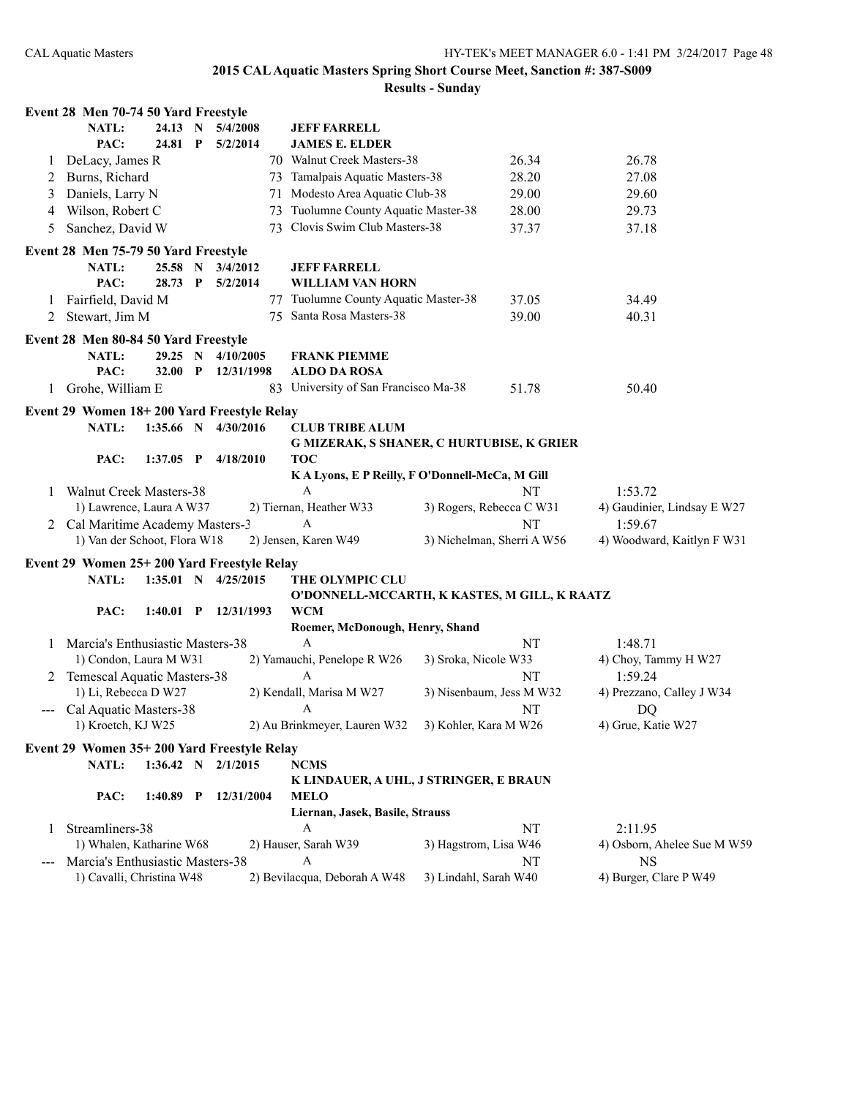|                                                                                                                                                                                                                                                                                                                                                                                                                                                                            | Event 28 Men 70-74 50 Yard Freestyle                |             |  |                        |                                   |                                                |                          |                            |                             |  |  |
|----------------------------------------------------------------------------------------------------------------------------------------------------------------------------------------------------------------------------------------------------------------------------------------------------------------------------------------------------------------------------------------------------------------------------------------------------------------------------|-----------------------------------------------------|-------------|--|------------------------|-----------------------------------|------------------------------------------------|--------------------------|----------------------------|-----------------------------|--|--|
|                                                                                                                                                                                                                                                                                                                                                                                                                                                                            | <b>NATL:</b>                                        | 24.13 N     |  | 5/4/2008               |                                   | <b>JEFF FARRELL</b>                            |                          |                            |                             |  |  |
|                                                                                                                                                                                                                                                                                                                                                                                                                                                                            | PAC:                                                | 24.81 P     |  | 5/2/2014               |                                   | <b>JAMES E. ELDER</b>                          |                          |                            |                             |  |  |
| 1                                                                                                                                                                                                                                                                                                                                                                                                                                                                          | DeLacy, James R                                     |             |  |                        |                                   | 70 Walnut Creek Masters-38                     |                          | 26.34                      | 26.78                       |  |  |
| 2                                                                                                                                                                                                                                                                                                                                                                                                                                                                          | Burns, Richard                                      |             |  |                        |                                   | 73 Tamalpais Aquatic Masters-38                |                          | 28.20                      | 27.08                       |  |  |
| 3                                                                                                                                                                                                                                                                                                                                                                                                                                                                          | Daniels, Larry N                                    |             |  |                        |                                   | 71 Modesto Area Aquatic Club-38                |                          | 29.00                      | 29.60                       |  |  |
| 4                                                                                                                                                                                                                                                                                                                                                                                                                                                                          | Wilson, Robert C                                    |             |  | 73                     | Tuolumne County Aquatic Master-38 |                                                | 28.00                    | 29.73                      |                             |  |  |
| Sanchez, David W<br>5                                                                                                                                                                                                                                                                                                                                                                                                                                                      |                                                     |             |  |                        |                                   | 73 Clovis Swim Club Masters-38<br>37.37        |                          |                            | 37.18                       |  |  |
|                                                                                                                                                                                                                                                                                                                                                                                                                                                                            | Event 28 Men 75-79 50 Yard Freestyle                |             |  |                        |                                   |                                                |                          |                            |                             |  |  |
|                                                                                                                                                                                                                                                                                                                                                                                                                                                                            | 25.58 N<br>NATL:<br>3/4/2012                        |             |  |                        |                                   | <b>JEFF FARRELL</b>                            |                          |                            |                             |  |  |
|                                                                                                                                                                                                                                                                                                                                                                                                                                                                            | PAC:                                                | 28.73 P     |  | 5/2/2014               |                                   | <b>WILLIAM VAN HORN</b>                        |                          |                            |                             |  |  |
| 1                                                                                                                                                                                                                                                                                                                                                                                                                                                                          | Fairfield, David M                                  |             |  |                        |                                   | 77 Tuolumne County Aquatic Master-38           |                          | 37.05                      | 34.49                       |  |  |
| 2                                                                                                                                                                                                                                                                                                                                                                                                                                                                          | Stewart, Jim M                                      |             |  |                        |                                   | 75 Santa Rosa Masters-38                       |                          | 39.00                      | 40.31                       |  |  |
|                                                                                                                                                                                                                                                                                                                                                                                                                                                                            | Event 28 Men 80-84 50 Yard Freestyle                |             |  |                        |                                   |                                                |                          |                            |                             |  |  |
|                                                                                                                                                                                                                                                                                                                                                                                                                                                                            | NATL:                                               | 29.25 N     |  | 4/10/2005              |                                   | <b>FRANK PIEMME</b>                            |                          |                            |                             |  |  |
|                                                                                                                                                                                                                                                                                                                                                                                                                                                                            | PAC:<br>$32.00$ P                                   |             |  | 12/31/1998             |                                   | <b>ALDO DA ROSA</b>                            |                          |                            |                             |  |  |
| 1                                                                                                                                                                                                                                                                                                                                                                                                                                                                          | Grohe, William E                                    |             |  |                        |                                   | 83 University of San Francisco Ma-38           |                          | 51.78                      | 50.40                       |  |  |
|                                                                                                                                                                                                                                                                                                                                                                                                                                                                            | Event 29 Women 18+200 Yard Freestyle Relay          |             |  |                        |                                   |                                                |                          |                            |                             |  |  |
|                                                                                                                                                                                                                                                                                                                                                                                                                                                                            | NATL:                                               |             |  | 1:35.66 N 4/30/2016    |                                   | <b>CLUB TRIBE ALUM</b>                         |                          |                            |                             |  |  |
|                                                                                                                                                                                                                                                                                                                                                                                                                                                                            |                                                     |             |  |                        |                                   | G MIZERAK, S SHANER, C HURTUBISE, K GRIER      |                          |                            |                             |  |  |
|                                                                                                                                                                                                                                                                                                                                                                                                                                                                            | PAC:                                                |             |  | 1:37.05 P $4/18/2010$  |                                   | <b>TOC</b>                                     |                          |                            |                             |  |  |
|                                                                                                                                                                                                                                                                                                                                                                                                                                                                            |                                                     |             |  |                        |                                   | KA Lyons, E P Reilly, F O'Donnell-McCa, M Gill |                          |                            |                             |  |  |
| 1                                                                                                                                                                                                                                                                                                                                                                                                                                                                          | <b>Walnut Creek Masters-38</b>                      |             |  |                        |                                   | $\mathbf{A}$                                   |                          | NT                         | 1:53.72                     |  |  |
|                                                                                                                                                                                                                                                                                                                                                                                                                                                                            | 1) Lawrence, Laura A W37                            |             |  |                        |                                   | 2) Tiernan, Heather W33                        | 3) Rogers, Rebecca C W31 |                            | 4) Gaudinier, Lindsay E W27 |  |  |
|                                                                                                                                                                                                                                                                                                                                                                                                                                                                            | 2 Cal Maritime Academy Masters-3                    |             |  |                        |                                   | A                                              |                          | NT                         | 1:59.67                     |  |  |
|                                                                                                                                                                                                                                                                                                                                                                                                                                                                            | 1) Van der Schoot, Flora W18                        |             |  |                        |                                   | 2) Jensen, Karen W49                           |                          | 3) Nichelman, Sherri A W56 | 4) Woodward, Kaitlyn F W31  |  |  |
|                                                                                                                                                                                                                                                                                                                                                                                                                                                                            |                                                     |             |  |                        |                                   |                                                |                          |                            |                             |  |  |
|                                                                                                                                                                                                                                                                                                                                                                                                                                                                            | Event 29 Women 25+200 Yard Freestyle Relay<br>NATL: |             |  | 1:35.01 N $4/25/2015$  |                                   | THE OLYMPIC CLU                                |                          |                            |                             |  |  |
|                                                                                                                                                                                                                                                                                                                                                                                                                                                                            |                                                     |             |  |                        |                                   | O'DONNELL-MCCARTH, K KASTES, M GILL, K RAATZ   |                          |                            |                             |  |  |
|                                                                                                                                                                                                                                                                                                                                                                                                                                                                            | PAC:                                                |             |  | 1:40.01 P 12/31/1993   |                                   | <b>WCM</b>                                     |                          |                            |                             |  |  |
|                                                                                                                                                                                                                                                                                                                                                                                                                                                                            |                                                     |             |  |                        |                                   | Roemer, McDonough, Henry, Shand                |                          |                            |                             |  |  |
| 1                                                                                                                                                                                                                                                                                                                                                                                                                                                                          | Marcia's Enthusiastic Masters-38                    |             |  |                        |                                   | $\mathsf{A}$                                   |                          | NT                         | 1:48.71                     |  |  |
|                                                                                                                                                                                                                                                                                                                                                                                                                                                                            | 1) Condon, Laura M W31                              |             |  |                        |                                   | 2) Yamauchi, Penelope R W26                    | 3) Sroka, Nicole W33     |                            | 4) Choy, Tammy H W27        |  |  |
|                                                                                                                                                                                                                                                                                                                                                                                                                                                                            | 2 Temescal Aquatic Masters-38                       |             |  |                        |                                   | A                                              |                          | NT                         | 1:59.24                     |  |  |
|                                                                                                                                                                                                                                                                                                                                                                                                                                                                            | 1) Li, Rebecca D W27                                |             |  |                        |                                   | 2) Kendall, Marisa M W27                       |                          | 3) Nisenbaum, Jess M W32   | 4) Prezzano, Calley J W34   |  |  |
| $\frac{1}{2} \left( \frac{1}{2} \right) \left( \frac{1}{2} \right) \left( \frac{1}{2} \right) \left( \frac{1}{2} \right) \left( \frac{1}{2} \right) \left( \frac{1}{2} \right) \left( \frac{1}{2} \right) \left( \frac{1}{2} \right) \left( \frac{1}{2} \right) \left( \frac{1}{2} \right) \left( \frac{1}{2} \right) \left( \frac{1}{2} \right) \left( \frac{1}{2} \right) \left( \frac{1}{2} \right) \left( \frac{1}{2} \right) \left( \frac{1}{2} \right) \left( \frac$ | Cal Aquatic Masters-38                              |             |  |                        |                                   | A                                              |                          | NT                         | DQ                          |  |  |
|                                                                                                                                                                                                                                                                                                                                                                                                                                                                            | 1) Kroetch, KJ W25                                  |             |  |                        |                                   | 2) Au Brinkmeyer, Lauren W32                   | 3) Kohler, Kara M W26    |                            | 4) Grue, Katie W27          |  |  |
|                                                                                                                                                                                                                                                                                                                                                                                                                                                                            | Event 29 Women 35+200 Yard Freestyle Relay          |             |  |                        |                                   |                                                |                          |                            |                             |  |  |
|                                                                                                                                                                                                                                                                                                                                                                                                                                                                            | <b>NATL:</b>                                        |             |  | $1:36.42$ N $2/1/2015$ |                                   | <b>NCMS</b>                                    |                          |                            |                             |  |  |
|                                                                                                                                                                                                                                                                                                                                                                                                                                                                            |                                                     |             |  |                        |                                   | K LINDAUER, A UHL, J STRINGER, E BRAUN         |                          |                            |                             |  |  |
|                                                                                                                                                                                                                                                                                                                                                                                                                                                                            | PAC:                                                | $1:40.89$ P |  | 12/31/2004             |                                   | <b>MELO</b>                                    |                          |                            |                             |  |  |
|                                                                                                                                                                                                                                                                                                                                                                                                                                                                            |                                                     |             |  |                        |                                   | Liernan, Jasek, Basile, Strauss                |                          |                            |                             |  |  |
| 1                                                                                                                                                                                                                                                                                                                                                                                                                                                                          | Streamliners-38                                     |             |  |                        |                                   | A                                              |                          | NT                         | 2:11.95                     |  |  |
|                                                                                                                                                                                                                                                                                                                                                                                                                                                                            | 1) Whalen, Katharine W68                            |             |  |                        |                                   | 2) Hauser, Sarah W39                           | 3) Hagstrom, Lisa W46    |                            | 4) Osborn, Ahelee Sue M W59 |  |  |
|                                                                                                                                                                                                                                                                                                                                                                                                                                                                            | Marcia's Enthusiastic Masters-38                    |             |  | A                      |                                   |                                                | NT                       | <b>NS</b>                  |                             |  |  |
|                                                                                                                                                                                                                                                                                                                                                                                                                                                                            | 1) Cavalli, Christina W48                           |             |  |                        |                                   | 2) Bevilacqua, Deborah A W48                   | 3) Lindahl, Sarah W40    |                            | 4) Burger, Clare P W49      |  |  |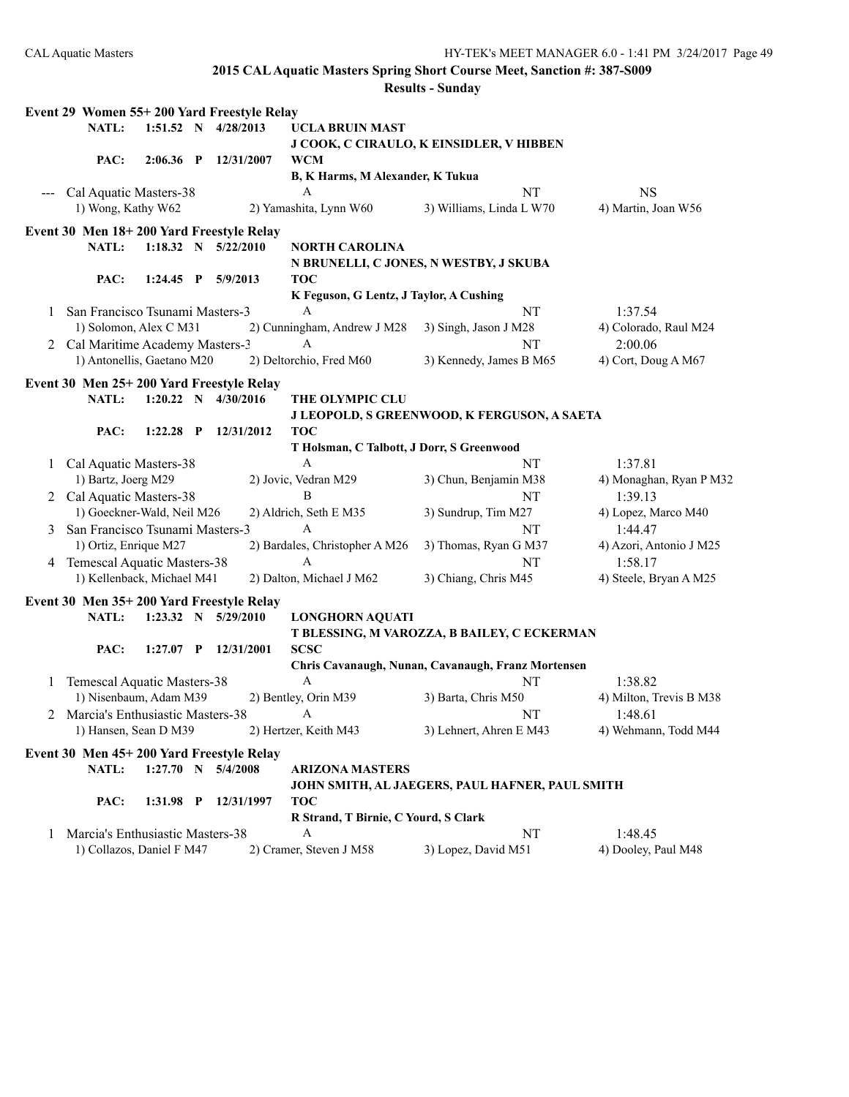**Event 29 Women 55+ 200 Yard Freestyle Relay NATL: 1:51.52 N 4/28/2013 UCLA BRUIN MAST J COOK, C CIRAULO, K EINSIDLER, V HIBBEN PAC: 2:06.36 P 12/31/2007 WCM B, K Harms, M Alexander, K Tukua** --- Cal Aquatic Masters-38 A NT NS 1) Wong, Kathy W62 2) Yamashita, Lynn W60 3) Williams, Linda L W70 4) Martin, Joan W56 **Event 30 Men 18+ 200 Yard Freestyle Relay NATL: 1:18.32 N 5/22/2010 NORTH CAROLINA N BRUNELLI, C JONES, N WESTBY, J SKUBA PAC: 1:24.45 P 5/9/2013 TOC K Feguson, G Lentz, J Taylor, A Cushing** 1 San Francisco Tsunami Masters-3 A NT 1:37.54 1) Solomon, Alex C M31 2) Cunningham, Andrew J M28 3) Singh, Jason J M28 4) Colorado, Raul M24 2 Cal Maritime Academy Masters-3 A NT 2:00.06 1) Antonellis, Gaetano M20 2) Deltorchio, Fred M60 3) Kennedy, James B M65 4) Cort, Doug A M67 **Event 30 Men 25+ 200 Yard Freestyle Relay NATL: 1:20.22 N 4/30/2016 THE OLYMPIC CLU J LEOPOLD, S GREENWOOD, K FERGUSON, A SAETA PAC: 1:22.28 P 12/31/2012 TOC T Holsman, C Talbott, J Dorr, S Greenwood** 1 Cal Aquatic Masters-38 A NT 1:37.81 1) Bartz, Joerg M29 2) Jovic, Vedran M29 3) Chun, Benjamin M38 4) Monaghan, Ryan P M32 2 Cal Aquatic Masters-38 B NT 1:39.13 1) Goeckner-Wald, Neil M26 2) Aldrich, Seth E M35 3) Sundrup, Tim M27 4) Lopez, Marco M40 3 San Francisco Tsunami Masters-3 A NT 1:44.47 1) Ortiz, Enrique M27 2) Bardales, Christopher A M26 3) Thomas, Ryan G M37 4) Azori, Antonio J M25 4 Temescal Aquatic Masters-38 A NT 1:58.17 1) Kellenback, Michael M41 2) Dalton, Michael J M62 3) Chiang, Chris M45 4) Steele, Bryan A M25 **Event 30 Men 35+ 200 Yard Freestyle Relay NATL: 1:23.32 N 5/29/2010 LONGHORN AQUATI T BLESSING, M VAROZZA, B BAILEY, C ECKERMAN PAC: 1:27.07 P 12/31/2001 SCSC Chris Cavanaugh, Nunan, Cavanaugh, Franz Mortensen** 1 Temescal Aquatic Masters-38 A NT 1:38.82 1) Nisenbaum, Adam M39 2) Bentley, Orin M39 3) Barta, Chris M50 4) Milton, Trevis B M38 2 Marcia's Enthusiastic Masters-38 A NT 1:48.61 1) Hansen, Sean D M39 2) Hertzer, Keith M43 3) Lehnert, Ahren E M43 4) Wehmann, Todd M44 **Event 30 Men 45+ 200 Yard Freestyle Relay NATL: 1:27.70 N 5/4/2008 ARIZONA MASTERS JOHN SMITH, AL JAEGERS, PAUL HAFNER, PAUL SMITH PAC: 1:31.98 P 12/31/1997 TOC R Strand, T Birnie, C Yourd, S Clark** 1 Marcia's Enthusiastic Masters-38 A NT 1:48.45 1) Collazos, Daniel F M47 2) Cramer, Steven J M58 3) Lopez, David M51 4) Dooley, Paul M48